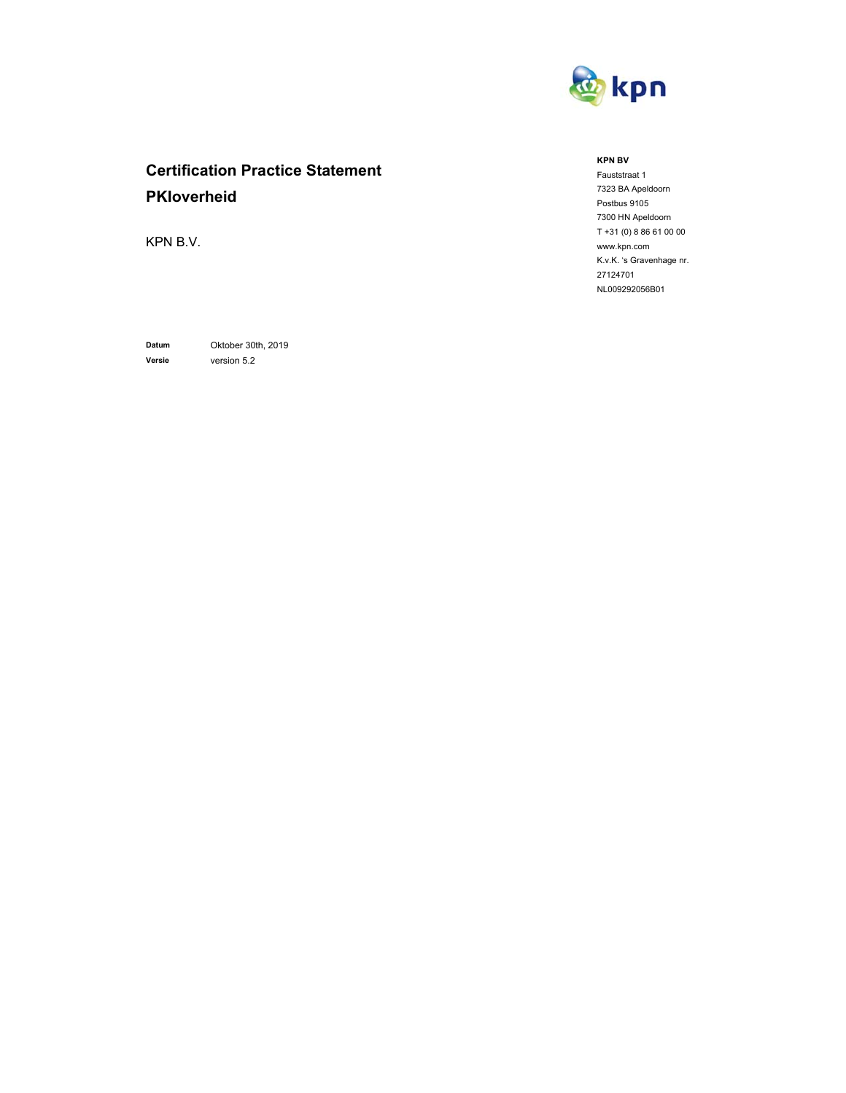

# **Certification Practice Statement PKIoverheid**

KPN B.V.

**Datum** Oktober 30th, 2019 **Versie** version 5.2

**KPN BV** 

Fauststraat 1 7323 BA Apeldoorn Postbus 9105 7300 HN Apeldoorn T +31 (0) 8 86 61 00 00 www.kpn.com K.v.K. 's Gravenhage nr. 27124701 NL009292056B01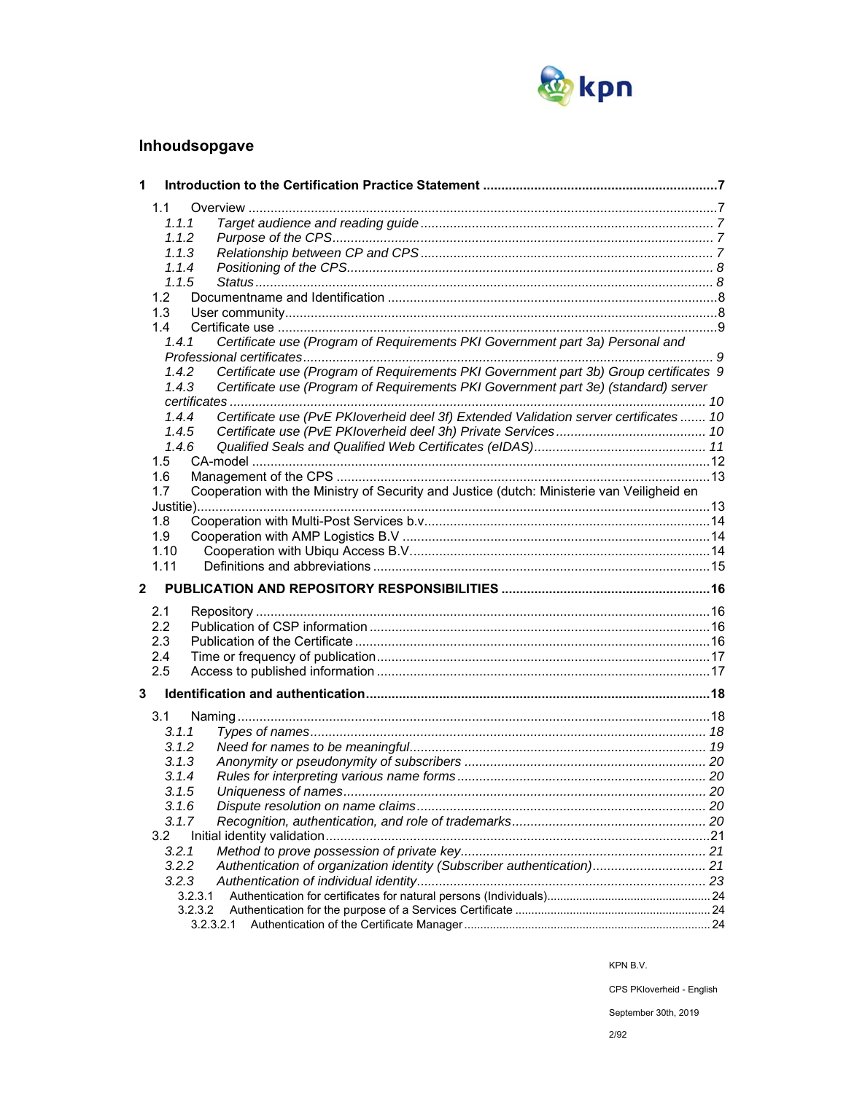

## **Inhoudsopgave**

| 1                       |                                                                                                   |  |
|-------------------------|---------------------------------------------------------------------------------------------------|--|
|                         | 1.1                                                                                               |  |
|                         | 1.1.1                                                                                             |  |
|                         | 1.1.2                                                                                             |  |
|                         | 1.1.3                                                                                             |  |
|                         | 1.1.4                                                                                             |  |
|                         | 1.1.5                                                                                             |  |
|                         | 1.2                                                                                               |  |
|                         | 1.3                                                                                               |  |
|                         | 1.4                                                                                               |  |
|                         | Certificate use (Program of Requirements PKI Government part 3a) Personal and<br>1.4.1            |  |
|                         |                                                                                                   |  |
|                         | Certificate use (Program of Requirements PKI Government part 3b) Group certificates 9<br>1.4.2    |  |
|                         | Certificate use (Program of Requirements PKI Government part 3e) (standard) server<br>1.4.3       |  |
|                         |                                                                                                   |  |
|                         | Certificate use (PvE PKIoverheid deel 3f) Extended Validation server certificates  10<br>1.4.4    |  |
|                         | 1.4.5                                                                                             |  |
|                         | 1.4.6                                                                                             |  |
|                         | $1.5^{\circ}$                                                                                     |  |
|                         | 1.6                                                                                               |  |
|                         | Cooperation with the Ministry of Security and Justice (dutch: Ministerie van Veiligheid en<br>1.7 |  |
|                         |                                                                                                   |  |
|                         | 1.8<br>1.9                                                                                        |  |
|                         | 1.10                                                                                              |  |
|                         | 1.11                                                                                              |  |
|                         |                                                                                                   |  |
| $\overline{\mathbf{2}}$ |                                                                                                   |  |
|                         | 2.1                                                                                               |  |
|                         | 2.2                                                                                               |  |
|                         | 2.3                                                                                               |  |
|                         | 2.4                                                                                               |  |
|                         | 2.5                                                                                               |  |
| 3                       |                                                                                                   |  |
|                         | 3.1                                                                                               |  |
|                         | 3.1.1                                                                                             |  |
|                         | 3.1.2                                                                                             |  |
|                         | 3.1.3                                                                                             |  |
|                         | 3.1.4                                                                                             |  |
|                         | 3.1.5                                                                                             |  |
|                         | 3.1.6                                                                                             |  |
|                         | 3.1.7                                                                                             |  |
|                         | 3.2                                                                                               |  |
|                         | 3.2.1                                                                                             |  |
|                         | Authentication of organization identity (Subscriber authentication) 21<br>3.2.2                   |  |
|                         | 3.2.3                                                                                             |  |
|                         | 3.2.3.1                                                                                           |  |
|                         | 3.2.3.2                                                                                           |  |
|                         | 3.2.3.2.1                                                                                         |  |

KPN B.V.

CPS PKIoverheid - English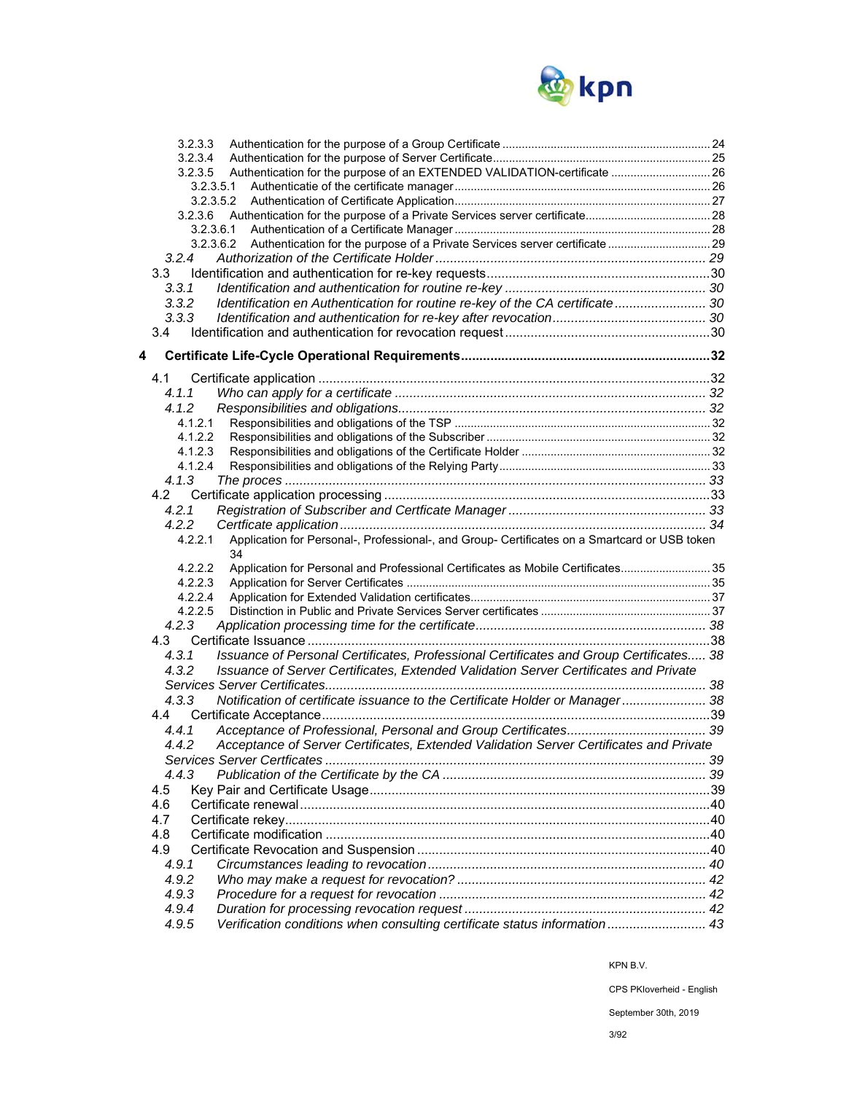

|   | 3.2.3.3                                                                                                  |  |
|---|----------------------------------------------------------------------------------------------------------|--|
|   | 3.2.3.4                                                                                                  |  |
|   | Authentication for the purpose of an EXTENDED VALIDATION-certificate  26<br>3.2.3.5                      |  |
|   | 3.2.3.5.1                                                                                                |  |
|   | 3.2.3.5.2                                                                                                |  |
|   | 3.2.3.6                                                                                                  |  |
|   | 3.2.3.6.1                                                                                                |  |
|   | Authentication for the purpose of a Private Services server certificate  29<br>3.2.3.6.2                 |  |
|   | 3.2.4                                                                                                    |  |
|   | 3.3                                                                                                      |  |
|   | 3.3.1                                                                                                    |  |
|   | Identification en Authentication for routine re-key of the CA certificate 30<br>3.3.2                    |  |
|   | 3.3.3                                                                                                    |  |
|   | 3.4                                                                                                      |  |
| 4 |                                                                                                          |  |
|   |                                                                                                          |  |
|   | 4.1                                                                                                      |  |
|   | 4.1.1                                                                                                    |  |
|   | 4.1.2                                                                                                    |  |
|   | 4.1.2.1                                                                                                  |  |
|   | 4.1.2.2                                                                                                  |  |
|   | 4.1.2.3<br>4.1.2.4                                                                                       |  |
|   | 4.1.3                                                                                                    |  |
|   | 4.2                                                                                                      |  |
|   | 4.2.1                                                                                                    |  |
|   | 4.2.2                                                                                                    |  |
|   | 4.2.2.1<br>Application for Personal-, Professional-, and Group- Certificates on a Smartcard or USB token |  |
|   | 34                                                                                                       |  |
|   | Application for Personal and Professional Certificates as Mobile Certificates 35<br>4.2.2.2              |  |
|   | 4.2.2.3                                                                                                  |  |
|   | 4.2.2.4                                                                                                  |  |
|   | 4.2.2.5                                                                                                  |  |
|   | 4.2.3                                                                                                    |  |
|   |                                                                                                          |  |
|   | Issuance of Personal Certificates, Professional Certificates and Group Certificates 38<br>4.3.1          |  |
|   | Issuance of Server Certificates, Extended Validation Server Certificates and Private<br>4.3.2            |  |
|   |                                                                                                          |  |
|   | Notification of certificate issuance to the Certificate Holder or Manager 38<br>4.3.3                    |  |
|   | 4.4                                                                                                      |  |
|   | 4.4.1                                                                                                    |  |
|   | Acceptance of Server Certificates, Extended Validation Server Certificates and Private<br>4.4.2          |  |
|   |                                                                                                          |  |
|   | 4.4.3                                                                                                    |  |
|   | 4.5                                                                                                      |  |
|   | 4.6                                                                                                      |  |
|   | 4.7                                                                                                      |  |
|   | 4.8                                                                                                      |  |
|   | 4.9                                                                                                      |  |
|   | 4.9.1                                                                                                    |  |
|   | 4.9.2                                                                                                    |  |
|   | 4.9.3                                                                                                    |  |
|   |                                                                                                          |  |
|   |                                                                                                          |  |
|   | 4.9.4<br>Verification conditions when consulting certificate status information 43<br>4.9.5              |  |

KPN B.V.

CPS PKIoverheid - English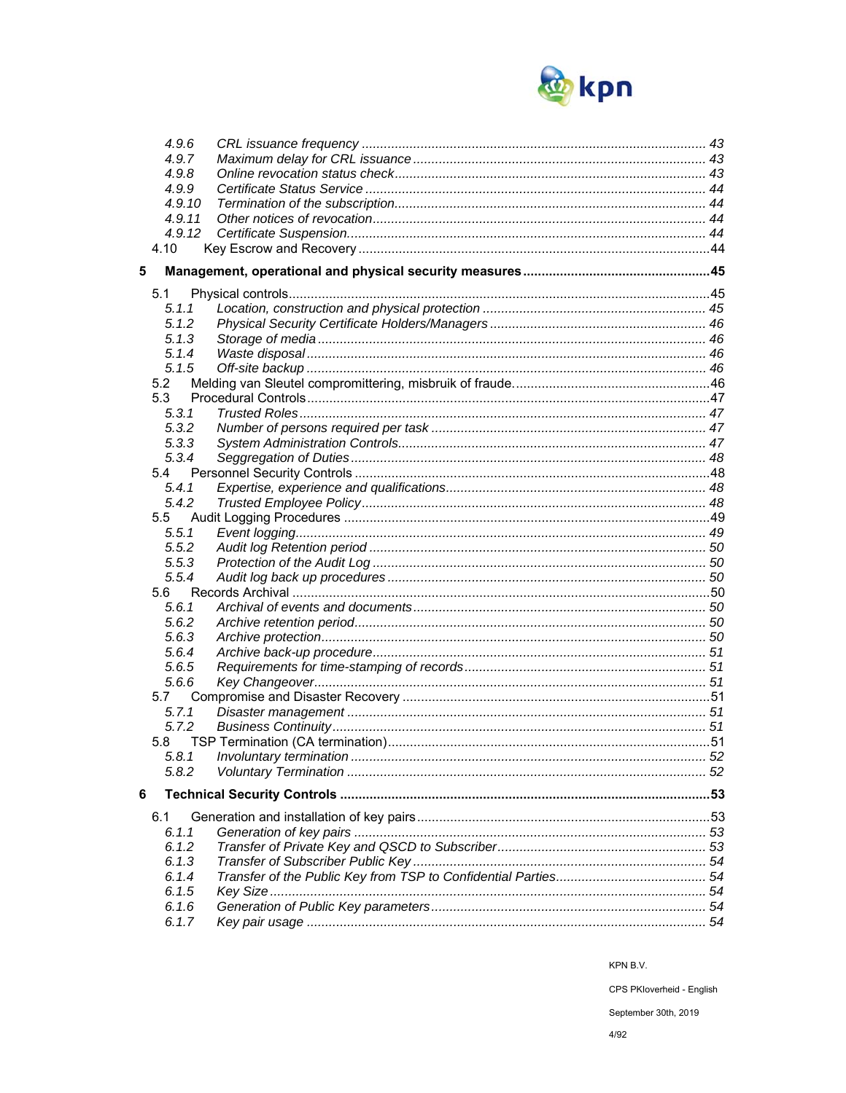

|   | 4.9.6          |  |
|---|----------------|--|
|   | 4.9.7          |  |
|   | 4.9.8          |  |
|   | 4.9.9          |  |
|   | 4.9.10         |  |
|   | 4.9.11         |  |
|   | 4.9.12         |  |
|   | 4.10           |  |
| 5 |                |  |
|   | 5.1            |  |
|   | 5.1.1          |  |
|   | 5.1.2          |  |
|   | 5.1.3          |  |
|   | 5.1.4          |  |
|   | 5.1.5          |  |
|   | 5.2            |  |
|   | 5.3            |  |
|   | 5.3.1          |  |
|   | 5.3.2          |  |
|   | 5.3.3          |  |
|   | 5.3.4          |  |
|   | 5.4            |  |
|   | 5.4.1          |  |
|   | 5.4.2          |  |
|   | $5.5\,$        |  |
|   | 5.5.1          |  |
|   | 5.5.2          |  |
|   | 5.5.3          |  |
|   | 5.5.4          |  |
|   | 5.6            |  |
|   | 5.6.1          |  |
|   | 5.6.2          |  |
|   | 5.6.3<br>5.6.4 |  |
|   | 5.6.5          |  |
|   |                |  |
|   | 5.6.6<br>5.7   |  |
|   | 5.7.1          |  |
|   | 5.7.2          |  |
|   | 5.8            |  |
|   | 5.8.1          |  |
|   | 5.8.2          |  |
|   |                |  |
| 6 |                |  |
|   | 6.1            |  |
|   | 6.1.1          |  |
|   | 6.1.2          |  |
|   | 6.1.3          |  |
|   | 6.1.4          |  |
|   | 6.1.5          |  |
|   | 6.1.6          |  |
|   | 6.1.7          |  |

CPS PKloverheid - English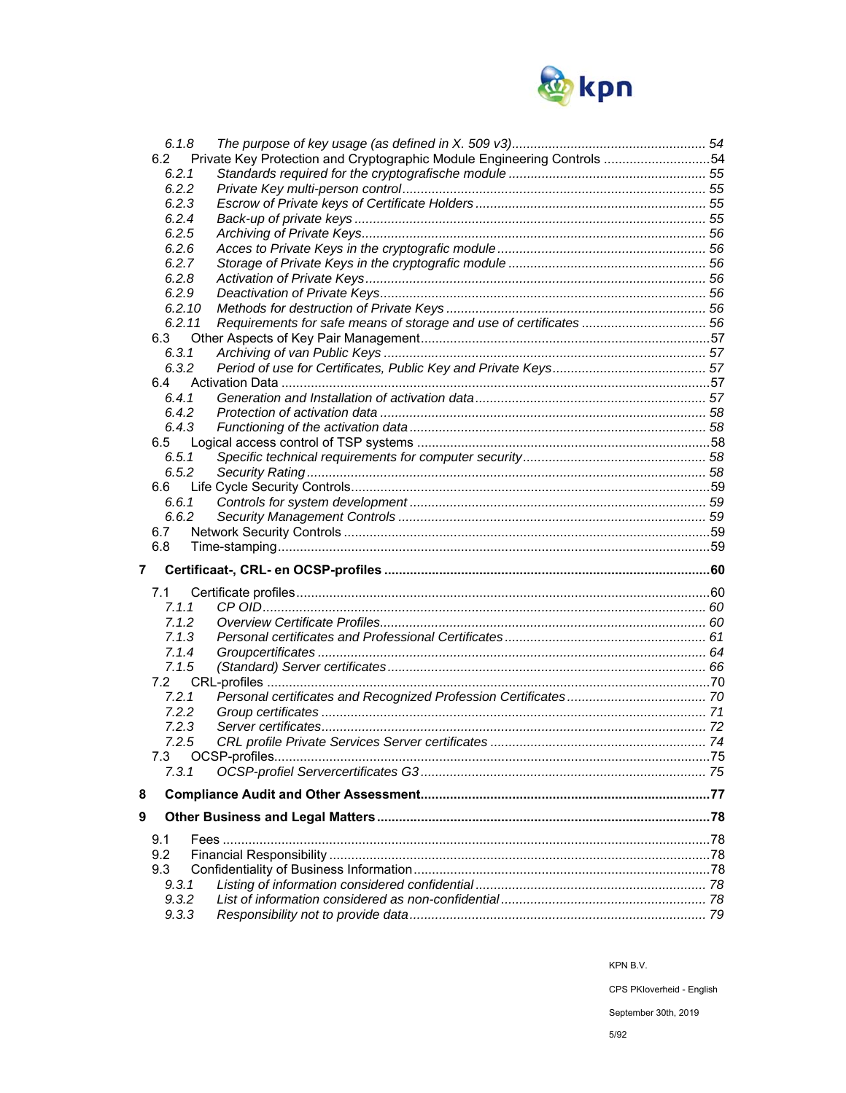

| 6.1.8  |                                                                         |  |
|--------|-------------------------------------------------------------------------|--|
| 6.2    | Private Key Protection and Cryptographic Module Engineering Controls 54 |  |
| 6.2.1  |                                                                         |  |
| 6.2.2  |                                                                         |  |
| 6.2.3  |                                                                         |  |
| 6.2.4  |                                                                         |  |
| 6.2.5  |                                                                         |  |
| 6.2.6  |                                                                         |  |
|        |                                                                         |  |
| 6.2.7  |                                                                         |  |
| 6.2.8  |                                                                         |  |
| 6.2.9  |                                                                         |  |
| 6.2.10 |                                                                         |  |
| 6.2.11 | Requirements for safe means of storage and use of certificates  56      |  |
| 6.3    |                                                                         |  |
| 6.3.1  |                                                                         |  |
| 6.3.2  |                                                                         |  |
| 6.4    |                                                                         |  |
| 6.4.1  |                                                                         |  |
| 6.4.2  |                                                                         |  |
| 6.4.3  |                                                                         |  |
|        |                                                                         |  |
| 6.5    |                                                                         |  |
| 6.5.1  |                                                                         |  |
| 6.5.2  |                                                                         |  |
| 6.6    |                                                                         |  |
| 6.6.1  |                                                                         |  |
| 6.6.2  |                                                                         |  |
|        |                                                                         |  |
| 6.7    |                                                                         |  |
|        |                                                                         |  |
| 6.8    |                                                                         |  |
| 7      |                                                                         |  |
|        |                                                                         |  |
| 7.1    |                                                                         |  |
| 7.1.1  |                                                                         |  |
| 7.1.2  |                                                                         |  |
| 7.1.3  |                                                                         |  |
| 7.1.4  |                                                                         |  |
| 7.1.5  |                                                                         |  |
| 7.2    |                                                                         |  |
| 7.2.1  |                                                                         |  |
| 7.2.2  |                                                                         |  |
| 7.2.3  |                                                                         |  |
|        |                                                                         |  |
| 7.2.5  |                                                                         |  |
| 7.3    |                                                                         |  |
| 7.3.1  |                                                                         |  |
| 8      |                                                                         |  |
| 9      |                                                                         |  |
|        |                                                                         |  |
| 9.1    |                                                                         |  |
| 9.2    |                                                                         |  |
| 9.3    |                                                                         |  |
| 9.3.1  |                                                                         |  |
| 9.3.2  |                                                                         |  |
| 9.3.3  |                                                                         |  |

CPS PKloverheid - English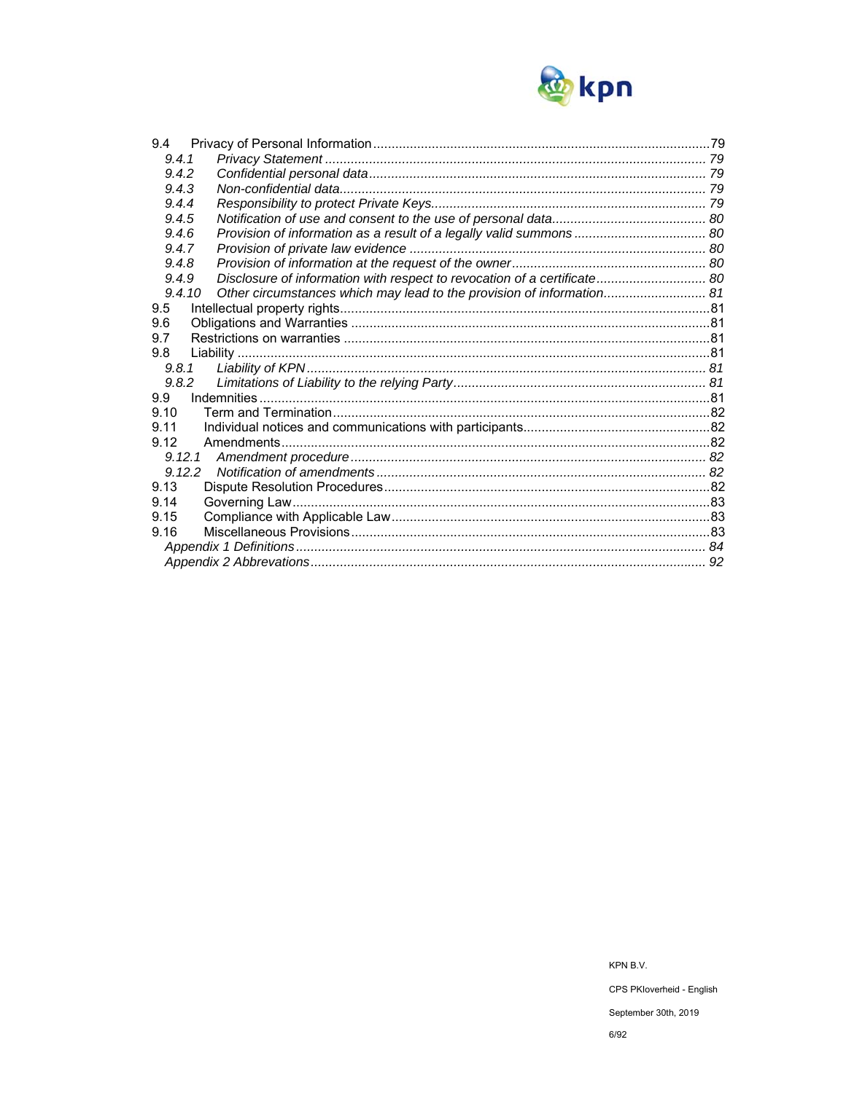

| 9.4.1<br>9.4.2<br>9.4.3<br>9.4.4<br>9.4.5<br>9.4.6<br>9.4.7<br>9.4.8<br>Disclosure of information with respect to revocation of a certificate 80<br>9.4.9<br>Other circumstances which may lead to the provision of information 81<br>9.4.10<br>9.5<br>9.6<br>9.7<br>9.8<br>9.8.1<br>9.8.2<br>9.9<br>9.10<br>9.11<br>9.12<br>9.12.1<br>9.13<br>9.14<br>9.15<br>9.16 | 9.4 |  |
|---------------------------------------------------------------------------------------------------------------------------------------------------------------------------------------------------------------------------------------------------------------------------------------------------------------------------------------------------------------------|-----|--|
|                                                                                                                                                                                                                                                                                                                                                                     |     |  |
|                                                                                                                                                                                                                                                                                                                                                                     |     |  |
|                                                                                                                                                                                                                                                                                                                                                                     |     |  |
|                                                                                                                                                                                                                                                                                                                                                                     |     |  |
|                                                                                                                                                                                                                                                                                                                                                                     |     |  |
|                                                                                                                                                                                                                                                                                                                                                                     |     |  |
|                                                                                                                                                                                                                                                                                                                                                                     |     |  |
|                                                                                                                                                                                                                                                                                                                                                                     |     |  |
|                                                                                                                                                                                                                                                                                                                                                                     |     |  |
|                                                                                                                                                                                                                                                                                                                                                                     |     |  |
|                                                                                                                                                                                                                                                                                                                                                                     |     |  |
|                                                                                                                                                                                                                                                                                                                                                                     |     |  |
|                                                                                                                                                                                                                                                                                                                                                                     |     |  |
|                                                                                                                                                                                                                                                                                                                                                                     |     |  |
|                                                                                                                                                                                                                                                                                                                                                                     |     |  |
|                                                                                                                                                                                                                                                                                                                                                                     |     |  |
|                                                                                                                                                                                                                                                                                                                                                                     |     |  |
|                                                                                                                                                                                                                                                                                                                                                                     |     |  |
|                                                                                                                                                                                                                                                                                                                                                                     |     |  |
|                                                                                                                                                                                                                                                                                                                                                                     |     |  |
|                                                                                                                                                                                                                                                                                                                                                                     |     |  |
|                                                                                                                                                                                                                                                                                                                                                                     |     |  |
|                                                                                                                                                                                                                                                                                                                                                                     |     |  |
|                                                                                                                                                                                                                                                                                                                                                                     |     |  |
|                                                                                                                                                                                                                                                                                                                                                                     |     |  |
|                                                                                                                                                                                                                                                                                                                                                                     |     |  |
|                                                                                                                                                                                                                                                                                                                                                                     |     |  |
|                                                                                                                                                                                                                                                                                                                                                                     |     |  |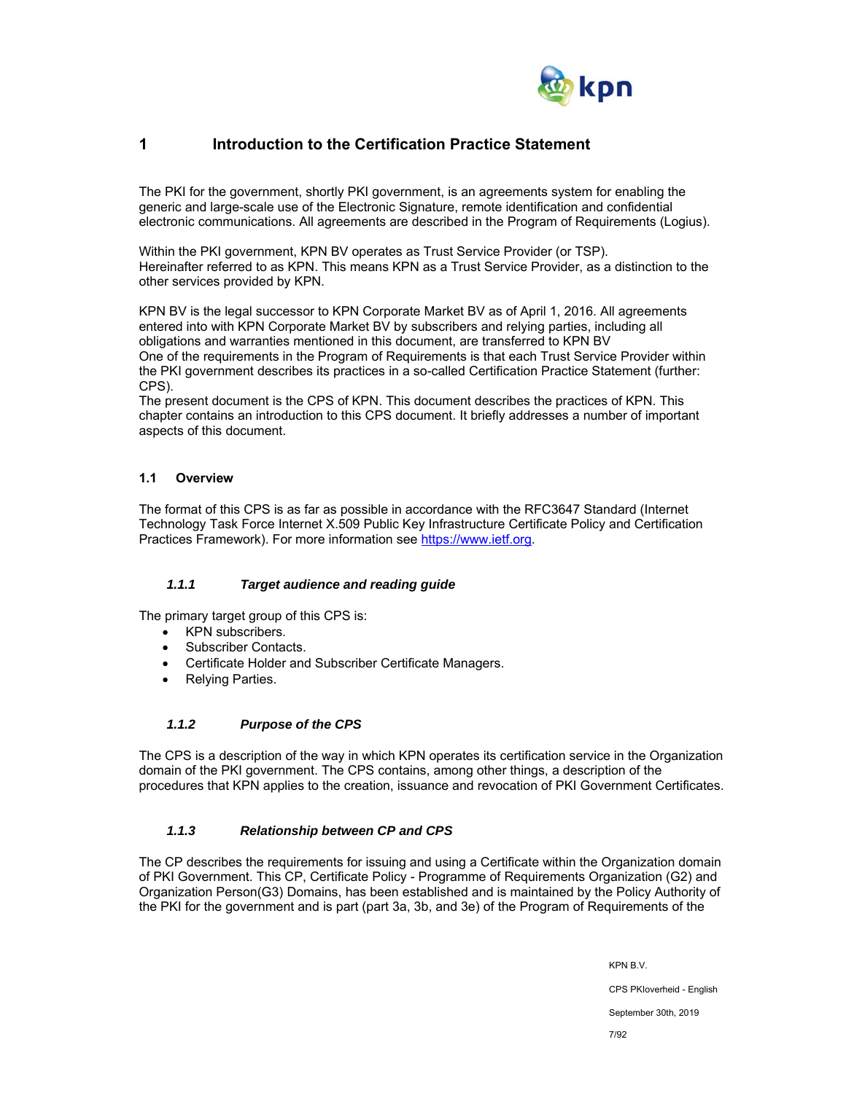

## **1 Introduction to the Certification Practice Statement**

The PKI for the government, shortly PKI government, is an agreements system for enabling the generic and large-scale use of the Electronic Signature, remote identification and confidential electronic communications. All agreements are described in the Program of Requirements (Logius).

Within the PKI government, KPN BV operates as Trust Service Provider (or TSP). Hereinafter referred to as KPN. This means KPN as a Trust Service Provider, as a distinction to the other services provided by KPN.

KPN BV is the legal successor to KPN Corporate Market BV as of April 1, 2016. All agreements entered into with KPN Corporate Market BV by subscribers and relying parties, including all obligations and warranties mentioned in this document, are transferred to KPN BV One of the requirements in the Program of Requirements is that each Trust Service Provider within the PKI government describes its practices in a so-called Certification Practice Statement (further: CPS).

The present document is the CPS of KPN. This document describes the practices of KPN. This chapter contains an introduction to this CPS document. It briefly addresses a number of important aspects of this document.

## **1.1 Overview**

The format of this CPS is as far as possible in accordance with the RFC3647 Standard (Internet Technology Task Force Internet X.509 Public Key Infrastructure Certificate Policy and Certification Practices Framework). For more information see https://www.ietf.org.

## *1.1.1 Target audience and reading guide*

The primary target group of this CPS is:

- KPN subscribers.
- Subscriber Contacts.
- Certificate Holder and Subscriber Certificate Managers.
- Relying Parties.

## *1.1.2 Purpose of the CPS*

The CPS is a description of the way in which KPN operates its certification service in the Organization domain of the PKI government. The CPS contains, among other things, a description of the procedures that KPN applies to the creation, issuance and revocation of PKI Government Certificates.

## *1.1.3 Relationship between CP and CPS*

The CP describes the requirements for issuing and using a Certificate within the Organization domain of PKI Government. This CP, Certificate Policy - Programme of Requirements Organization (G2) and Organization Person(G3) Domains, has been established and is maintained by the Policy Authority of the PKI for the government and is part (part 3a, 3b, and 3e) of the Program of Requirements of the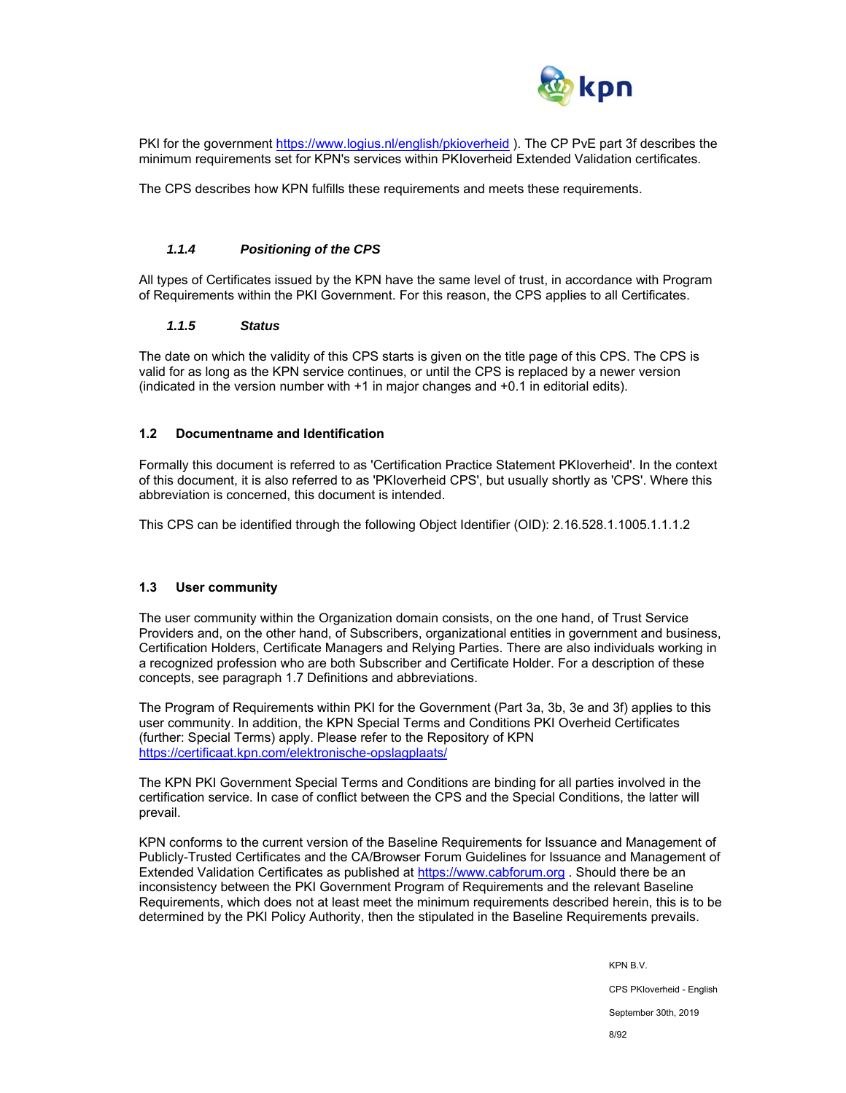

PKI for the government https://www.logius.nl/english/pkioverheid ). The CP PvE part 3f describes the minimum requirements set for KPN's services within PKIoverheid Extended Validation certificates.

The CPS describes how KPN fulfills these requirements and meets these requirements.

#### *1.1.4 Positioning of the CPS*

All types of Certificates issued by the KPN have the same level of trust, in accordance with Program of Requirements within the PKI Government. For this reason, the CPS applies to all Certificates.

#### *1.1.5 Status*

The date on which the validity of this CPS starts is given on the title page of this CPS. The CPS is valid for as long as the KPN service continues, or until the CPS is replaced by a newer version (indicated in the version number with +1 in major changes and +0.1 in editorial edits).

#### **1.2 Documentname and Identification**

Formally this document is referred to as 'Certification Practice Statement PKIoverheid'. In the context of this document, it is also referred to as 'PKIoverheid CPS', but usually shortly as 'CPS'. Where this abbreviation is concerned, this document is intended.

This CPS can be identified through the following Object Identifier (OID): 2.16.528.1.1005.1.1.1.2

#### **1.3 User community**

The user community within the Organization domain consists, on the one hand, of Trust Service Providers and, on the other hand, of Subscribers, organizational entities in government and business, Certification Holders, Certificate Managers and Relying Parties. There are also individuals working in a recognized profession who are both Subscriber and Certificate Holder. For a description of these concepts, see paragraph 1.7 Definitions and abbreviations.

The Program of Requirements within PKI for the Government (Part 3a, 3b, 3e and 3f) applies to this user community. In addition, the KPN Special Terms and Conditions PKI Overheid Certificates (further: Special Terms) apply. Please refer to the Repository of KPN https://certificaat.kpn.com/elektronische-opslagplaats/

The KPN PKI Government Special Terms and Conditions are binding for all parties involved in the certification service. In case of conflict between the CPS and the Special Conditions, the latter will prevail.

KPN conforms to the current version of the Baseline Requirements for Issuance and Management of Publicly-Trusted Certificates and the CA/Browser Forum Guidelines for Issuance and Management of Extended Validation Certificates as published at https://www.cabforum.org . Should there be an inconsistency between the PKI Government Program of Requirements and the relevant Baseline Requirements, which does not at least meet the minimum requirements described herein, this is to be determined by the PKI Policy Authority, then the stipulated in the Baseline Requirements prevails.

> KPN B.V. CPS PKIoverheid - English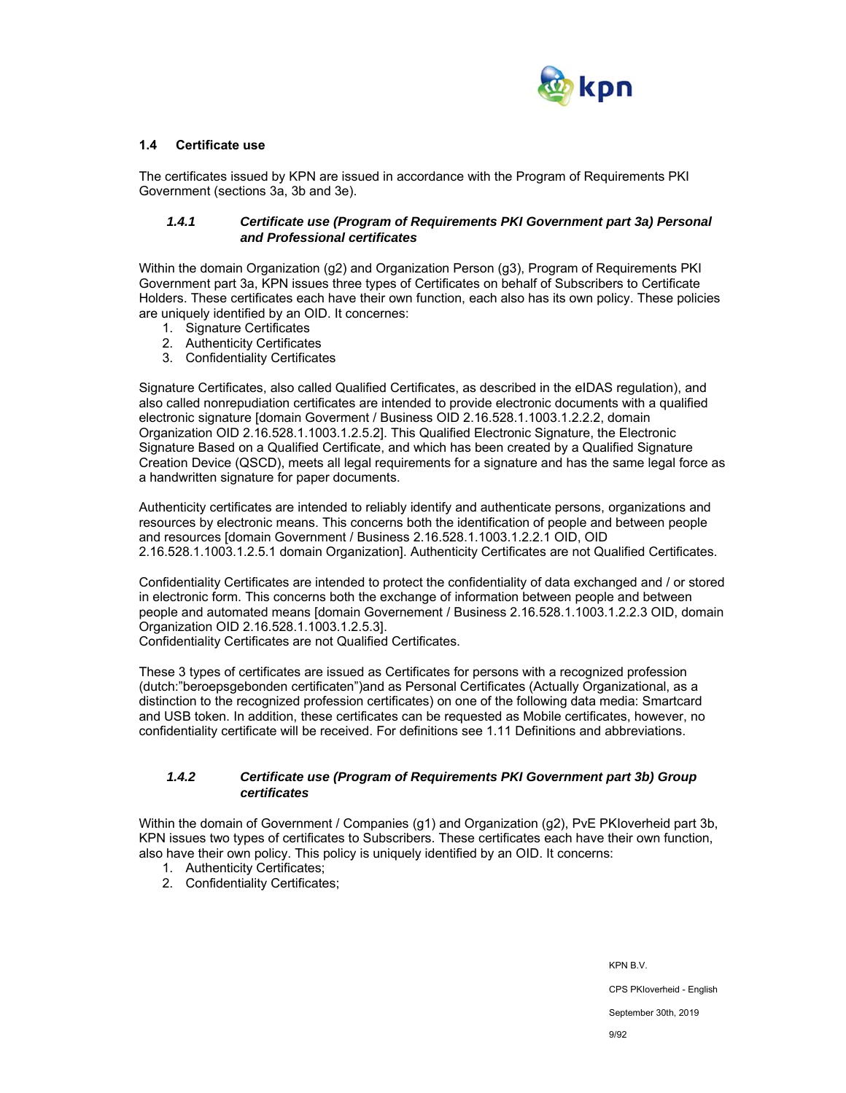

## **1.4 Certificate use**

The certificates issued by KPN are issued in accordance with the Program of Requirements PKI Government (sections 3a, 3b and 3e).

#### *1.4.1 Certificate use (Program of Requirements PKI Government part 3a) Personal and Professional certificates*

Within the domain Organization (g2) and Organization Person (g3), Program of Requirements PKI Government part 3a, KPN issues three types of Certificates on behalf of Subscribers to Certificate Holders. These certificates each have their own function, each also has its own policy. These policies are uniquely identified by an OID. It concernes:

- 1. Signature Certificates
- 2. Authenticity Certificates
- 3. Confidentiality Certificates

Signature Certificates, also called Qualified Certificates, as described in the eIDAS regulation), and also called nonrepudiation certificates are intended to provide electronic documents with a qualified electronic signature [domain Goverment / Business OID 2.16.528.1.1003.1.2.2.2, domain Organization OID 2.16.528.1.1003.1.2.5.2]. This Qualified Electronic Signature, the Electronic Signature Based on a Qualified Certificate, and which has been created by a Qualified Signature Creation Device (QSCD), meets all legal requirements for a signature and has the same legal force as a handwritten signature for paper documents.

Authenticity certificates are intended to reliably identify and authenticate persons, organizations and resources by electronic means. This concerns both the identification of people and between people and resources [domain Government / Business 2.16.528.1.1003.1.2.2.1 OID, OID 2.16.528.1.1003.1.2.5.1 domain Organization]. Authenticity Certificates are not Qualified Certificates.

Confidentiality Certificates are intended to protect the confidentiality of data exchanged and / or stored in electronic form. This concerns both the exchange of information between people and between people and automated means [domain Governement / Business 2.16.528.1.1003.1.2.2.3 OID, domain Organization OID 2.16.528.1.1003.1.2.5.3].

Confidentiality Certificates are not Qualified Certificates.

These 3 types of certificates are issued as Certificates for persons with a recognized profession (dutch:"beroepsgebonden certificaten")and as Personal Certificates (Actually Organizational, as a distinction to the recognized profession certificates) on one of the following data media: Smartcard and USB token. In addition, these certificates can be requested as Mobile certificates, however, no confidentiality certificate will be received. For definitions see 1.11 Definitions and abbreviations.

#### *1.4.2 Certificate use (Program of Requirements PKI Government part 3b) Group certificates*

Within the domain of Government / Companies (g1) and Organization (g2), PvE PKIoverheid part 3b, KPN issues two types of certificates to Subscribers. These certificates each have their own function, also have their own policy. This policy is uniquely identified by an OID. It concerns:

- 1. Authenticity Certificates;
- 2. Confidentiality Certificates;

KPN B.V. CPS PKIoverheid - English September 30th, 2019 9/92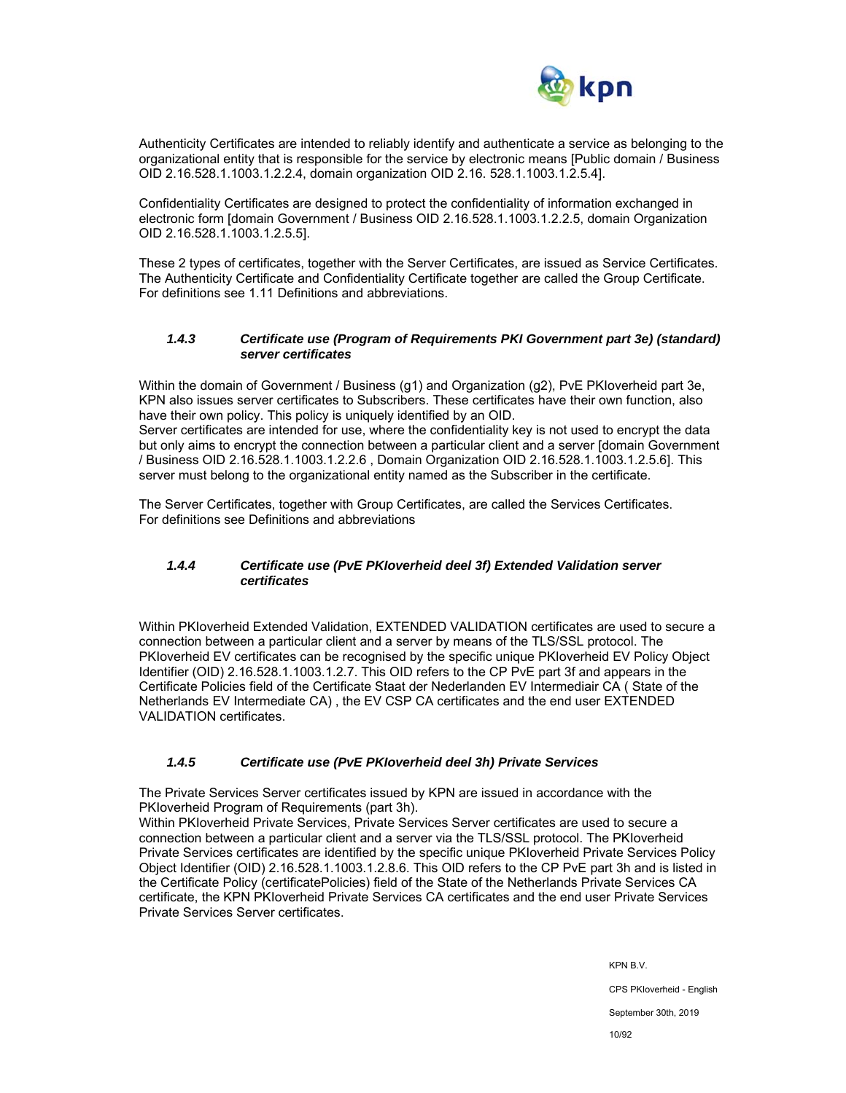

Authenticity Certificates are intended to reliably identify and authenticate a service as belonging to the organizational entity that is responsible for the service by electronic means [Public domain / Business OID 2.16.528.1.1003.1.2.2.4, domain organization OID 2.16. 528.1.1003.1.2.5.4].

Confidentiality Certificates are designed to protect the confidentiality of information exchanged in electronic form [domain Government / Business OID 2.16.528.1.1003.1.2.2.5, domain Organization OID 2.16.528.1.1003.1.2.5.5].

These 2 types of certificates, together with the Server Certificates, are issued as Service Certificates. The Authenticity Certificate and Confidentiality Certificate together are called the Group Certificate. For definitions see 1.11 Definitions and abbreviations.

## *1.4.3 Certificate use (Program of Requirements PKI Government part 3e) (standard) server certificates*

Within the domain of Government / Business (g1) and Organization (g2), PvE PKIoverheid part 3e, KPN also issues server certificates to Subscribers. These certificates have their own function, also have their own policy. This policy is uniquely identified by an OID.

Server certificates are intended for use, where the confidentiality key is not used to encrypt the data but only aims to encrypt the connection between a particular client and a server [domain Government / Business OID 2.16.528.1.1003.1.2.2.6 , Domain Organization OID 2.16.528.1.1003.1.2.5.6]. This server must belong to the organizational entity named as the Subscriber in the certificate.

The Server Certificates, together with Group Certificates, are called the Services Certificates. For definitions see Definitions and abbreviations

## *1.4.4 Certificate use (PvE PKIoverheid deel 3f) Extended Validation server certificates*

Within PKIoverheid Extended Validation, EXTENDED VALIDATION certificates are used to secure a connection between a particular client and a server by means of the TLS/SSL protocol. The PKIoverheid EV certificates can be recognised by the specific unique PKIoverheid EV Policy Object Identifier (OID) 2.16.528.1.1003.1.2.7. This OID refers to the CP PvE part 3f and appears in the Certificate Policies field of the Certificate Staat der Nederlanden EV Intermediair CA ( State of the Netherlands EV Intermediate CA) , the EV CSP CA certificates and the end user EXTENDED VALIDATION certificates.

## *1.4.5 Certificate use (PvE PKIoverheid deel 3h) Private Services*

The Private Services Server certificates issued by KPN are issued in accordance with the PKIoverheid Program of Requirements (part 3h).

Within PKIoverheid Private Services, Private Services Server certificates are used to secure a connection between a particular client and a server via the TLS/SSL protocol. The PKIoverheid Private Services certificates are identified by the specific unique PKIoverheid Private Services Policy Object Identifier (OID) 2.16.528.1.1003.1.2.8.6. This OID refers to the CP PvE part 3h and is listed in the Certificate Policy (certificatePolicies) field of the State of the Netherlands Private Services CA certificate, the KPN PKIoverheid Private Services CA certificates and the end user Private Services Private Services Server certificates.

> KPN B.V. CPS PKIoverheid - English September 30th, 2019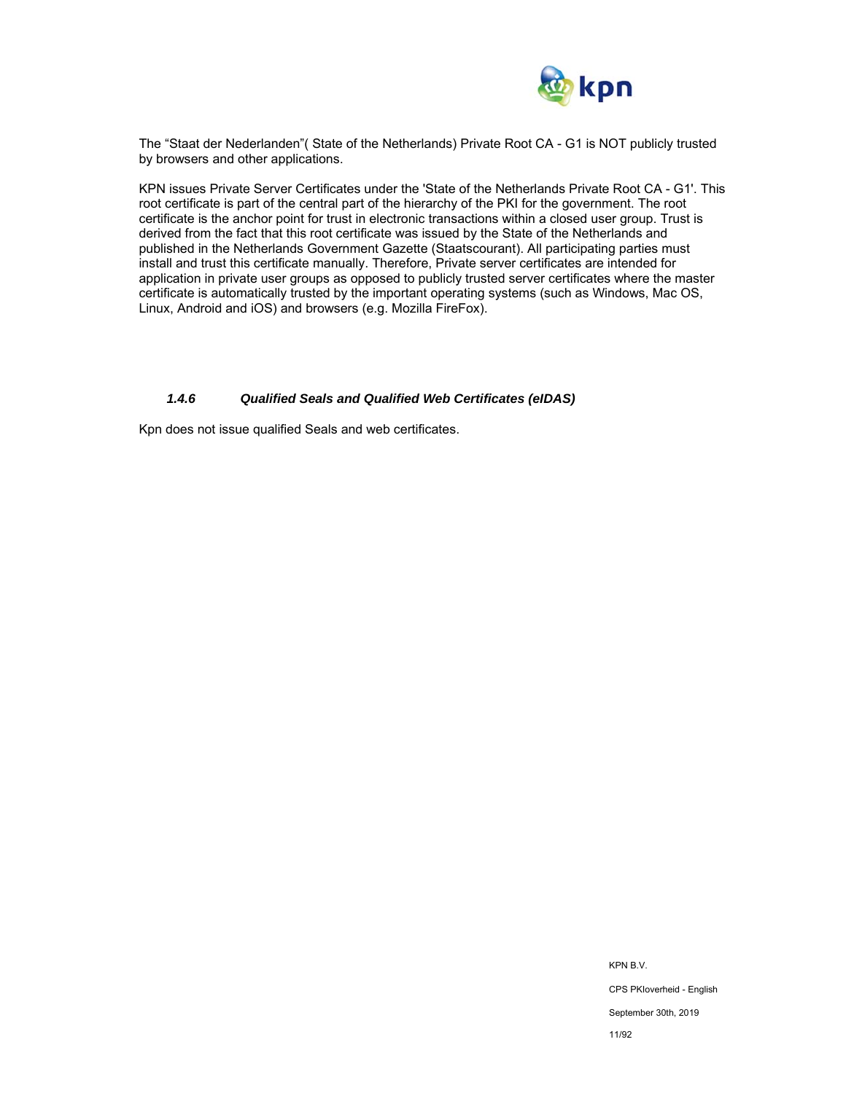

The "Staat der Nederlanden"( State of the Netherlands) Private Root CA - G1 is NOT publicly trusted by browsers and other applications.

KPN issues Private Server Certificates under the 'State of the Netherlands Private Root CA - G1'. This root certificate is part of the central part of the hierarchy of the PKI for the government. The root certificate is the anchor point for trust in electronic transactions within a closed user group. Trust is derived from the fact that this root certificate was issued by the State of the Netherlands and published in the Netherlands Government Gazette (Staatscourant). All participating parties must install and trust this certificate manually. Therefore, Private server certificates are intended for application in private user groups as opposed to publicly trusted server certificates where the master certificate is automatically trusted by the important operating systems (such as Windows, Mac OS, Linux, Android and iOS) and browsers (e.g. Mozilla FireFox).

#### *1.4.6 Qualified Seals and Qualified Web Certificates (eIDAS)*

Kpn does not issue qualified Seals and web certificates.

KPN B.V. CPS PKIoverheid - English September 30th, 2019 11/92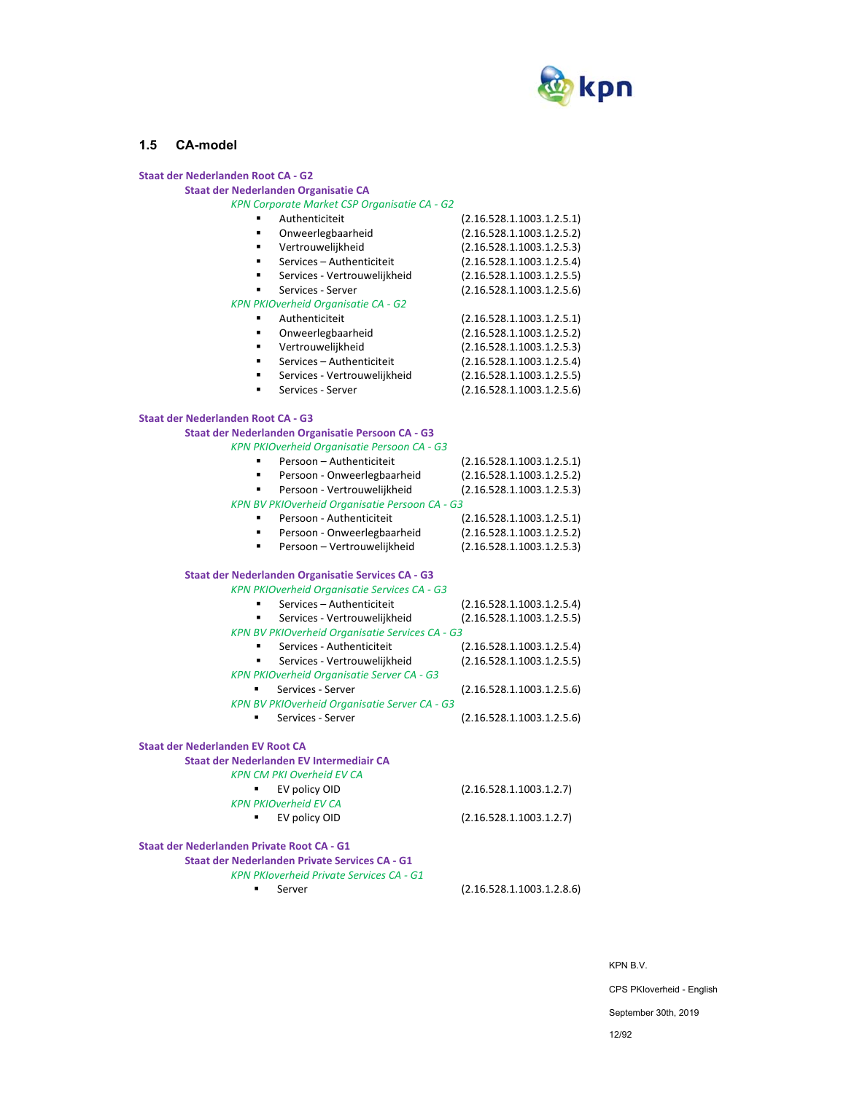

#### **1.5 CA-model**

#### **Staat der Nederlanden Root CA ‐ G2 Staat der Nederlanden Organisatie CA**  *KPN Corporate Market CSP Organisatie CA ‐ G2*   $(2.16.528.1.1003.1.2.5.1)$  Onweerlegbaarheid (2.16.528.1.1003.1.2.5.2) ■ Vertrouwelijkheid (2.16.528.1.1003.1.2.5.3) Services – Authenticiteit (2.16.528.1.1003.1.2.5.4) Services ‐ Vertrouwelijkheid (2.16.528.1.1003.1.2.5.5) Services ‐ Server (2.16.528.1.1003.1.2.5.6) *KPN PKIOverheid Organisatie CA ‐ G2*  Authenticiteit (2.16.528.1.1003.1.2.5.1)  $(2.16.528.1.1003.1.2.5.2)$  Vertrouwelijkheid (2.16.528.1.1003.1.2.5.3) Services – Authenticiteit (2.16.528.1.1003.1.2.5.4) Services ‐ Vertrouwelijkheid (2.16.528.1.1003.1.2.5.5) Services ‐ Server (2.16.528.1.1003.1.2.5.6) **Staat der Nederlanden Root CA ‐ G3 Staat der Nederlanden Organisatie Persoon CA ‐ G3**  *KPN PKIOverheid Organisatie Persoon CA ‐ G3*  Persoon – Authenticiteit (2.16.528.1.1003.1.2.5.1) Persoon ‐ Onweerlegbaarheid (2.16.528.1.1003.1.2.5.2) Persoon ‐ Vertrouwelijkheid (2.16.528.1.1003.1.2.5.3) *KPN BV PKIOverheid Organisatie Persoon CA ‐ G3*  ■ Persoon - Authenticiteit (2.16.528.1.1003.1.2.5.1) Persoon ‐ Onweerlegbaarheid (2.16.528.1.1003.1.2.5.2) Persoon – Vertrouwelijkheid (2.16.528.1.1003.1.2.5.3) **Staat der Nederlanden Organisatie Services CA ‐ G3**  *KPN PKIOverheid Organisatie Services CA ‐ G3*  Services – Authenticiteit (2.16.528.1.1003.1.2.5.4) ■ Services - Vertrouwelijkheid (2.16.528.1.1003.1.2.5.5) *KPN BV PKIOverheid Organisatie Services CA ‐ G3*  ■ Services - Authenticiteit (2.16.528.1.1003.1.2.5.4) ■ Services - Vertrouwelijkheid (2.16.528.1.1003.1.2.5.5) *KPN PKIOverheid Organisatie Server CA ‐ G3*  ■ Services - Server (2.16.528.1.1003.1.2.5.6) *KPN BV PKIOverheid Organisatie Server CA ‐ G3*  ■ Services - Server (2.16.528.1.1003.1.2.5.6) **Staat der Nederlanden EV Root CA Staat der Nederlanden EV Intermediair CA**  *KPN CM PKI Overheid EV CA*  ■ EV policy OID (2.16.528.1.1003.1.2.7) *KPN PKIOverheid EV CA*  ■ EV policy OID (2.16.528.1.1003.1.2.7) **Staat der Nederlanden Private Root CA ‐ G1 Staat der Nederlanden Private Services CA ‐ G1**  *KPN PKIoverheid Private Services CA ‐ G1*  Server (2.16.528.1.1003.1.2.8.6)

KPN B.V.

CPS PKIoverheid - English

September 30th, 2019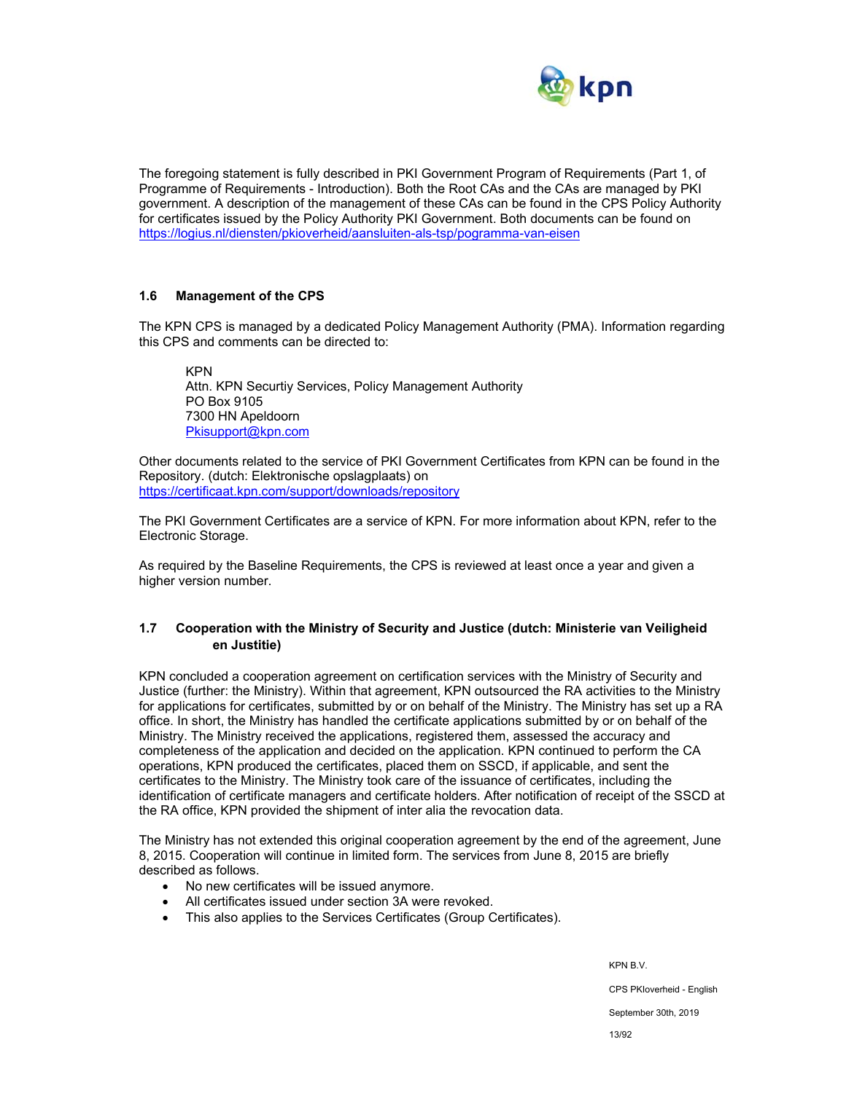

The foregoing statement is fully described in PKI Government Program of Requirements (Part 1, of Programme of Requirements - Introduction). Both the Root CAs and the CAs are managed by PKI government. A description of the management of these CAs can be found in the CPS Policy Authority for certificates issued by the Policy Authority PKI Government. Both documents can be found on https://logius.nl/diensten/pkioverheid/aansluiten-als-tsp/pogramma-van-eisen

#### **1.6 Management of the CPS**

The KPN CPS is managed by a dedicated Policy Management Authority (PMA). Information regarding this CPS and comments can be directed to:

KPN Attn. KPN Securtiy Services, Policy Management Authority PO Box 9105 7300 HN Apeldoorn Pkisupport@kpn.com

Other documents related to the service of PKI Government Certificates from KPN can be found in the Repository. (dutch: Elektronische opslagplaats) on https://certificaat.kpn.com/support/downloads/repository

The PKI Government Certificates are a service of KPN. For more information about KPN, refer to the Electronic Storage.

As required by the Baseline Requirements, the CPS is reviewed at least once a year and given a higher version number.

## **1.7 Cooperation with the Ministry of Security and Justice (dutch: Ministerie van Veiligheid en Justitie)**

KPN concluded a cooperation agreement on certification services with the Ministry of Security and Justice (further: the Ministry). Within that agreement, KPN outsourced the RA activities to the Ministry for applications for certificates, submitted by or on behalf of the Ministry. The Ministry has set up a RA office. In short, the Ministry has handled the certificate applications submitted by or on behalf of the Ministry. The Ministry received the applications, registered them, assessed the accuracy and completeness of the application and decided on the application. KPN continued to perform the CA operations, KPN produced the certificates, placed them on SSCD, if applicable, and sent the certificates to the Ministry. The Ministry took care of the issuance of certificates, including the identification of certificate managers and certificate holders. After notification of receipt of the SSCD at the RA office, KPN provided the shipment of inter alia the revocation data.

The Ministry has not extended this original cooperation agreement by the end of the agreement, June 8, 2015. Cooperation will continue in limited form. The services from June 8, 2015 are briefly described as follows.

- No new certificates will be issued anymore.
- All certificates issued under section 3A were revoked.
- This also applies to the Services Certificates (Group Certificates).

KPN B.V.

CPS PKIoverheid - English

September 30th, 2019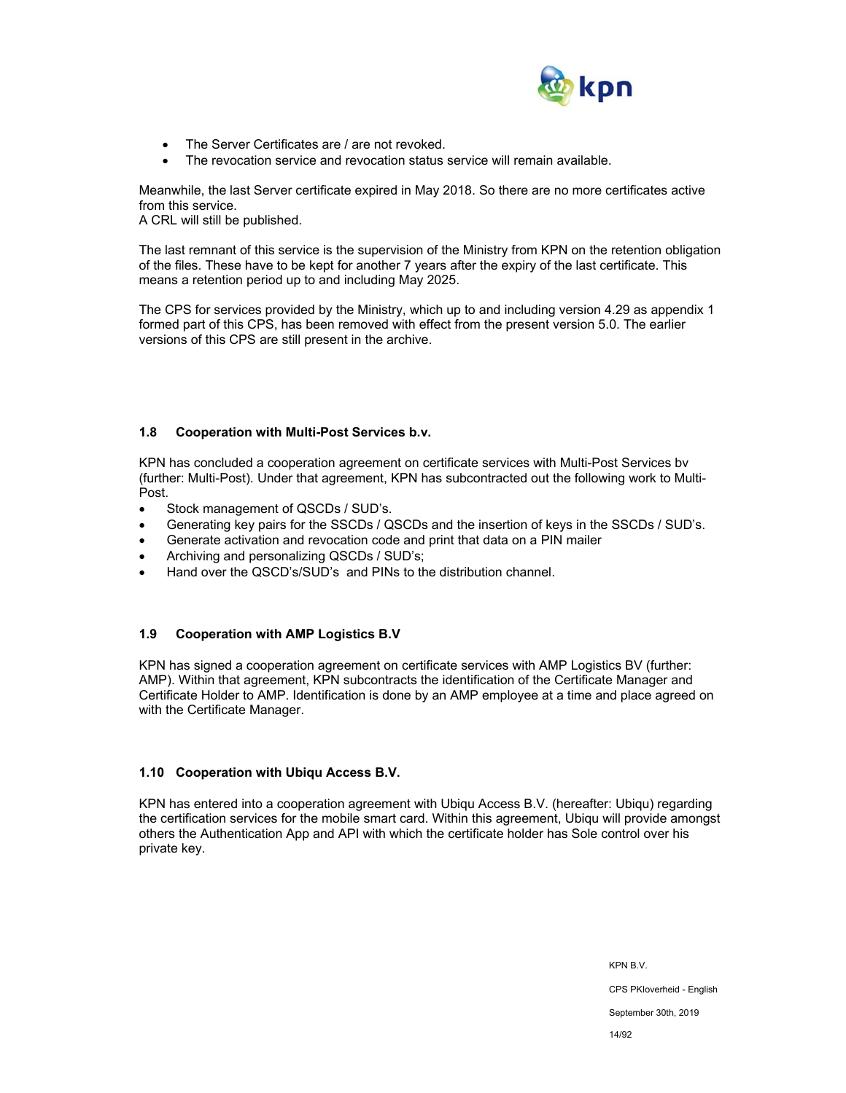

- The Server Certificates are / are not revoked.
- The revocation service and revocation status service will remain available.

Meanwhile, the last Server certificate expired in May 2018. So there are no more certificates active from this service.

A CRL will still be published.

The last remnant of this service is the supervision of the Ministry from KPN on the retention obligation of the files. These have to be kept for another 7 years after the expiry of the last certificate. This means a retention period up to and including May 2025.

The CPS for services provided by the Ministry, which up to and including version 4.29 as appendix 1 formed part of this CPS, has been removed with effect from the present version 5.0. The earlier versions of this CPS are still present in the archive.

#### **1.8 Cooperation with Multi-Post Services b.v.**

KPN has concluded a cooperation agreement on certificate services with Multi-Post Services bv (further: Multi-Post). Under that agreement, KPN has subcontracted out the following work to Multi-Post.

- Stock management of QSCDs / SUD's.
- Generating key pairs for the SSCDs / QSCDs and the insertion of keys in the SSCDs / SUD's.
- Generate activation and revocation code and print that data on a PIN mailer
- Archiving and personalizing QSCDs / SUD's;
- Hand over the QSCD's/SUD's and PINs to the distribution channel.

#### **1.9 Cooperation with AMP Logistics B.V**

KPN has signed a cooperation agreement on certificate services with AMP Logistics BV (further: AMP). Within that agreement, KPN subcontracts the identification of the Certificate Manager and Certificate Holder to AMP. Identification is done by an AMP employee at a time and place agreed on with the Certificate Manager.

#### **1.10 Cooperation with Ubiqu Access B.V.**

KPN has entered into a cooperation agreement with Ubiqu Access B.V. (hereafter: Ubiqu) regarding the certification services for the mobile smart card. Within this agreement, Ubiqu will provide amongst others the Authentication App and API with which the certificate holder has Sole control over his private key.

> KPN B.V. CPS PKIoverheid - English September 30th, 2019 14/92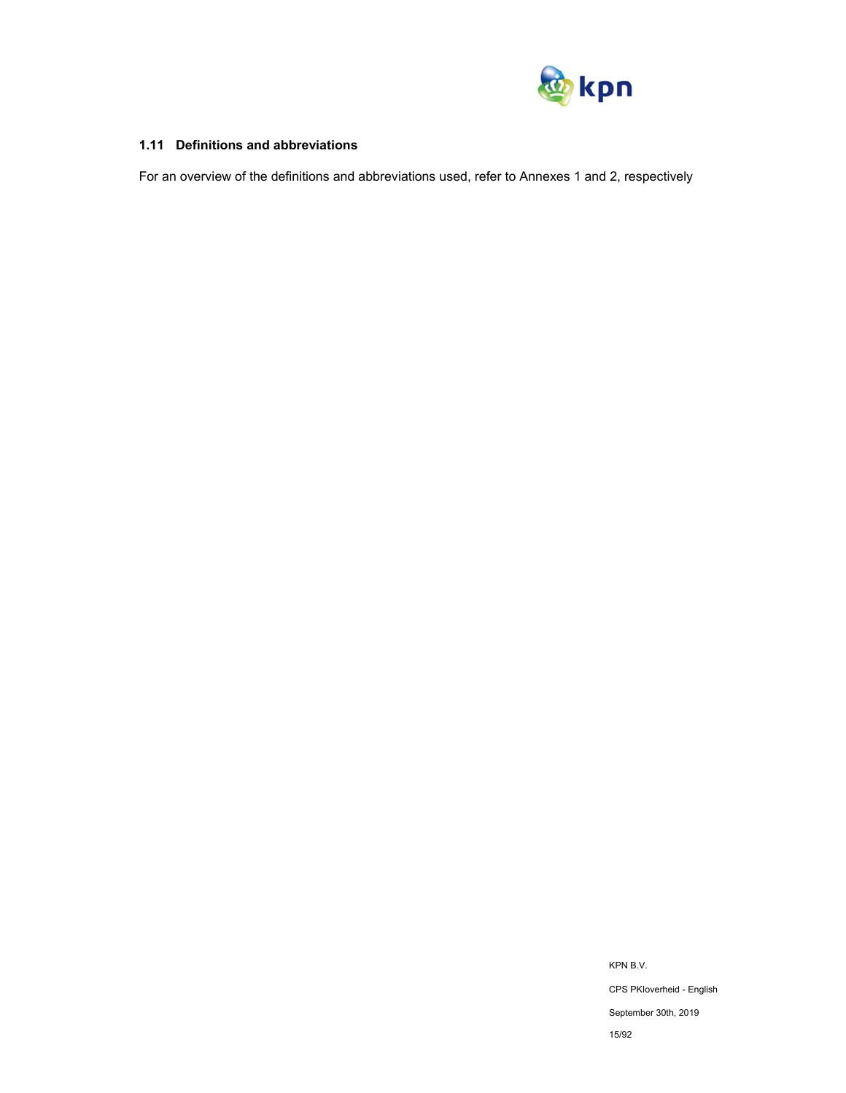

## **1.11 Definitions and abbreviations**

For an overview of the definitions and abbreviations used, refer to Annexes 1 and 2, respectively

KPN B.V. CPS PKIoverheid - English September 30th, 2019 15/92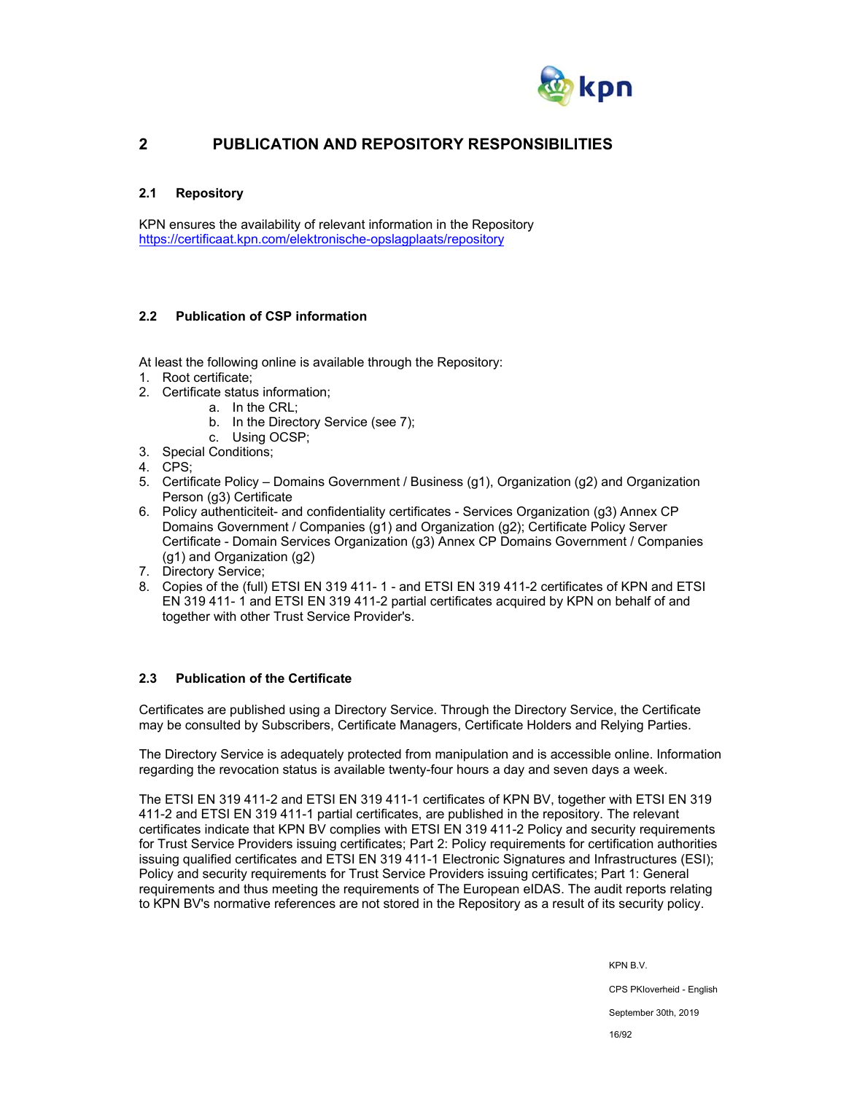

## **2 PUBLICATION AND REPOSITORY RESPONSIBILITIES**

## **2.1 Repository**

KPN ensures the availability of relevant information in the Repository https://certificaat.kpn.com/elektronische-opslagplaats/repository

#### **2.2 Publication of CSP information**

- At least the following online is available through the Repository:
- 1. Root certificate;
- 2. Certificate status information;
	- a. In the CRL;
	- b. In the Directory Service (see 7);
	- c. Using OCSP;
- 3. Special Conditions;
- 4. CPS;
- 5. Certificate Policy Domains Government / Business (g1), Organization (g2) and Organization Person (g3) Certificate
- 6. Policy authenticiteit- and confidentiality certificates Services Organization (g3) Annex CP Domains Government / Companies (g1) and Organization (g2); Certificate Policy Server Certificate - Domain Services Organization (g3) Annex CP Domains Government / Companies (g1) and Organization (g2)
- 7. Directory Service;
- 8. Copies of the (full) ETSI EN 319 411- 1 and ETSI EN 319 411-2 certificates of KPN and ETSI EN 319 411- 1 and ETSI EN 319 411-2 partial certificates acquired by KPN on behalf of and together with other Trust Service Provider's.

## **2.3 Publication of the Certificate**

Certificates are published using a Directory Service. Through the Directory Service, the Certificate may be consulted by Subscribers, Certificate Managers, Certificate Holders and Relying Parties.

The Directory Service is adequately protected from manipulation and is accessible online. Information regarding the revocation status is available twenty-four hours a day and seven days a week.

The ETSI EN 319 411-2 and ETSI EN 319 411-1 certificates of KPN BV, together with ETSI EN 319 411-2 and ETSI EN 319 411-1 partial certificates, are published in the repository. The relevant certificates indicate that KPN BV complies with ETSI EN 319 411-2 Policy and security requirements for Trust Service Providers issuing certificates; Part 2: Policy requirements for certification authorities issuing qualified certificates and ETSI EN 319 411-1 Electronic Signatures and Infrastructures (ESI); Policy and security requirements for Trust Service Providers issuing certificates; Part 1: General requirements and thus meeting the requirements of The European eIDAS. The audit reports relating to KPN BV's normative references are not stored in the Repository as a result of its security policy.

KPN B.V.

CPS PKIoverheid - English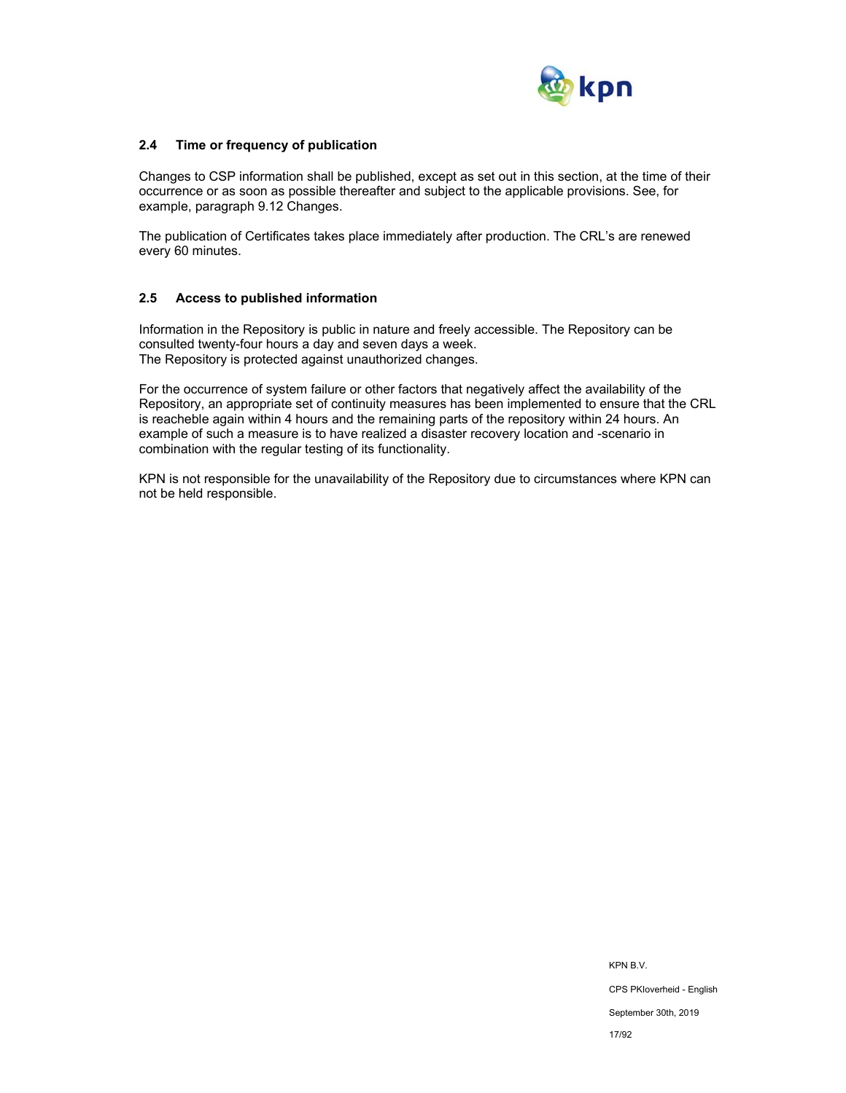

## **2.4 Time or frequency of publication**

Changes to CSP information shall be published, except as set out in this section, at the time of their occurrence or as soon as possible thereafter and subject to the applicable provisions. See, for example, paragraph 9.12 Changes.

The publication of Certificates takes place immediately after production. The CRL's are renewed every 60 minutes.

#### **2.5 Access to published information**

Information in the Repository is public in nature and freely accessible. The Repository can be consulted twenty-four hours a day and seven days a week. The Repository is protected against unauthorized changes.

For the occurrence of system failure or other factors that negatively affect the availability of the Repository, an appropriate set of continuity measures has been implemented to ensure that the CRL is reacheble again within 4 hours and the remaining parts of the repository within 24 hours. An example of such a measure is to have realized a disaster recovery location and -scenario in combination with the regular testing of its functionality.

KPN is not responsible for the unavailability of the Repository due to circumstances where KPN can not be held responsible.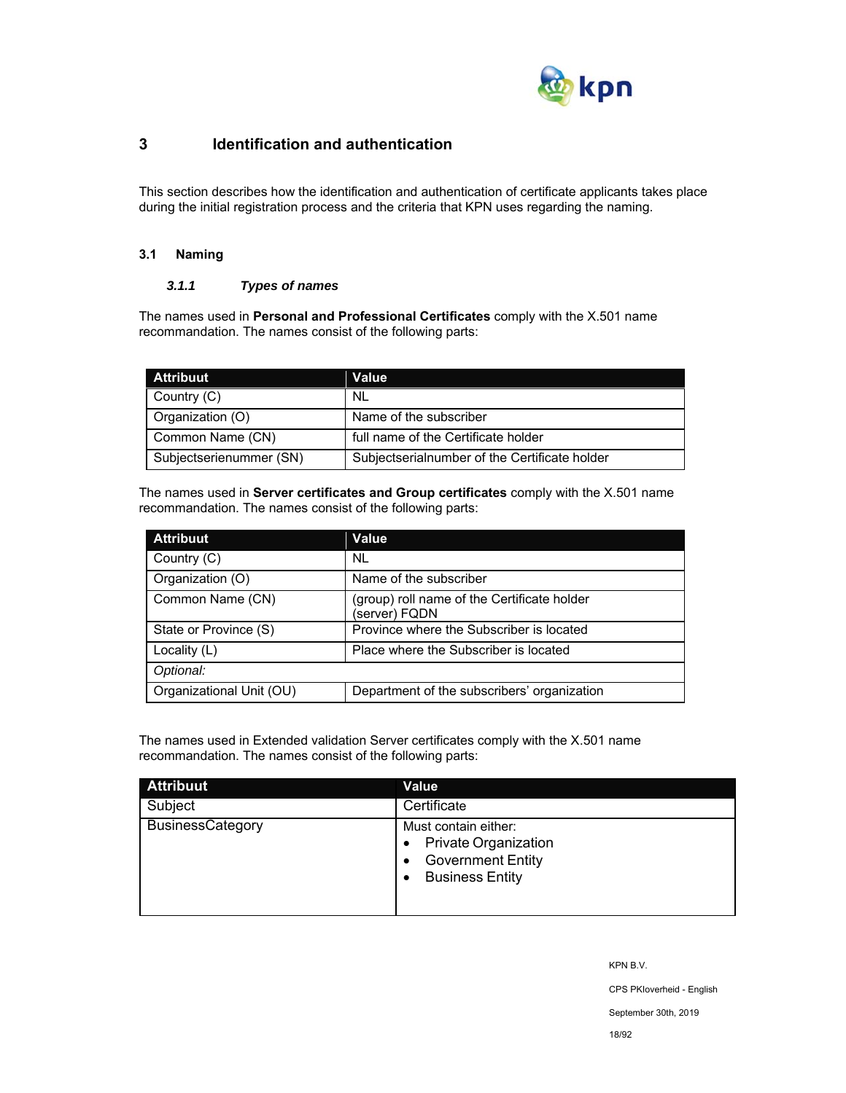

## **3 Identification and authentication**

This section describes how the identification and authentication of certificate applicants takes place during the initial registration process and the criteria that KPN uses regarding the naming.

## **3.1 Naming**

## *3.1.1 Types of names*

The names used in **Personal and Professional Certificates** comply with the X.501 name recommandation. The names consist of the following parts:

| <b>Attribuut</b>        | Value                                         |
|-------------------------|-----------------------------------------------|
| Country (C)             | NL.                                           |
| Organization (O)        | Name of the subscriber                        |
| Common Name (CN)        | full name of the Certificate holder           |
| Subjectserienummer (SN) | Subjectserialnumber of the Certificate holder |

The names used in **Server certificates and Group certificates** comply with the X.501 name recommandation. The names consist of the following parts:

| <b>Attribuut</b>         | Value                                                        |
|--------------------------|--------------------------------------------------------------|
| Country (C)              | NL.                                                          |
| Organization (O)         | Name of the subscriber                                       |
| Common Name (CN)         | (group) roll name of the Certificate holder<br>(server) FQDN |
| State or Province (S)    | Province where the Subscriber is located                     |
| Locality (L)             | Place where the Subscriber is located                        |
| Optional:                |                                                              |
| Organizational Unit (OU) | Department of the subscribers' organization                  |

The names used in Extended validation Server certificates comply with the X.501 name recommandation. The names consist of the following parts:

| <b>Attribuut</b>        | Value                                                                                                     |
|-------------------------|-----------------------------------------------------------------------------------------------------------|
| Subject                 | Certificate                                                                                               |
| <b>BusinessCategory</b> | Must contain either:<br><b>Private Organization</b><br><b>Government Entity</b><br><b>Business Entity</b> |

KPN B.V.

CPS PKIoverheid - English

September 30th, 2019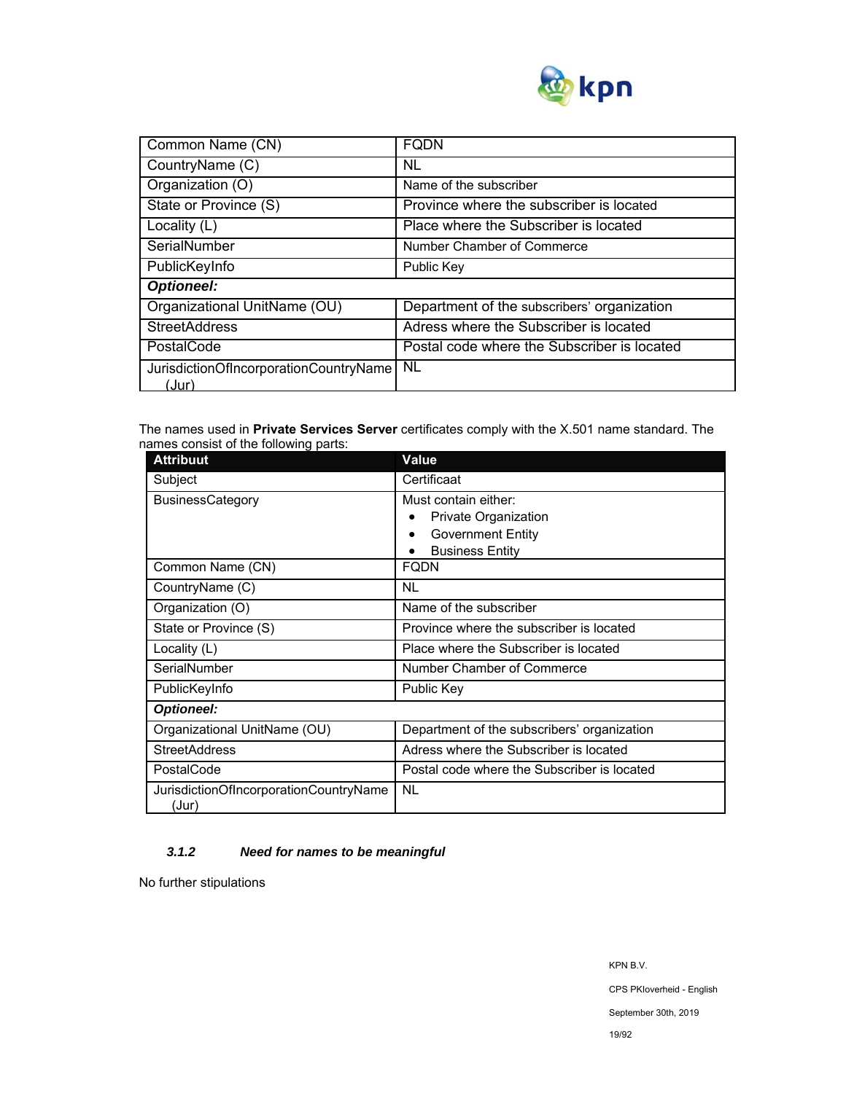

| Common Name (CN)                                | <b>FODN</b>                                 |  |
|-------------------------------------------------|---------------------------------------------|--|
| CountryName (C)                                 | NL                                          |  |
| Organization (O)                                | Name of the subscriber                      |  |
| State or Province (S)                           | Province where the subscriber is located    |  |
| Locality (L)                                    | Place where the Subscriber is located       |  |
| SerialNumber                                    | Number Chamber of Commerce                  |  |
| PublicKeyInfo                                   | Public Key                                  |  |
| <b>Optioneel:</b>                               |                                             |  |
| Organizational UnitName (OU)                    | Department of the subscribers' organization |  |
| <b>StreetAddress</b>                            | Adress where the Subscriber is located      |  |
| PostalCode                                      | Postal code where the Subscriber is located |  |
| JurisdictionOfIncorporationCountryName<br>(Jur) | <b>NL</b>                                   |  |

The names used in **Private Services Server** certificates comply with the X.501 name standard. The names consist of the following parts:

| <b>Attribuut</b>                                | Value                                       |  |
|-------------------------------------------------|---------------------------------------------|--|
| Subject                                         | Certificaat                                 |  |
| <b>BusinessCategory</b>                         | Must contain either:                        |  |
|                                                 | Private Organization                        |  |
|                                                 | <b>Government Entity</b>                    |  |
|                                                 | <b>Business Entity</b>                      |  |
| Common Name (CN)                                | <b>FQDN</b>                                 |  |
| CountryName (C)                                 | NL                                          |  |
| Organization (O)                                | Name of the subscriber                      |  |
| State or Province (S)                           | Province where the subscriber is located    |  |
| Locality (L)                                    | Place where the Subscriber is located       |  |
| SerialNumber                                    | Number Chamber of Commerce                  |  |
| PublicKeyInfo                                   | Public Key                                  |  |
| <b>Optioneel:</b>                               |                                             |  |
| Organizational UnitName (OU)                    | Department of the subscribers' organization |  |
| <b>StreetAddress</b>                            | Adress where the Subscriber is located      |  |
| PostalCode                                      | Postal code where the Subscriber is located |  |
| JurisdictionOfIncorporationCountryName<br>(Jur) | <b>NL</b>                                   |  |

## *3.1.2 Need for names to be meaningful*

No further stipulations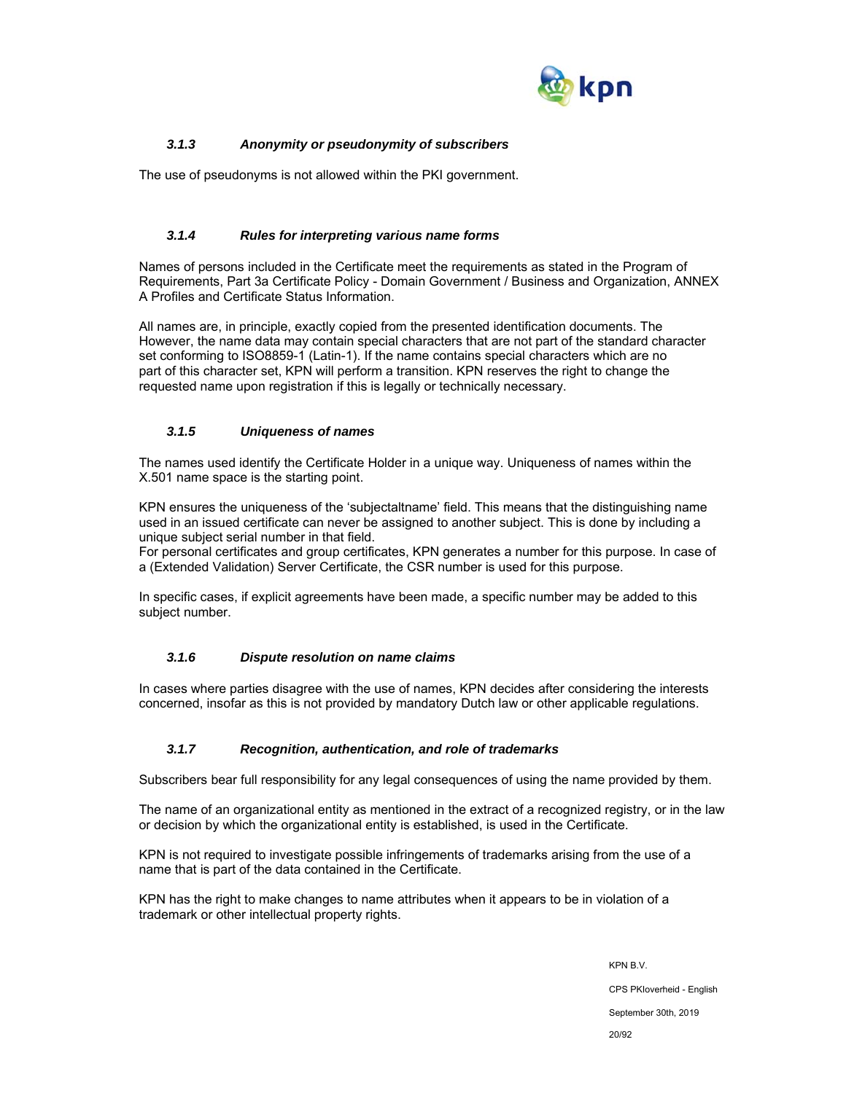

## *3.1.3 Anonymity or pseudonymity of subscribers*

The use of pseudonyms is not allowed within the PKI government.

## *3.1.4 Rules for interpreting various name forms*

Names of persons included in the Certificate meet the requirements as stated in the Program of Requirements, Part 3a Certificate Policy - Domain Government / Business and Organization, ANNEX A Profiles and Certificate Status Information.

All names are, in principle, exactly copied from the presented identification documents. The However, the name data may contain special characters that are not part of the standard character set conforming to ISO8859-1 (Latin-1). If the name contains special characters which are no part of this character set, KPN will perform a transition. KPN reserves the right to change the requested name upon registration if this is legally or technically necessary.

## *3.1.5 Uniqueness of names*

The names used identify the Certificate Holder in a unique way. Uniqueness of names within the X.501 name space is the starting point.

KPN ensures the uniqueness of the 'subjectaltname' field. This means that the distinguishing name used in an issued certificate can never be assigned to another subject. This is done by including a unique subject serial number in that field.

For personal certificates and group certificates, KPN generates a number for this purpose. In case of a (Extended Validation) Server Certificate, the CSR number is used for this purpose.

In specific cases, if explicit agreements have been made, a specific number may be added to this subject number.

## *3.1.6 Dispute resolution on name claims*

In cases where parties disagree with the use of names, KPN decides after considering the interests concerned, insofar as this is not provided by mandatory Dutch law or other applicable regulations.

#### *3.1.7 Recognition, authentication, and role of trademarks*

Subscribers bear full responsibility for any legal consequences of using the name provided by them.

The name of an organizational entity as mentioned in the extract of a recognized registry, or in the law or decision by which the organizational entity is established, is used in the Certificate.

KPN is not required to investigate possible infringements of trademarks arising from the use of a name that is part of the data contained in the Certificate.

KPN has the right to make changes to name attributes when it appears to be in violation of a trademark or other intellectual property rights.

> KPN B.V. CPS PKIoverheid - English September 30th, 2019 20/92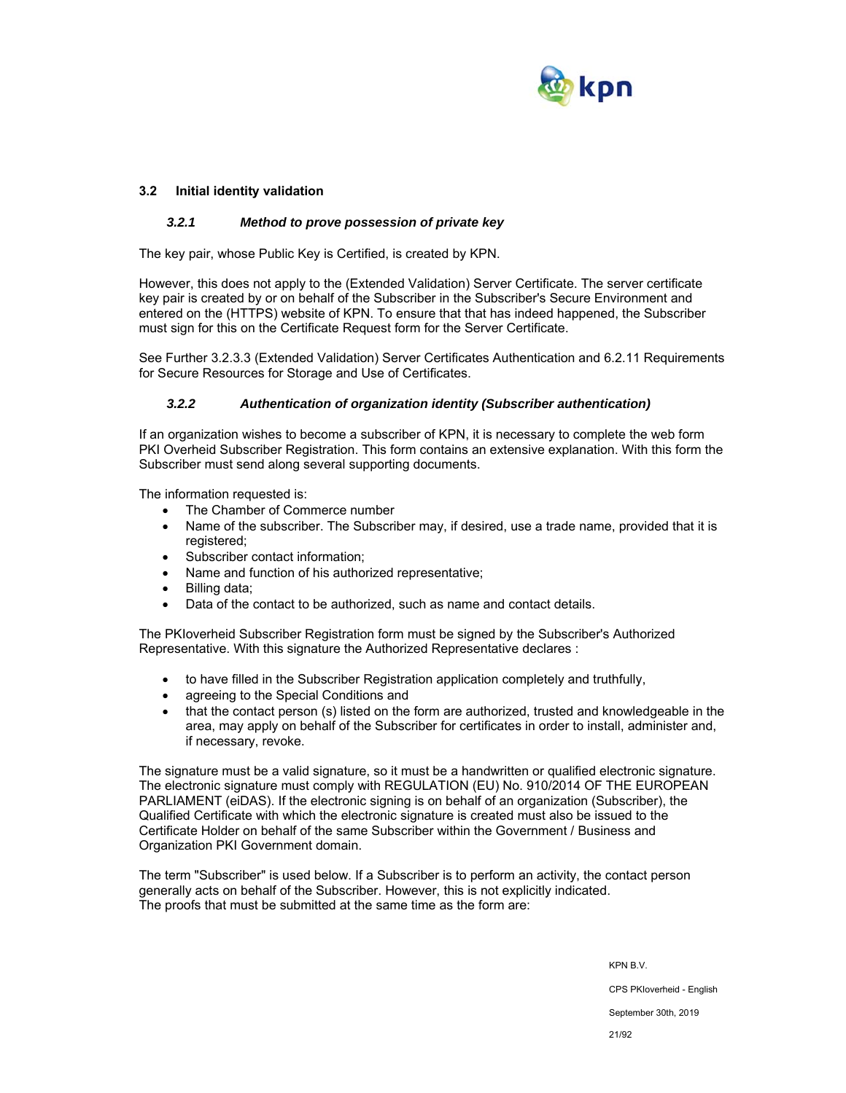

## **3.2 Initial identity validation**

## *3.2.1 Method to prove possession of private key*

The key pair, whose Public Key is Certified, is created by KPN.

However, this does not apply to the (Extended Validation) Server Certificate. The server certificate key pair is created by or on behalf of the Subscriber in the Subscriber's Secure Environment and entered on the (HTTPS) website of KPN. To ensure that that has indeed happened, the Subscriber must sign for this on the Certificate Request form for the Server Certificate.

See Further 3.2.3.3 (Extended Validation) Server Certificates Authentication and 6.2.11 Requirements for Secure Resources for Storage and Use of Certificates.

#### *3.2.2 Authentication of organization identity (Subscriber authentication)*

If an organization wishes to become a subscriber of KPN, it is necessary to complete the web form PKI Overheid Subscriber Registration. This form contains an extensive explanation. With this form the Subscriber must send along several supporting documents.

The information requested is:

- The Chamber of Commerce number
- Name of the subscriber. The Subscriber may, if desired, use a trade name, provided that it is registered:
- Subscriber contact information;
- Name and function of his authorized representative;
- Billing data;
- Data of the contact to be authorized, such as name and contact details.

The PKIoverheid Subscriber Registration form must be signed by the Subscriber's Authorized Representative. With this signature the Authorized Representative declares :

- to have filled in the Subscriber Registration application completely and truthfully,
- agreeing to the Special Conditions and
- that the contact person (s) listed on the form are authorized, trusted and knowledgeable in the area, may apply on behalf of the Subscriber for certificates in order to install, administer and, if necessary, revoke.

The signature must be a valid signature, so it must be a handwritten or qualified electronic signature. The electronic signature must comply with REGULATION (EU) No. 910/2014 OF THE EUROPEAN PARLIAMENT (eiDAS). If the electronic signing is on behalf of an organization (Subscriber), the Qualified Certificate with which the electronic signature is created must also be issued to the Certificate Holder on behalf of the same Subscriber within the Government / Business and Organization PKI Government domain.

The term "Subscriber" is used below. If a Subscriber is to perform an activity, the contact person generally acts on behalf of the Subscriber. However, this is not explicitly indicated. The proofs that must be submitted at the same time as the form are:

> KPN B.V. CPS PKIoverheid - English September 30th, 2019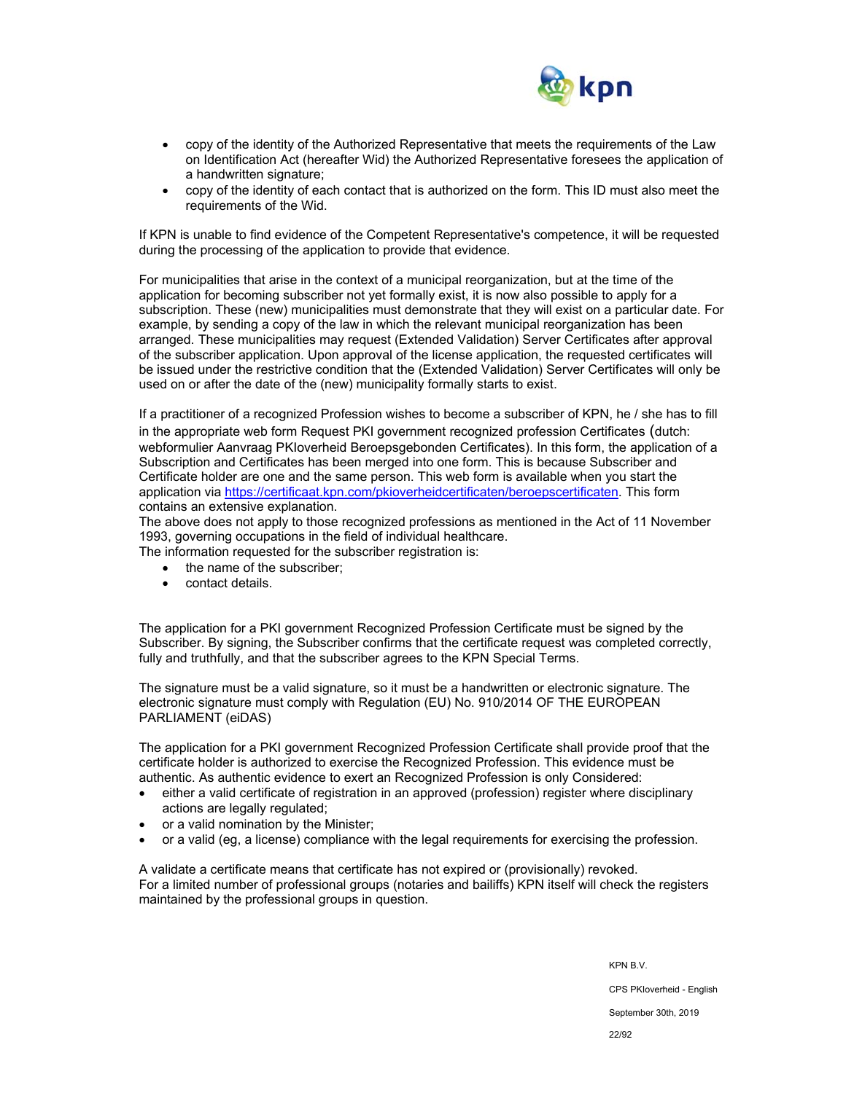

- copy of the identity of the Authorized Representative that meets the requirements of the Law on Identification Act (hereafter Wid) the Authorized Representative foresees the application of a handwritten signature;
- copy of the identity of each contact that is authorized on the form. This ID must also meet the requirements of the Wid.

If KPN is unable to find evidence of the Competent Representative's competence, it will be requested during the processing of the application to provide that evidence.

For municipalities that arise in the context of a municipal reorganization, but at the time of the application for becoming subscriber not yet formally exist, it is now also possible to apply for a subscription. These (new) municipalities must demonstrate that they will exist on a particular date. For example, by sending a copy of the law in which the relevant municipal reorganization has been arranged. These municipalities may request (Extended Validation) Server Certificates after approval of the subscriber application. Upon approval of the license application, the requested certificates will be issued under the restrictive condition that the (Extended Validation) Server Certificates will only be used on or after the date of the (new) municipality formally starts to exist.

If a practitioner of a recognized Profession wishes to become a subscriber of KPN, he / she has to fill in the appropriate web form Request PKI government recognized profession Certificates (dutch: webformulier Aanvraag PKIoverheid Beroepsgebonden Certificates). In this form, the application of a Subscription and Certificates has been merged into one form. This is because Subscriber and Certificate holder are one and the same person. This web form is available when you start the application via https://certificaat.kpn.com/pkioverheidcertificaten/beroepscertificaten. This form contains an extensive explanation.

The above does not apply to those recognized professions as mentioned in the Act of 11 November 1993, governing occupations in the field of individual healthcare.

The information requested for the subscriber registration is:

- the name of the subscriber;
- contact details.

The application for a PKI government Recognized Profession Certificate must be signed by the Subscriber. By signing, the Subscriber confirms that the certificate request was completed correctly, fully and truthfully, and that the subscriber agrees to the KPN Special Terms.

The signature must be a valid signature, so it must be a handwritten or electronic signature. The electronic signature must comply with Regulation (EU) No. 910/2014 OF THE EUROPEAN PARLIAMENT (eiDAS)

The application for a PKI government Recognized Profession Certificate shall provide proof that the certificate holder is authorized to exercise the Recognized Profession. This evidence must be authentic. As authentic evidence to exert an Recognized Profession is only Considered:

- either a valid certificate of registration in an approved (profession) register where disciplinary actions are legally regulated;
- or a valid nomination by the Minister;
- or a valid (eg, a license) compliance with the legal requirements for exercising the profession.

A validate a certificate means that certificate has not expired or (provisionally) revoked. For a limited number of professional groups (notaries and bailiffs) KPN itself will check the registers maintained by the professional groups in question.

KPN B.V.

CPS PKIoverheid - English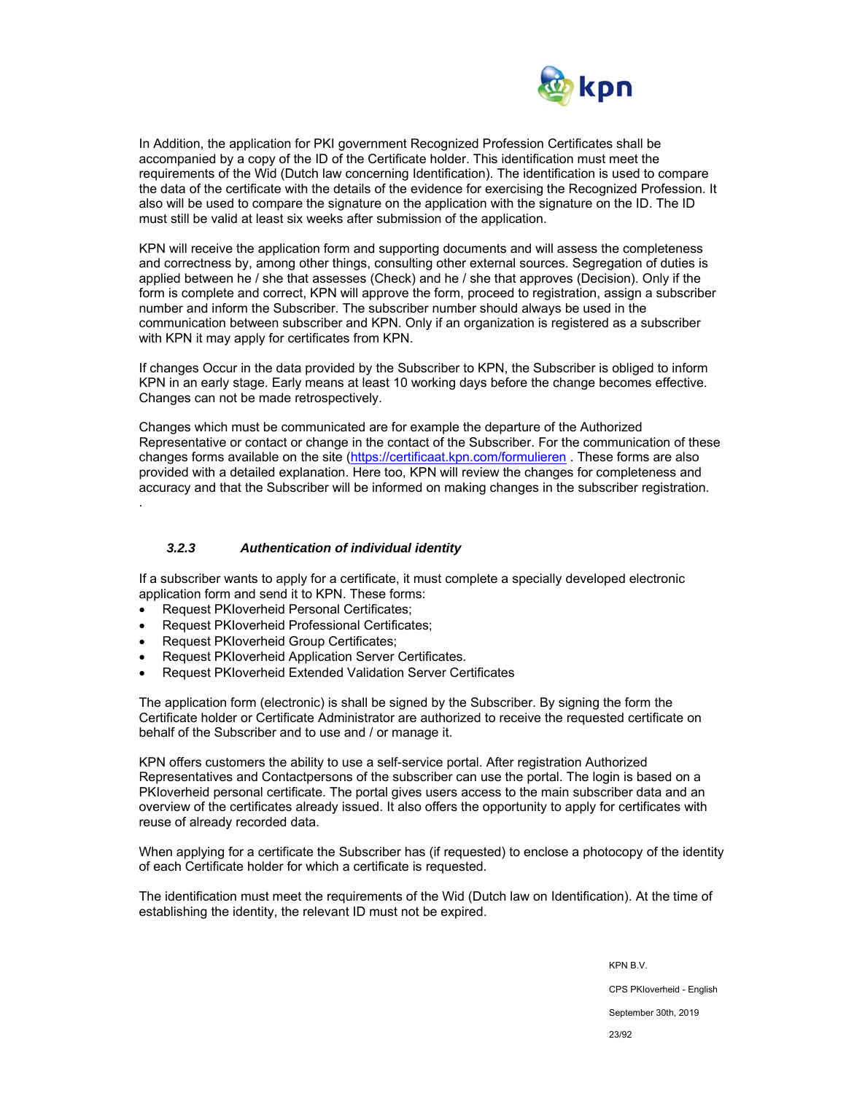

In Addition, the application for PKI government Recognized Profession Certificates shall be accompanied by a copy of the ID of the Certificate holder. This identification must meet the requirements of the Wid (Dutch law concerning Identification). The identification is used to compare the data of the certificate with the details of the evidence for exercising the Recognized Profession. It also will be used to compare the signature on the application with the signature on the ID. The ID must still be valid at least six weeks after submission of the application.

KPN will receive the application form and supporting documents and will assess the completeness and correctness by, among other things, consulting other external sources. Segregation of duties is applied between he / she that assesses (Check) and he / she that approves (Decision). Only if the form is complete and correct, KPN will approve the form, proceed to registration, assign a subscriber number and inform the Subscriber. The subscriber number should always be used in the communication between subscriber and KPN. Only if an organization is registered as a subscriber with KPN it may apply for certificates from KPN.

If changes Occur in the data provided by the Subscriber to KPN, the Subscriber is obliged to inform KPN in an early stage. Early means at least 10 working days before the change becomes effective. Changes can not be made retrospectively.

Changes which must be communicated are for example the departure of the Authorized Representative or contact or change in the contact of the Subscriber. For the communication of these changes forms available on the site (https://certificaat.kpn.com/formulieren . These forms are also provided with a detailed explanation. Here too, KPN will review the changes for completeness and accuracy and that the Subscriber will be informed on making changes in the subscriber registration. .

## *3.2.3 Authentication of individual identity*

If a subscriber wants to apply for a certificate, it must complete a specially developed electronic application form and send it to KPN. These forms:

- Request PKIoverheid Personal Certificates;
- Request PKIoverheid Professional Certificates;
- Request PKIoverheid Group Certificates;
- Request PKIoverheid Application Server Certificates.
- Request PKIoverheid Extended Validation Server Certificates

The application form (electronic) is shall be signed by the Subscriber. By signing the form the Certificate holder or Certificate Administrator are authorized to receive the requested certificate on behalf of the Subscriber and to use and / or manage it.

KPN offers customers the ability to use a self-service portal. After registration Authorized Representatives and Contactpersons of the subscriber can use the portal. The login is based on a PKIoverheid personal certificate. The portal gives users access to the main subscriber data and an overview of the certificates already issued. It also offers the opportunity to apply for certificates with reuse of already recorded data.

When applying for a certificate the Subscriber has (if requested) to enclose a photocopy of the identity of each Certificate holder for which a certificate is requested.

The identification must meet the requirements of the Wid (Dutch law on Identification). At the time of establishing the identity, the relevant ID must not be expired.

> KPN B.V. CPS PKIoverheid - English September 30th, 2019 23/92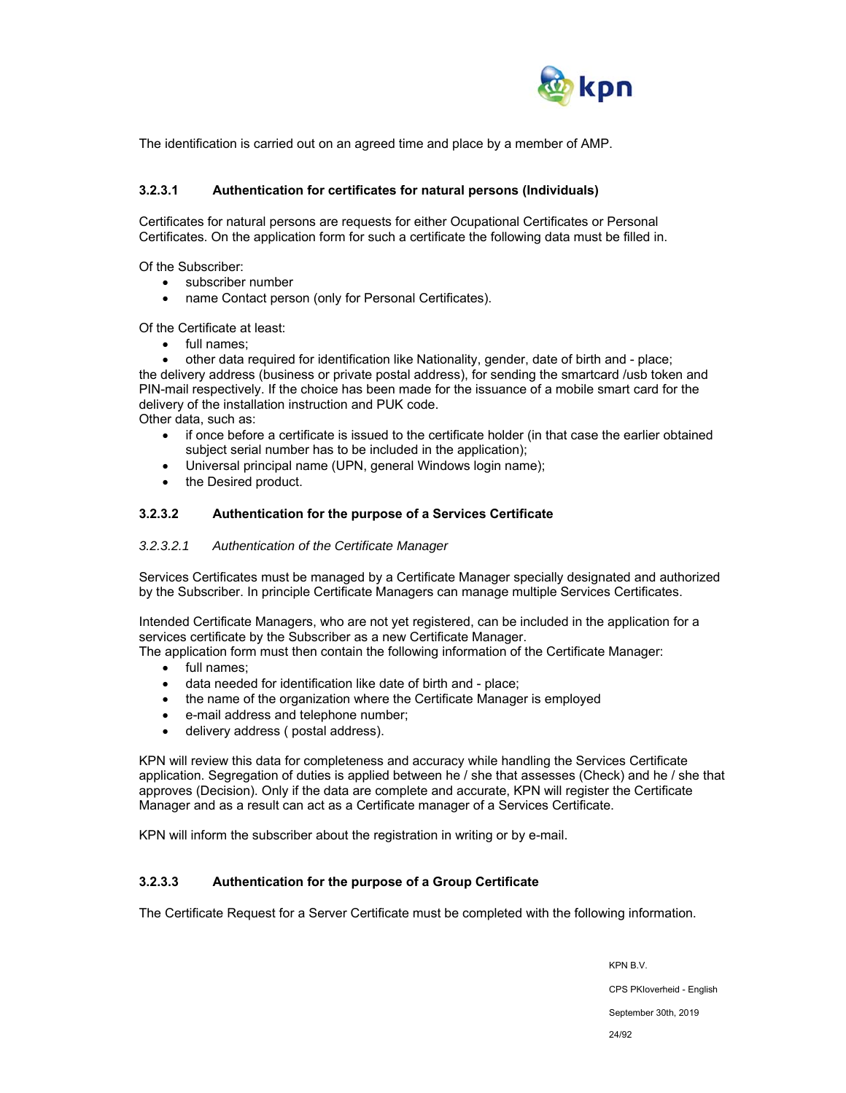

The identification is carried out on an agreed time and place by a member of AMP.

#### **3.2.3.1 Authentication for certificates for natural persons (Individuals)**

Certificates for natural persons are requests for either Ocupational Certificates or Personal Certificates. On the application form for such a certificate the following data must be filled in.

Of the Subscriber:

- subscriber number
- name Contact person (only for Personal Certificates).

Of the Certificate at least:

- full names;
- other data required for identification like Nationality, gender, date of birth and place;

the delivery address (business or private postal address), for sending the smartcard /usb token and PIN-mail respectively. If the choice has been made for the issuance of a mobile smart card for the delivery of the installation instruction and PUK code.

Other data, such as:

- if once before a certificate is issued to the certificate holder (in that case the earlier obtained subject serial number has to be included in the application);
- Universal principal name (UPN, general Windows login name);
- the Desired product.

#### **3.2.3.2 Authentication for the purpose of a Services Certificate**

#### *3.2.3.2.1 Authentication of the Certificate Manager*

Services Certificates must be managed by a Certificate Manager specially designated and authorized by the Subscriber. In principle Certificate Managers can manage multiple Services Certificates.

Intended Certificate Managers, who are not yet registered, can be included in the application for a services certificate by the Subscriber as a new Certificate Manager.

The application form must then contain the following information of the Certificate Manager:

- full names:
- data needed for identification like date of birth and place;
- the name of the organization where the Certificate Manager is employed
- e-mail address and telephone number;
- delivery address ( postal address).

KPN will review this data for completeness and accuracy while handling the Services Certificate application. Segregation of duties is applied between he / she that assesses (Check) and he / she that approves (Decision). Only if the data are complete and accurate, KPN will register the Certificate Manager and as a result can act as a Certificate manager of a Services Certificate.

KPN will inform the subscriber about the registration in writing or by e-mail.

### **3.2.3.3 Authentication for the purpose of a Group Certificate**

The Certificate Request for a Server Certificate must be completed with the following information.

KPN B.V. CPS PKIoverheid - English September 30th, 2019 24/92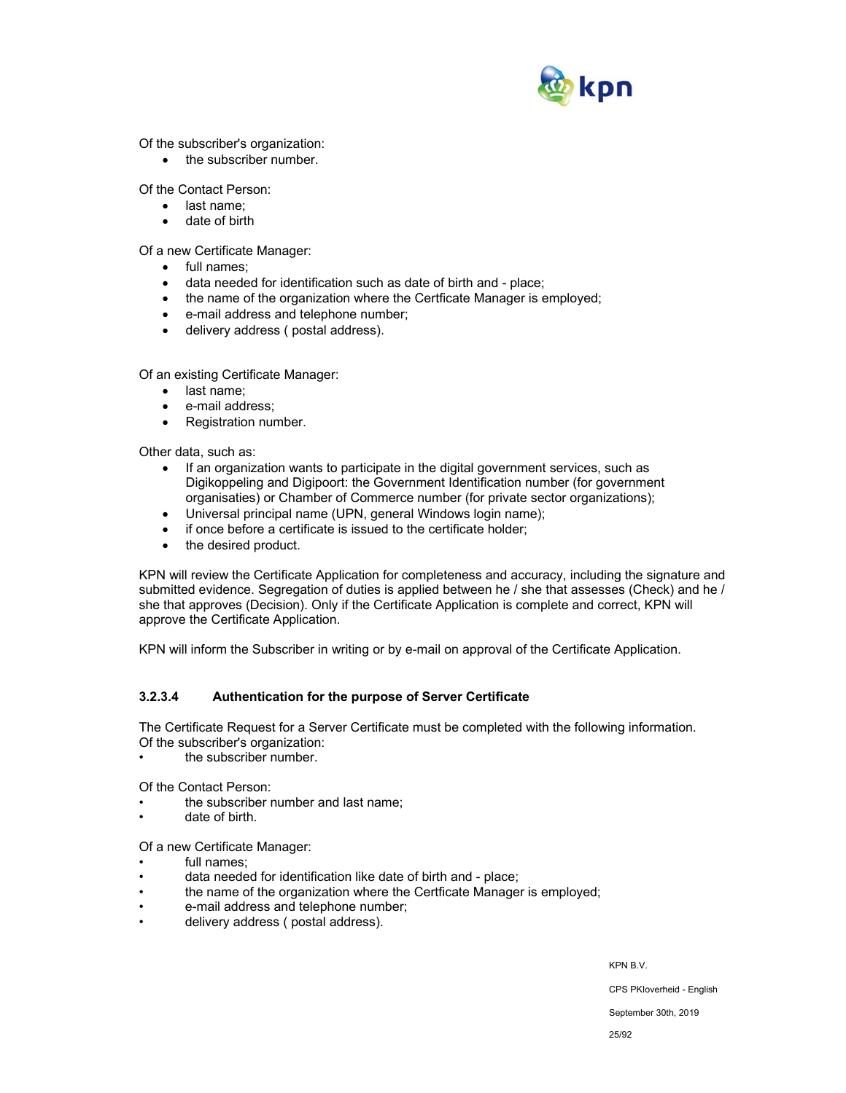

Of the subscriber's organization:

• the subscriber number.

Of the Contact Person:

- last name:
- date of birth

Of a new Certificate Manager:

- full names:
- data needed for identification such as date of birth and place;
- the name of the organization where the Certficate Manager is employed;
- e-mail address and telephone number;
- delivery address ( postal address).

Of an existing Certificate Manager:

- last name:
- e-mail address;
- Registration number.

Other data, such as:

- If an organization wants to participate in the digital government services, such as Digikoppeling and Digipoort: the Government Identification number (for government organisaties) or Chamber of Commerce number (for private sector organizations);
- Universal principal name (UPN, general Windows login name);
- if once before a certificate is issued to the certificate holder;
- the desired product.

KPN will review the Certificate Application for completeness and accuracy, including the signature and submitted evidence. Segregation of duties is applied between he / she that assesses (Check) and he / she that approves (Decision). Only if the Certificate Application is complete and correct, KPN will approve the Certificate Application.

KPN will inform the Subscriber in writing or by e-mail on approval of the Certificate Application.

## **3.2.3.4 Authentication for the purpose of Server Certificate**

The Certificate Request for a Server Certificate must be completed with the following information. Of the subscriber's organization:

the subscriber number.

Of the Contact Person:

- the subscriber number and last name:
- date of birth.

Of a new Certificate Manager:

- full names;
- data needed for identification like date of birth and place;
- the name of the organization where the Certficate Manager is employed;
- e-mail address and telephone number;
- delivery address ( postal address).

KPN B.V.

CPS PKIoverheid - English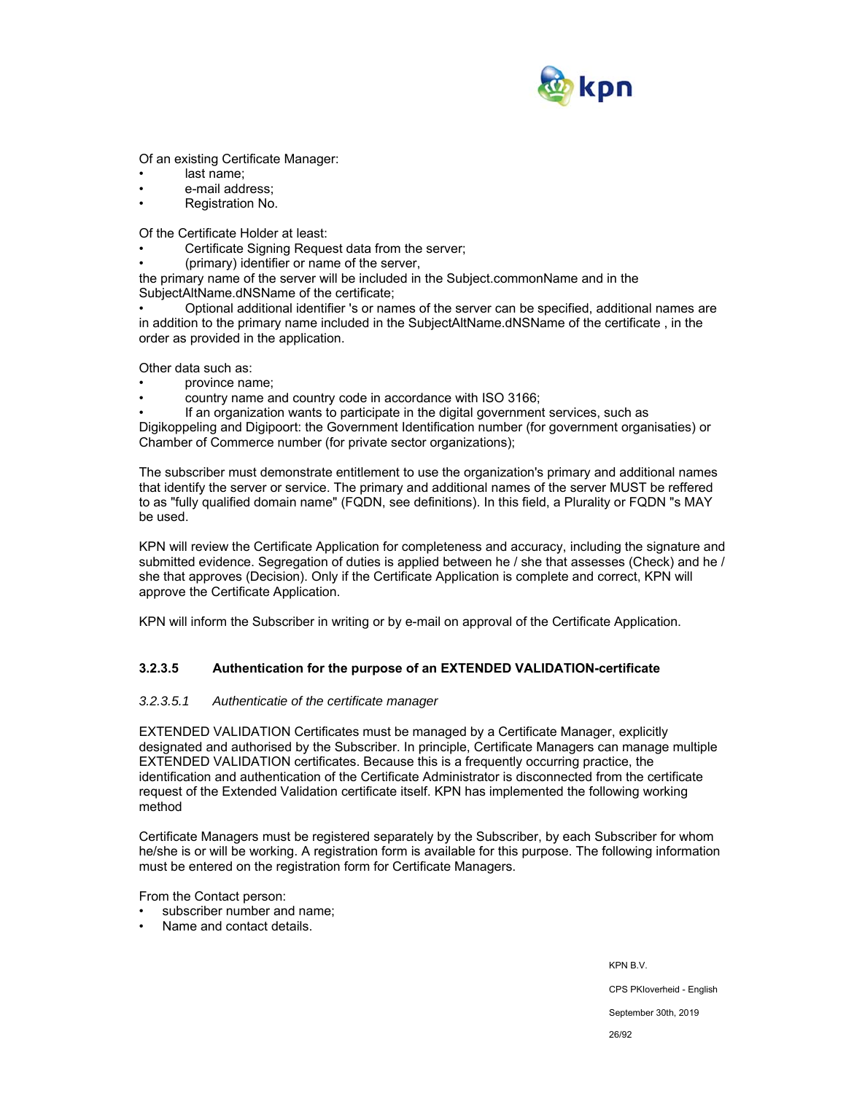

Of an existing Certificate Manager:

- last name:
- e-mail address;
- Registration No.

Of the Certificate Holder at least:

- Certificate Signing Request data from the server;
- (primary) identifier or name of the server,

the primary name of the server will be included in the Subject.commonName and in the SubjectAltName.dNSName of the certificate;

• Optional additional identifier 's or names of the server can be specified, additional names are in addition to the primary name included in the SubjectAltName.dNSName of the certificate , in the order as provided in the application.

Other data such as:

- province name;
- country name and country code in accordance with ISO 3166;

• If an organization wants to participate in the digital government services, such as Digikoppeling and Digipoort: the Government Identification number (for government organisaties) or Chamber of Commerce number (for private sector organizations);

The subscriber must demonstrate entitlement to use the organization's primary and additional names that identify the server or service. The primary and additional names of the server MUST be reffered to as "fully qualified domain name" (FQDN, see definitions). In this field, a Plurality or FQDN "s MAY be used.

KPN will review the Certificate Application for completeness and accuracy, including the signature and submitted evidence. Segregation of duties is applied between he / she that assesses (Check) and he / she that approves (Decision). Only if the Certificate Application is complete and correct, KPN will approve the Certificate Application.

KPN will inform the Subscriber in writing or by e-mail on approval of the Certificate Application.

## **3.2.3.5 Authentication for the purpose of an EXTENDED VALIDATION-certificate**

#### *3.2.3.5.1 Authenticatie of the certificate manager*

EXTENDED VALIDATION Certificates must be managed by a Certificate Manager, explicitly designated and authorised by the Subscriber. In principle, Certificate Managers can manage multiple EXTENDED VALIDATION certificates. Because this is a frequently occurring practice, the identification and authentication of the Certificate Administrator is disconnected from the certificate request of the Extended Validation certificate itself. KPN has implemented the following working method

Certificate Managers must be registered separately by the Subscriber, by each Subscriber for whom he/she is or will be working. A registration form is available for this purpose. The following information must be entered on the registration form for Certificate Managers.

From the Contact person:

- subscriber number and name;
- Name and contact details.

KPN B.V. CPS PKIoverheid - English September 30th, 2019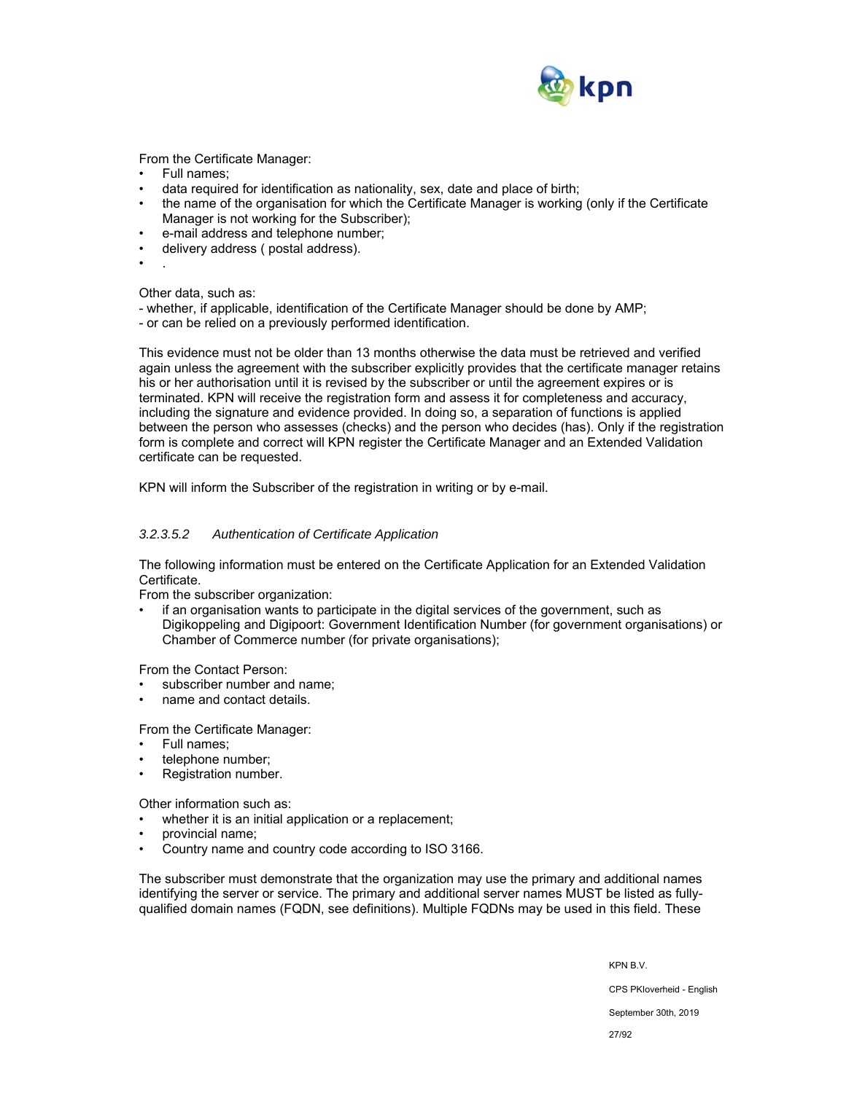

From the Certificate Manager:

- Full names;
- data required for identification as nationality, sex, date and place of birth;
- the name of the organisation for which the Certificate Manager is working (only if the Certificate Manager is not working for the Subscriber);
- e-mail address and telephone number;
- delivery address ( postal address).
- .

Other data, such as:

- whether, if applicable, identification of the Certificate Manager should be done by AMP;
- or can be relied on a previously performed identification.

This evidence must not be older than 13 months otherwise the data must be retrieved and verified again unless the agreement with the subscriber explicitly provides that the certificate manager retains his or her authorisation until it is revised by the subscriber or until the agreement expires or is terminated. KPN will receive the registration form and assess it for completeness and accuracy, including the signature and evidence provided. In doing so, a separation of functions is applied between the person who assesses (checks) and the person who decides (has). Only if the registration form is complete and correct will KPN register the Certificate Manager and an Extended Validation certificate can be requested.

KPN will inform the Subscriber of the registration in writing or by e-mail.

#### *3.2.3.5.2 Authentication of Certificate Application*

The following information must be entered on the Certificate Application for an Extended Validation Certificate.

From the subscriber organization:

• if an organisation wants to participate in the digital services of the government, such as Digikoppeling and Digipoort: Government Identification Number (for government organisations) or Chamber of Commerce number (for private organisations);

From the Contact Person:

- subscriber number and name:
- name and contact details.

From the Certificate Manager:

- Full names;
- telephone number;
- Registration number.

Other information such as:

- whether it is an initial application or a replacement;
- provincial name;
- Country name and country code according to ISO 3166.

The subscriber must demonstrate that the organization may use the primary and additional names identifying the server or service. The primary and additional server names MUST be listed as fullyqualified domain names (FQDN, see definitions). Multiple FQDNs may be used in this field. These

KPN B.V.

CPS PKIoverheid - English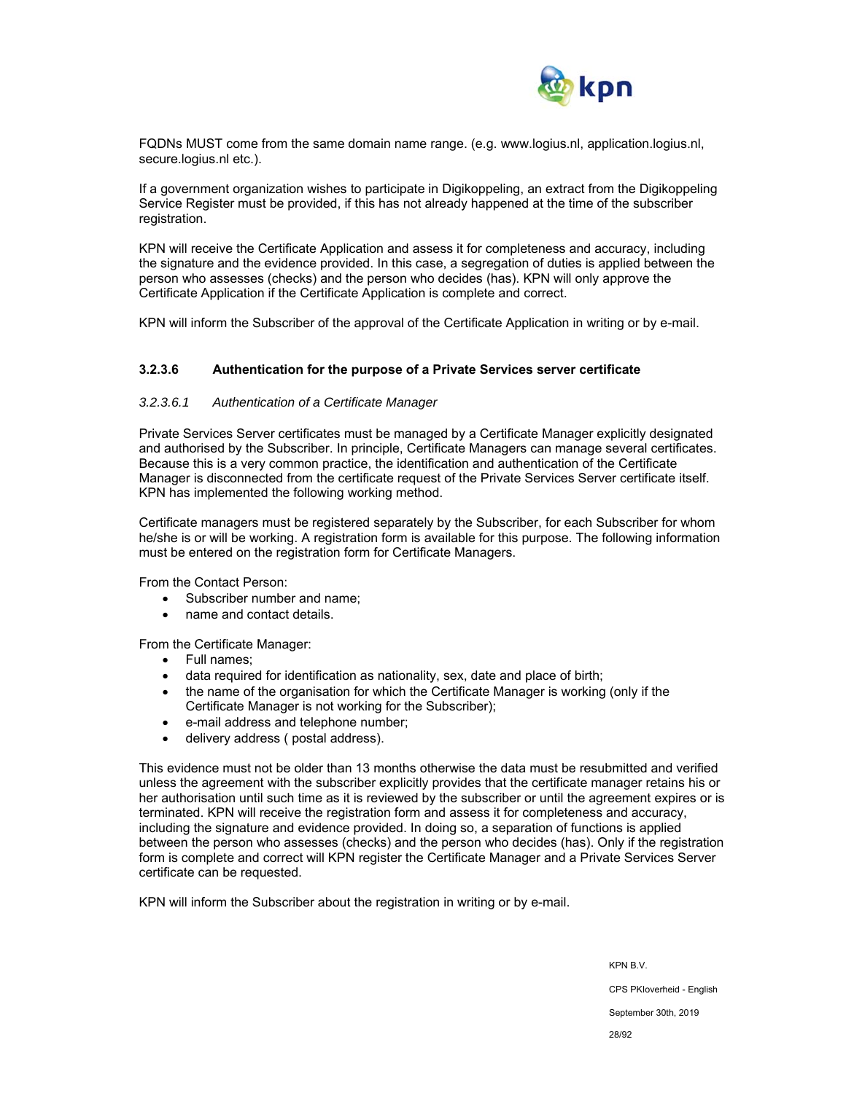

FQDNs MUST come from the same domain name range. (e.g. www.logius.nl, application.logius.nl, secure.logius.nl etc.).

If a government organization wishes to participate in Digikoppeling, an extract from the Digikoppeling Service Register must be provided, if this has not already happened at the time of the subscriber registration.

KPN will receive the Certificate Application and assess it for completeness and accuracy, including the signature and the evidence provided. In this case, a segregation of duties is applied between the person who assesses (checks) and the person who decides (has). KPN will only approve the Certificate Application if the Certificate Application is complete and correct.

KPN will inform the Subscriber of the approval of the Certificate Application in writing or by e-mail.

#### **3.2.3.6 Authentication for the purpose of a Private Services server certificate**

#### *3.2.3.6.1 Authentication of a Certificate Manager*

Private Services Server certificates must be managed by a Certificate Manager explicitly designated and authorised by the Subscriber. In principle, Certificate Managers can manage several certificates. Because this is a very common practice, the identification and authentication of the Certificate Manager is disconnected from the certificate request of the Private Services Server certificate itself. KPN has implemented the following working method.

Certificate managers must be registered separately by the Subscriber, for each Subscriber for whom he/she is or will be working. A registration form is available for this purpose. The following information must be entered on the registration form for Certificate Managers.

From the Contact Person:

- Subscriber number and name;
- name and contact details.

From the Certificate Manager:

- Full names:
- data required for identification as nationality, sex, date and place of birth;
- the name of the organisation for which the Certificate Manager is working (only if the Certificate Manager is not working for the Subscriber);
- e-mail address and telephone number;
- delivery address ( postal address).

This evidence must not be older than 13 months otherwise the data must be resubmitted and verified unless the agreement with the subscriber explicitly provides that the certificate manager retains his or her authorisation until such time as it is reviewed by the subscriber or until the agreement expires or is terminated. KPN will receive the registration form and assess it for completeness and accuracy, including the signature and evidence provided. In doing so, a separation of functions is applied between the person who assesses (checks) and the person who decides (has). Only if the registration form is complete and correct will KPN register the Certificate Manager and a Private Services Server certificate can be requested.

KPN will inform the Subscriber about the registration in writing or by e-mail.

KPN B.V. CPS PKIoverheid - English September 30th, 2019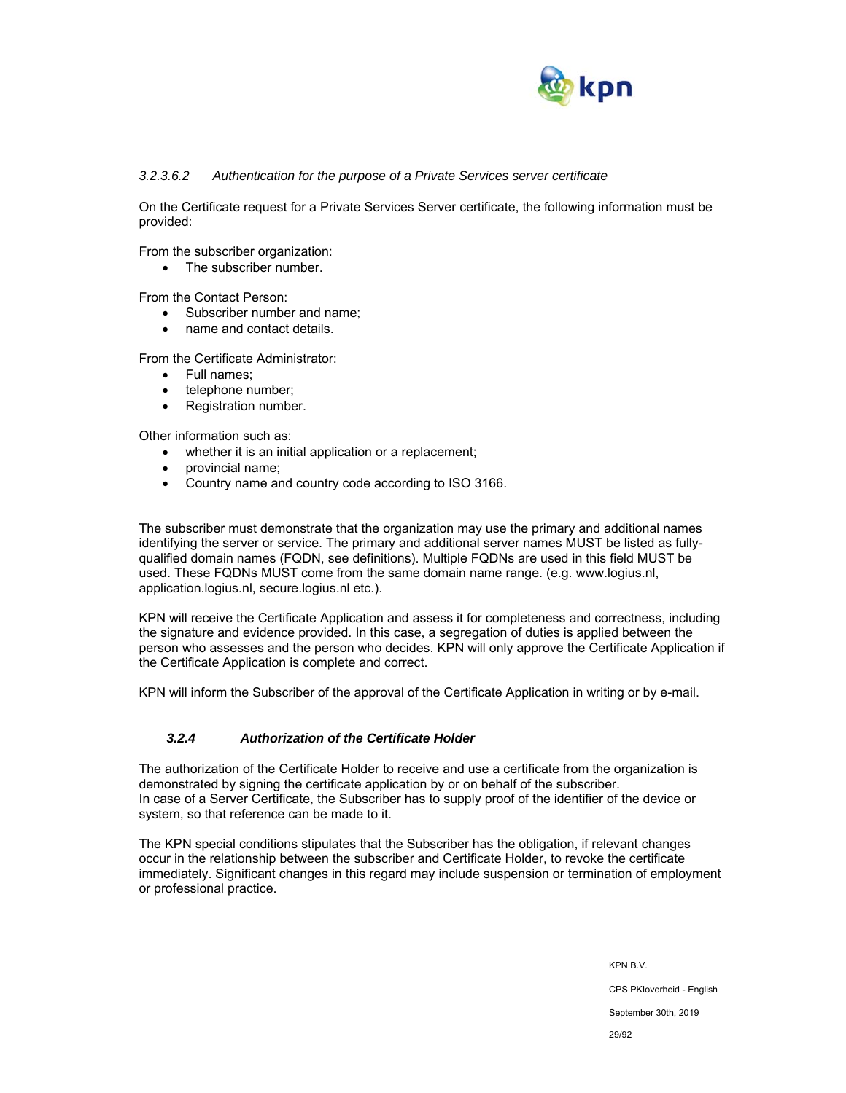

#### *3.2.3.6.2 Authentication for the purpose of a Private Services server certificate*

On the Certificate request for a Private Services Server certificate, the following information must be provided:

From the subscriber organization:

• The subscriber number.

From the Contact Person:

- Subscriber number and name;
- name and contact details.

From the Certificate Administrator:

- Full names:
- telephone number;
- Registration number.

Other information such as:

- whether it is an initial application or a replacement;
- provincial name;
- Country name and country code according to ISO 3166.

The subscriber must demonstrate that the organization may use the primary and additional names identifying the server or service. The primary and additional server names MUST be listed as fullyqualified domain names (FQDN, see definitions). Multiple FQDNs are used in this field MUST be used. These FQDNs MUST come from the same domain name range. (e.g. www.logius.nl, application.logius.nl, secure.logius.nl etc.).

KPN will receive the Certificate Application and assess it for completeness and correctness, including the signature and evidence provided. In this case, a segregation of duties is applied between the person who assesses and the person who decides. KPN will only approve the Certificate Application if the Certificate Application is complete and correct.

KPN will inform the Subscriber of the approval of the Certificate Application in writing or by e-mail.

## *3.2.4 Authorization of the Certificate Holder*

The authorization of the Certificate Holder to receive and use a certificate from the organization is demonstrated by signing the certificate application by or on behalf of the subscriber. In case of a Server Certificate, the Subscriber has to supply proof of the identifier of the device or system, so that reference can be made to it.

The KPN special conditions stipulates that the Subscriber has the obligation, if relevant changes occur in the relationship between the subscriber and Certificate Holder, to revoke the certificate immediately. Significant changes in this regard may include suspension or termination of employment or professional practice.

> KPN B.V. CPS PKIoverheid - English September 30th, 2019 29/92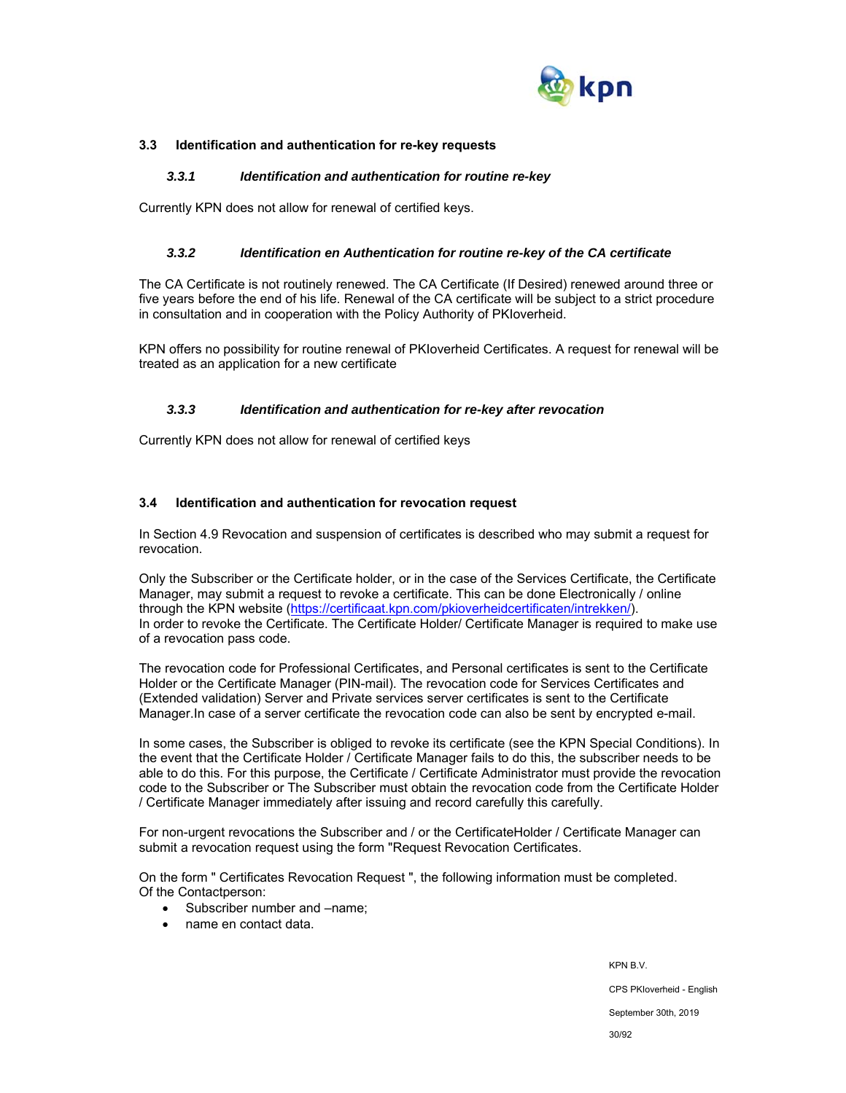

## **3.3 Identification and authentication for re-key requests**

#### *3.3.1 Identification and authentication for routine re-key*

Currently KPN does not allow for renewal of certified keys.

#### *3.3.2 Identification en Authentication for routine re-key of the CA certificate*

The CA Certificate is not routinely renewed. The CA Certificate (If Desired) renewed around three or five years before the end of his life. Renewal of the CA certificate will be subject to a strict procedure in consultation and in cooperation with the Policy Authority of PKIoverheid.

KPN offers no possibility for routine renewal of PKIoverheid Certificates. A request for renewal will be treated as an application for a new certificate

#### *3.3.3 Identification and authentication for re-key after revocation*

Currently KPN does not allow for renewal of certified keys

#### **3.4 Identification and authentication for revocation request**

In Section 4.9 Revocation and suspension of certificates is described who may submit a request for revocation.

Only the Subscriber or the Certificate holder, or in the case of the Services Certificate, the Certificate Manager, may submit a request to revoke a certificate. This can be done Electronically / online through the KPN website (https://certificaat.kpn.com/pkioverheidcertificaten/intrekken/). In order to revoke the Certificate. The Certificate Holder/ Certificate Manager is required to make use of a revocation pass code.

The revocation code for Professional Certificates, and Personal certificates is sent to the Certificate Holder or the Certificate Manager (PIN-mail). The revocation code for Services Certificates and (Extended validation) Server and Private services server certificates is sent to the Certificate Manager.In case of a server certificate the revocation code can also be sent by encrypted e-mail.

In some cases, the Subscriber is obliged to revoke its certificate (see the KPN Special Conditions). In the event that the Certificate Holder / Certificate Manager fails to do this, the subscriber needs to be able to do this. For this purpose, the Certificate / Certificate Administrator must provide the revocation code to the Subscriber or The Subscriber must obtain the revocation code from the Certificate Holder / Certificate Manager immediately after issuing and record carefully this carefully.

For non-urgent revocations the Subscriber and / or the CertificateHolder / Certificate Manager can submit a revocation request using the form "Request Revocation Certificates.

On the form " Certificates Revocation Request ", the following information must be completed. Of the Contactperson:

- Subscriber number and  $-$ name:
- name en contact data.

KPN B.V. CPS PKIoverheid - English September 30th, 2019 30/92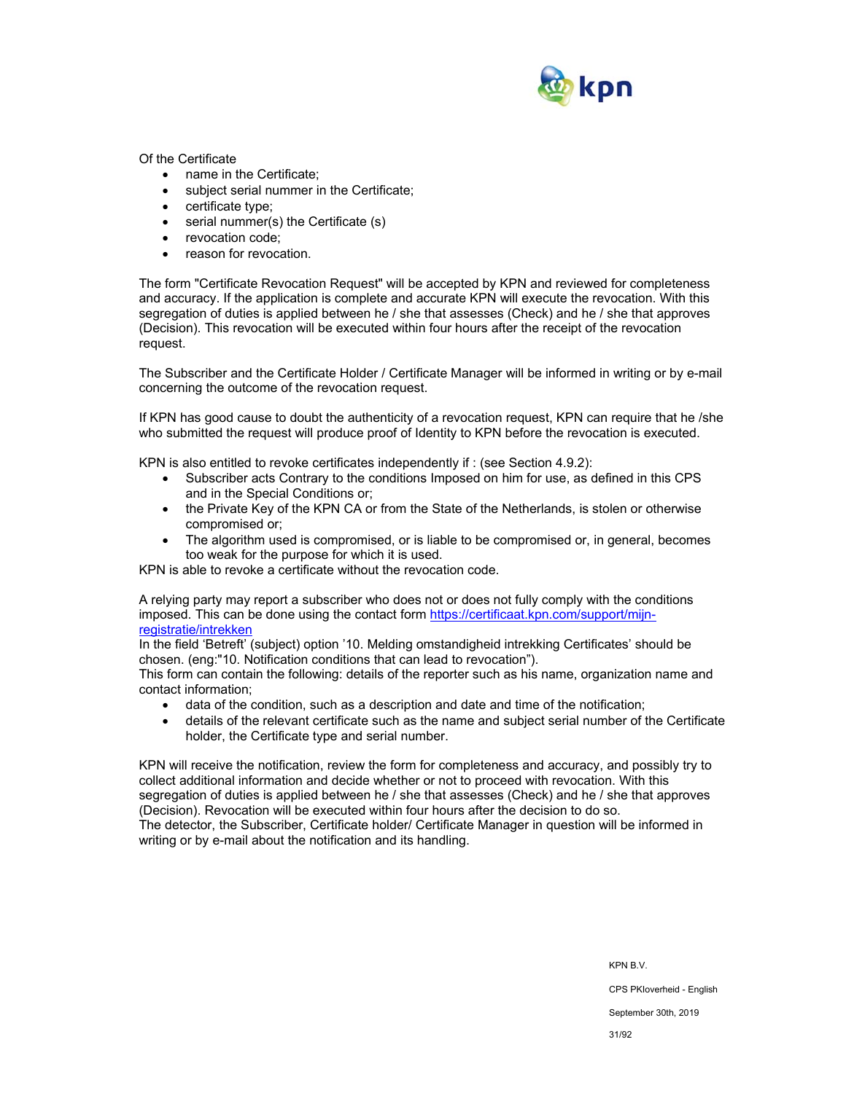

Of the Certificate

- name in the Certificate;
- subject serial nummer in the Certificate;
- certificate type;
- serial nummer(s) the Certificate (s)
- revocation code;
- reason for revocation.

The form "Certificate Revocation Request" will be accepted by KPN and reviewed for completeness and accuracy. If the application is complete and accurate KPN will execute the revocation. With this segregation of duties is applied between he / she that assesses (Check) and he / she that approves (Decision). This revocation will be executed within four hours after the receipt of the revocation request.

The Subscriber and the Certificate Holder / Certificate Manager will be informed in writing or by e-mail concerning the outcome of the revocation request.

If KPN has good cause to doubt the authenticity of a revocation request, KPN can require that he /she who submitted the request will produce proof of Identity to KPN before the revocation is executed.

KPN is also entitled to revoke certificates independently if : (see Section 4.9.2):

- Subscriber acts Contrary to the conditions Imposed on him for use, as defined in this CPS and in the Special Conditions or;
- the Private Key of the KPN CA or from the State of the Netherlands, is stolen or otherwise compromised or;
- The algorithm used is compromised, or is liable to be compromised or, in general, becomes too weak for the purpose for which it is used.

KPN is able to revoke a certificate without the revocation code.

A relying party may report a subscriber who does not or does not fully comply with the conditions imposed. This can be done using the contact form https://certificaat.kpn.com/support/mijnregistratie/intrekken

In the field 'Betreft' (subject) option '10. Melding omstandigheid intrekking Certificates' should be chosen. (eng:"10. Notification conditions that can lead to revocation").

This form can contain the following: details of the reporter such as his name, organization name and contact information;

- data of the condition, such as a description and date and time of the notification;
- details of the relevant certificate such as the name and subject serial number of the Certificate holder, the Certificate type and serial number.

KPN will receive the notification, review the form for completeness and accuracy, and possibly try to collect additional information and decide whether or not to proceed with revocation. With this segregation of duties is applied between he / she that assesses (Check) and he / she that approves (Decision). Revocation will be executed within four hours after the decision to do so. The detector, the Subscriber, Certificate holder/ Certificate Manager in question will be informed in writing or by e-mail about the notification and its handling.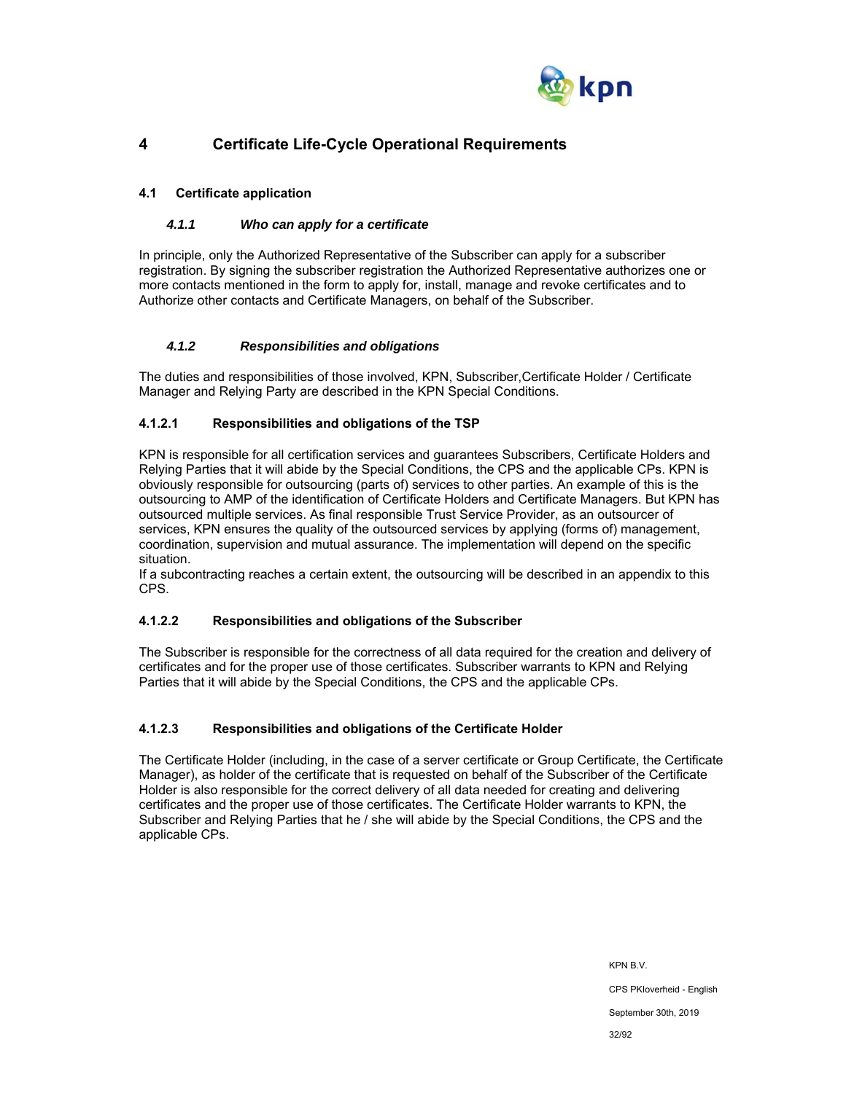

## **4 Certificate Life-Cycle Operational Requirements**

## **4.1 Certificate application**

## *4.1.1 Who can apply for a certificate*

In principle, only the Authorized Representative of the Subscriber can apply for a subscriber registration. By signing the subscriber registration the Authorized Representative authorizes one or more contacts mentioned in the form to apply for, install, manage and revoke certificates and to Authorize other contacts and Certificate Managers, on behalf of the Subscriber.

## *4.1.2 Responsibilities and obligations*

The duties and responsibilities of those involved, KPN, Subscriber,Certificate Holder / Certificate Manager and Relying Party are described in the KPN Special Conditions.

## **4.1.2.1 Responsibilities and obligations of the TSP**

KPN is responsible for all certification services and guarantees Subscribers, Certificate Holders and Relying Parties that it will abide by the Special Conditions, the CPS and the applicable CPs. KPN is obviously responsible for outsourcing (parts of) services to other parties. An example of this is the outsourcing to AMP of the identification of Certificate Holders and Certificate Managers. But KPN has outsourced multiple services. As final responsible Trust Service Provider, as an outsourcer of services, KPN ensures the quality of the outsourced services by applying (forms of) management, coordination, supervision and mutual assurance. The implementation will depend on the specific situation.

If a subcontracting reaches a certain extent, the outsourcing will be described in an appendix to this CPS.

## **4.1.2.2 Responsibilities and obligations of the Subscriber**

The Subscriber is responsible for the correctness of all data required for the creation and delivery of certificates and for the proper use of those certificates. Subscriber warrants to KPN and Relying Parties that it will abide by the Special Conditions, the CPS and the applicable CPs.

## **4.1.2.3 Responsibilities and obligations of the Certificate Holder**

The Certificate Holder (including, in the case of a server certificate or Group Certificate, the Certificate Manager), as holder of the certificate that is requested on behalf of the Subscriber of the Certificate Holder is also responsible for the correct delivery of all data needed for creating and delivering certificates and the proper use of those certificates. The Certificate Holder warrants to KPN, the Subscriber and Relying Parties that he / she will abide by the Special Conditions, the CPS and the applicable CPs.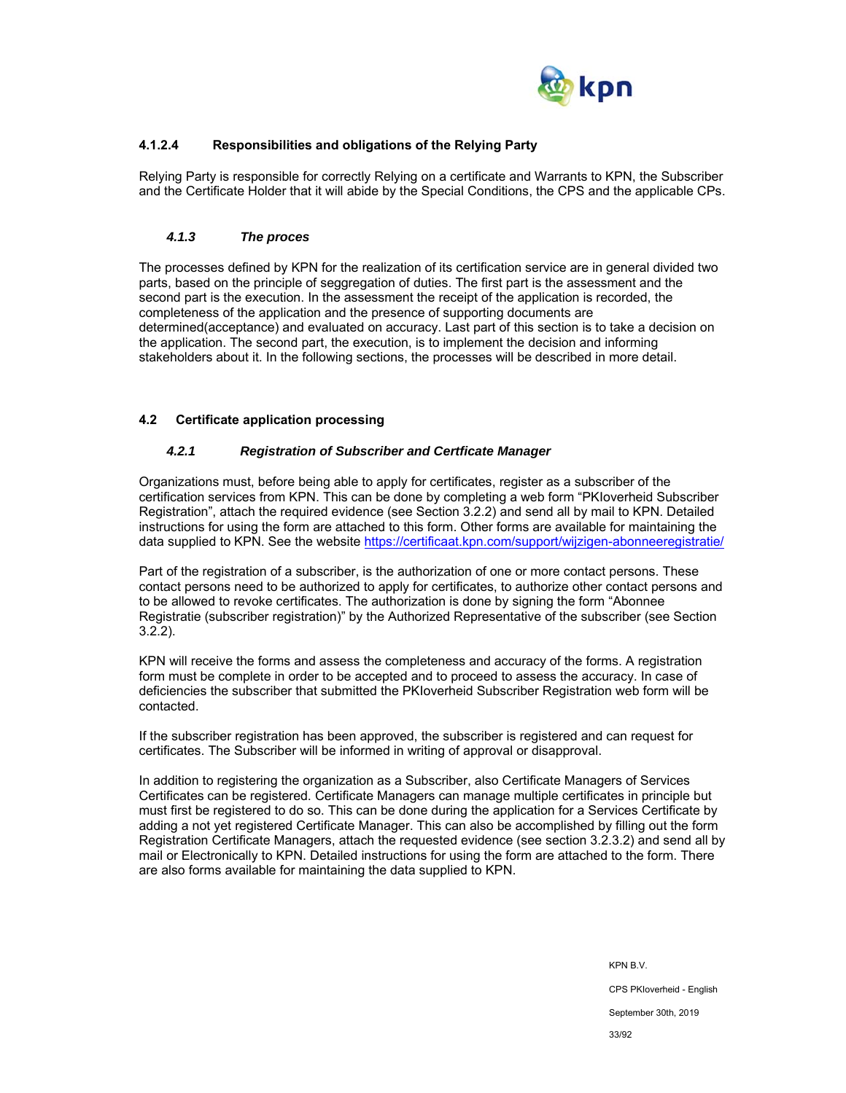

## **4.1.2.4 Responsibilities and obligations of the Relying Party**

Relying Party is responsible for correctly Relying on a certificate and Warrants to KPN, the Subscriber and the Certificate Holder that it will abide by the Special Conditions, the CPS and the applicable CPs.

## *4.1.3 The proces*

The processes defined by KPN for the realization of its certification service are in general divided two parts, based on the principle of seggregation of duties. The first part is the assessment and the second part is the execution. In the assessment the receipt of the application is recorded, the completeness of the application and the presence of supporting documents are determined(acceptance) and evaluated on accuracy. Last part of this section is to take a decision on the application. The second part, the execution, is to implement the decision and informing stakeholders about it. In the following sections, the processes will be described in more detail.

#### **4.2 Certificate application processing**

#### *4.2.1 Registration of Subscriber and Certficate Manager*

Organizations must, before being able to apply for certificates, register as a subscriber of the certification services from KPN. This can be done by completing a web form "PKIoverheid Subscriber Registration", attach the required evidence (see Section 3.2.2) and send all by mail to KPN. Detailed instructions for using the form are attached to this form. Other forms are available for maintaining the data supplied to KPN. See the website https://certificaat.kpn.com/support/wijzigen-abonneeregistratie/

Part of the registration of a subscriber, is the authorization of one or more contact persons. These contact persons need to be authorized to apply for certificates, to authorize other contact persons and to be allowed to revoke certificates. The authorization is done by signing the form "Abonnee Registratie (subscriber registration)" by the Authorized Representative of the subscriber (see Section 3.2.2).

KPN will receive the forms and assess the completeness and accuracy of the forms. A registration form must be complete in order to be accepted and to proceed to assess the accuracy. In case of deficiencies the subscriber that submitted the PKIoverheid Subscriber Registration web form will be contacted.

If the subscriber registration has been approved, the subscriber is registered and can request for certificates. The Subscriber will be informed in writing of approval or disapproval.

In addition to registering the organization as a Subscriber, also Certificate Managers of Services Certificates can be registered. Certificate Managers can manage multiple certificates in principle but must first be registered to do so. This can be done during the application for a Services Certificate by adding a not yet registered Certificate Manager. This can also be accomplished by filling out the form Registration Certificate Managers, attach the requested evidence (see section 3.2.3.2) and send all by mail or Electronically to KPN. Detailed instructions for using the form are attached to the form. There are also forms available for maintaining the data supplied to KPN.

> KPN B.V. CPS PKIoverheid - English September 30th, 2019 33/92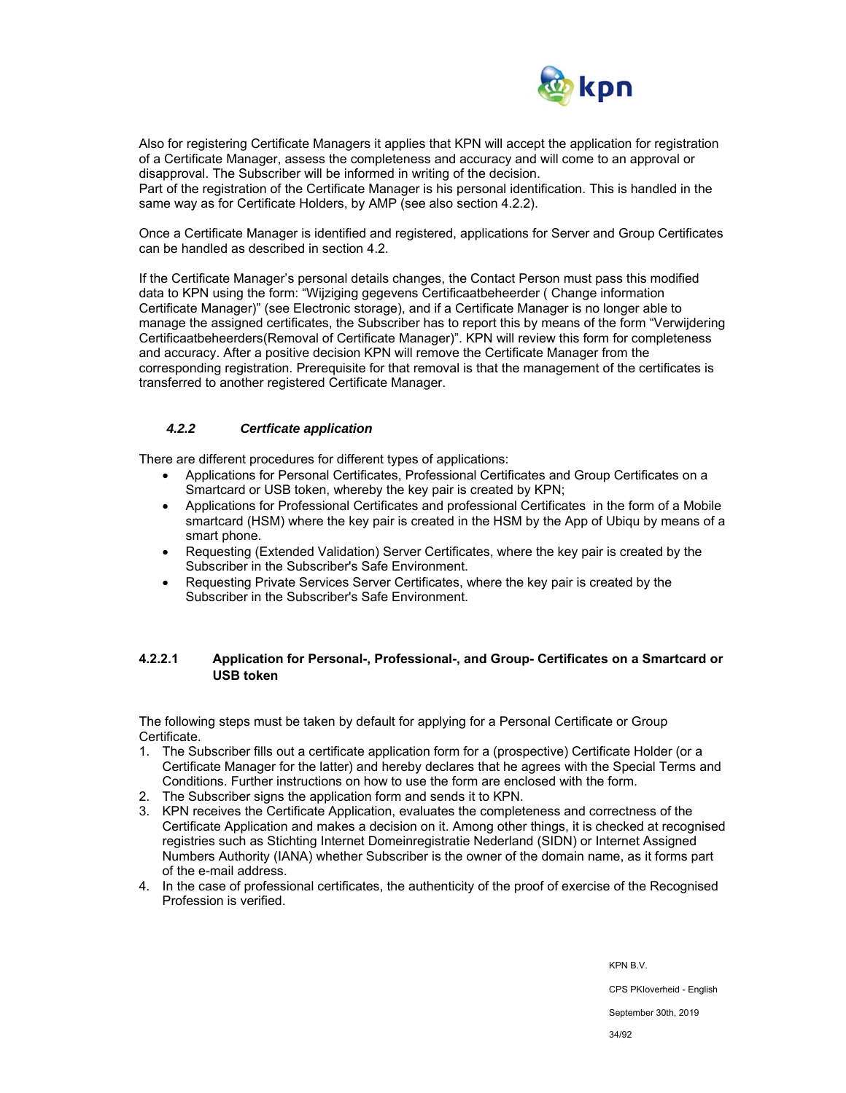

Also for registering Certificate Managers it applies that KPN will accept the application for registration of a Certificate Manager, assess the completeness and accuracy and will come to an approval or disapproval. The Subscriber will be informed in writing of the decision.

Part of the registration of the Certificate Manager is his personal identification. This is handled in the same way as for Certificate Holders, by AMP (see also section 4.2.2).

Once a Certificate Manager is identified and registered, applications for Server and Group Certificates can be handled as described in section 4.2.

If the Certificate Manager's personal details changes, the Contact Person must pass this modified data to KPN using the form: "Wijziging gegevens Certificaatbeheerder ( Change information Certificate Manager)" (see Electronic storage), and if a Certificate Manager is no longer able to manage the assigned certificates, the Subscriber has to report this by means of the form "Verwijdering Certificaatbeheerders(Removal of Certificate Manager)". KPN will review this form for completeness and accuracy. After a positive decision KPN will remove the Certificate Manager from the corresponding registration. Prerequisite for that removal is that the management of the certificates is transferred to another registered Certificate Manager.

#### *4.2.2 Certficate application*

There are different procedures for different types of applications:

- Applications for Personal Certificates, Professional Certificates and Group Certificates on a Smartcard or USB token, whereby the key pair is created by KPN;
- Applications for Professional Certificates and professional Certificates in the form of a Mobile smartcard (HSM) where the key pair is created in the HSM by the App of Ubiqu by means of a smart phone.
- Requesting (Extended Validation) Server Certificates, where the key pair is created by the Subscriber in the Subscriber's Safe Environment.
- Requesting Private Services Server Certificates, where the key pair is created by the Subscriber in the Subscriber's Safe Environment.

## **4.2.2.1 Application for Personal-, Professional-, and Group- Certificates on a Smartcard or USB token**

The following steps must be taken by default for applying for a Personal Certificate or Group Certificate.

- 1. The Subscriber fills out a certificate application form for a (prospective) Certificate Holder (or a Certificate Manager for the latter) and hereby declares that he agrees with the Special Terms and Conditions. Further instructions on how to use the form are enclosed with the form.
- 2. The Subscriber signs the application form and sends it to KPN.
- 3. KPN receives the Certificate Application, evaluates the completeness and correctness of the Certificate Application and makes a decision on it. Among other things, it is checked at recognised registries such as Stichting Internet Domeinregistratie Nederland (SIDN) or Internet Assigned Numbers Authority (IANA) whether Subscriber is the owner of the domain name, as it forms part of the e-mail address.
- 4. In the case of professional certificates, the authenticity of the proof of exercise of the Recognised Profession is verified.

KPN B.V.

CPS PKIoverheid - English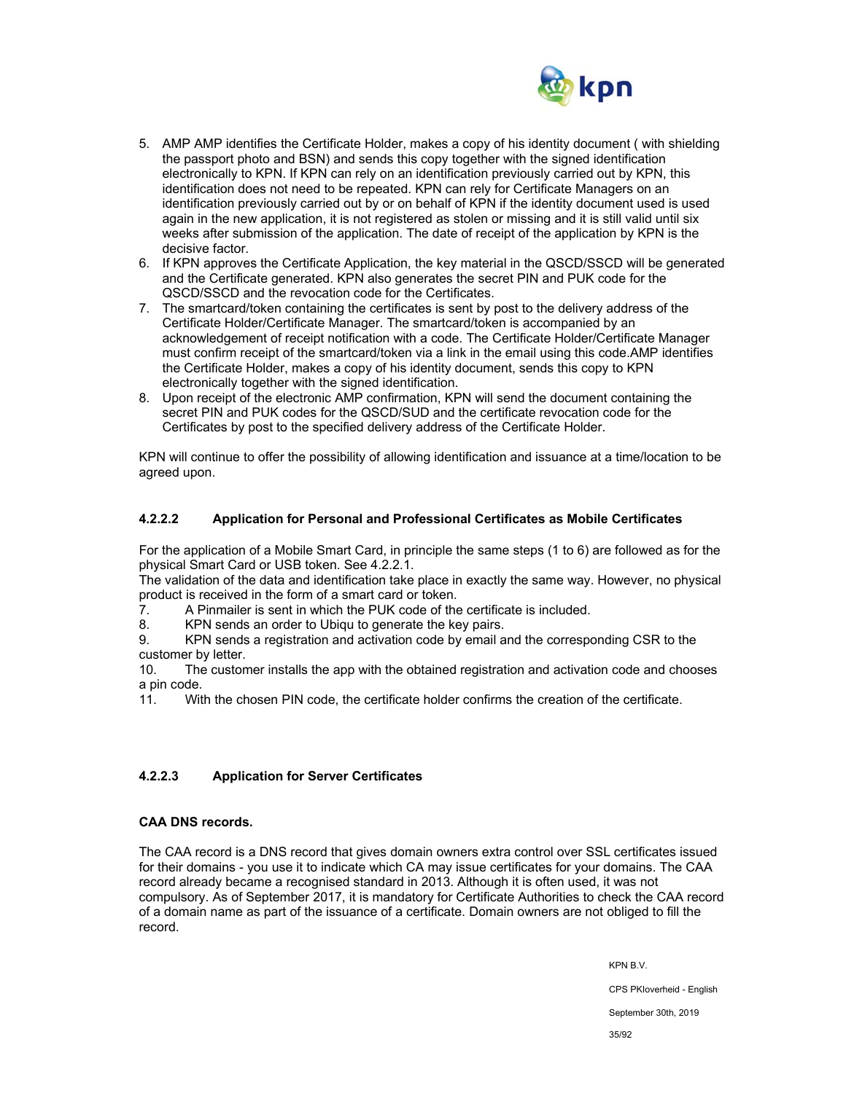

- 5. AMP AMP identifies the Certificate Holder, makes a copy of his identity document ( with shielding the passport photo and BSN) and sends this copy together with the signed identification electronically to KPN. If KPN can rely on an identification previously carried out by KPN, this identification does not need to be repeated. KPN can rely for Certificate Managers on an identification previously carried out by or on behalf of KPN if the identity document used is used again in the new application, it is not registered as stolen or missing and it is still valid until six weeks after submission of the application. The date of receipt of the application by KPN is the decisive factor.
- 6. If KPN approves the Certificate Application, the key material in the QSCD/SSCD will be generated and the Certificate generated. KPN also generates the secret PIN and PUK code for the QSCD/SSCD and the revocation code for the Certificates.
- 7. The smartcard/token containing the certificates is sent by post to the delivery address of the Certificate Holder/Certificate Manager. The smartcard/token is accompanied by an acknowledgement of receipt notification with a code. The Certificate Holder/Certificate Manager must confirm receipt of the smartcard/token via a link in the email using this code.AMP identifies the Certificate Holder, makes a copy of his identity document, sends this copy to KPN electronically together with the signed identification.
- 8. Upon receipt of the electronic AMP confirmation, KPN will send the document containing the secret PIN and PUK codes for the QSCD/SUD and the certificate revocation code for the Certificates by post to the specified delivery address of the Certificate Holder.

KPN will continue to offer the possibility of allowing identification and issuance at a time/location to be agreed upon.

## **4.2.2.2 Application for Personal and Professional Certificates as Mobile Certificates**

For the application of a Mobile Smart Card, in principle the same steps (1 to 6) are followed as for the physical Smart Card or USB token. See 4.2.2.1.

The validation of the data and identification take place in exactly the same way. However, no physical product is received in the form of a smart card or token.

7. A Pinmailer is sent in which the PUK code of the certificate is included.

8. KPN sends an order to Ubiqu to generate the key pairs.

9. KPN sends a registration and activation code by email and the corresponding CSR to the customer by letter.

10. The customer installs the app with the obtained registration and activation code and chooses a pin code.

11. With the chosen PIN code, the certificate holder confirms the creation of the certificate.

## **4.2.2.3 Application for Server Certificates**

## **CAA DNS records.**

The CAA record is a DNS record that gives domain owners extra control over SSL certificates issued for their domains - you use it to indicate which CA may issue certificates for your domains. The CAA record already became a recognised standard in 2013. Although it is often used, it was not compulsory. As of September 2017, it is mandatory for Certificate Authorities to check the CAA record of a domain name as part of the issuance of a certificate. Domain owners are not obliged to fill the record.

KPN B.V.

CPS PKIoverheid - English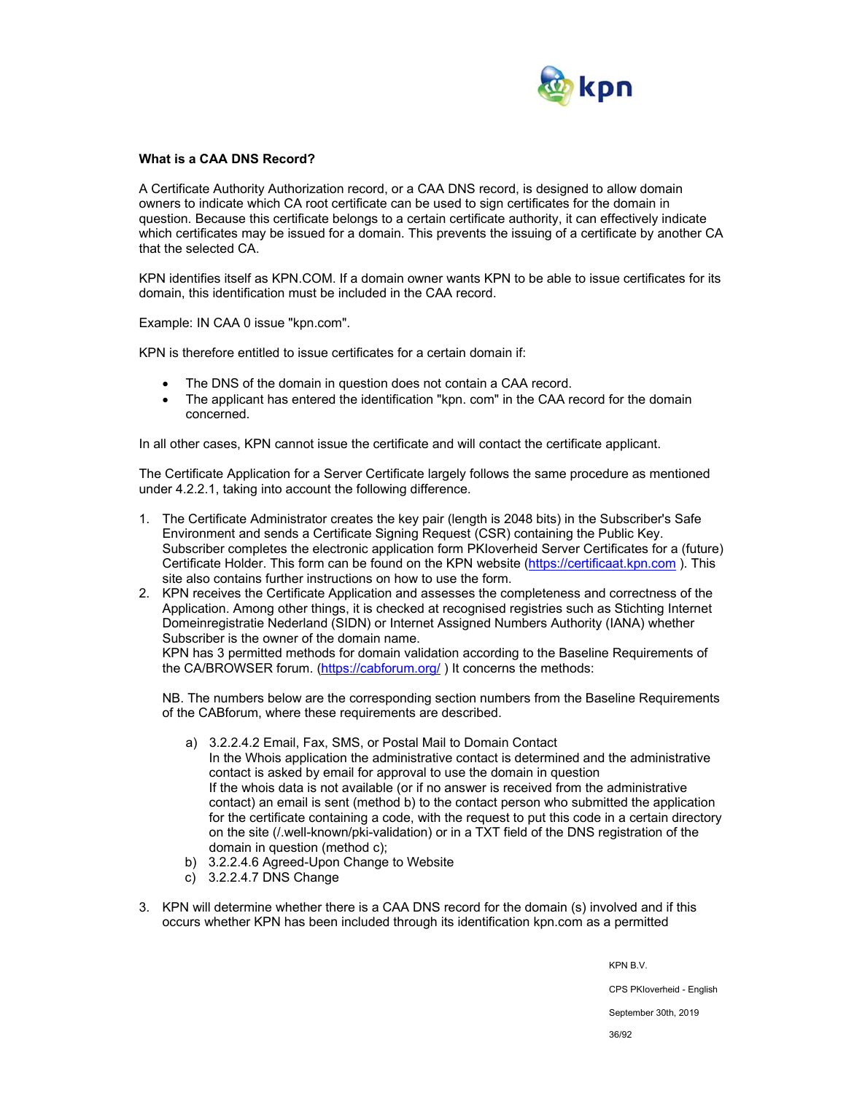

#### **What is a CAA DNS Record?**

A Certificate Authority Authorization record, or a CAA DNS record, is designed to allow domain owners to indicate which CA root certificate can be used to sign certificates for the domain in question. Because this certificate belongs to a certain certificate authority, it can effectively indicate which certificates may be issued for a domain. This prevents the issuing of a certificate by another CA that the selected CA.

KPN identifies itself as KPN.COM. If a domain owner wants KPN to be able to issue certificates for its domain, this identification must be included in the CAA record.

Example: IN CAA 0 issue "kpn.com".

KPN is therefore entitled to issue certificates for a certain domain if:

- The DNS of the domain in question does not contain a CAA record.
- The applicant has entered the identification "kpn. com" in the CAA record for the domain concerned.

In all other cases, KPN cannot issue the certificate and will contact the certificate applicant.

The Certificate Application for a Server Certificate largely follows the same procedure as mentioned under 4.2.2.1, taking into account the following difference.

- 1. The Certificate Administrator creates the key pair (length is 2048 bits) in the Subscriber's Safe Environment and sends a Certificate Signing Request (CSR) containing the Public Key. Subscriber completes the electronic application form PKIoverheid Server Certificates for a (future) Certificate Holder. This form can be found on the KPN website (https://certificaat.kpn.com ). This site also contains further instructions on how to use the form.
- 2. KPN receives the Certificate Application and assesses the completeness and correctness of the Application. Among other things, it is checked at recognised registries such as Stichting Internet Domeinregistratie Nederland (SIDN) or Internet Assigned Numbers Authority (IANA) whether Subscriber is the owner of the domain name.

KPN has 3 permitted methods for domain validation according to the Baseline Requirements of the CA/BROWSER forum. (https://cabforum.org/) It concerns the methods:

NB. The numbers below are the corresponding section numbers from the Baseline Requirements of the CABforum, where these requirements are described.

- a) 3.2.2.4.2 Email, Fax, SMS, or Postal Mail to Domain Contact
- In the Whois application the administrative contact is determined and the administrative contact is asked by email for approval to use the domain in question If the whois data is not available (or if no answer is received from the administrative contact) an email is sent (method b) to the contact person who submitted the application for the certificate containing a code, with the request to put this code in a certain directory on the site (/.well-known/pki-validation) or in a TXT field of the DNS registration of the domain in question (method c);
- b) 3.2.2.4.6 Agreed-Upon Change to Website
- c) 3.2.2.4.7 DNS Change
- 3. KPN will determine whether there is a CAA DNS record for the domain (s) involved and if this occurs whether KPN has been included through its identification kpn.com as a permitted

KPN B.V.

CPS PKIoverheid - English

September 30th, 2019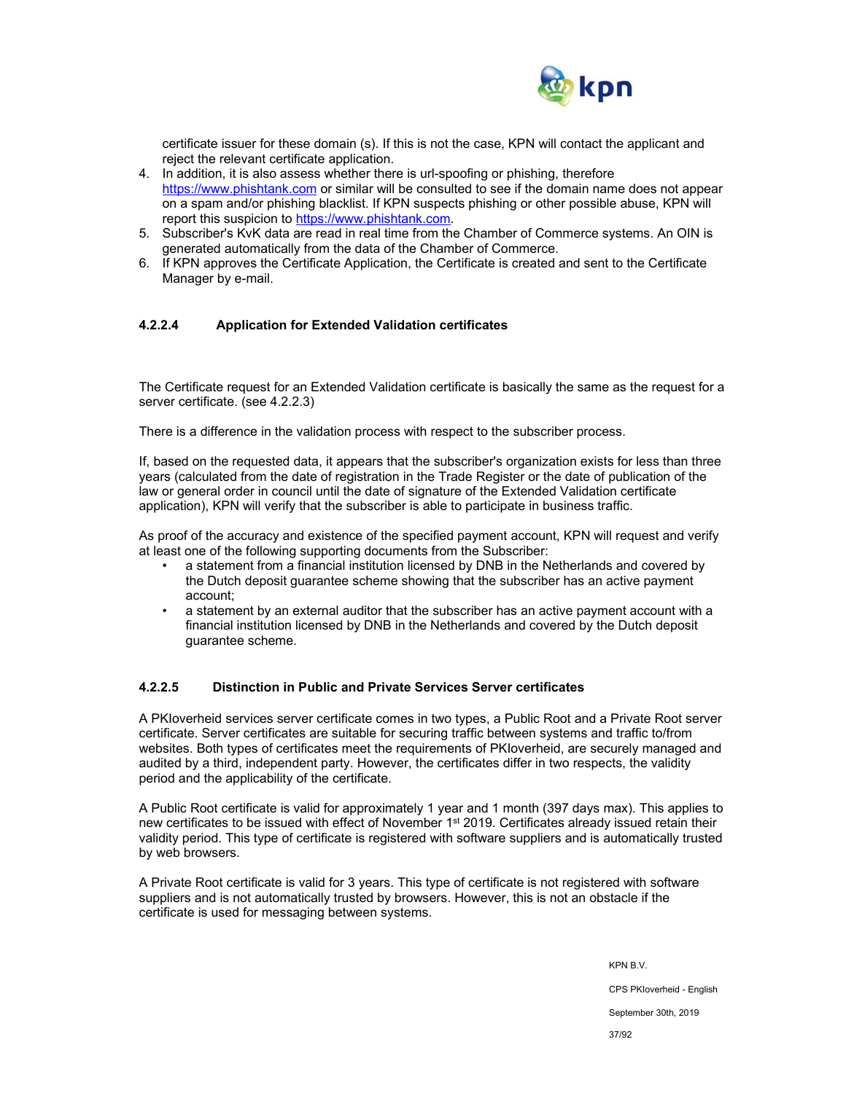

certificate issuer for these domain (s). If this is not the case, KPN will contact the applicant and reject the relevant certificate application.

- 4. In addition, it is also assess whether there is url-spoofing or phishing, therefore https://www.phishtank.com or similar will be consulted to see if the domain name does not appear on a spam and/or phishing blacklist. If KPN suspects phishing or other possible abuse, KPN will report this suspicion to https://www.phishtank.com.
- 5. Subscriber's KvK data are read in real time from the Chamber of Commerce systems. An OIN is generated automatically from the data of the Chamber of Commerce.
- 6. If KPN approves the Certificate Application, the Certificate is created and sent to the Certificate Manager by e-mail.

#### **4.2.2.4 Application for Extended Validation certificates**

The Certificate request for an Extended Validation certificate is basically the same as the request for a server certificate. (see 4.2.2.3)

There is a difference in the validation process with respect to the subscriber process.

If, based on the requested data, it appears that the subscriber's organization exists for less than three years (calculated from the date of registration in the Trade Register or the date of publication of the law or general order in council until the date of signature of the Extended Validation certificate application), KPN will verify that the subscriber is able to participate in business traffic.

As proof of the accuracy and existence of the specified payment account, KPN will request and verify at least one of the following supporting documents from the Subscriber:

- a statement from a financial institution licensed by DNB in the Netherlands and covered by the Dutch deposit guarantee scheme showing that the subscriber has an active payment account;
- a statement by an external auditor that the subscriber has an active payment account with a financial institution licensed by DNB in the Netherlands and covered by the Dutch deposit guarantee scheme.

#### **4.2.2.5 Distinction in Public and Private Services Server certificates**

A PKIoverheid services server certificate comes in two types, a Public Root and a Private Root server certificate. Server certificates are suitable for securing traffic between systems and traffic to/from websites. Both types of certificates meet the requirements of PKIoverheid, are securely managed and audited by a third, independent party. However, the certificates differ in two respects, the validity period and the applicability of the certificate.

A Public Root certificate is valid for approximately 1 year and 1 month (397 days max). This applies to new certificates to be issued with effect of November 1<sup>st</sup> 2019. Certificates already issued retain their validity period. This type of certificate is registered with software suppliers and is automatically trusted by web browsers.

A Private Root certificate is valid for 3 years. This type of certificate is not registered with software suppliers and is not automatically trusted by browsers. However, this is not an obstacle if the certificate is used for messaging between systems.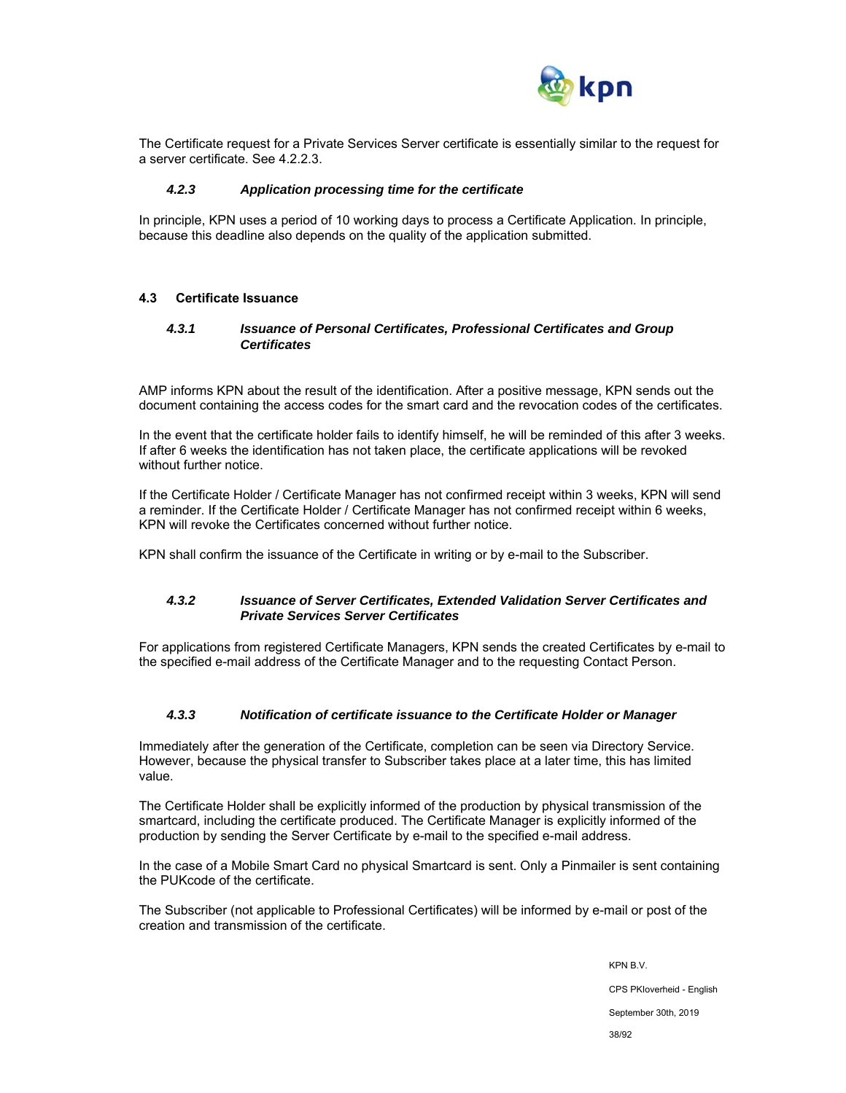

The Certificate request for a Private Services Server certificate is essentially similar to the request for a server certificate. See 4.2.2.3.

#### *4.2.3 Application processing time for the certificate*

In principle, KPN uses a period of 10 working days to process a Certificate Application. In principle, because this deadline also depends on the quality of the application submitted.

#### **4.3 Certificate Issuance**

#### *4.3.1 Issuance of Personal Certificates, Professional Certificates and Group Certificates*

AMP informs KPN about the result of the identification. After a positive message, KPN sends out the document containing the access codes for the smart card and the revocation codes of the certificates.

In the event that the certificate holder fails to identify himself, he will be reminded of this after 3 weeks. If after 6 weeks the identification has not taken place, the certificate applications will be revoked without further notice.

If the Certificate Holder / Certificate Manager has not confirmed receipt within 3 weeks, KPN will send a reminder. If the Certificate Holder / Certificate Manager has not confirmed receipt within 6 weeks, KPN will revoke the Certificates concerned without further notice.

KPN shall confirm the issuance of the Certificate in writing or by e-mail to the Subscriber.

#### *4.3.2 Issuance of Server Certificates, Extended Validation Server Certificates and Private Services Server Certificates*

For applications from registered Certificate Managers, KPN sends the created Certificates by e-mail to the specified e-mail address of the Certificate Manager and to the requesting Contact Person.

#### *4.3.3 Notification of certificate issuance to the Certificate Holder or Manager*

Immediately after the generation of the Certificate, completion can be seen via Directory Service. However, because the physical transfer to Subscriber takes place at a later time, this has limited value.

The Certificate Holder shall be explicitly informed of the production by physical transmission of the smartcard, including the certificate produced. The Certificate Manager is explicitly informed of the production by sending the Server Certificate by e-mail to the specified e-mail address.

In the case of a Mobile Smart Card no physical Smartcard is sent. Only a Pinmailer is sent containing the PUKcode of the certificate.

The Subscriber (not applicable to Professional Certificates) will be informed by e-mail or post of the creation and transmission of the certificate.

> KPN B.V. CPS PKIoverheid - English September 30th, 2019 38/92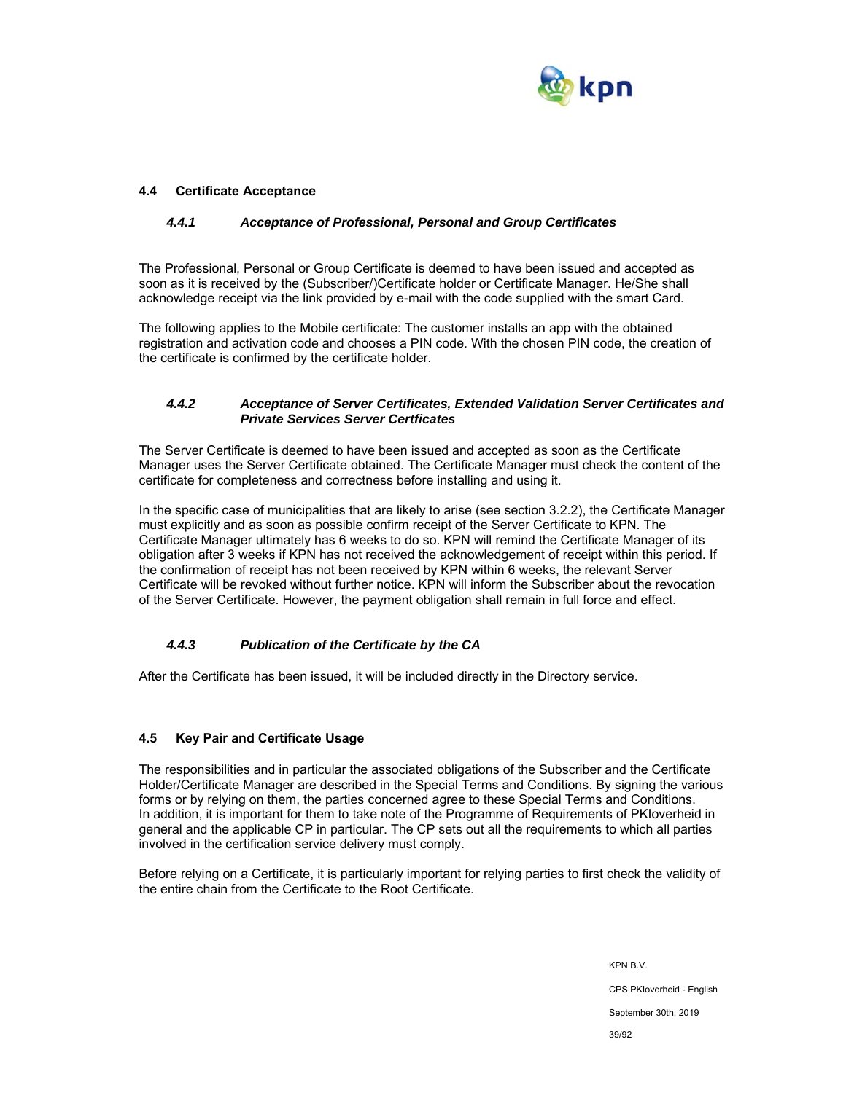

## **4.4 Certificate Acceptance**

#### *4.4.1 Acceptance of Professional, Personal and Group Certificates*

The Professional, Personal or Group Certificate is deemed to have been issued and accepted as soon as it is received by the (Subscriber/)Certificate holder or Certificate Manager. He/She shall acknowledge receipt via the link provided by e-mail with the code supplied with the smart Card.

The following applies to the Mobile certificate: The customer installs an app with the obtained registration and activation code and chooses a PIN code. With the chosen PIN code, the creation of the certificate is confirmed by the certificate holder.

## *4.4.2 Acceptance of Server Certificates, Extended Validation Server Certificates and Private Services Server Certficates*

The Server Certificate is deemed to have been issued and accepted as soon as the Certificate Manager uses the Server Certificate obtained. The Certificate Manager must check the content of the certificate for completeness and correctness before installing and using it.

In the specific case of municipalities that are likely to arise (see section 3.2.2), the Certificate Manager must explicitly and as soon as possible confirm receipt of the Server Certificate to KPN. The Certificate Manager ultimately has 6 weeks to do so. KPN will remind the Certificate Manager of its obligation after 3 weeks if KPN has not received the acknowledgement of receipt within this period. If the confirmation of receipt has not been received by KPN within 6 weeks, the relevant Server Certificate will be revoked without further notice. KPN will inform the Subscriber about the revocation of the Server Certificate. However, the payment obligation shall remain in full force and effect.

## *4.4.3 Publication of the Certificate by the CA*

After the Certificate has been issued, it will be included directly in the Directory service.

## **4.5 Key Pair and Certificate Usage**

The responsibilities and in particular the associated obligations of the Subscriber and the Certificate Holder/Certificate Manager are described in the Special Terms and Conditions. By signing the various forms or by relying on them, the parties concerned agree to these Special Terms and Conditions. In addition, it is important for them to take note of the Programme of Requirements of PKIoverheid in general and the applicable CP in particular. The CP sets out all the requirements to which all parties involved in the certification service delivery must comply.

Before relying on a Certificate, it is particularly important for relying parties to first check the validity of the entire chain from the Certificate to the Root Certificate.

> KPN B.V. CPS PKIoverheid - English September 30th, 2019 39/92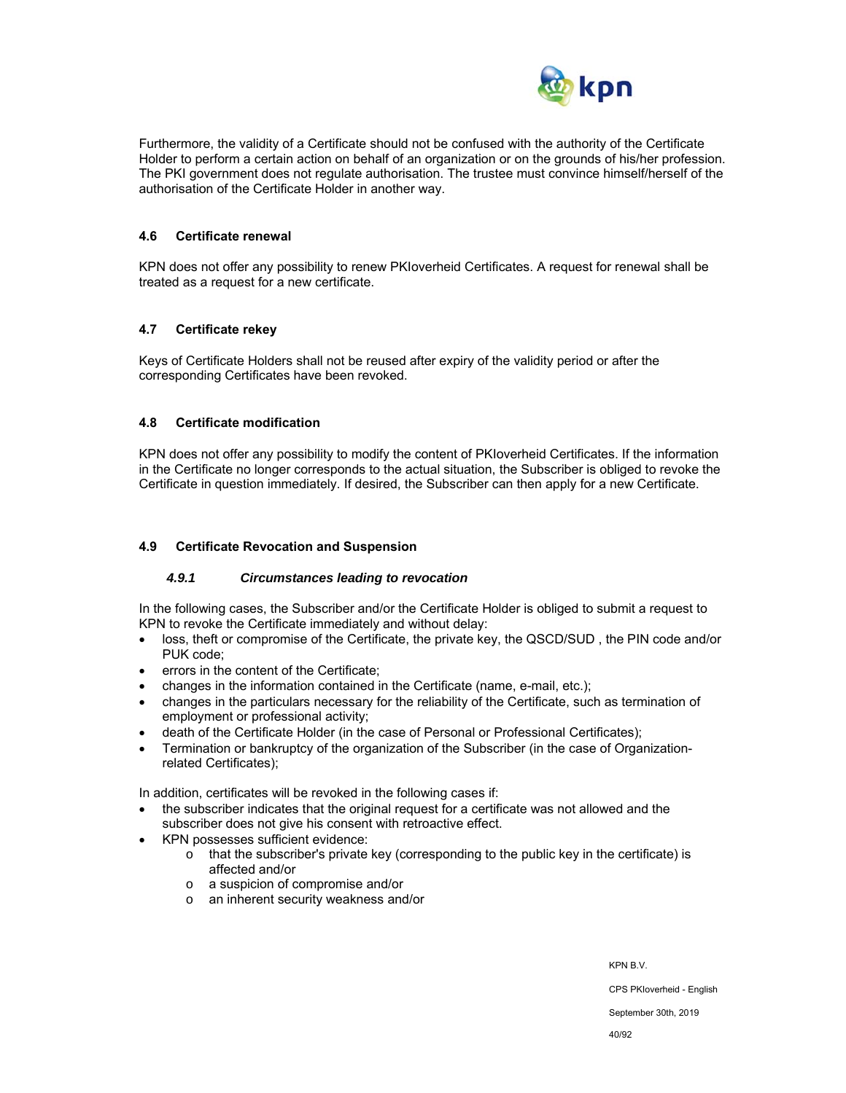

Furthermore, the validity of a Certificate should not be confused with the authority of the Certificate Holder to perform a certain action on behalf of an organization or on the grounds of his/her profession. The PKI government does not regulate authorisation. The trustee must convince himself/herself of the authorisation of the Certificate Holder in another way.

#### **4.6 Certificate renewal**

KPN does not offer any possibility to renew PKIoverheid Certificates. A request for renewal shall be treated as a request for a new certificate.

#### **4.7 Certificate rekey**

Keys of Certificate Holders shall not be reused after expiry of the validity period or after the corresponding Certificates have been revoked.

#### **4.8 Certificate modification**

KPN does not offer any possibility to modify the content of PKIoverheid Certificates. If the information in the Certificate no longer corresponds to the actual situation, the Subscriber is obliged to revoke the Certificate in question immediately. If desired, the Subscriber can then apply for a new Certificate.

#### **4.9 Certificate Revocation and Suspension**

#### *4.9.1 Circumstances leading to revocation*

In the following cases, the Subscriber and/or the Certificate Holder is obliged to submit a request to KPN to revoke the Certificate immediately and without delay:

- loss, theft or compromise of the Certificate, the private key, the QSCD/SUD , the PIN code and/or PUK code;
- errors in the content of the Certificate;
- changes in the information contained in the Certificate (name, e-mail, etc.);
- changes in the particulars necessary for the reliability of the Certificate, such as termination of employment or professional activity;
- death of the Certificate Holder (in the case of Personal or Professional Certificates);
- Termination or bankruptcy of the organization of the Subscriber (in the case of Organizationrelated Certificates);

In addition, certificates will be revoked in the following cases if:

- the subscriber indicates that the original request for a certificate was not allowed and the subscriber does not give his consent with retroactive effect.
- KPN possesses sufficient evidence:
	- $\circ$  that the subscriber's private key (corresponding to the public key in the certificate) is affected and/or
	- o a suspicion of compromise and/or
	- o an inherent security weakness and/or

KPN B.V.

CPS PKIoverheid - English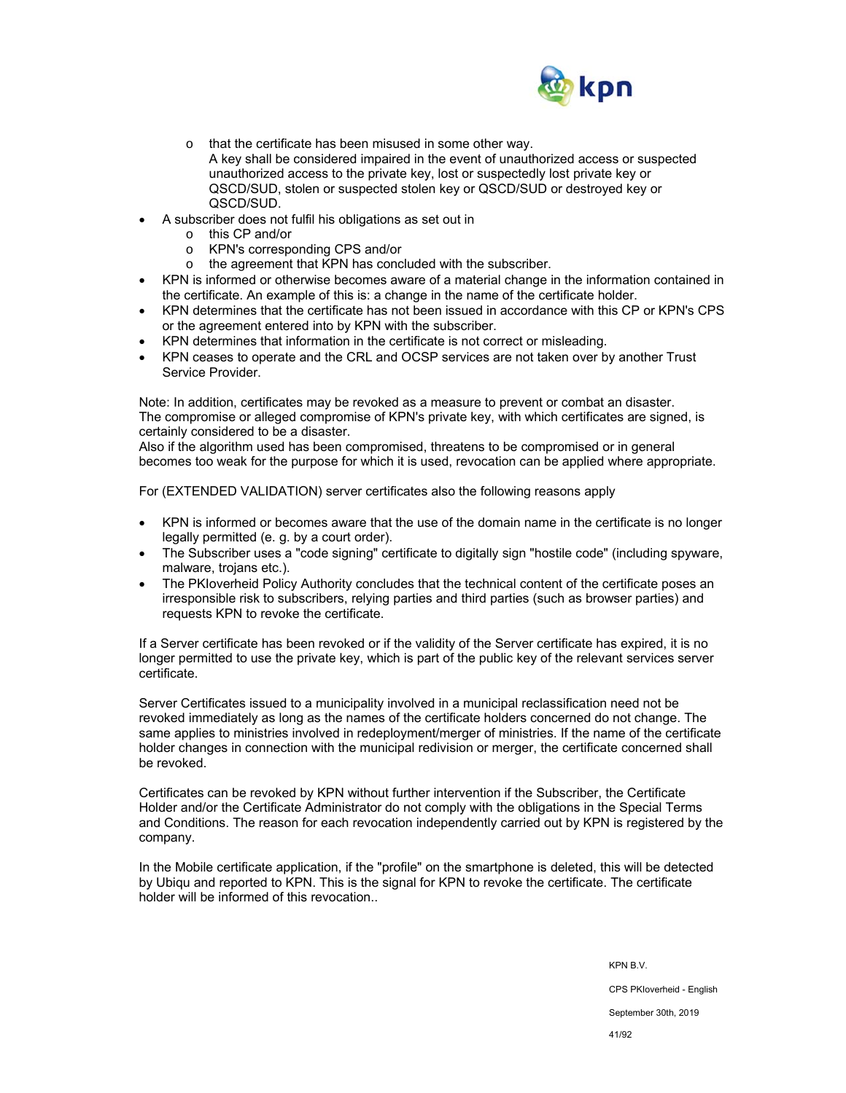

o that the certificate has been misused in some other way.

A key shall be considered impaired in the event of unauthorized access or suspected unauthorized access to the private key, lost or suspectedly lost private key or QSCD/SUD, stolen or suspected stolen key or QSCD/SUD or destroyed key or QSCD/SUD.

- A subscriber does not fulfil his obligations as set out in
	- o this CP and/or
	- o KPN's corresponding CPS and/or
	- o the agreement that KPN has concluded with the subscriber.
- KPN is informed or otherwise becomes aware of a material change in the information contained in the certificate. An example of this is: a change in the name of the certificate holder.
- KPN determines that the certificate has not been issued in accordance with this CP or KPN's CPS or the agreement entered into by KPN with the subscriber.
- KPN determines that information in the certificate is not correct or misleading.
- KPN ceases to operate and the CRL and OCSP services are not taken over by another Trust Service Provider.

Note: In addition, certificates may be revoked as a measure to prevent or combat an disaster. The compromise or alleged compromise of KPN's private key, with which certificates are signed, is certainly considered to be a disaster.

Also if the algorithm used has been compromised, threatens to be compromised or in general becomes too weak for the purpose for which it is used, revocation can be applied where appropriate.

For (EXTENDED VALIDATION) server certificates also the following reasons apply

- KPN is informed or becomes aware that the use of the domain name in the certificate is no longer legally permitted (e. g. by a court order).
- The Subscriber uses a "code signing" certificate to digitally sign "hostile code" (including spyware, malware, trojans etc.).
- The PKIoverheid Policy Authority concludes that the technical content of the certificate poses an irresponsible risk to subscribers, relying parties and third parties (such as browser parties) and requests KPN to revoke the certificate.

If a Server certificate has been revoked or if the validity of the Server certificate has expired, it is no longer permitted to use the private key, which is part of the public key of the relevant services server certificate.

Server Certificates issued to a municipality involved in a municipal reclassification need not be revoked immediately as long as the names of the certificate holders concerned do not change. The same applies to ministries involved in redeployment/merger of ministries. If the name of the certificate holder changes in connection with the municipal redivision or merger, the certificate concerned shall be revoked.

Certificates can be revoked by KPN without further intervention if the Subscriber, the Certificate Holder and/or the Certificate Administrator do not comply with the obligations in the Special Terms and Conditions. The reason for each revocation independently carried out by KPN is registered by the company.

In the Mobile certificate application, if the "profile" on the smartphone is deleted, this will be detected by Ubiqu and reported to KPN. This is the signal for KPN to revoke the certificate. The certificate holder will be informed of this revocation..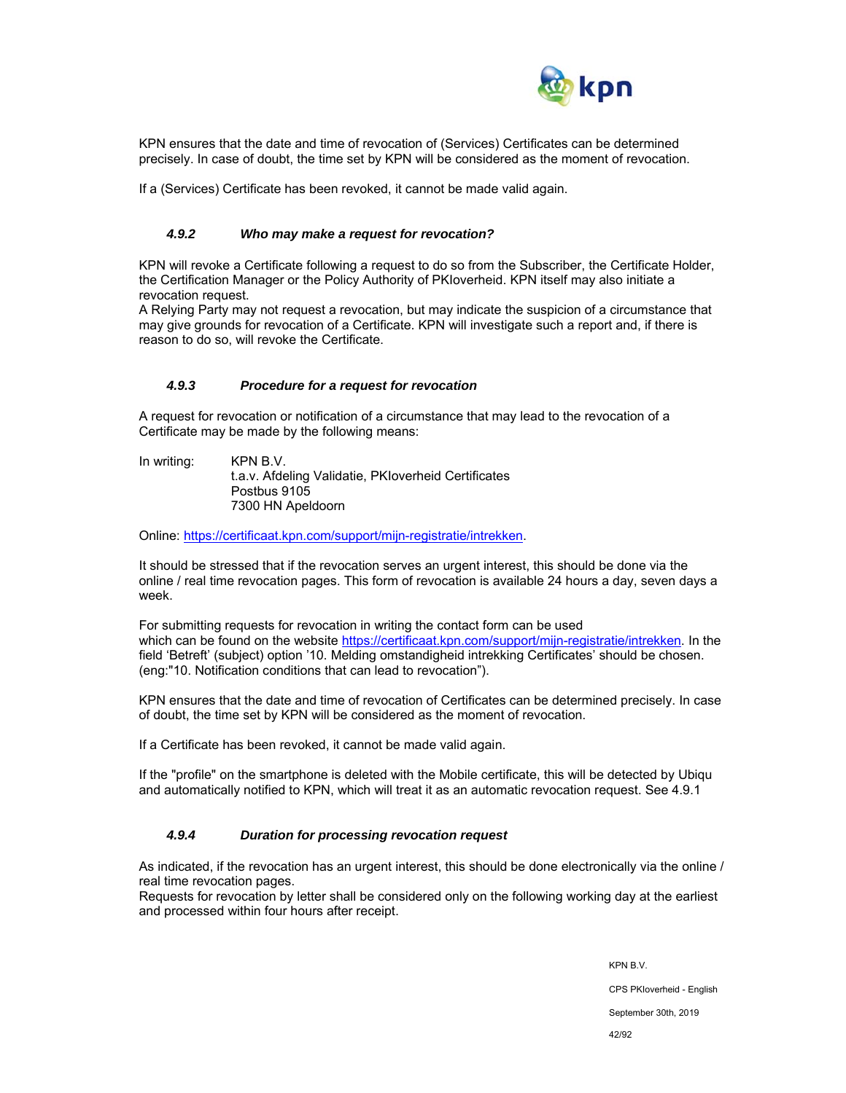

KPN ensures that the date and time of revocation of (Services) Certificates can be determined precisely. In case of doubt, the time set by KPN will be considered as the moment of revocation.

If a (Services) Certificate has been revoked, it cannot be made valid again.

#### *4.9.2 Who may make a request for revocation?*

KPN will revoke a Certificate following a request to do so from the Subscriber, the Certificate Holder, the Certification Manager or the Policy Authority of PKIoverheid. KPN itself may also initiate a revocation request.

A Relying Party may not request a revocation, but may indicate the suspicion of a circumstance that may give grounds for revocation of a Certificate. KPN will investigate such a report and, if there is reason to do so, will revoke the Certificate.

#### *4.9.3 Procedure for a request for revocation*

A request for revocation or notification of a circumstance that may lead to the revocation of a Certificate may be made by the following means:

In writing: KPN B.V. t.a.v. Afdeling Validatie, PKIoverheid Certificates Postbus 9105 7300 HN Apeldoorn

Online: https://certificaat.kpn.com/support/mijn-registratie/intrekken.

It should be stressed that if the revocation serves an urgent interest, this should be done via the online / real time revocation pages. This form of revocation is available 24 hours a day, seven days a week.

For submitting requests for revocation in writing the contact form can be used which can be found on the website https://certificaat.kpn.com/support/mijn-registratie/intrekken. In the field 'Betreft' (subject) option '10. Melding omstandigheid intrekking Certificates' should be chosen. (eng:"10. Notification conditions that can lead to revocation").

KPN ensures that the date and time of revocation of Certificates can be determined precisely. In case of doubt, the time set by KPN will be considered as the moment of revocation.

If a Certificate has been revoked, it cannot be made valid again.

If the "profile" on the smartphone is deleted with the Mobile certificate, this will be detected by Ubiqu and automatically notified to KPN, which will treat it as an automatic revocation request. See 4.9.1

#### *4.9.4 Duration for processing revocation request*

As indicated, if the revocation has an urgent interest, this should be done electronically via the online / real time revocation pages.

Requests for revocation by letter shall be considered only on the following working day at the earliest and processed within four hours after receipt.

> KPN B.V. CPS PKIoverheid - English September 30th, 2019 42/92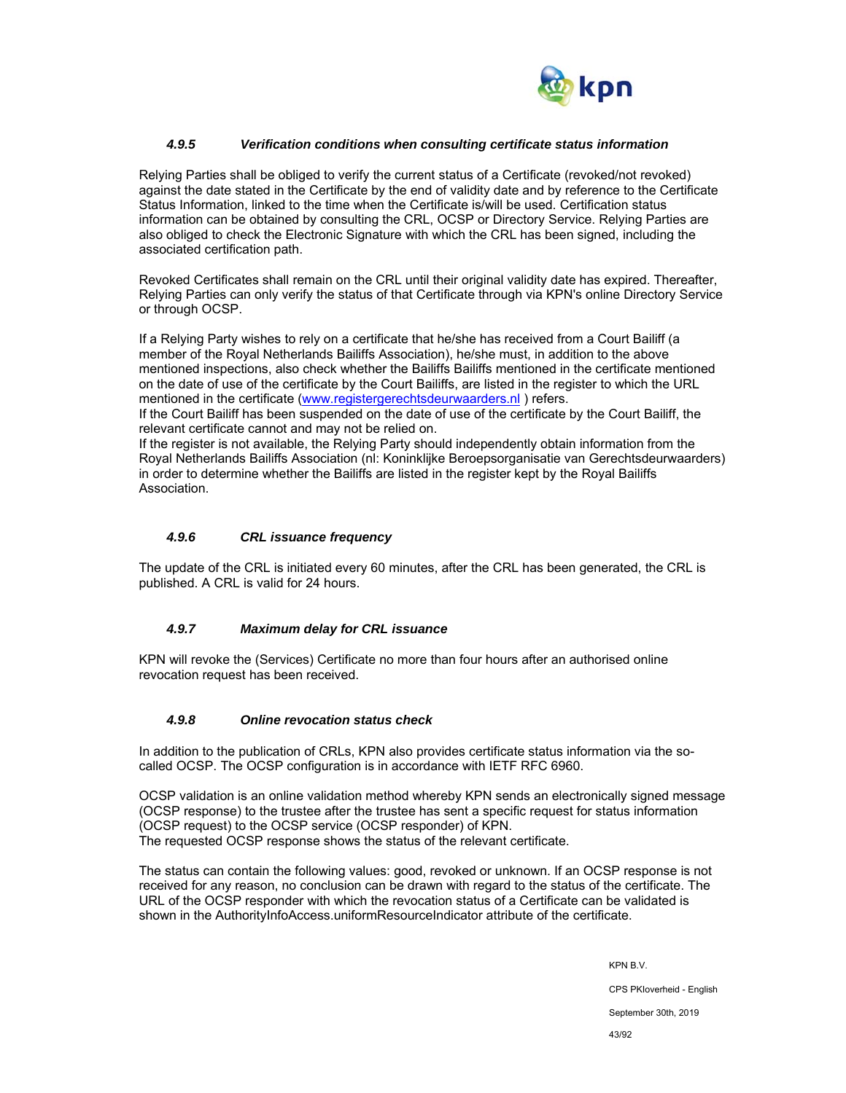

## *4.9.5 Verification conditions when consulting certificate status information*

Relying Parties shall be obliged to verify the current status of a Certificate (revoked/not revoked) against the date stated in the Certificate by the end of validity date and by reference to the Certificate Status Information, linked to the time when the Certificate is/will be used. Certification status information can be obtained by consulting the CRL, OCSP or Directory Service. Relying Parties are also obliged to check the Electronic Signature with which the CRL has been signed, including the associated certification path.

Revoked Certificates shall remain on the CRL until their original validity date has expired. Thereafter, Relying Parties can only verify the status of that Certificate through via KPN's online Directory Service or through OCSP.

If a Relying Party wishes to rely on a certificate that he/she has received from a Court Bailiff (a member of the Royal Netherlands Bailiffs Association), he/she must, in addition to the above mentioned inspections, also check whether the Bailiffs Bailiffs mentioned in the certificate mentioned on the date of use of the certificate by the Court Bailiffs, are listed in the register to which the URL mentioned in the certificate (www.registergerechtsdeurwaarders.nl) refers.

If the Court Bailiff has been suspended on the date of use of the certificate by the Court Bailiff, the relevant certificate cannot and may not be relied on.

If the register is not available, the Relying Party should independently obtain information from the Royal Netherlands Bailiffs Association (nl: Koninklijke Beroepsorganisatie van Gerechtsdeurwaarders) in order to determine whether the Bailiffs are listed in the register kept by the Royal Bailiffs Association.

#### *4.9.6 CRL issuance frequency*

The update of the CRL is initiated every 60 minutes, after the CRL has been generated, the CRL is published. A CRL is valid for 24 hours.

## *4.9.7 Maximum delay for CRL issuance*

KPN will revoke the (Services) Certificate no more than four hours after an authorised online revocation request has been received.

#### *4.9.8 Online revocation status check*

In addition to the publication of CRLs, KPN also provides certificate status information via the socalled OCSP. The OCSP configuration is in accordance with IETF RFC 6960.

OCSP validation is an online validation method whereby KPN sends an electronically signed message (OCSP response) to the trustee after the trustee has sent a specific request for status information (OCSP request) to the OCSP service (OCSP responder) of KPN. The requested OCSP response shows the status of the relevant certificate.

The status can contain the following values: good, revoked or unknown. If an OCSP response is not received for any reason, no conclusion can be drawn with regard to the status of the certificate. The URL of the OCSP responder with which the revocation status of a Certificate can be validated is shown in the AuthorityInfoAccess.uniformResourceIndicator attribute of the certificate.

> KPN B.V. CPS PKIoverheid - English September 30th, 2019

43/92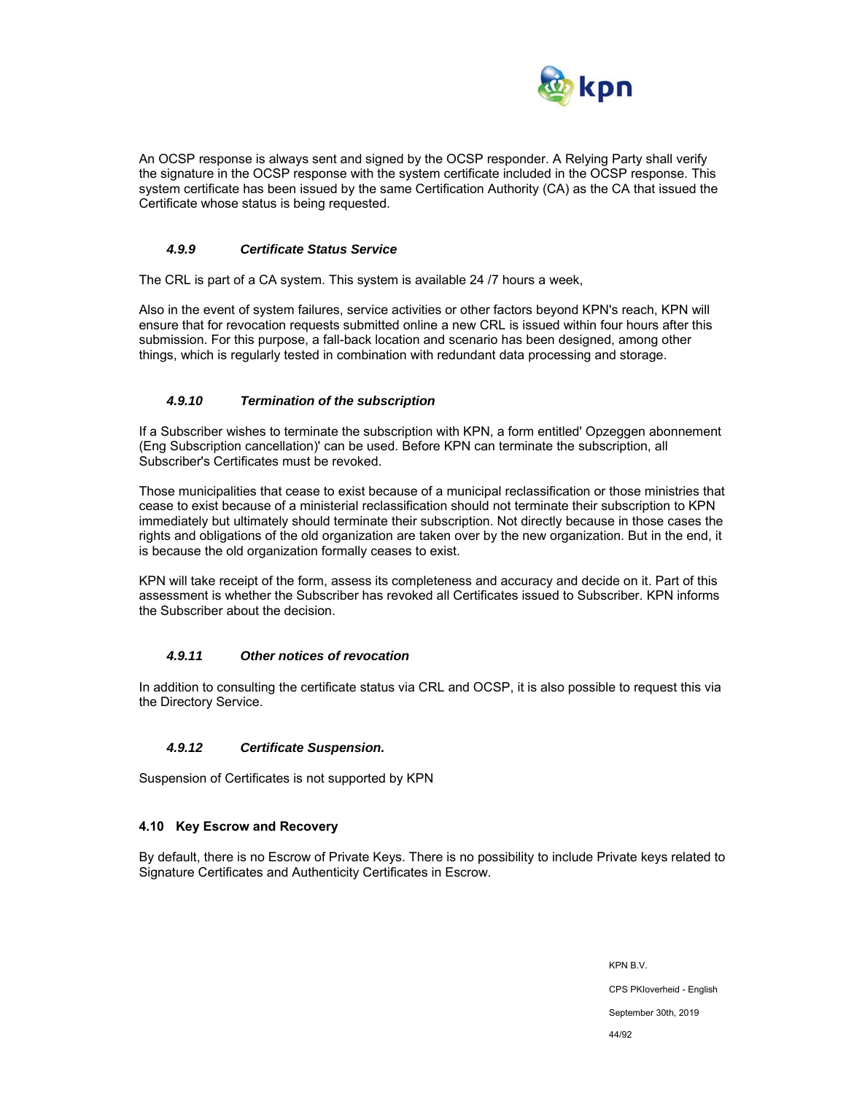

An OCSP response is always sent and signed by the OCSP responder. A Relying Party shall verify the signature in the OCSP response with the system certificate included in the OCSP response. This system certificate has been issued by the same Certification Authority (CA) as the CA that issued the Certificate whose status is being requested.

#### *4.9.9 Certificate Status Service*

The CRL is part of a CA system. This system is available 24 /7 hours a week,

Also in the event of system failures, service activities or other factors beyond KPN's reach, KPN will ensure that for revocation requests submitted online a new CRL is issued within four hours after this submission. For this purpose, a fall-back location and scenario has been designed, among other things, which is regularly tested in combination with redundant data processing and storage.

#### *4.9.10 Termination of the subscription*

If a Subscriber wishes to terminate the subscription with KPN, a form entitled' Opzeggen abonnement (Eng Subscription cancellation)' can be used. Before KPN can terminate the subscription, all Subscriber's Certificates must be revoked.

Those municipalities that cease to exist because of a municipal reclassification or those ministries that cease to exist because of a ministerial reclassification should not terminate their subscription to KPN immediately but ultimately should terminate their subscription. Not directly because in those cases the rights and obligations of the old organization are taken over by the new organization. But in the end, it is because the old organization formally ceases to exist.

KPN will take receipt of the form, assess its completeness and accuracy and decide on it. Part of this assessment is whether the Subscriber has revoked all Certificates issued to Subscriber. KPN informs the Subscriber about the decision.

## *4.9.11 Other notices of revocation*

In addition to consulting the certificate status via CRL and OCSP, it is also possible to request this via the Directory Service.

#### *4.9.12 Certificate Suspension.*

Suspension of Certificates is not supported by KPN

#### **4.10 Key Escrow and Recovery**

By default, there is no Escrow of Private Keys. There is no possibility to include Private keys related to Signature Certificates and Authenticity Certificates in Escrow.

> KPN B.V. CPS PKIoverheid - English September 30th, 2019 44/92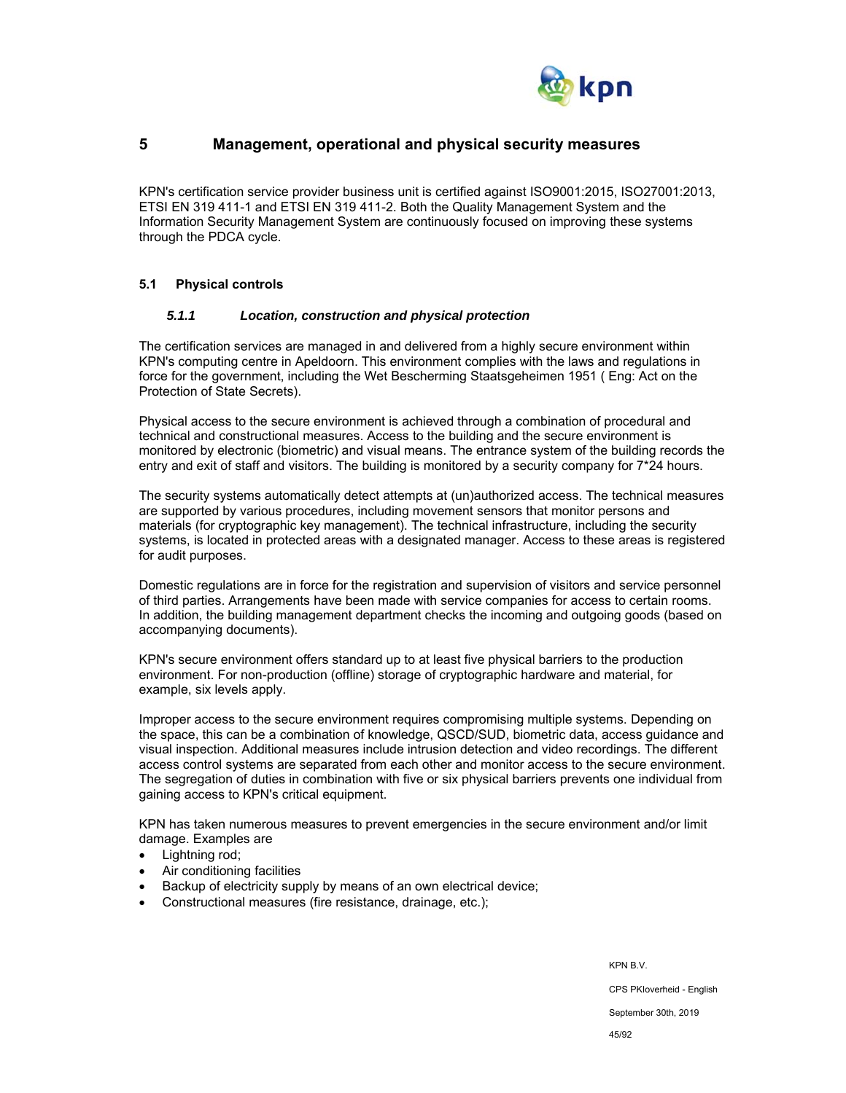

# **5 Management, operational and physical security measures**

KPN's certification service provider business unit is certified against ISO9001:2015, ISO27001:2013, ETSI EN 319 411-1 and ETSI EN 319 411-2. Both the Quality Management System and the Information Security Management System are continuously focused on improving these systems through the PDCA cycle.

#### **5.1 Physical controls**

#### *5.1.1 Location, construction and physical protection*

The certification services are managed in and delivered from a highly secure environment within KPN's computing centre in Apeldoorn. This environment complies with the laws and regulations in force for the government, including the Wet Bescherming Staatsgeheimen 1951 ( Eng: Act on the Protection of State Secrets).

Physical access to the secure environment is achieved through a combination of procedural and technical and constructional measures. Access to the building and the secure environment is monitored by electronic (biometric) and visual means. The entrance system of the building records the entry and exit of staff and visitors. The building is monitored by a security company for 7\*24 hours.

The security systems automatically detect attempts at (un)authorized access. The technical measures are supported by various procedures, including movement sensors that monitor persons and materials (for cryptographic key management). The technical infrastructure, including the security systems, is located in protected areas with a designated manager. Access to these areas is registered for audit purposes.

Domestic regulations are in force for the registration and supervision of visitors and service personnel of third parties. Arrangements have been made with service companies for access to certain rooms. In addition, the building management department checks the incoming and outgoing goods (based on accompanying documents).

KPN's secure environment offers standard up to at least five physical barriers to the production environment. For non-production (offline) storage of cryptographic hardware and material, for example, six levels apply.

Improper access to the secure environment requires compromising multiple systems. Depending on the space, this can be a combination of knowledge, QSCD/SUD, biometric data, access guidance and visual inspection. Additional measures include intrusion detection and video recordings. The different access control systems are separated from each other and monitor access to the secure environment. The segregation of duties in combination with five or six physical barriers prevents one individual from gaining access to KPN's critical equipment.

KPN has taken numerous measures to prevent emergencies in the secure environment and/or limit damage. Examples are

- Lightning rod;
- Air conditioning facilities
- Backup of electricity supply by means of an own electrical device;
- Constructional measures (fire resistance, drainage, etc.);

KPN B.V.

CPS PKIoverheid - English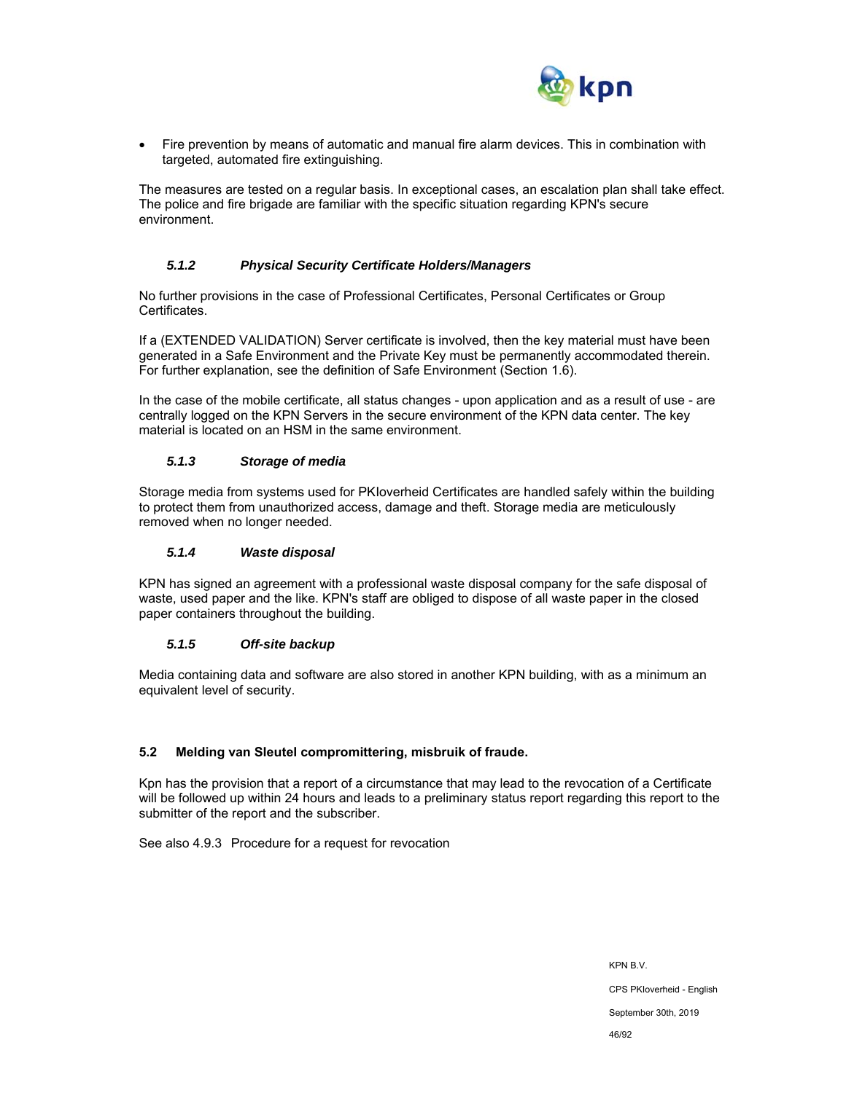

 Fire prevention by means of automatic and manual fire alarm devices. This in combination with targeted, automated fire extinguishing.

The measures are tested on a regular basis. In exceptional cases, an escalation plan shall take effect. The police and fire brigade are familiar with the specific situation regarding KPN's secure environment.

## *5.1.2 Physical Security Certificate Holders/Managers*

No further provisions in the case of Professional Certificates, Personal Certificates or Group Certificates.

If a (EXTENDED VALIDATION) Server certificate is involved, then the key material must have been generated in a Safe Environment and the Private Key must be permanently accommodated therein. For further explanation, see the definition of Safe Environment (Section 1.6).

In the case of the mobile certificate, all status changes - upon application and as a result of use - are centrally logged on the KPN Servers in the secure environment of the KPN data center. The key material is located on an HSM in the same environment.

## *5.1.3 Storage of media*

Storage media from systems used for PKIoverheid Certificates are handled safely within the building to protect them from unauthorized access, damage and theft. Storage media are meticulously removed when no longer needed.

#### *5.1.4 Waste disposal*

KPN has signed an agreement with a professional waste disposal company for the safe disposal of waste, used paper and the like. KPN's staff are obliged to dispose of all waste paper in the closed paper containers throughout the building.

## *5.1.5 Off-site backup*

Media containing data and software are also stored in another KPN building, with as a minimum an equivalent level of security.

## **5.2 Melding van Sleutel compromittering, misbruik of fraude.**

Kpn has the provision that a report of a circumstance that may lead to the revocation of a Certificate will be followed up within 24 hours and leads to a preliminary status report regarding this report to the submitter of the report and the subscriber.

See also 4.9.3 Procedure for a request for revocation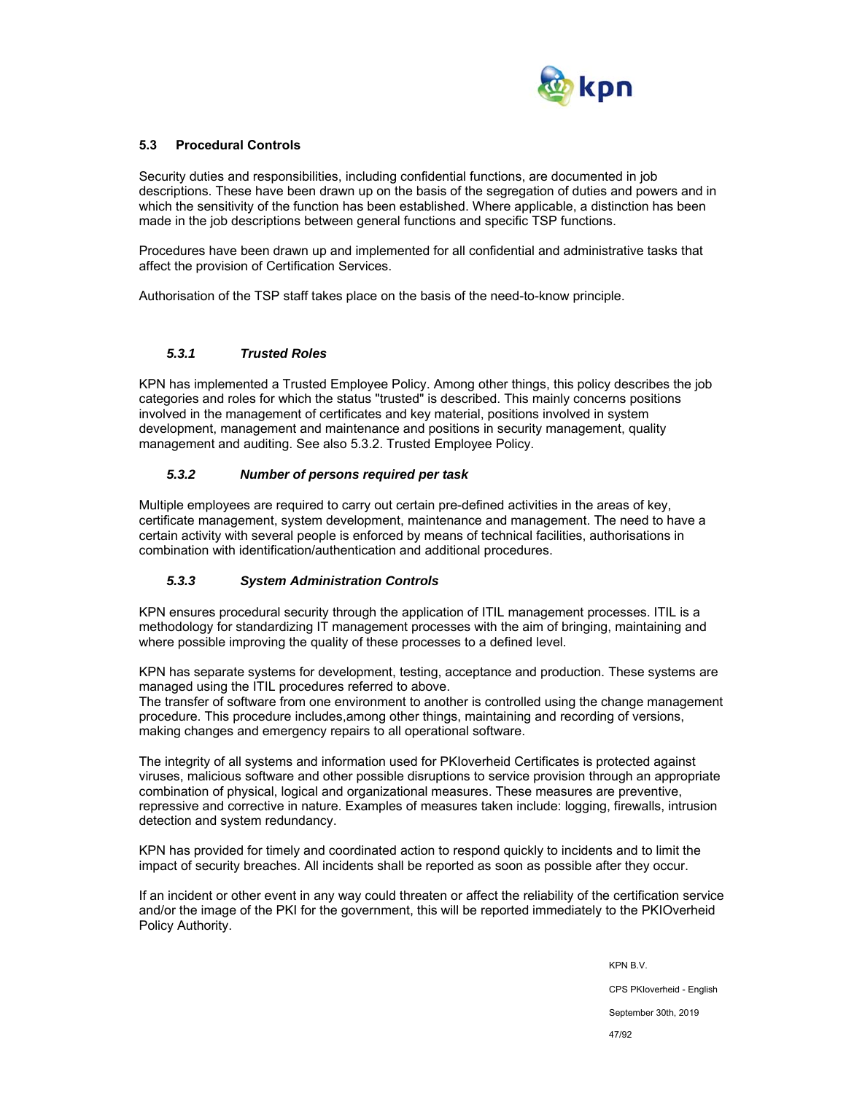

## **5.3 Procedural Controls**

Security duties and responsibilities, including confidential functions, are documented in job descriptions. These have been drawn up on the basis of the segregation of duties and powers and in which the sensitivity of the function has been established. Where applicable, a distinction has been made in the job descriptions between general functions and specific TSP functions.

Procedures have been drawn up and implemented for all confidential and administrative tasks that affect the provision of Certification Services.

Authorisation of the TSP staff takes place on the basis of the need-to-know principle.

#### *5.3.1 Trusted Roles*

KPN has implemented a Trusted Employee Policy. Among other things, this policy describes the job categories and roles for which the status "trusted" is described. This mainly concerns positions involved in the management of certificates and key material, positions involved in system development, management and maintenance and positions in security management, quality management and auditing. See also 5.3.2. Trusted Employee Policy.

## *5.3.2 Number of persons required per task*

Multiple employees are required to carry out certain pre-defined activities in the areas of key, certificate management, system development, maintenance and management. The need to have a certain activity with several people is enforced by means of technical facilities, authorisations in combination with identification/authentication and additional procedures.

## *5.3.3 System Administration Controls*

KPN ensures procedural security through the application of ITIL management processes. ITIL is a methodology for standardizing IT management processes with the aim of bringing, maintaining and where possible improving the quality of these processes to a defined level.

KPN has separate systems for development, testing, acceptance and production. These systems are managed using the ITIL procedures referred to above.

The transfer of software from one environment to another is controlled using the change management procedure. This procedure includes,among other things, maintaining and recording of versions, making changes and emergency repairs to all operational software.

The integrity of all systems and information used for PKIoverheid Certificates is protected against viruses, malicious software and other possible disruptions to service provision through an appropriate combination of physical, logical and organizational measures. These measures are preventive, repressive and corrective in nature. Examples of measures taken include: logging, firewalls, intrusion detection and system redundancy.

KPN has provided for timely and coordinated action to respond quickly to incidents and to limit the impact of security breaches. All incidents shall be reported as soon as possible after they occur.

If an incident or other event in any way could threaten or affect the reliability of the certification service and/or the image of the PKI for the government, this will be reported immediately to the PKIOverheid Policy Authority.

> KPN B.V. CPS PKIoverheid - English September 30th, 2019 47/92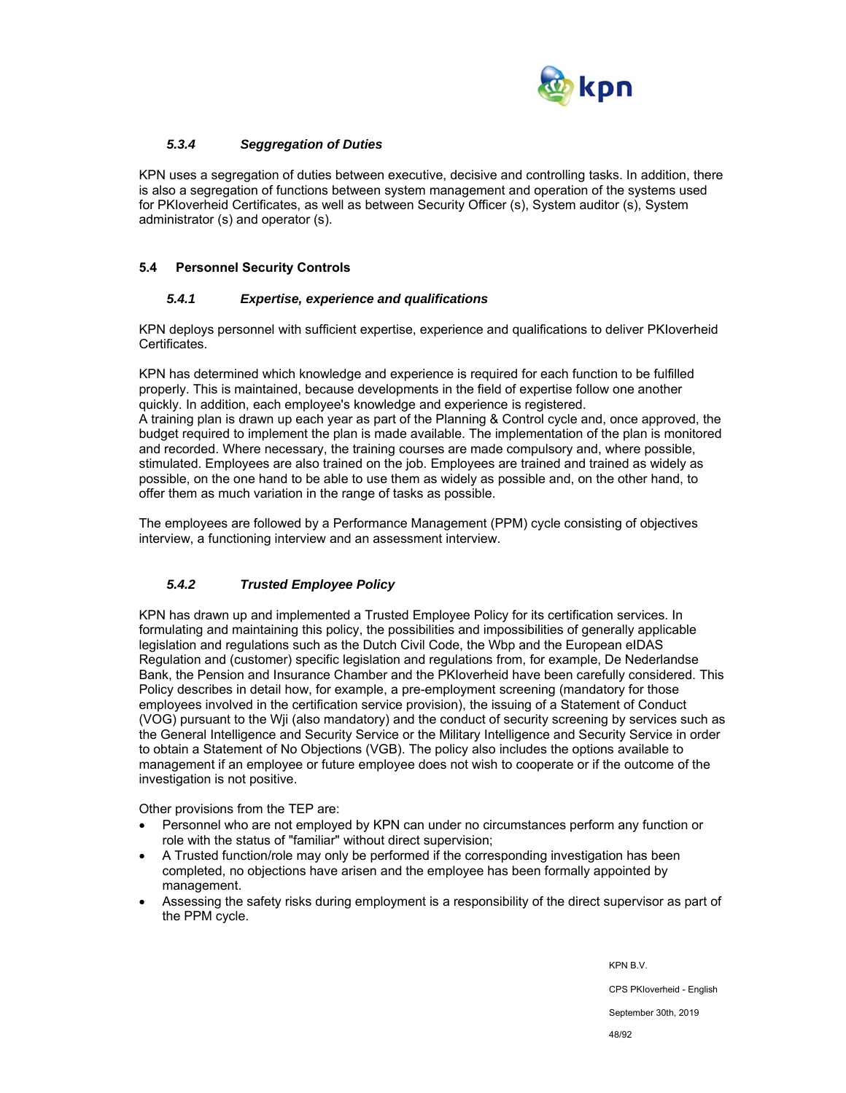

## *5.3.4 Seggregation of Duties*

KPN uses a segregation of duties between executive, decisive and controlling tasks. In addition, there is also a segregation of functions between system management and operation of the systems used for PKIoverheid Certificates, as well as between Security Officer (s), System auditor (s), System administrator (s) and operator (s).

## **5.4 Personnel Security Controls**

#### *5.4.1 Expertise, experience and qualifications*

KPN deploys personnel with sufficient expertise, experience and qualifications to deliver PKIoverheid Certificates.

KPN has determined which knowledge and experience is required for each function to be fulfilled properly. This is maintained, because developments in the field of expertise follow one another quickly. In addition, each employee's knowledge and experience is registered. A training plan is drawn up each year as part of the Planning & Control cycle and, once approved, the budget required to implement the plan is made available. The implementation of the plan is monitored and recorded. Where necessary, the training courses are made compulsory and, where possible, stimulated. Employees are also trained on the job. Employees are trained and trained as widely as possible, on the one hand to be able to use them as widely as possible and, on the other hand, to offer them as much variation in the range of tasks as possible.

The employees are followed by a Performance Management (PPM) cycle consisting of objectives interview, a functioning interview and an assessment interview.

## *5.4.2 Trusted Employee Policy*

KPN has drawn up and implemented a Trusted Employee Policy for its certification services. In formulating and maintaining this policy, the possibilities and impossibilities of generally applicable legislation and regulations such as the Dutch Civil Code, the Wbp and the European eIDAS Regulation and (customer) specific legislation and regulations from, for example, De Nederlandse Bank, the Pension and Insurance Chamber and the PKIoverheid have been carefully considered. This Policy describes in detail how, for example, a pre-employment screening (mandatory for those employees involved in the certification service provision), the issuing of a Statement of Conduct (VOG) pursuant to the Wji (also mandatory) and the conduct of security screening by services such as the General Intelligence and Security Service or the Military Intelligence and Security Service in order to obtain a Statement of No Objections (VGB). The policy also includes the options available to management if an employee or future employee does not wish to cooperate or if the outcome of the investigation is not positive.

Other provisions from the TEP are:

- Personnel who are not employed by KPN can under no circumstances perform any function or role with the status of "familiar" without direct supervision;
- A Trusted function/role may only be performed if the corresponding investigation has been completed, no objections have arisen and the employee has been formally appointed by management.
- Assessing the safety risks during employment is a responsibility of the direct supervisor as part of the PPM cycle.

KPN B.V. CPS PKIoverheid - English September 30th, 2019 48/92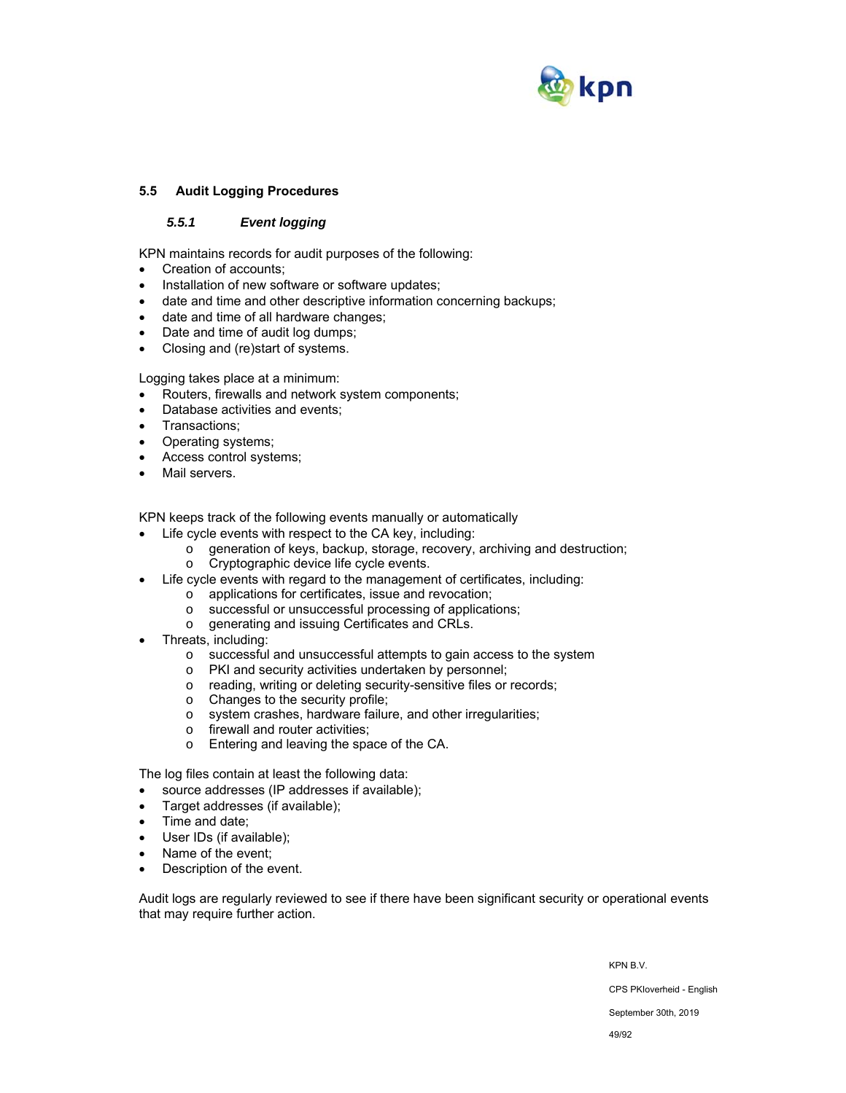

## **5.5 Audit Logging Procedures**

## *5.5.1 Event logging*

KPN maintains records for audit purposes of the following:

- Creation of accounts;
- Installation of new software or software updates;
- date and time and other descriptive information concerning backups;
- date and time of all hardware changes;
- Date and time of audit log dumps;
- Closing and (re)start of systems.

Logging takes place at a minimum:

- Routers, firewalls and network system components;
- Database activities and events;
- Transactions;
- Operating systems;
- Access control systems;
- Mail servers.

KPN keeps track of the following events manually or automatically

- Life cycle events with respect to the CA key, including:
	- $\circ$  generation of keys, backup, storage, recovery, archiving and destruction;
	- o Cryptographic device life cycle events.
- Life cycle events with regard to the management of certificates, including:
	- o applications for certificates, issue and revocation;
	- o successful or unsuccessful processing of applications;
	- o generating and issuing Certificates and CRLs.
- Threats, including:
	- o successful and unsuccessful attempts to gain access to the system
	- o PKI and security activities undertaken by personnel;
	- o reading, writing or deleting security-sensitive files or records;
	- o Changes to the security profile;
	- o system crashes, hardware failure, and other irregularities;
	- o firewall and router activities;
	- o Entering and leaving the space of the CA.

The log files contain at least the following data:

- source addresses (IP addresses if available);
- Target addresses (if available);
- Time and date;
- User IDs (if available);
- Name of the event;
- Description of the event.

Audit logs are regularly reviewed to see if there have been significant security or operational events that may require further action.

KPN B.V.

CPS PKIoverheid - English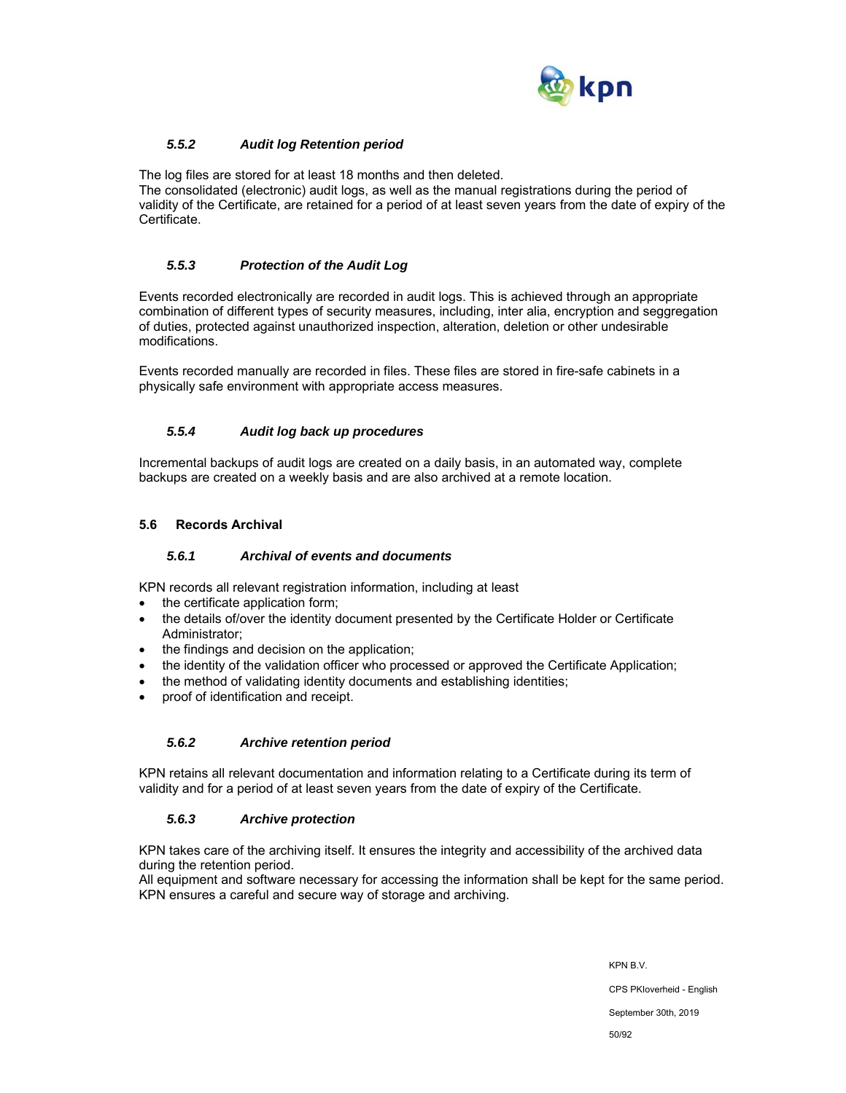

## *5.5.2 Audit log Retention period*

The log files are stored for at least 18 months and then deleted. The consolidated (electronic) audit logs, as well as the manual registrations during the period of validity of the Certificate, are retained for a period of at least seven years from the date of expiry of the Certificate.

## *5.5.3 Protection of the Audit Log*

Events recorded electronically are recorded in audit logs. This is achieved through an appropriate combination of different types of security measures, including, inter alia, encryption and seggregation of duties, protected against unauthorized inspection, alteration, deletion or other undesirable modifications.

Events recorded manually are recorded in files. These files are stored in fire-safe cabinets in a physically safe environment with appropriate access measures.

#### *5.5.4 Audit log back up procedures*

Incremental backups of audit logs are created on a daily basis, in an automated way, complete backups are created on a weekly basis and are also archived at a remote location.

#### **5.6 Records Archival**

#### *5.6.1 Archival of events and documents*

KPN records all relevant registration information, including at least

- the certificate application form;
- the details of/over the identity document presented by the Certificate Holder or Certificate Administrator;
- the findings and decision on the application;
- the identity of the validation officer who processed or approved the Certificate Application;
- the method of validating identity documents and establishing identities;
- proof of identification and receipt.

#### *5.6.2 Archive retention period*

KPN retains all relevant documentation and information relating to a Certificate during its term of validity and for a period of at least seven years from the date of expiry of the Certificate.

## *5.6.3 Archive protection*

KPN takes care of the archiving itself. It ensures the integrity and accessibility of the archived data during the retention period.

All equipment and software necessary for accessing the information shall be kept for the same period. KPN ensures a careful and secure way of storage and archiving.

KPN B.V.

CPS PKIoverheid - English

September 30th, 2019

50/92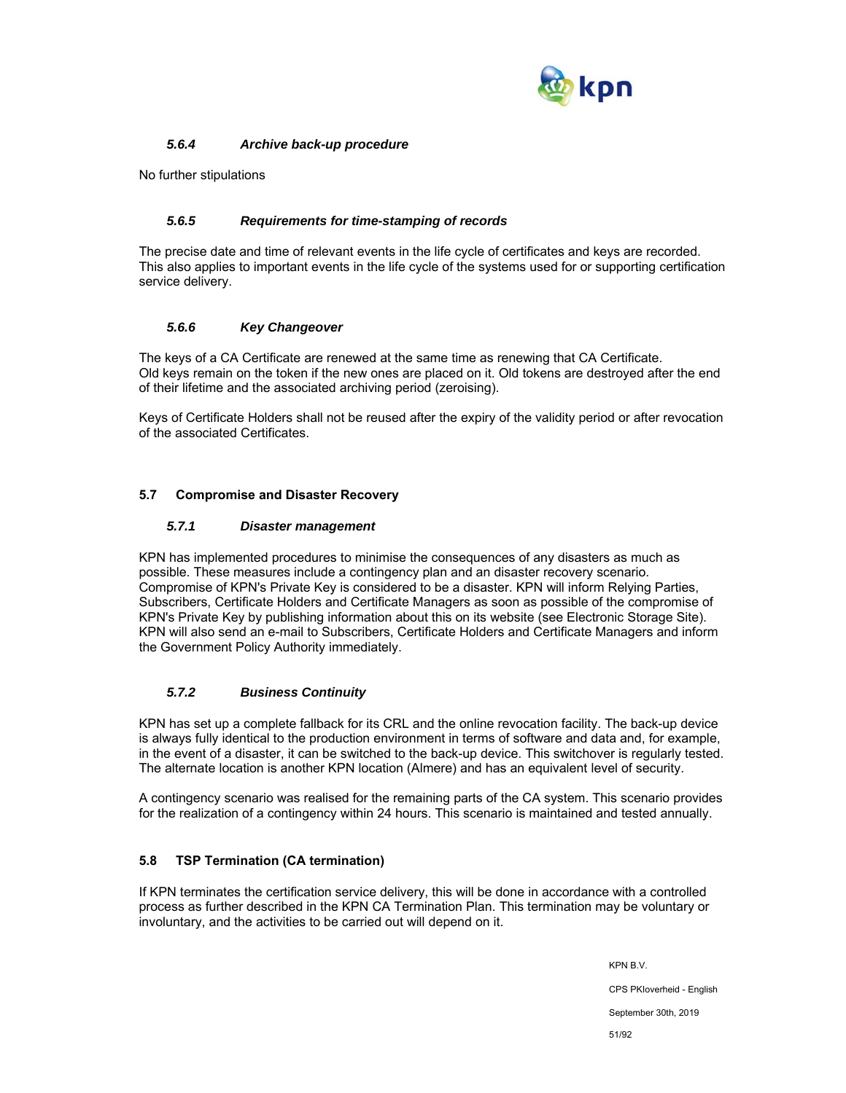

## *5.6.4 Archive back-up procedure*

No further stipulations

## *5.6.5 Requirements for time-stamping of records*

The precise date and time of relevant events in the life cycle of certificates and keys are recorded. This also applies to important events in the life cycle of the systems used for or supporting certification service delivery.

## *5.6.6 Key Changeover*

The keys of a CA Certificate are renewed at the same time as renewing that CA Certificate. Old keys remain on the token if the new ones are placed on it. Old tokens are destroyed after the end of their lifetime and the associated archiving period (zeroising).

Keys of Certificate Holders shall not be reused after the expiry of the validity period or after revocation of the associated Certificates.

## **5.7 Compromise and Disaster Recovery**

#### *5.7.1 Disaster management*

KPN has implemented procedures to minimise the consequences of any disasters as much as possible. These measures include a contingency plan and an disaster recovery scenario. Compromise of KPN's Private Key is considered to be a disaster. KPN will inform Relying Parties, Subscribers, Certificate Holders and Certificate Managers as soon as possible of the compromise of KPN's Private Key by publishing information about this on its website (see Electronic Storage Site). KPN will also send an e-mail to Subscribers, Certificate Holders and Certificate Managers and inform the Government Policy Authority immediately.

## *5.7.2 Business Continuity*

KPN has set up a complete fallback for its CRL and the online revocation facility. The back-up device is always fully identical to the production environment in terms of software and data and, for example, in the event of a disaster, it can be switched to the back-up device. This switchover is regularly tested. The alternate location is another KPN location (Almere) and has an equivalent level of security.

A contingency scenario was realised for the remaining parts of the CA system. This scenario provides for the realization of a contingency within 24 hours. This scenario is maintained and tested annually.

## **5.8 TSP Termination (CA termination)**

If KPN terminates the certification service delivery, this will be done in accordance with a controlled process as further described in the KPN CA Termination Plan. This termination may be voluntary or involuntary, and the activities to be carried out will depend on it.

> KPN B.V. CPS PKIoverheid - English September 30th, 2019 51/92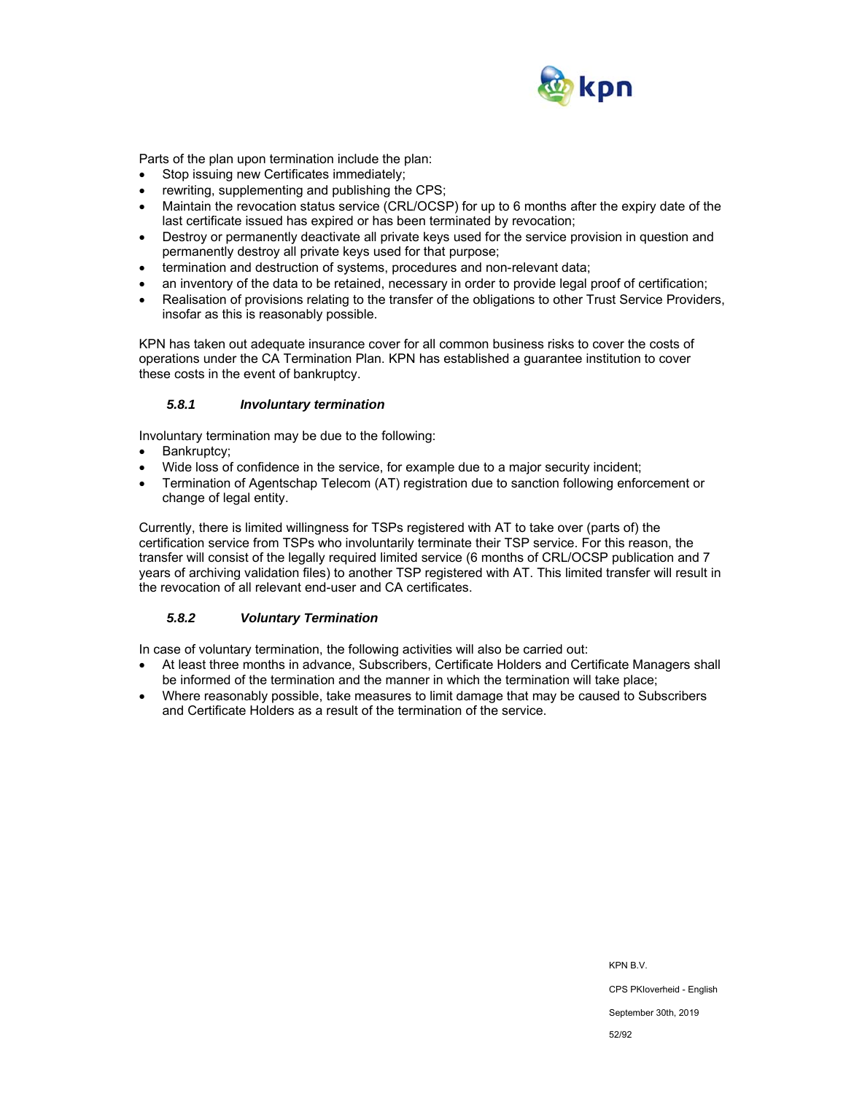

Parts of the plan upon termination include the plan:

- Stop issuing new Certificates immediately;
- rewriting, supplementing and publishing the CPS;
- Maintain the revocation status service (CRL/OCSP) for up to 6 months after the expiry date of the last certificate issued has expired or has been terminated by revocation;
- Destroy or permanently deactivate all private keys used for the service provision in question and permanently destroy all private keys used for that purpose;
- termination and destruction of systems, procedures and non-relevant data;
- an inventory of the data to be retained, necessary in order to provide legal proof of certification;
- Realisation of provisions relating to the transfer of the obligations to other Trust Service Providers, insofar as this is reasonably possible.

KPN has taken out adequate insurance cover for all common business risks to cover the costs of operations under the CA Termination Plan. KPN has established a guarantee institution to cover these costs in the event of bankruptcy.

#### *5.8.1 Involuntary termination*

Involuntary termination may be due to the following:

- Bankruptcy;
- Wide loss of confidence in the service, for example due to a major security incident;
- Termination of Agentschap Telecom (AT) registration due to sanction following enforcement or change of legal entity.

Currently, there is limited willingness for TSPs registered with AT to take over (parts of) the certification service from TSPs who involuntarily terminate their TSP service. For this reason, the transfer will consist of the legally required limited service (6 months of CRL/OCSP publication and 7 years of archiving validation files) to another TSP registered with AT. This limited transfer will result in the revocation of all relevant end-user and CA certificates.

## *5.8.2 Voluntary Termination*

In case of voluntary termination, the following activities will also be carried out:

- At least three months in advance, Subscribers, Certificate Holders and Certificate Managers shall be informed of the termination and the manner in which the termination will take place;
- Where reasonably possible, take measures to limit damage that may be caused to Subscribers and Certificate Holders as a result of the termination of the service.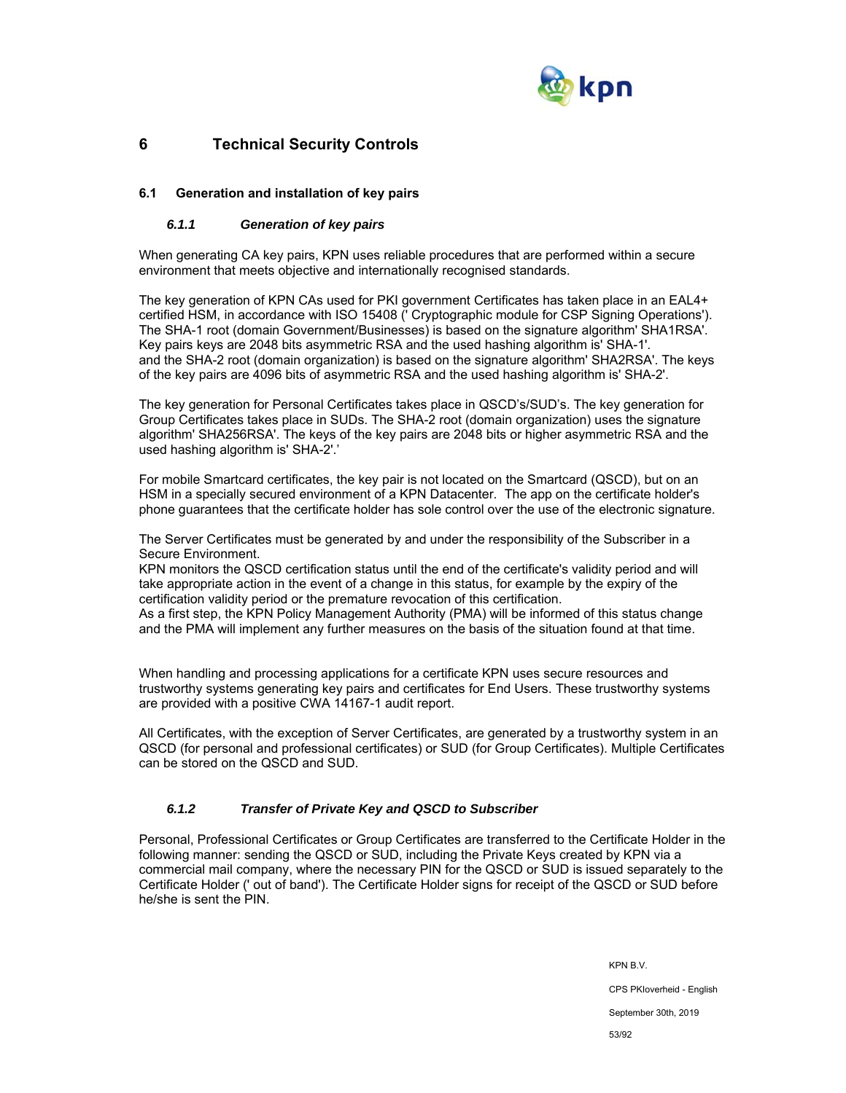

# **6 Technical Security Controls**

## **6.1 Generation and installation of key pairs**

## *6.1.1 Generation of key pairs*

When generating CA key pairs, KPN uses reliable procedures that are performed within a secure environment that meets objective and internationally recognised standards.

The key generation of KPN CAs used for PKI government Certificates has taken place in an EAL4+ certified HSM, in accordance with ISO 15408 (' Cryptographic module for CSP Signing Operations'). The SHA-1 root (domain Government/Businesses) is based on the signature algorithm' SHA1RSA'. Key pairs keys are 2048 bits asymmetric RSA and the used hashing algorithm is' SHA-1'. and the SHA-2 root (domain organization) is based on the signature algorithm' SHA2RSA'. The keys of the key pairs are 4096 bits of asymmetric RSA and the used hashing algorithm is' SHA-2'.

The key generation for Personal Certificates takes place in QSCD's/SUD's. The key generation for Group Certificates takes place in SUDs. The SHA-2 root (domain organization) uses the signature algorithm' SHA256RSA'. The keys of the key pairs are 2048 bits or higher asymmetric RSA and the used hashing algorithm is' SHA-2'.'

For mobile Smartcard certificates, the key pair is not located on the Smartcard (QSCD), but on an HSM in a specially secured environment of a KPN Datacenter. The app on the certificate holder's phone guarantees that the certificate holder has sole control over the use of the electronic signature.

The Server Certificates must be generated by and under the responsibility of the Subscriber in a Secure Environment.

KPN monitors the QSCD certification status until the end of the certificate's validity period and will take appropriate action in the event of a change in this status, for example by the expiry of the certification validity period or the premature revocation of this certification.

As a first step, the KPN Policy Management Authority (PMA) will be informed of this status change and the PMA will implement any further measures on the basis of the situation found at that time.

When handling and processing applications for a certificate KPN uses secure resources and trustworthy systems generating key pairs and certificates for End Users. These trustworthy systems are provided with a positive CWA 14167-1 audit report.

All Certificates, with the exception of Server Certificates, are generated by a trustworthy system in an QSCD (for personal and professional certificates) or SUD (for Group Certificates). Multiple Certificates can be stored on the QSCD and SUD.

## *6.1.2 Transfer of Private Key and QSCD to Subscriber*

Personal, Professional Certificates or Group Certificates are transferred to the Certificate Holder in the following manner: sending the QSCD or SUD, including the Private Keys created by KPN via a commercial mail company, where the necessary PIN for the QSCD or SUD is issued separately to the Certificate Holder (' out of band'). The Certificate Holder signs for receipt of the QSCD or SUD before he/she is sent the PIN.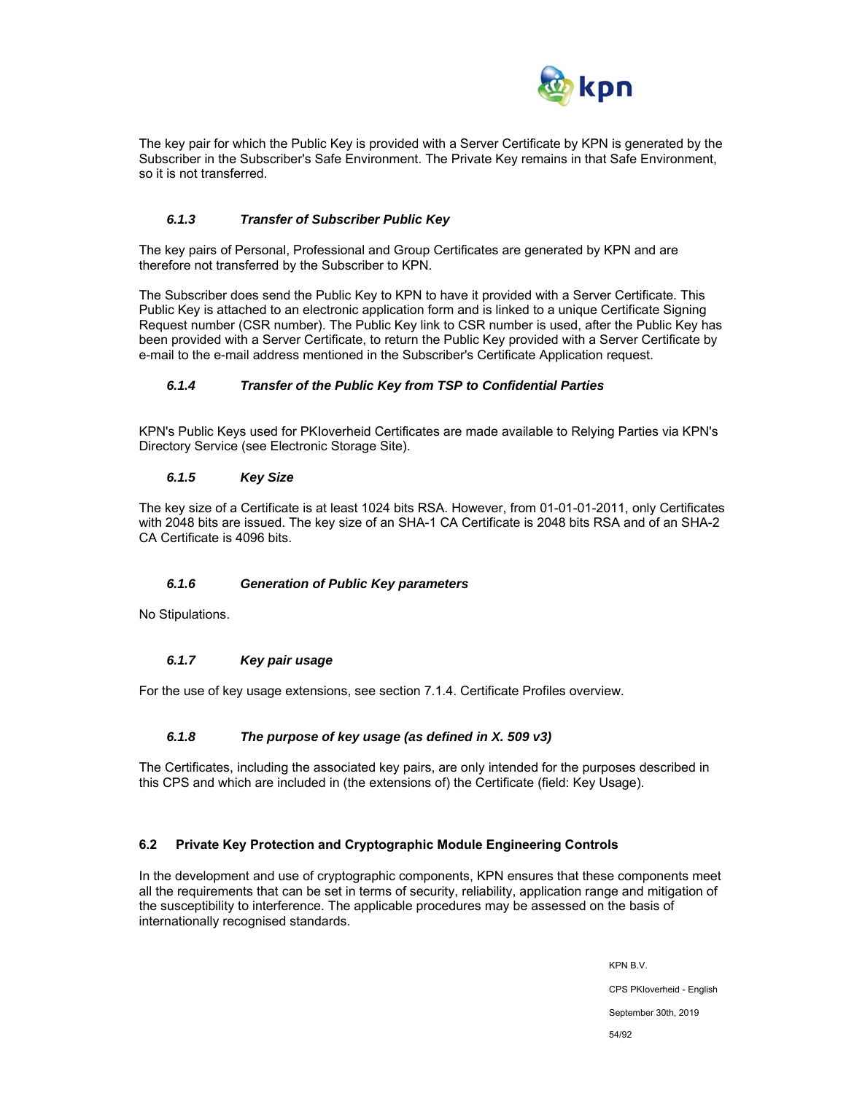

The key pair for which the Public Key is provided with a Server Certificate by KPN is generated by the Subscriber in the Subscriber's Safe Environment. The Private Key remains in that Safe Environment, so it is not transferred.

## *6.1.3 Transfer of Subscriber Public Key*

The key pairs of Personal, Professional and Group Certificates are generated by KPN and are therefore not transferred by the Subscriber to KPN.

The Subscriber does send the Public Key to KPN to have it provided with a Server Certificate. This Public Key is attached to an electronic application form and is linked to a unique Certificate Signing Request number (CSR number). The Public Key link to CSR number is used, after the Public Key has been provided with a Server Certificate, to return the Public Key provided with a Server Certificate by e-mail to the e-mail address mentioned in the Subscriber's Certificate Application request.

## *6.1.4 Transfer of the Public Key from TSP to Confidential Parties*

KPN's Public Keys used for PKIoverheid Certificates are made available to Relying Parties via KPN's Directory Service (see Electronic Storage Site).

#### *6.1.5 Key Size*

The key size of a Certificate is at least 1024 bits RSA. However, from 01-01-01-2011, only Certificates with 2048 bits are issued. The key size of an SHA-1 CA Certificate is 2048 bits RSA and of an SHA-2 CA Certificate is 4096 bits.

## *6.1.6 Generation of Public Key parameters*

No Stipulations.

## *6.1.7 Key pair usage*

For the use of key usage extensions, see section 7.1.4. Certificate Profiles overview.

## *6.1.8 The purpose of key usage (as defined in X. 509 v3)*

The Certificates, including the associated key pairs, are only intended for the purposes described in this CPS and which are included in (the extensions of) the Certificate (field: Key Usage).

## **6.2 Private Key Protection and Cryptographic Module Engineering Controls**

In the development and use of cryptographic components, KPN ensures that these components meet all the requirements that can be set in terms of security, reliability, application range and mitigation of the susceptibility to interference. The applicable procedures may be assessed on the basis of internationally recognised standards.

> KPN B.V. CPS PKIoverheid - English September 30th, 2019 54/92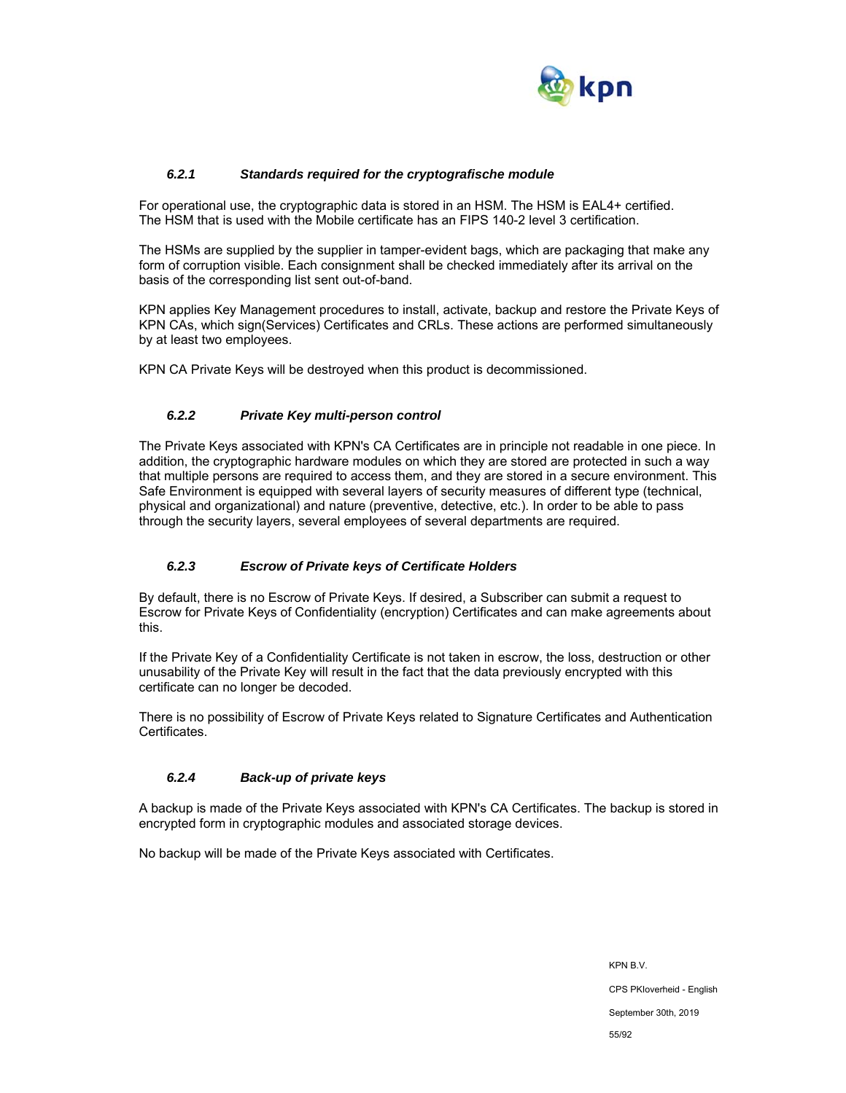

## *6.2.1 Standards required for the cryptografische module*

For operational use, the cryptographic data is stored in an HSM. The HSM is EAL4+ certified. The HSM that is used with the Mobile certificate has an FIPS 140-2 level 3 certification.

The HSMs are supplied by the supplier in tamper-evident bags, which are packaging that make any form of corruption visible. Each consignment shall be checked immediately after its arrival on the basis of the corresponding list sent out-of-band.

KPN applies Key Management procedures to install, activate, backup and restore the Private Keys of KPN CAs, which sign(Services) Certificates and CRLs. These actions are performed simultaneously by at least two employees.

KPN CA Private Keys will be destroyed when this product is decommissioned.

## *6.2.2 Private Key multi-person control*

The Private Keys associated with KPN's CA Certificates are in principle not readable in one piece. In addition, the cryptographic hardware modules on which they are stored are protected in such a way that multiple persons are required to access them, and they are stored in a secure environment. This Safe Environment is equipped with several layers of security measures of different type (technical, physical and organizational) and nature (preventive, detective, etc.). In order to be able to pass through the security layers, several employees of several departments are required.

## *6.2.3 Escrow of Private keys of Certificate Holders*

By default, there is no Escrow of Private Keys. If desired, a Subscriber can submit a request to Escrow for Private Keys of Confidentiality (encryption) Certificates and can make agreements about this.

If the Private Key of a Confidentiality Certificate is not taken in escrow, the loss, destruction or other unusability of the Private Key will result in the fact that the data previously encrypted with this certificate can no longer be decoded.

There is no possibility of Escrow of Private Keys related to Signature Certificates and Authentication Certificates.

## *6.2.4 Back-up of private keys*

A backup is made of the Private Keys associated with KPN's CA Certificates. The backup is stored in encrypted form in cryptographic modules and associated storage devices.

No backup will be made of the Private Keys associated with Certificates.

KPN B.V. CPS PKIoverheid - English September 30th, 2019 55/92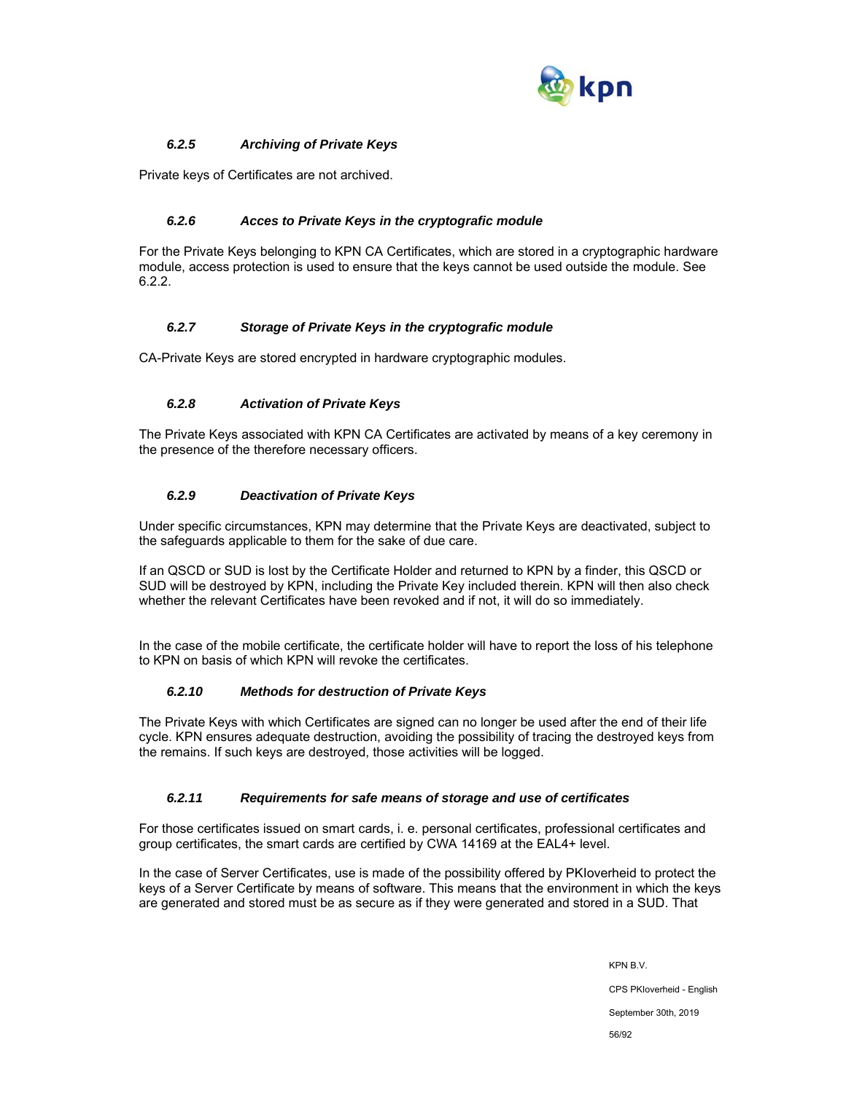

## *6.2.5 Archiving of Private Keys*

Private keys of Certificates are not archived.

## *6.2.6 Acces to Private Keys in the cryptografic module*

For the Private Keys belonging to KPN CA Certificates, which are stored in a cryptographic hardware module, access protection is used to ensure that the keys cannot be used outside the module. See 6.2.2.

## *6.2.7 Storage of Private Keys in the cryptografic module*

CA-Private Keys are stored encrypted in hardware cryptographic modules.

## *6.2.8 Activation of Private Keys*

The Private Keys associated with KPN CA Certificates are activated by means of a key ceremony in the presence of the therefore necessary officers.

## *6.2.9 Deactivation of Private Keys*

Under specific circumstances, KPN may determine that the Private Keys are deactivated, subject to the safeguards applicable to them for the sake of due care.

If an QSCD or SUD is lost by the Certificate Holder and returned to KPN by a finder, this QSCD or SUD will be destroyed by KPN, including the Private Key included therein. KPN will then also check whether the relevant Certificates have been revoked and if not, it will do so immediately.

In the case of the mobile certificate, the certificate holder will have to report the loss of his telephone to KPN on basis of which KPN will revoke the certificates.

## *6.2.10 Methods for destruction of Private Keys*

The Private Keys with which Certificates are signed can no longer be used after the end of their life cycle. KPN ensures adequate destruction, avoiding the possibility of tracing the destroyed keys from the remains. If such keys are destroyed, those activities will be logged.

## *6.2.11 Requirements for safe means of storage and use of certificates*

For those certificates issued on smart cards, i. e. personal certificates, professional certificates and group certificates, the smart cards are certified by CWA 14169 at the EAL4+ level.

In the case of Server Certificates, use is made of the possibility offered by PKIoverheid to protect the keys of a Server Certificate by means of software. This means that the environment in which the keys are generated and stored must be as secure as if they were generated and stored in a SUD. That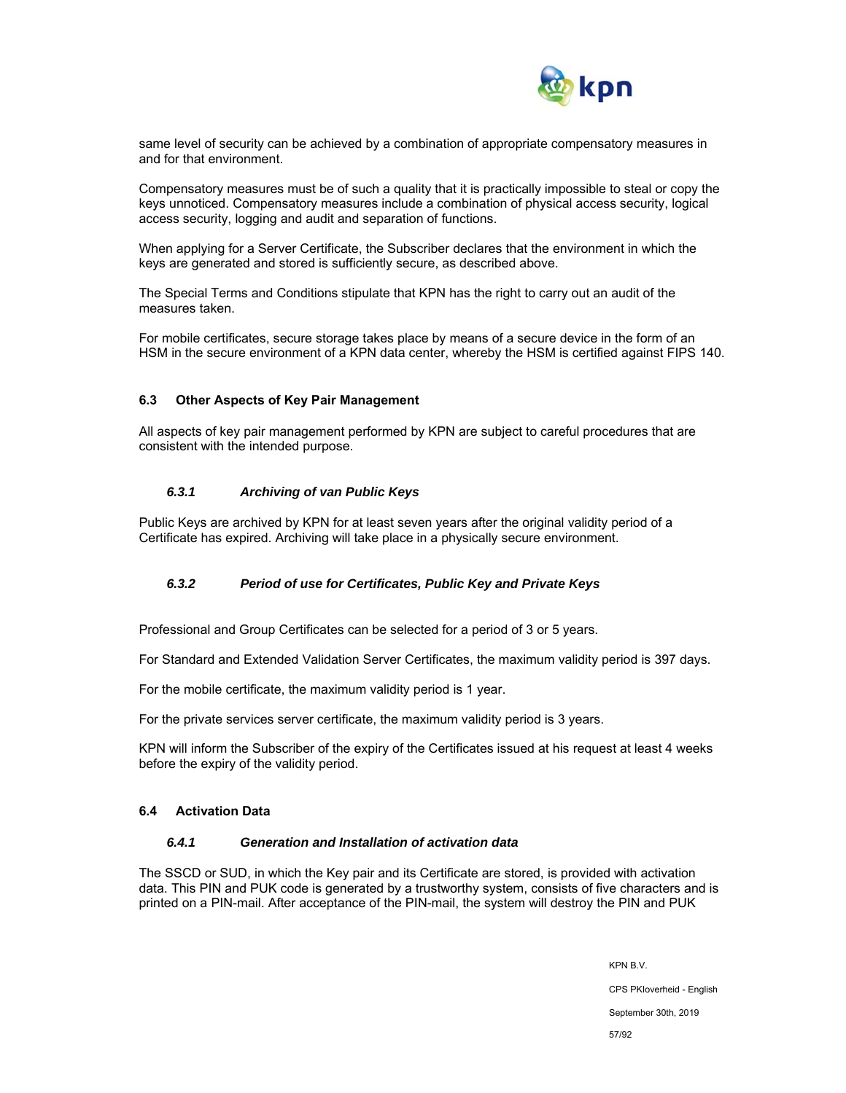

same level of security can be achieved by a combination of appropriate compensatory measures in and for that environment.

Compensatory measures must be of such a quality that it is practically impossible to steal or copy the keys unnoticed. Compensatory measures include a combination of physical access security, logical access security, logging and audit and separation of functions.

When applying for a Server Certificate, the Subscriber declares that the environment in which the keys are generated and stored is sufficiently secure, as described above.

The Special Terms and Conditions stipulate that KPN has the right to carry out an audit of the measures taken.

For mobile certificates, secure storage takes place by means of a secure device in the form of an HSM in the secure environment of a KPN data center, whereby the HSM is certified against FIPS 140.

#### **6.3 Other Aspects of Key Pair Management**

All aspects of key pair management performed by KPN are subject to careful procedures that are consistent with the intended purpose.

#### *6.3.1 Archiving of van Public Keys*

Public Keys are archived by KPN for at least seven years after the original validity period of a Certificate has expired. Archiving will take place in a physically secure environment.

## *6.3.2 Period of use for Certificates, Public Key and Private Keys*

Professional and Group Certificates can be selected for a period of 3 or 5 years.

For Standard and Extended Validation Server Certificates, the maximum validity period is 397 days.

For the mobile certificate, the maximum validity period is 1 year.

For the private services server certificate, the maximum validity period is 3 years.

KPN will inform the Subscriber of the expiry of the Certificates issued at his request at least 4 weeks before the expiry of the validity period.

#### **6.4 Activation Data**

#### *6.4.1 Generation and Installation of activation data*

The SSCD or SUD, in which the Key pair and its Certificate are stored, is provided with activation data. This PIN and PUK code is generated by a trustworthy system, consists of five characters and is printed on a PIN-mail. After acceptance of the PIN-mail, the system will destroy the PIN and PUK

> KPN B.V. CPS PKIoverheid - English September 30th, 2019 57/92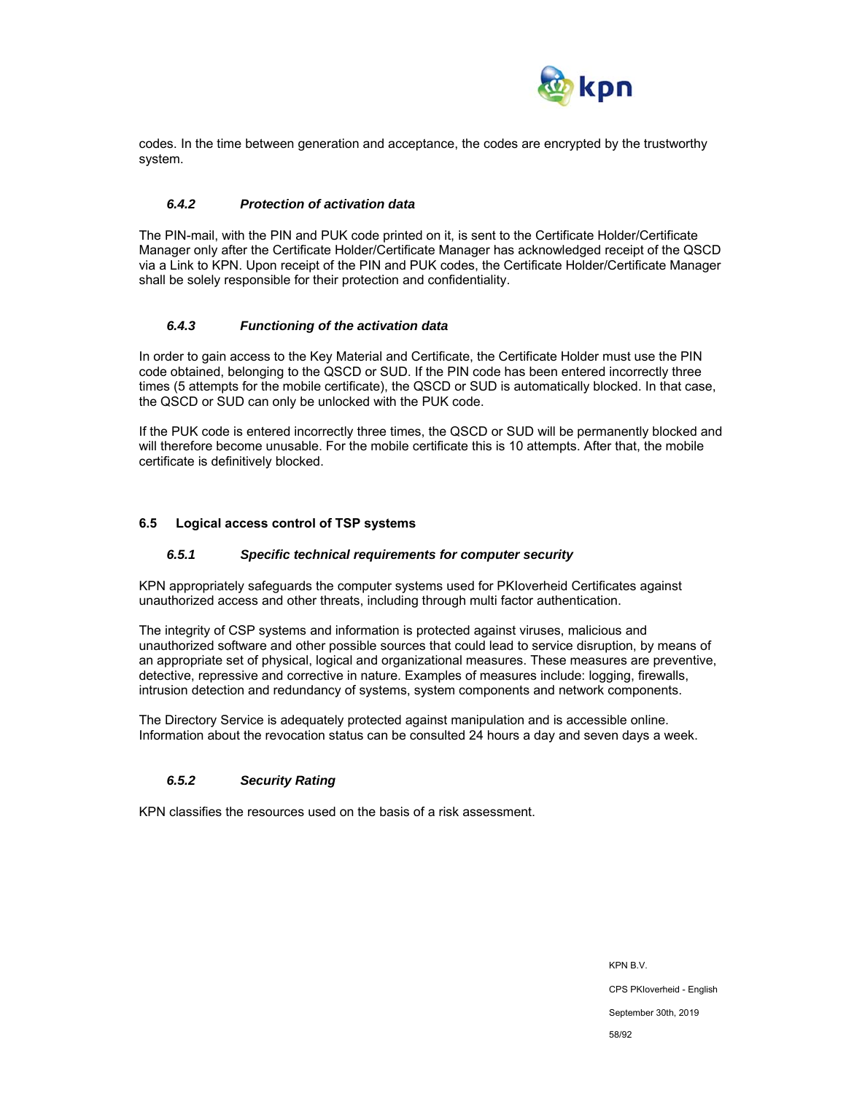

codes. In the time between generation and acceptance, the codes are encrypted by the trustworthy system.

#### *6.4.2 Protection of activation data*

The PIN-mail, with the PIN and PUK code printed on it, is sent to the Certificate Holder/Certificate Manager only after the Certificate Holder/Certificate Manager has acknowledged receipt of the QSCD via a Link to KPN. Upon receipt of the PIN and PUK codes, the Certificate Holder/Certificate Manager shall be solely responsible for their protection and confidentiality.

#### *6.4.3 Functioning of the activation data*

In order to gain access to the Key Material and Certificate, the Certificate Holder must use the PIN code obtained, belonging to the QSCD or SUD. If the PIN code has been entered incorrectly three times (5 attempts for the mobile certificate), the QSCD or SUD is automatically blocked. In that case, the QSCD or SUD can only be unlocked with the PUK code.

If the PUK code is entered incorrectly three times, the QSCD or SUD will be permanently blocked and will therefore become unusable. For the mobile certificate this is 10 attempts. After that, the mobile certificate is definitively blocked.

#### **6.5 Logical access control of TSP systems**

#### *6.5.1 Specific technical requirements for computer security*

KPN appropriately safeguards the computer systems used for PKIoverheid Certificates against unauthorized access and other threats, including through multi factor authentication.

The integrity of CSP systems and information is protected against viruses, malicious and unauthorized software and other possible sources that could lead to service disruption, by means of an appropriate set of physical, logical and organizational measures. These measures are preventive, detective, repressive and corrective in nature. Examples of measures include: logging, firewalls, intrusion detection and redundancy of systems, system components and network components.

The Directory Service is adequately protected against manipulation and is accessible online. Information about the revocation status can be consulted 24 hours a day and seven days a week.

## *6.5.2 Security Rating*

KPN classifies the resources used on the basis of a risk assessment.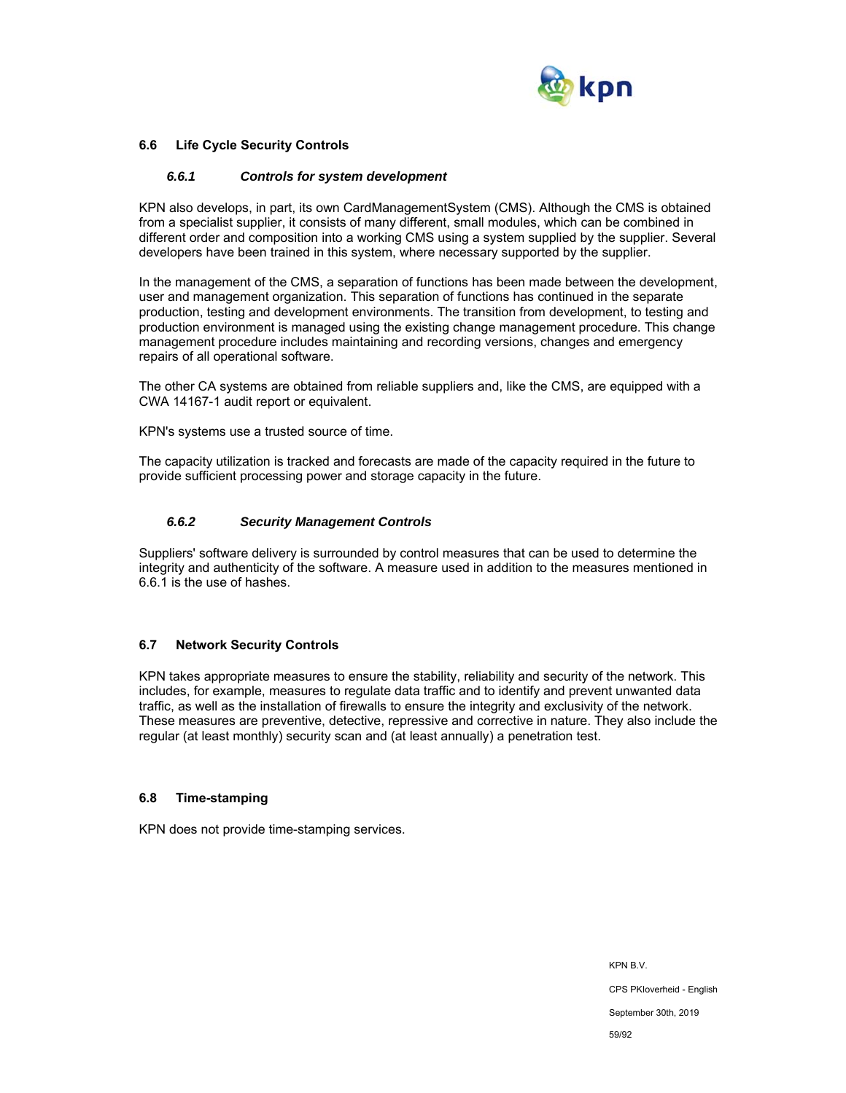

## **6.6 Life Cycle Security Controls**

#### *6.6.1 Controls for system development*

KPN also develops, in part, its own CardManagementSystem (CMS). Although the CMS is obtained from a specialist supplier, it consists of many different, small modules, which can be combined in different order and composition into a working CMS using a system supplied by the supplier. Several developers have been trained in this system, where necessary supported by the supplier.

In the management of the CMS, a separation of functions has been made between the development, user and management organization. This separation of functions has continued in the separate production, testing and development environments. The transition from development, to testing and production environment is managed using the existing change management procedure. This change management procedure includes maintaining and recording versions, changes and emergency repairs of all operational software.

The other CA systems are obtained from reliable suppliers and, like the CMS, are equipped with a CWA 14167-1 audit report or equivalent.

KPN's systems use a trusted source of time.

The capacity utilization is tracked and forecasts are made of the capacity required in the future to provide sufficient processing power and storage capacity in the future.

#### *6.6.2 Security Management Controls*

Suppliers' software delivery is surrounded by control measures that can be used to determine the integrity and authenticity of the software. A measure used in addition to the measures mentioned in 6.6.1 is the use of hashes.

#### **6.7 Network Security Controls**

KPN takes appropriate measures to ensure the stability, reliability and security of the network. This includes, for example, measures to regulate data traffic and to identify and prevent unwanted data traffic, as well as the installation of firewalls to ensure the integrity and exclusivity of the network. These measures are preventive, detective, repressive and corrective in nature. They also include the regular (at least monthly) security scan and (at least annually) a penetration test.

#### **6.8 Time-stamping**

KPN does not provide time-stamping services.

KPN B.V. CPS PKIoverheid - English September 30th, 2019 59/92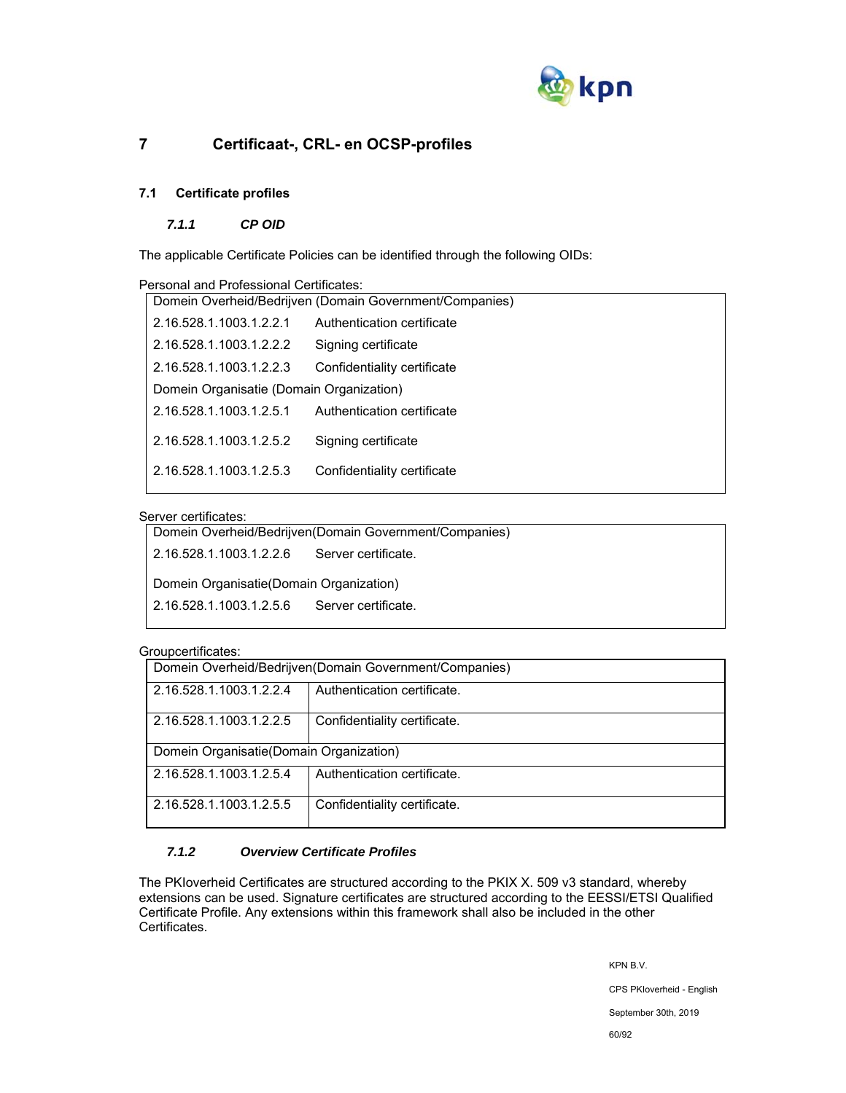

# **7 Certificaat-, CRL- en OCSP-profiles**

## **7.1 Certificate profiles**

## *7.1.1 CP OID*

The applicable Certificate Policies can be identified through the following OIDs:

| Personal and Professional Certificates:                 |                             |  |
|---------------------------------------------------------|-----------------------------|--|
| Domein Overheid/Bedrijven (Domain Government/Companies) |                             |  |
| 2.16.528.1.1003.1.2.2.1                                 | Authentication certificate  |  |
| 2.16.528.1.1003.1.2.2.2                                 | Signing certificate         |  |
| 2.16.528.1.1003.1.2.2.3                                 | Confidentiality certificate |  |
| Domein Organisatie (Domain Organization)                |                             |  |
| 2.16.528.1.1003.1.2.5.1                                 | Authentication certificate  |  |
| 2.16.528.1.1003.1.2.5.2                                 | Signing certificate         |  |
| 2.16.528.1.1003.1.2.5.3                                 | Confidentiality certificate |  |
|                                                         |                             |  |

## Server certificates:

| Domein Overheid/Bedrijven (Domain Government/Companies) |
|---------------------------------------------------------|
| 2.16.528.1.1003.1.2.2.6<br>Server certificate.          |
| Domein Organisatie (Domain Organization)                |
| 2.16.528.1.1003.1.2.5.6<br>Server certificate.          |
|                                                         |

#### Groupcertificates:

| Domein Overheid/Bedrijven(Domain Government/Companies)  |  |  |  |  |
|---------------------------------------------------------|--|--|--|--|
| Authentication certificate.<br>2.16.528.1.1003.1.2.2.4  |  |  |  |  |
| Confidentiality certificate.<br>2.16.528.1.1003.1.2.2.5 |  |  |  |  |
| Domein Organisatie(Domain Organization)                 |  |  |  |  |
| 2.16.528.1.1003.1.2.5.4<br>Authentication certificate.  |  |  |  |  |
| Confidentiality certificate.<br>2.16.528.1.1003.1.2.5.5 |  |  |  |  |

# *7.1.2 Overview Certificate Profiles*

The PKIoverheid Certificates are structured according to the PKIX X. 509 v3 standard, whereby extensions can be used. Signature certificates are structured according to the EESSI/ETSI Qualified Certificate Profile. Any extensions within this framework shall also be included in the other Certificates.

> KPN B.V. CPS PKIoverheid - English September 30th, 2019 60/92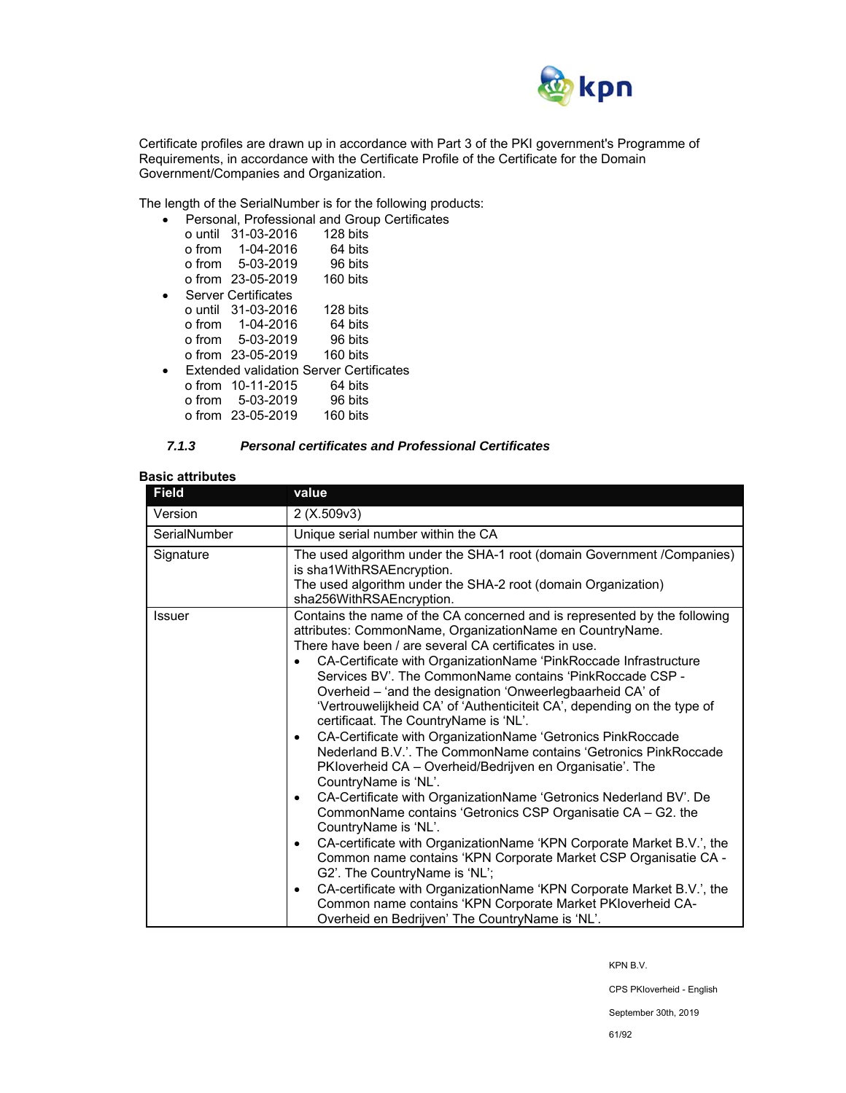

Certificate profiles are drawn up in accordance with Part 3 of the PKI government's Programme of Requirements, in accordance with the Certificate Profile of the Certificate for the Domain Government/Companies and Organization.

The length of the SerialNumber is for the following products:

|  | Personal, Professional and Group Certificates  |          |         |  |
|--|------------------------------------------------|----------|---------|--|
|  | o until 31-03-2016                             | 128 bits |         |  |
|  | o from 1-04-2016                               |          | 64 bits |  |
|  | o from 5-03-2019                               |          | 96 bits |  |
|  | o from 23-05-2019                              | 160 bits |         |  |
|  | <b>Server Certificates</b>                     |          |         |  |
|  | o until 31-03-2016                             | 128 bits |         |  |
|  | o from 1-04-2016                               |          | 64 bits |  |
|  | o from 5-03-2019                               |          | 96 bits |  |
|  | o from 23-05-2019                              | 160 bits |         |  |
|  | <b>Extended validation Server Certificates</b> |          |         |  |
|  | $o from 10-11-2015$                            |          | 64 bits |  |
|  | o from 5-03-2019                               |          | 96 bits |  |
|  | o from 23-05-2019                              | 160 bits |         |  |

## *7.1.3 Personal certificates and Professional Certificates*

## **Basic attributes**

| <b>Field</b>  | value                                                                                                                                                                                                                                                                                                                                                                                                                                                                                                                                                                                                                                                                                                                                                                                                                                                                                                                                                                                                                                                                                                                                                                                                                                                                                                                                            |  |  |
|---------------|--------------------------------------------------------------------------------------------------------------------------------------------------------------------------------------------------------------------------------------------------------------------------------------------------------------------------------------------------------------------------------------------------------------------------------------------------------------------------------------------------------------------------------------------------------------------------------------------------------------------------------------------------------------------------------------------------------------------------------------------------------------------------------------------------------------------------------------------------------------------------------------------------------------------------------------------------------------------------------------------------------------------------------------------------------------------------------------------------------------------------------------------------------------------------------------------------------------------------------------------------------------------------------------------------------------------------------------------------|--|--|
| Version       | 2(X.509v3)                                                                                                                                                                                                                                                                                                                                                                                                                                                                                                                                                                                                                                                                                                                                                                                                                                                                                                                                                                                                                                                                                                                                                                                                                                                                                                                                       |  |  |
| SerialNumber  | Unique serial number within the CA                                                                                                                                                                                                                                                                                                                                                                                                                                                                                                                                                                                                                                                                                                                                                                                                                                                                                                                                                                                                                                                                                                                                                                                                                                                                                                               |  |  |
| Signature     | The used algorithm under the SHA-1 root (domain Government /Companies)<br>is sha1WithRSAEncryption.<br>The used algorithm under the SHA-2 root (domain Organization)                                                                                                                                                                                                                                                                                                                                                                                                                                                                                                                                                                                                                                                                                                                                                                                                                                                                                                                                                                                                                                                                                                                                                                             |  |  |
| <b>Issuer</b> | sha256WithRSAEncryption.<br>Contains the name of the CA concerned and is represented by the following<br>attributes: CommonName, OrganizationName en CountryName.<br>There have been / are several CA certificates in use.<br>CA-Certificate with OrganizationName 'PinkRoccade Infrastructure<br>Services BV'. The CommonName contains 'PinkRoccade CSP -<br>Overheid - 'and the designation 'Onweerlegbaarheid CA' of<br>'Vertrouwelijkheid CA' of 'Authenticiteit CA', depending on the type of<br>certificaat. The CountryName is 'NL'.<br>CA-Certificate with OrganizationName 'Getronics PinkRoccade<br>$\bullet$<br>Nederland B.V.'. The CommonName contains 'Getronics PinkRoccade<br>PKloverheid CA - Overheid/Bedrijven en Organisatie'. The<br>CountryName is 'NL'.<br>CA-Certificate with OrganizationName 'Getronics Nederland BV'. De<br>$\bullet$<br>CommonName contains 'Getronics CSP Organisatie CA - G2. the<br>CountryName is 'NL'.<br>CA-certificate with OrganizationName 'KPN Corporate Market B.V.', the<br>٠<br>Common name contains 'KPN Corporate Market CSP Organisatie CA -<br>G2'. The CountryName is 'NL';<br>CA-certificate with OrganizationName 'KPN Corporate Market B.V.', the<br>$\bullet$<br>Common name contains 'KPN Corporate Market PKIoverheid CA-<br>Overheid en Bedrijven' The CountryName is 'NL'. |  |  |

KPN B.V.

CPS PKIoverheid - English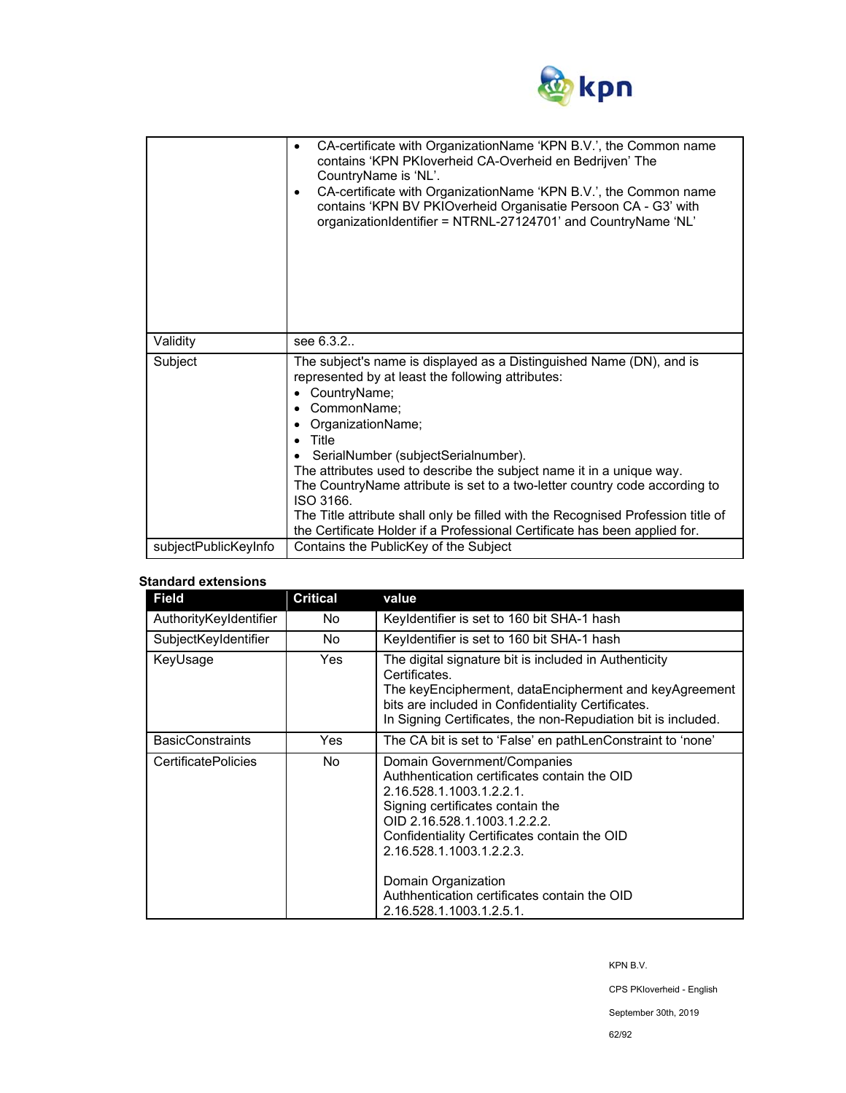

|                      | CA-certificate with OrganizationName 'KPN B.V.', the Common name<br>٠<br>contains 'KPN PKIoverheid CA-Overheid en Bedrijven' The<br>CountryName is 'NL'.<br>CA-certificate with OrganizationName 'KPN B.V.', the Common name<br>٠<br>contains 'KPN BV PKIOverheid Organisatie Persoon CA - G3' with<br>organizationIdentifier = NTRNL-27124701' and CountryName 'NL'                                                                                                                                                                                                    |  |
|----------------------|-------------------------------------------------------------------------------------------------------------------------------------------------------------------------------------------------------------------------------------------------------------------------------------------------------------------------------------------------------------------------------------------------------------------------------------------------------------------------------------------------------------------------------------------------------------------------|--|
| Validity             | see 6.3.2.                                                                                                                                                                                                                                                                                                                                                                                                                                                                                                                                                              |  |
| Subject              | The subject's name is displayed as a Distinguished Name (DN), and is<br>represented by at least the following attributes:<br>CountryName;<br>٠<br>CommonName;<br>OrganizationName;<br>Title<br>SerialNumber (subjectSerialnumber).<br>The attributes used to describe the subject name it in a unique way.<br>The CountryName attribute is set to a two-letter country code according to<br>ISO 3166.<br>The Title attribute shall only be filled with the Recognised Profession title of<br>the Certificate Holder if a Professional Certificate has been applied for. |  |
| subjectPublicKeyInfo | Contains the PublicKey of the Subject                                                                                                                                                                                                                                                                                                                                                                                                                                                                                                                                   |  |

## **Standard extensions**

| <b>Field</b>               | <b>Critical</b> | value                                                                                                                                                                                                                                                                                                                                                      |
|----------------------------|-----------------|------------------------------------------------------------------------------------------------------------------------------------------------------------------------------------------------------------------------------------------------------------------------------------------------------------------------------------------------------------|
| AuthorityKeyIdentifier     | No.             | Keyldentifier is set to 160 bit SHA-1 hash                                                                                                                                                                                                                                                                                                                 |
| SubjectKeyIdentifier       | No.             | Keyldentifier is set to 160 bit SHA-1 hash                                                                                                                                                                                                                                                                                                                 |
| KeyUsage                   | <b>Yes</b>      | The digital signature bit is included in Authenticity<br>Certificates.<br>The keyEncipherment, dataEncipherment and keyAgreement<br>bits are included in Confidentiality Certificates.<br>In Signing Certificates, the non-Repudiation bit is included.                                                                                                    |
| <b>BasicConstraints</b>    | Yes             | The CA bit is set to 'False' en pathLenConstraint to 'none'                                                                                                                                                                                                                                                                                                |
| <b>CertificatePolicies</b> | No.             | Domain Government/Companies<br>Authhentication certificates contain the OID<br>2.16.528.1.1003.1.2.2.1.<br>Signing certificates contain the<br>OID 2.16.528.1.1003.1.2.2.2.<br>Confidentiality Certificates contain the OID<br>2.16.528.1.1003.1.2.2.3.<br>Domain Organization<br>Authhentication certificates contain the OID<br>2.16.528.1.1003.1.2.5.1. |

KPN B.V.

CPS PKIoverheid - English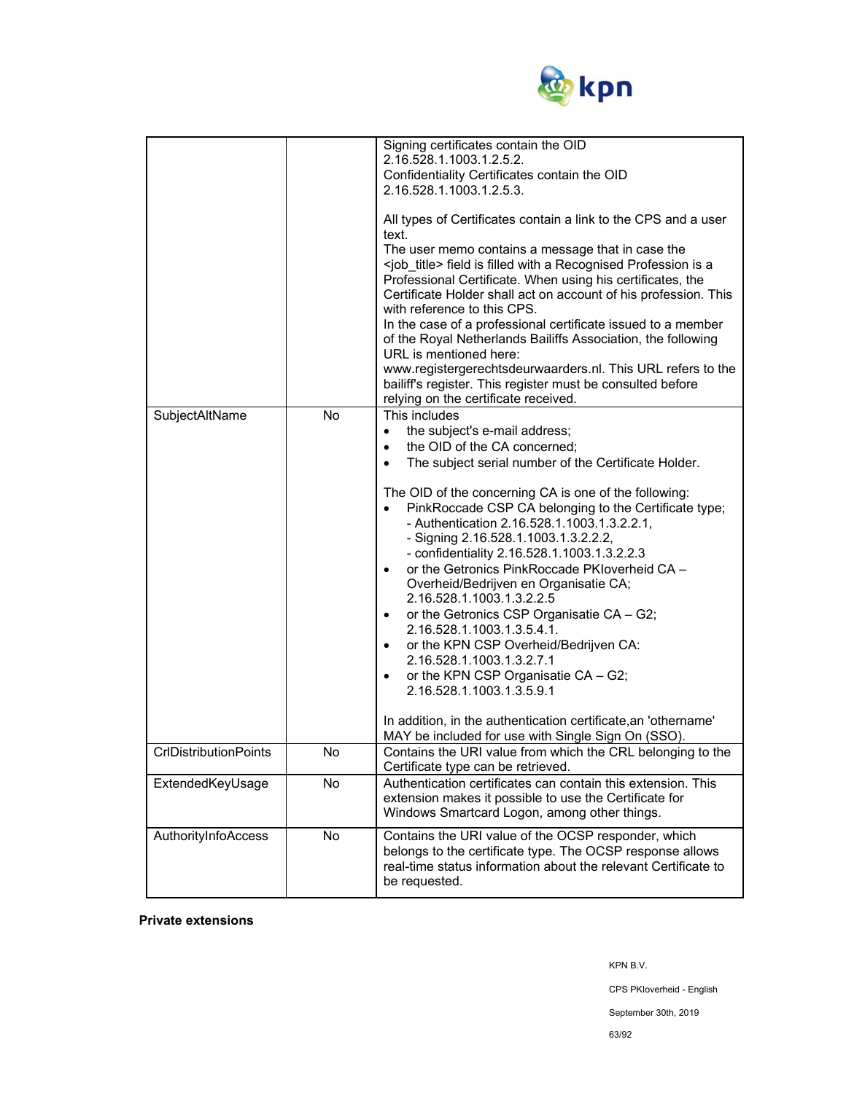

|                                                  |           | Signing certificates contain the OID<br>2.16.528.1.1003.1.2.5.2.<br>Confidentiality Certificates contain the OID<br>2.16.528.1.1003.1.2.5.3.<br>All types of Certificates contain a link to the CPS and a user<br>text.<br>The user memo contains a message that in case the<br><job_title> field is filled with a Recognised Profession is a<br/>Professional Certificate. When using his certificates, the<br/>Certificate Holder shall act on account of his profession. This<br/>with reference to this CPS.<br/>In the case of a professional certificate issued to a member<br/>of the Royal Netherlands Bailiffs Association, the following<br/>URL is mentioned here:<br/>www.registergerechtsdeurwaarders.nl. This URL refers to the<br/>bailiff's register. This register must be consulted before<br/>relying on the certificate received.</job_title>                                                                                             |
|--------------------------------------------------|-----------|---------------------------------------------------------------------------------------------------------------------------------------------------------------------------------------------------------------------------------------------------------------------------------------------------------------------------------------------------------------------------------------------------------------------------------------------------------------------------------------------------------------------------------------------------------------------------------------------------------------------------------------------------------------------------------------------------------------------------------------------------------------------------------------------------------------------------------------------------------------------------------------------------------------------------------------------------------------|
| SubjectAltName                                   | <b>No</b> | This includes<br>the subject's e-mail address;<br>$\bullet$<br>the OID of the CA concerned;<br>$\bullet$<br>The subject serial number of the Certificate Holder.<br>$\bullet$<br>The OID of the concerning CA is one of the following:<br>PinkRoccade CSP CA belonging to the Certificate type;<br>- Authentication 2.16.528.1.1003.1.3.2.2.1,<br>- Signing 2.16.528.1.1003.1.3.2.2.2,<br>- confidentiality 2.16.528.1.1003.1.3.2.2.3<br>or the Getronics PinkRoccade PKIoverheid CA -<br>$\bullet$<br>Overheid/Bedrijven en Organisatie CA;<br>2.16.528.1.1003.1.3.2.2.5<br>or the Getronics CSP Organisatie CA - G2;<br>$\bullet$<br>2.16.528.1.1003.1.3.5.4.1.<br>or the KPN CSP Overheid/Bedrijven CA:<br>$\bullet$<br>2.16.528.1.1003.1.3.2.7.1<br>or the KPN CSP Organisatie CA - G2;<br>$\bullet$<br>2.16.528.1.1003.1.3.5.9.1<br>In addition, in the authentication certificate, an 'othername'<br>MAY be included for use with Single Sign On (SSO). |
| <b>CrIDistributionPoints</b><br>ExtendedKeyUsage | No<br>No  | Contains the URI value from which the CRL belonging to the<br>Certificate type can be retrieved.<br>Authentication certificates can contain this extension. This                                                                                                                                                                                                                                                                                                                                                                                                                                                                                                                                                                                                                                                                                                                                                                                              |
|                                                  |           | extension makes it possible to use the Certificate for<br>Windows Smartcard Logon, among other things.                                                                                                                                                                                                                                                                                                                                                                                                                                                                                                                                                                                                                                                                                                                                                                                                                                                        |
| AuthorityInfoAccess                              | <b>No</b> | Contains the URI value of the OCSP responder, which<br>belongs to the certificate type. The OCSP response allows<br>real-time status information about the relevant Certificate to<br>be requested.                                                                                                                                                                                                                                                                                                                                                                                                                                                                                                                                                                                                                                                                                                                                                           |

**Private extensions** 

KPN B.V.

CPS PKIoverheid - English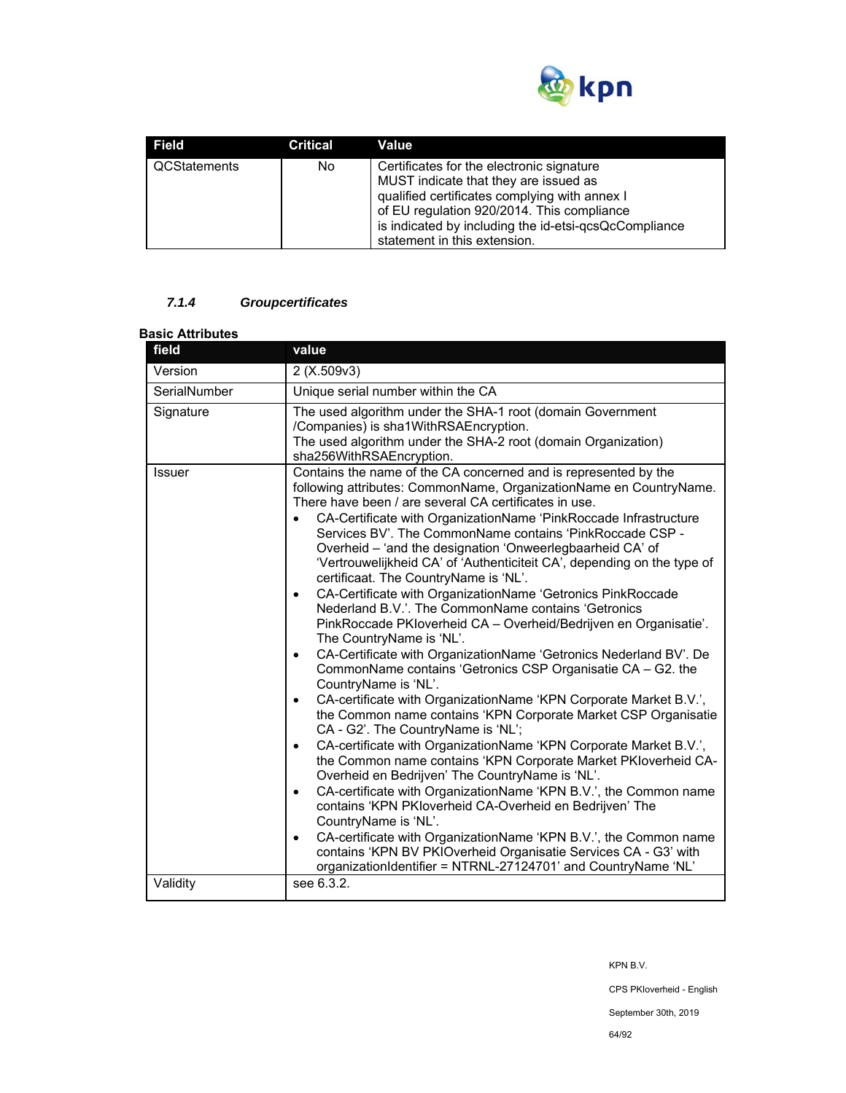

| Field               | <b>Critical</b> | Value                                                                                       |
|---------------------|-----------------|---------------------------------------------------------------------------------------------|
| <b>QCStatements</b> | No.             | Certificates for the electronic signature<br>MUST indicate that they are issued as          |
|                     |                 | qualified certificates complying with annex I<br>of EU regulation 920/2014. This compliance |
|                     |                 | is indicated by including the id-etsi-qcsQcCompliance<br>statement in this extension.       |

## *7.1.4 Groupcertificates*

# **Basic Attributes**

| field<br>value |                                                                                                                                                                                                                                                                                                                                                                                                                                                                                                                                                                                                                                                                                                                                                                                                                                                                                                                                                                                                                                                                                                                                                                                                                                                                                                                                                                                                                                                                                                                                                                                                                                                                                                                       |  |  |  |
|----------------|-----------------------------------------------------------------------------------------------------------------------------------------------------------------------------------------------------------------------------------------------------------------------------------------------------------------------------------------------------------------------------------------------------------------------------------------------------------------------------------------------------------------------------------------------------------------------------------------------------------------------------------------------------------------------------------------------------------------------------------------------------------------------------------------------------------------------------------------------------------------------------------------------------------------------------------------------------------------------------------------------------------------------------------------------------------------------------------------------------------------------------------------------------------------------------------------------------------------------------------------------------------------------------------------------------------------------------------------------------------------------------------------------------------------------------------------------------------------------------------------------------------------------------------------------------------------------------------------------------------------------------------------------------------------------------------------------------------------------|--|--|--|
| Version        | 2(X.509v3)                                                                                                                                                                                                                                                                                                                                                                                                                                                                                                                                                                                                                                                                                                                                                                                                                                                                                                                                                                                                                                                                                                                                                                                                                                                                                                                                                                                                                                                                                                                                                                                                                                                                                                            |  |  |  |
| SerialNumber   | Unique serial number within the CA                                                                                                                                                                                                                                                                                                                                                                                                                                                                                                                                                                                                                                                                                                                                                                                                                                                                                                                                                                                                                                                                                                                                                                                                                                                                                                                                                                                                                                                                                                                                                                                                                                                                                    |  |  |  |
| Signature      | The used algorithm under the SHA-1 root (domain Government<br>/Companies) is sha1WithRSAEncryption.<br>The used algorithm under the SHA-2 root (domain Organization)<br>sha256WithRSAEncryption.                                                                                                                                                                                                                                                                                                                                                                                                                                                                                                                                                                                                                                                                                                                                                                                                                                                                                                                                                                                                                                                                                                                                                                                                                                                                                                                                                                                                                                                                                                                      |  |  |  |
| <b>Issuer</b>  | Contains the name of the CA concerned and is represented by the<br>following attributes: CommonName, OrganizationName en CountryName.<br>There have been / are several CA certificates in use.<br>CA-Certificate with OrganizationName 'PinkRoccade Infrastructure<br>Services BV'. The CommonName contains 'PinkRoccade CSP -<br>Overheid - 'and the designation 'Onweerlegbaarheid CA' of<br>'Vertrouwelijkheid CA' of 'Authenticiteit CA', depending on the type of<br>certificaat. The CountryName is 'NL'.<br>CA-Certificate with OrganizationName 'Getronics PinkRoccade<br>$\bullet$<br>Nederland B.V.'. The CommonName contains 'Getronics<br>PinkRoccade PKIoverheid CA - Overheid/Bedrijven en Organisatie'.<br>The CountryName is 'NL'.<br>CA-Certificate with OrganizationName 'Getronics Nederland BV'. De<br>$\bullet$<br>CommonName contains 'Getronics CSP Organisatie CA - G2. the<br>CountryName is 'NL'.<br>CA-certificate with OrganizationName 'KPN Corporate Market B.V.',<br>$\bullet$<br>the Common name contains 'KPN Corporate Market CSP Organisatie<br>CA - G2'. The CountryName is 'NL';<br>CA-certificate with OrganizationName 'KPN Corporate Market B.V.',<br>$\bullet$<br>the Common name contains 'KPN Corporate Market PKIoverheid CA-<br>Overheid en Bedrijven' The CountryName is 'NL'.<br>CA-certificate with OrganizationName 'KPN B.V.', the Common name<br>$\bullet$<br>contains 'KPN PKloverheid CA-Overheid en Bedrijven' The<br>CountryName is 'NL'.<br>CA-certificate with OrganizationName 'KPN B.V.', the Common name<br>$\bullet$<br>contains 'KPN BV PKIOverheid Organisatie Services CA - G3' with<br>organizationIdentifier = NTRNL-27124701' and CountryName 'NL' |  |  |  |
| Validity       | see 6.3.2.                                                                                                                                                                                                                                                                                                                                                                                                                                                                                                                                                                                                                                                                                                                                                                                                                                                                                                                                                                                                                                                                                                                                                                                                                                                                                                                                                                                                                                                                                                                                                                                                                                                                                                            |  |  |  |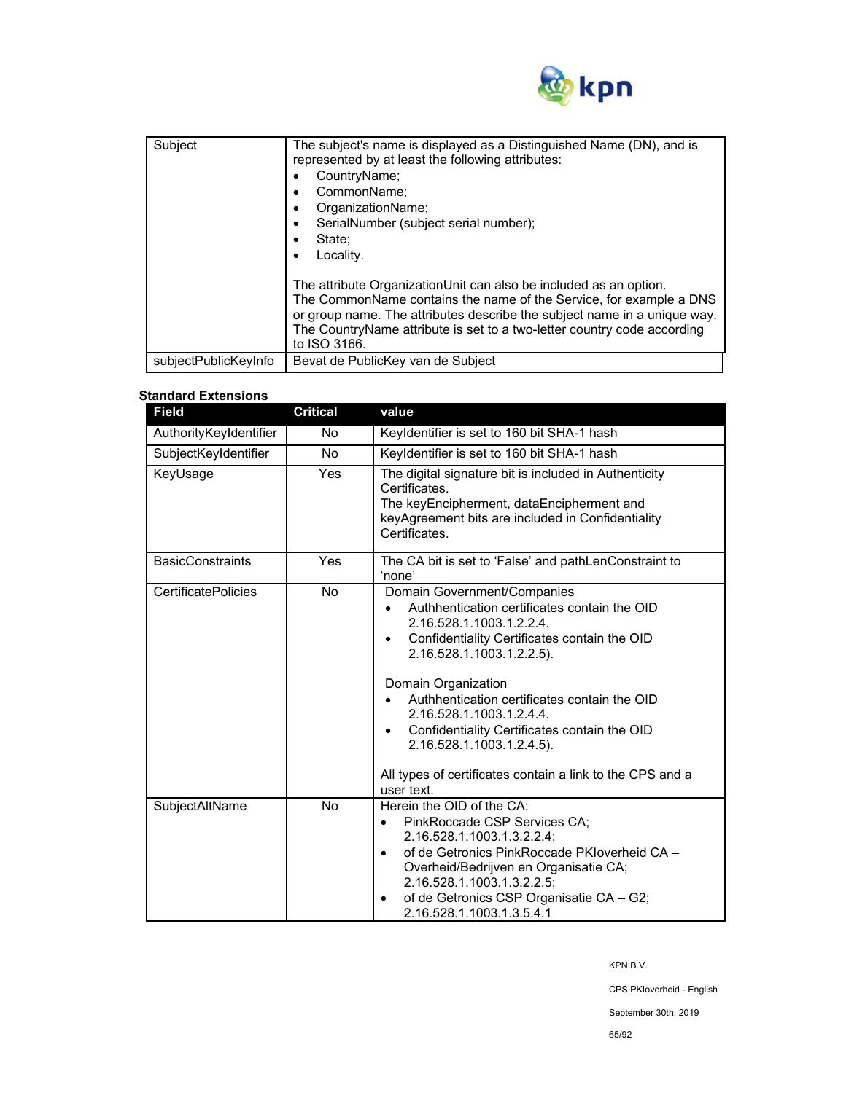

| Subject              | The subject's name is displayed as a Distinguished Name (DN), and is<br>represented by at least the following attributes:<br>CountryName;<br>CommonName;<br>٠<br>OrganizationName;<br>٠<br>SerialNumber (subject serial number);<br>$\bullet$<br>State:<br>٠<br>Locality.<br>٠<br>The attribute OrganizationUnit can also be included as an option.<br>The CommonName contains the name of the Service, for example a DNS<br>or group name. The attributes describe the subject name in a unique way.<br>The CountryName attribute is set to a two-letter country code according<br>to ISO 3166. |  |
|----------------------|--------------------------------------------------------------------------------------------------------------------------------------------------------------------------------------------------------------------------------------------------------------------------------------------------------------------------------------------------------------------------------------------------------------------------------------------------------------------------------------------------------------------------------------------------------------------------------------------------|--|
| subjectPublicKeyInfo | Bevat de PublicKey van de Subject                                                                                                                                                                                                                                                                                                                                                                                                                                                                                                                                                                |  |

## **Standard Extensions**

| <b>Field</b>               | <b>Critical</b> | value                                                                                                                                                                                                                                                                                                                                                                                                                                                |  |
|----------------------------|-----------------|------------------------------------------------------------------------------------------------------------------------------------------------------------------------------------------------------------------------------------------------------------------------------------------------------------------------------------------------------------------------------------------------------------------------------------------------------|--|
| AuthorityKeyIdentifier     | No.             | Keyldentifier is set to 160 bit SHA-1 hash                                                                                                                                                                                                                                                                                                                                                                                                           |  |
| SubjectKeyIdentifier       | <b>No</b>       | Keyldentifier is set to 160 bit SHA-1 hash                                                                                                                                                                                                                                                                                                                                                                                                           |  |
| KeyUsage                   | <b>Yes</b>      | The digital signature bit is included in Authenticity<br>Certificates<br>The keyEncipherment, dataEncipherment and<br>keyAgreement bits are included in Confidentiality<br>Certificates                                                                                                                                                                                                                                                              |  |
| <b>BasicConstraints</b>    | Yes             | The CA bit is set to 'False' and pathLenConstraint to<br>'none'                                                                                                                                                                                                                                                                                                                                                                                      |  |
| <b>CertificatePolicies</b> | No.             | Domain Government/Companies<br>Authhentication certificates contain the OID<br>2.16.528.1.1003.1.2.2.4.<br>Confidentiality Certificates contain the OID<br>2.16.528.1.1003.1.2.2.5).<br>Domain Organization<br>Authhentication certificates contain the OID<br>2.16.528.1.1003.1.2.4.4.<br>Confidentiality Certificates contain the OID<br>٠<br>2.16.528.1.1003.1.2.4.5).<br>All types of certificates contain a link to the CPS and a<br>user text. |  |
| SubjectAltName             | <b>No</b>       | Herein the OID of the CA:<br>PinkRoccade CSP Services CA;<br>2.16.528.1.1003.1.3.2.2.4;<br>of de Getronics PinkRoccade PKIoverheid CA -<br>Overheid/Bedrijven en Organisatie CA;<br>2.16.528.1.1003.1.3.2.2.5:<br>of de Getronics CSP Organisatie CA - G2;<br>$\bullet$<br>2.16.528.1.1003.1.3.5.4.1                                                                                                                                                 |  |

KPN B.V.

CPS PKIoverheid - English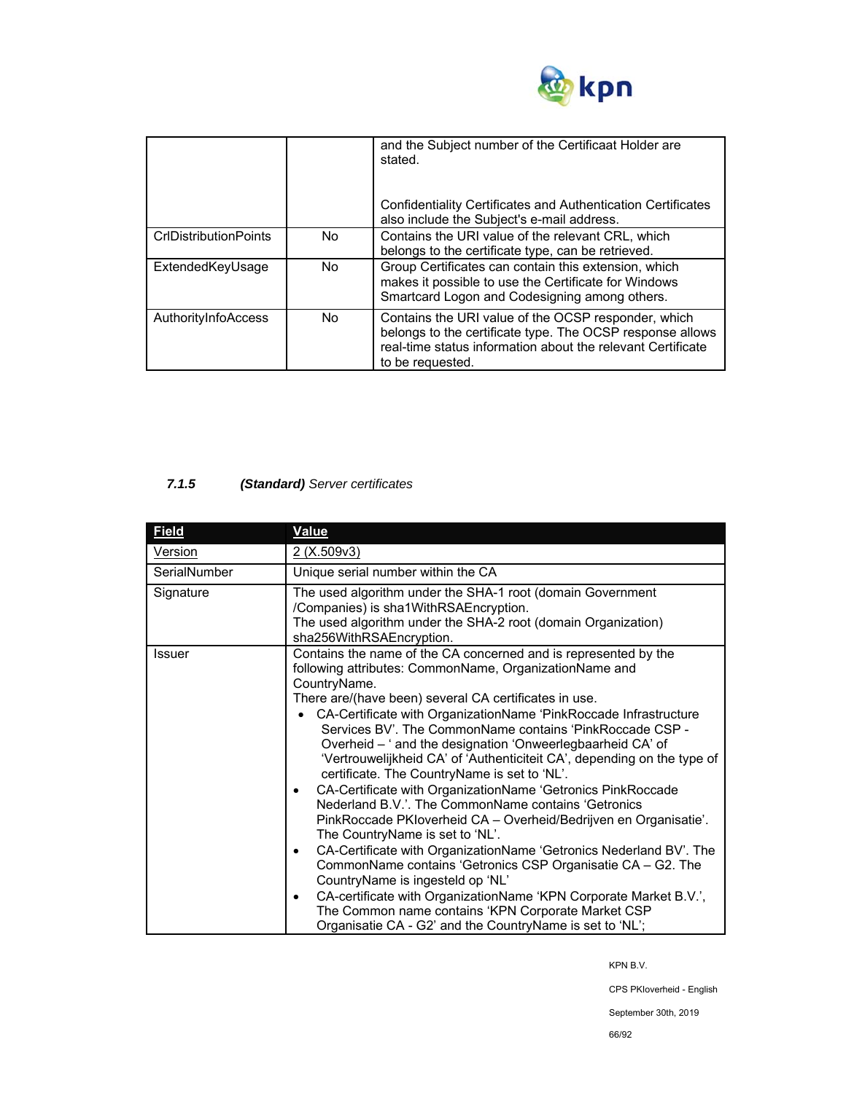

|                              |     | and the Subject number of the Certificaat Holder are<br>stated.<br>Confidentiality Certificates and Authentication Certificates<br>also include the Subject's e-mail address.                       |
|------------------------------|-----|-----------------------------------------------------------------------------------------------------------------------------------------------------------------------------------------------------|
| <b>CrIDistributionPoints</b> | No. | Contains the URI value of the relevant CRL, which<br>belongs to the certificate type, can be retrieved.                                                                                             |
| ExtendedKeyUsage             | No. | Group Certificates can contain this extension, which<br>makes it possible to use the Certificate for Windows<br>Smartcard Logon and Codesigning among others.                                       |
| AuthorityInfoAccess          | No. | Contains the URI value of the OCSP responder, which<br>belongs to the certificate type. The OCSP response allows<br>real-time status information about the relevant Certificate<br>to be requested. |

# *7.1.5 (Standard) Server certificates*

| <b>Field</b> | Value                                                                                                                                                                                                                                                                                                                                                                                                                                                                                                                                                                                                                                                                                                                                                                                                                                                                                                                                                                                                                                                                                                                                                   |
|--------------|---------------------------------------------------------------------------------------------------------------------------------------------------------------------------------------------------------------------------------------------------------------------------------------------------------------------------------------------------------------------------------------------------------------------------------------------------------------------------------------------------------------------------------------------------------------------------------------------------------------------------------------------------------------------------------------------------------------------------------------------------------------------------------------------------------------------------------------------------------------------------------------------------------------------------------------------------------------------------------------------------------------------------------------------------------------------------------------------------------------------------------------------------------|
| Version      | <u>2 (X.509v3)</u>                                                                                                                                                                                                                                                                                                                                                                                                                                                                                                                                                                                                                                                                                                                                                                                                                                                                                                                                                                                                                                                                                                                                      |
| SerialNumber | Unique serial number within the CA                                                                                                                                                                                                                                                                                                                                                                                                                                                                                                                                                                                                                                                                                                                                                                                                                                                                                                                                                                                                                                                                                                                      |
| Signature    | The used algorithm under the SHA-1 root (domain Government<br>/Companies) is sha1WithRSAEncryption.<br>The used algorithm under the SHA-2 root (domain Organization)<br>sha256WithRSAEncryption.                                                                                                                                                                                                                                                                                                                                                                                                                                                                                                                                                                                                                                                                                                                                                                                                                                                                                                                                                        |
| Issuer       | Contains the name of the CA concerned and is represented by the<br>following attributes: CommonName, OrganizationName and<br>CountryName.<br>There are/(have been) several CA certificates in use.<br>CA-Certificate with OrganizationName 'PinkRoccade Infrastructure<br>Services BV'. The CommonName contains 'PinkRoccade CSP -<br>Overheid - ' and the designation 'Onweerlegbaarheid CA' of<br>'Vertrouwelijkheid CA' of 'Authenticiteit CA', depending on the type of<br>certificate. The CountryName is set to 'NL'.<br>CA-Certificate with OrganizationName 'Getronics PinkRoccade<br>$\bullet$<br>Nederland B.V.'. The CommonName contains 'Getronics<br>PinkRoccade PKIoverheid CA - Overheid/Bedrijven en Organisatie'.<br>The CountryName is set to 'NL'.<br>CA-Certificate with OrganizationName 'Getronics Nederland BV'. The<br>$\bullet$<br>CommonName contains 'Getronics CSP Organisatie CA - G2. The<br>CountryName is ingesteld op 'NL'<br>CA-certificate with OrganizationName 'KPN Corporate Market B.V.',<br>٠<br>The Common name contains 'KPN Corporate Market CSP<br>Organisatie CA - G2' and the CountryName is set to 'NL'; |

KPN B.V.

CPS PKIoverheid - English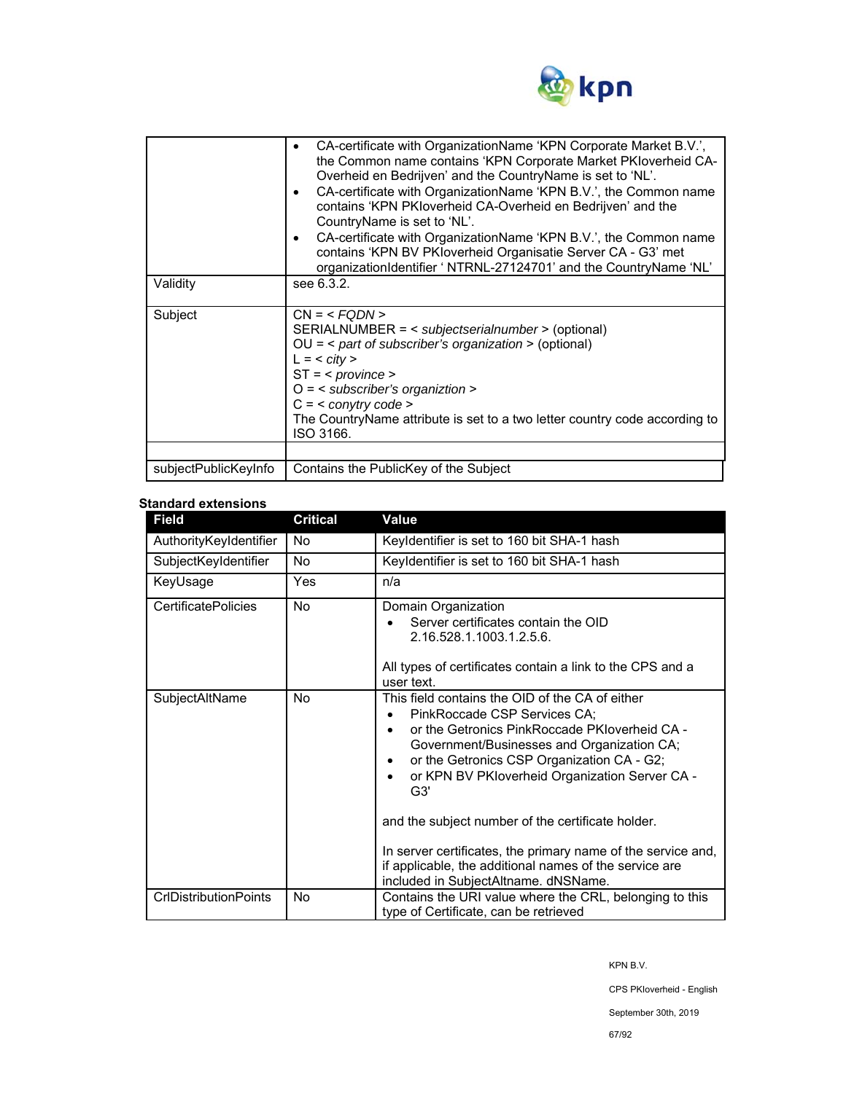

| Validity             | CA-certificate with OrganizationName 'KPN Corporate Market B.V.',<br>the Common name contains 'KPN Corporate Market PKIoverheid CA-<br>Overheid en Bedrijven' and the CountryName is set to 'NL'.<br>CA-certificate with OrganizationName 'KPN B.V.', the Common name<br>٠<br>contains 'KPN PKIoverheid CA-Overheid en Bedrijven' and the<br>CountryName is set to 'NL'.<br>CA-certificate with OrganizationName 'KPN B.V.', the Common name<br>٠<br>contains 'KPN BV PKloverheid Organisatie Server CA - G3' met<br>organizationIdentifier ' NTRNL-27124701' and the CountryName 'NL'<br>see 6.3.2. |  |
|----------------------|------------------------------------------------------------------------------------------------------------------------------------------------------------------------------------------------------------------------------------------------------------------------------------------------------------------------------------------------------------------------------------------------------------------------------------------------------------------------------------------------------------------------------------------------------------------------------------------------------|--|
| Subject              | $CN = $<br>SERIALNUMBER = < subjectserialnumber > (optional)<br>$OU =$ < part of subscriber's organization > (optional)<br>$L = <$ city ><br>$ST = <$ province ><br>$O =$ < subscriber's organiztion ><br>$C = <$ conytry code ><br>The CountryName attribute is set to a two letter country code according to<br>ISO 3166.                                                                                                                                                                                                                                                                          |  |
| subjectPublicKeyInfo | Contains the PublicKey of the Subject                                                                                                                                                                                                                                                                                                                                                                                                                                                                                                                                                                |  |

#### **Standard extensions**

| <b>Field</b>                 | <b>Critical</b> | Value                                                                                                                                                                                                                                                                                                                                                                                                                                                                                                                          |
|------------------------------|-----------------|--------------------------------------------------------------------------------------------------------------------------------------------------------------------------------------------------------------------------------------------------------------------------------------------------------------------------------------------------------------------------------------------------------------------------------------------------------------------------------------------------------------------------------|
| AuthorityKeyIdentifier       | No              | Keyldentifier is set to 160 bit SHA-1 hash                                                                                                                                                                                                                                                                                                                                                                                                                                                                                     |
| SubjectKeyIdentifier         | <b>No</b>       | Keyldentifier is set to 160 bit SHA-1 hash                                                                                                                                                                                                                                                                                                                                                                                                                                                                                     |
| KeyUsage                     | Yes             | n/a                                                                                                                                                                                                                                                                                                                                                                                                                                                                                                                            |
| <b>CertificatePolicies</b>   | <b>No</b>       | Domain Organization<br>Server certificates contain the OID<br>2.16.528.1.1003.1.2.5.6.<br>All types of certificates contain a link to the CPS and a<br>user text.                                                                                                                                                                                                                                                                                                                                                              |
| SubjectAltName               | No              | This field contains the OID of the CA of either<br>PinkRoccade CSP Services CA;<br>or the Getronics PinkRoccade PKIoverheid CA -<br>$\bullet$<br>Government/Businesses and Organization CA;<br>or the Getronics CSP Organization CA - G2;<br>or KPN BV PKloverheid Organization Server CA -<br>٠<br>G3'<br>and the subject number of the certificate holder.<br>In server certificates, the primary name of the service and,<br>if applicable, the additional names of the service are<br>included in SubjectAltname. dNSName. |
| <b>CrIDistributionPoints</b> | No              | Contains the URI value where the CRL, belonging to this<br>type of Certificate, can be retrieved                                                                                                                                                                                                                                                                                                                                                                                                                               |

KPN B.V.

CPS PKIoverheid - English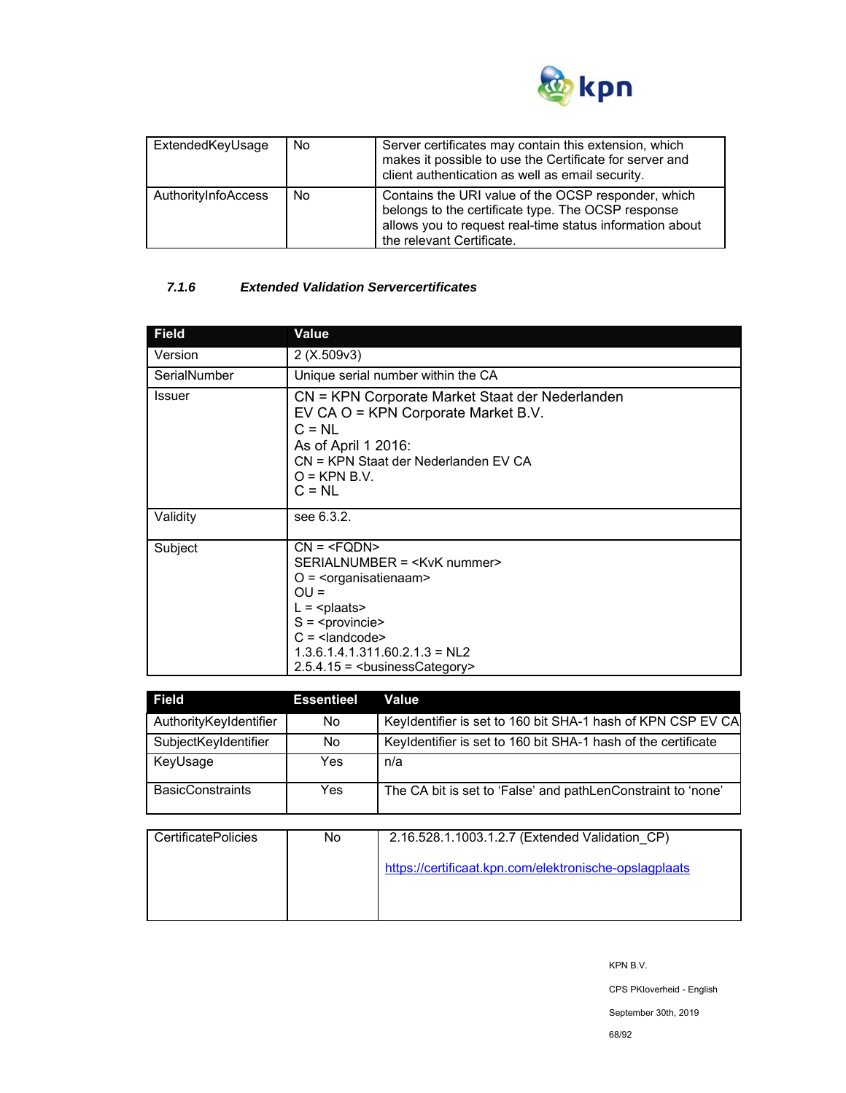

| ExtendedKeyUsage    | No. | Server certificates may contain this extension, which<br>makes it possible to use the Certificate for server and<br>client authentication as well as email security.                               |
|---------------------|-----|----------------------------------------------------------------------------------------------------------------------------------------------------------------------------------------------------|
| AuthorityInfoAccess | No. | Contains the URI value of the OCSP responder, which<br>belongs to the certificate type. The OCSP response<br>allows you to request real-time status information about<br>the relevant Certificate. |

# *7.1.6 Extended Validation Servercertificates*

| <b>Field</b>  | <b>Value</b>                                                                                                                                                                                    |
|---------------|-------------------------------------------------------------------------------------------------------------------------------------------------------------------------------------------------|
| Version       | 2(X.509v3)                                                                                                                                                                                      |
| SerialNumber  | Unique serial number within the CA                                                                                                                                                              |
| <b>Issuer</b> | CN = KPN Corporate Market Staat der Nederlanden<br>EV CA O = KPN Corporate Market B.V.<br>$C = NL$<br>As of April 1 2016:<br>CN = KPN Staat der Nederlanden EV CA<br>$O =$ KPN B.V.<br>$C = NL$ |
| Validity      | see 6.3.2.                                                                                                                                                                                      |
| Subject       | $CN = SERIALNUMBER = O = \langleorganisatienaam>OU =L = S = C = 1.3.6.1.4.1.311.60.2.1.3 = NL22.5.4.15 = businessCategory>$                                                                     |

| <b>Field</b>            | <b>Essentieel</b> | Value                                                         |
|-------------------------|-------------------|---------------------------------------------------------------|
| AuthorityKeyIdentifier  | No.               | Keyldentifier is set to 160 bit SHA-1 hash of KPN CSP EV CA   |
| SubjectKeyIdentifier    | No.               | Keyldentifier is set to 160 bit SHA-1 hash of the certificate |
| KeyUsage                | Yes               | n/a                                                           |
| <b>BasicConstraints</b> | Yes               | The CA bit is set to 'False' and pathLenConstraint to 'none'  |

| <b>CertificatePolicies</b> | No | 2.16.528.1.1003.1.2.7 (Extended Validation CP)         |
|----------------------------|----|--------------------------------------------------------|
|                            |    | https://certificaat.kpn.com/elektronische-opslagplaats |
|                            |    |                                                        |
|                            |    |                                                        |

KPN B.V. CPS PKIoverheid - English September 30th, 2019 68/92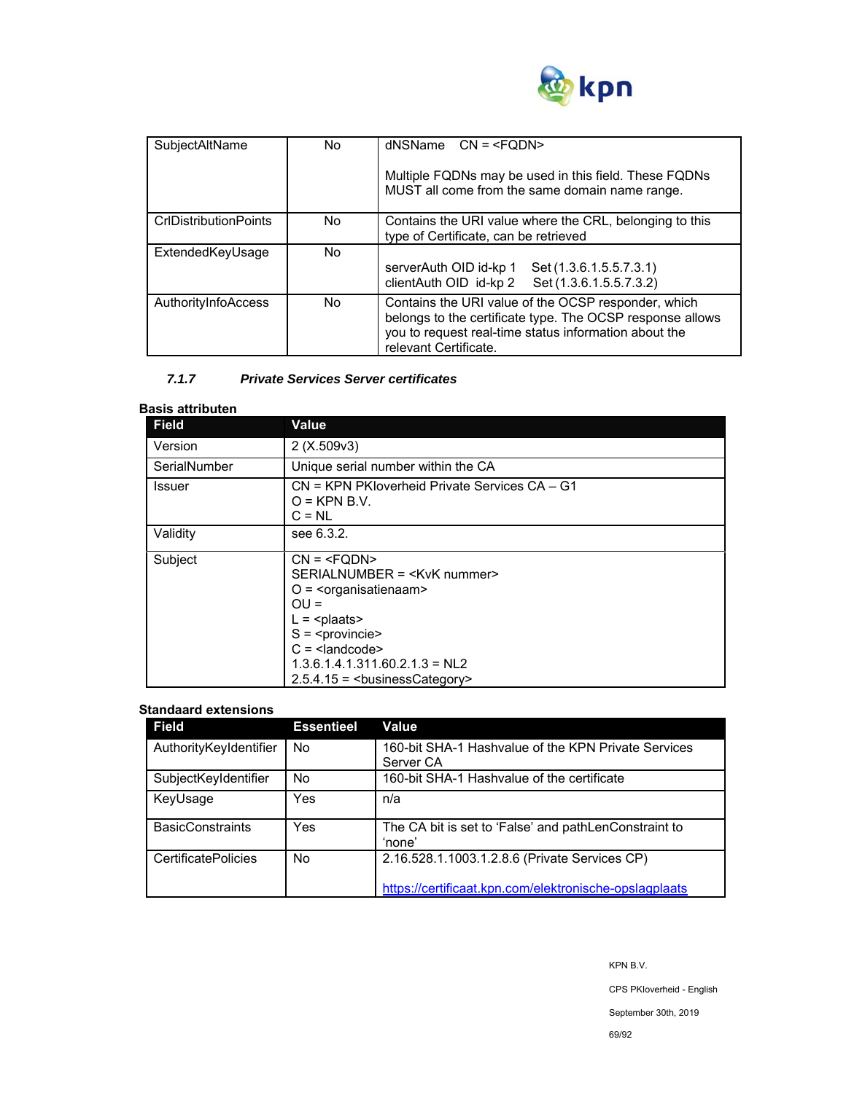

| SubjectAltName               | No. | $d$ NSName $CN = Multiple FQDNs may be used in this field. These FQDNsMUST all come from the same domain name range.$                                                                              |
|------------------------------|-----|----------------------------------------------------------------------------------------------------------------------------------------------------------------------------------------------------|
| <b>CrIDistributionPoints</b> | No. | Contains the URI value where the CRL, belonging to this<br>type of Certificate, can be retrieved                                                                                                   |
| ExtendedKeyUsage             | No. | serverAuth OID id-kp 1<br>Set (1.3.6.1.5.5.7.3.1)<br>clientAuth OID id-kp 2 Set (1.3.6.1.5.5.7.3.2)                                                                                                |
| AuthorityInfoAccess          | No. | Contains the URI value of the OCSP responder, which<br>belongs to the certificate type. The OCSP response allows<br>you to request real-time status information about the<br>relevant Certificate. |

## *7.1.7 Private Services Server certificates*

## **Basis attributen**

| Field        | Value                                                                                                                       |
|--------------|-----------------------------------------------------------------------------------------------------------------------------|
| Version      | 2(X.509v3)                                                                                                                  |
| SerialNumber | Unique serial number within the CA                                                                                          |
| Issuer       | CN = KPN PKIoverheid Private Services CA - G1<br>$O =$ KPN B.V.<br>$C = NL$                                                 |
| Validity     | see 6.3.2.                                                                                                                  |
| Subject      | $CN = SERIALNUMBER = O = \langleorganisatienaam>OU =L = S = C = 1.3.6.1.4.1.311.60.2.1.3 = NL22.5.4.15 = businessCategory>$ |

#### **Standaard extensions**

| <b>Field</b>               | <b>Essentieel</b> | Value                                                            |
|----------------------------|-------------------|------------------------------------------------------------------|
| AuthorityKeyIdentifier     | <b>No</b>         | 160-bit SHA-1 Hashvalue of the KPN Private Services<br>Server CA |
| SubjectKeyIdentifier       | No.               | 160-bit SHA-1 Hashvalue of the certificate                       |
| KeyUsage                   | Yes               | n/a                                                              |
| <b>BasicConstraints</b>    | Yes               | The CA bit is set to 'False' and pathLenConstraint to<br>'none'  |
| <b>CertificatePolicies</b> | <b>No</b>         | 2.16.528.1.1003.1.2.8.6 (Private Services CP)                    |
|                            |                   | https://certificaat.kpn.com/elektronische-opslagplaats           |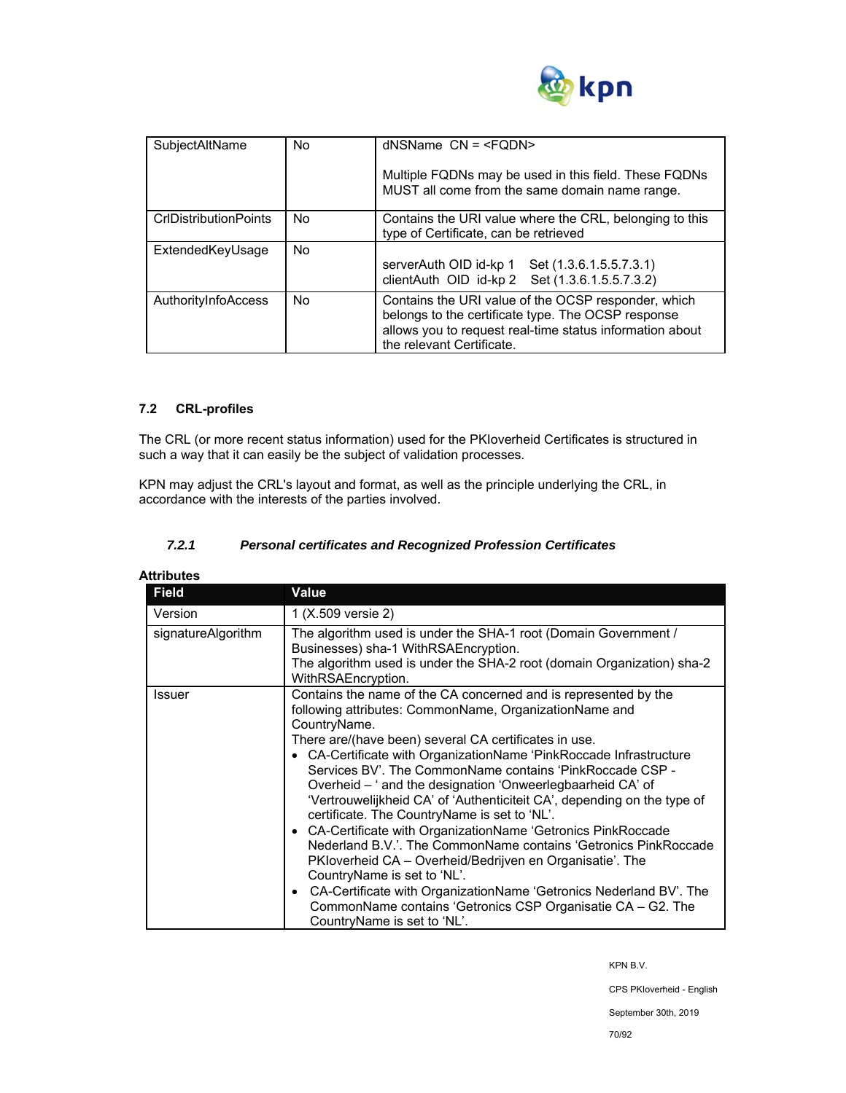

| SubjectAltName               | No        | $d$ NSName $CN = $                                                                                                                                                                                 |
|------------------------------|-----------|----------------------------------------------------------------------------------------------------------------------------------------------------------------------------------------------------|
|                              |           | Multiple FQDNs may be used in this field. These FQDNs<br>MUST all come from the same domain name range.                                                                                            |
| <b>CrIDistributionPoints</b> | No.       | Contains the URI value where the CRL, belonging to this<br>type of Certificate, can be retrieved                                                                                                   |
| ExtendedKeyUsage             | <b>No</b> | serverAuth OID id-kp 1 Set (1.3.6.1.5.5.7.3.1)<br>clientAuth OID id-kp 2 Set (1.3.6.1.5.5.7.3.2)                                                                                                   |
| AuthorityInfoAccess          | No.       | Contains the URI value of the OCSP responder, which<br>belongs to the certificate type. The OCSP response<br>allows you to request real-time status information about<br>the relevant Certificate. |

## **7.2 CRL-profiles**

The CRL (or more recent status information) used for the PKIoverheid Certificates is structured in such a way that it can easily be the subject of validation processes.

KPN may adjust the CRL's layout and format, as well as the principle underlying the CRL, in accordance with the interests of the parties involved.

## *7.2.1 Personal certificates and Recognized Profession Certificates*

| <b>Field</b>       | Value                                                                                                                                                                                                                                                                                                                                                                                                                                                                                                                                                                                                                                                                                                                                                                                                                                                                                                                                         |
|--------------------|-----------------------------------------------------------------------------------------------------------------------------------------------------------------------------------------------------------------------------------------------------------------------------------------------------------------------------------------------------------------------------------------------------------------------------------------------------------------------------------------------------------------------------------------------------------------------------------------------------------------------------------------------------------------------------------------------------------------------------------------------------------------------------------------------------------------------------------------------------------------------------------------------------------------------------------------------|
| Version            | 1 (X.509 versie 2)                                                                                                                                                                                                                                                                                                                                                                                                                                                                                                                                                                                                                                                                                                                                                                                                                                                                                                                            |
| signatureAlgorithm | The algorithm used is under the SHA-1 root (Domain Government /<br>Businesses) sha-1 WithRSAEncryption.<br>The algorithm used is under the SHA-2 root (domain Organization) sha-2<br>WithRSAEncryption.                                                                                                                                                                                                                                                                                                                                                                                                                                                                                                                                                                                                                                                                                                                                       |
| Issuer             | Contains the name of the CA concerned and is represented by the<br>following attributes: CommonName, OrganizationName and<br>CountryName.<br>There are/(have been) several CA certificates in use.<br>• CA-Certificate with OrganizationName 'PinkRoccade Infrastructure<br>Services BV'. The CommonName contains 'PinkRoccade CSP -<br>Overheid – ' and the designation 'Onweerlegbaarheid CA' of<br>'Vertrouwelijkheid CA' of 'Authenticiteit CA', depending on the type of<br>certificate. The CountryName is set to 'NL'.<br>• CA-Certificate with OrganizationName 'Getronics PinkRoccade<br>Nederland B.V.'. The CommonName contains 'Getronics PinkRoccade<br>PKloverheid CA - Overheid/Bedrijven en Organisatie'. The<br>CountryName is set to 'NL'.<br>CA-Certificate with OrganizationName 'Getronics Nederland BV'. The<br>$\bullet$<br>CommonName contains 'Getronics CSP Organisatie CA - G2. The<br>CountryName is set to 'NL'. |

CPS PKIoverheid - English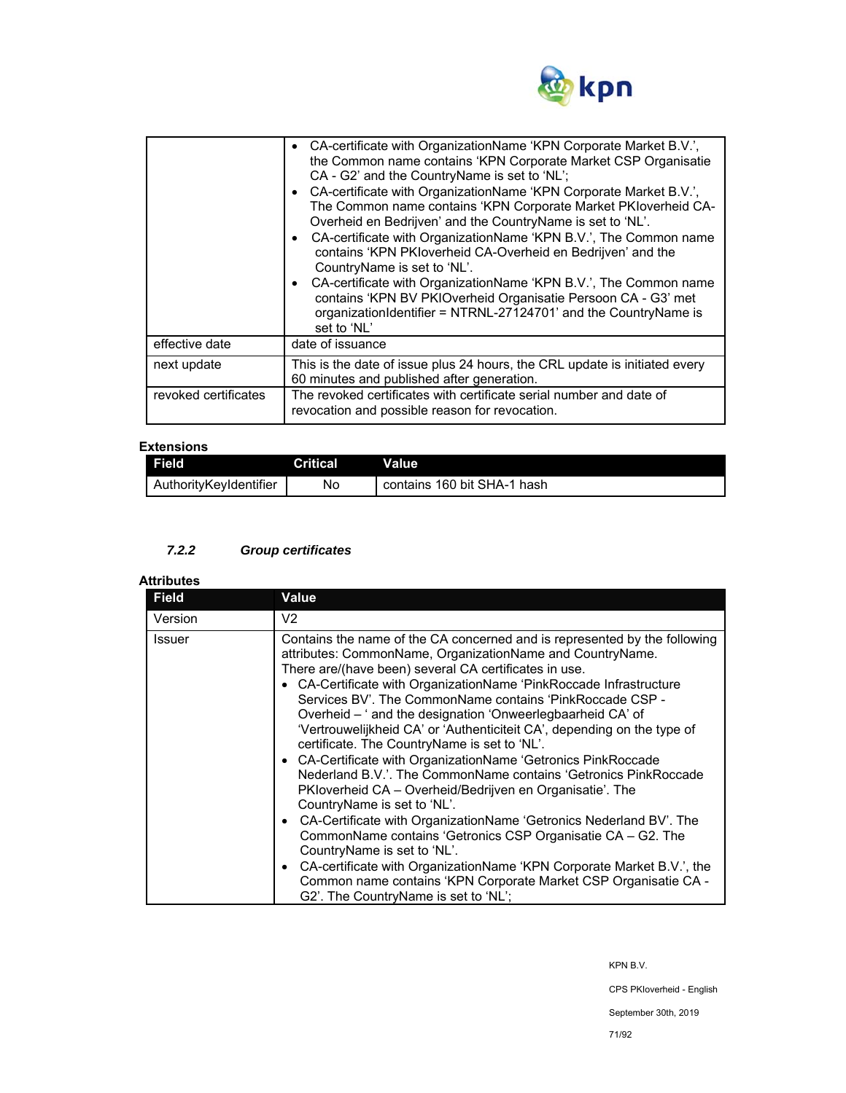

|                      | • CA-certificate with OrganizationName 'KPN Corporate Market B.V.',<br>the Common name contains 'KPN Corporate Market CSP Organisatie<br>CA - G2' and the CountryName is set to 'NL';<br>CA-certificate with OrganizationName 'KPN Corporate Market B.V.',<br>The Common name contains 'KPN Corporate Market PKIoverheid CA-<br>Overheid en Bedrijven' and the CountryName is set to 'NL'.<br>• CA-certificate with OrganizationName 'KPN B.V.', The Common name<br>contains 'KPN PKIoverheid CA-Overheid en Bedrijven' and the<br>CountryName is set to 'NL'.<br>CA-certificate with OrganizationName 'KPN B.V.', The Common name<br>contains 'KPN BV PKIOverheid Organisatie Persoon CA - G3' met<br>organizationIdentifier = NTRNL-27124701' and the CountryName is<br>set to 'NL' |
|----------------------|---------------------------------------------------------------------------------------------------------------------------------------------------------------------------------------------------------------------------------------------------------------------------------------------------------------------------------------------------------------------------------------------------------------------------------------------------------------------------------------------------------------------------------------------------------------------------------------------------------------------------------------------------------------------------------------------------------------------------------------------------------------------------------------|
| effective date       | date of issuance                                                                                                                                                                                                                                                                                                                                                                                                                                                                                                                                                                                                                                                                                                                                                                      |
| next update          | This is the date of issue plus 24 hours, the CRL update is initiated every<br>60 minutes and published after generation.                                                                                                                                                                                                                                                                                                                                                                                                                                                                                                                                                                                                                                                              |
| revoked certificates | The revoked certificates with certificate serial number and date of<br>revocation and possible reason for revocation.                                                                                                                                                                                                                                                                                                                                                                                                                                                                                                                                                                                                                                                                 |

## **Extensions**

| -----------            |          |                             |
|------------------------|----------|-----------------------------|
| Field                  | Critical | Value                       |
| AuthorityKevIdentifier | No       | contains 160 bit SHA-1 hash |

# *7.2.2 Group certificates*

# **Attributes**

| <b>Field</b>  | <b>Value</b>                                                                                                                                                                                                                                                                                                                                                                                                                                                                                                                                                                                                                                                                                                                                                                                                                                                                                                                                                                                                                                                                                                                     |
|---------------|----------------------------------------------------------------------------------------------------------------------------------------------------------------------------------------------------------------------------------------------------------------------------------------------------------------------------------------------------------------------------------------------------------------------------------------------------------------------------------------------------------------------------------------------------------------------------------------------------------------------------------------------------------------------------------------------------------------------------------------------------------------------------------------------------------------------------------------------------------------------------------------------------------------------------------------------------------------------------------------------------------------------------------------------------------------------------------------------------------------------------------|
| Version       | V <sub>2</sub>                                                                                                                                                                                                                                                                                                                                                                                                                                                                                                                                                                                                                                                                                                                                                                                                                                                                                                                                                                                                                                                                                                                   |
| <b>Issuer</b> | Contains the name of the CA concerned and is represented by the following<br>attributes: CommonName, OrganizationName and CountryName.<br>There are/(have been) several CA certificates in use.<br>• CA-Certificate with OrganizationName 'PinkRoccade Infrastructure<br>Services BV'. The CommonName contains 'PinkRoccade CSP -<br>Overheid – ' and the designation 'Onweerlegbaarheid CA' of<br>'Vertrouwelijkheid CA' or 'Authenticiteit CA', depending on the type of<br>certificate. The CountryName is set to 'NL'.<br>• CA-Certificate with OrganizationName 'Getronics PinkRoccade<br>Nederland B.V.'. The CommonName contains 'Getronics PinkRoccade<br>PKIoverheid CA – Overheid/Bedrijven en Organisatie'. The<br>CountryName is set to 'NL'.<br>• CA-Certificate with OrganizationName 'Getronics Nederland BV'. The<br>CommonName contains 'Getronics CSP Organisatie CA - G2. The<br>CountryName is set to 'NL'.<br>CA-certificate with OrganizationName 'KPN Corporate Market B.V.', the<br>$\bullet$<br>Common name contains 'KPN Corporate Market CSP Organisatie CA -<br>G2'. The CountryName is set to 'NL'; |

KPN B.V.

CPS PKIoverheid - English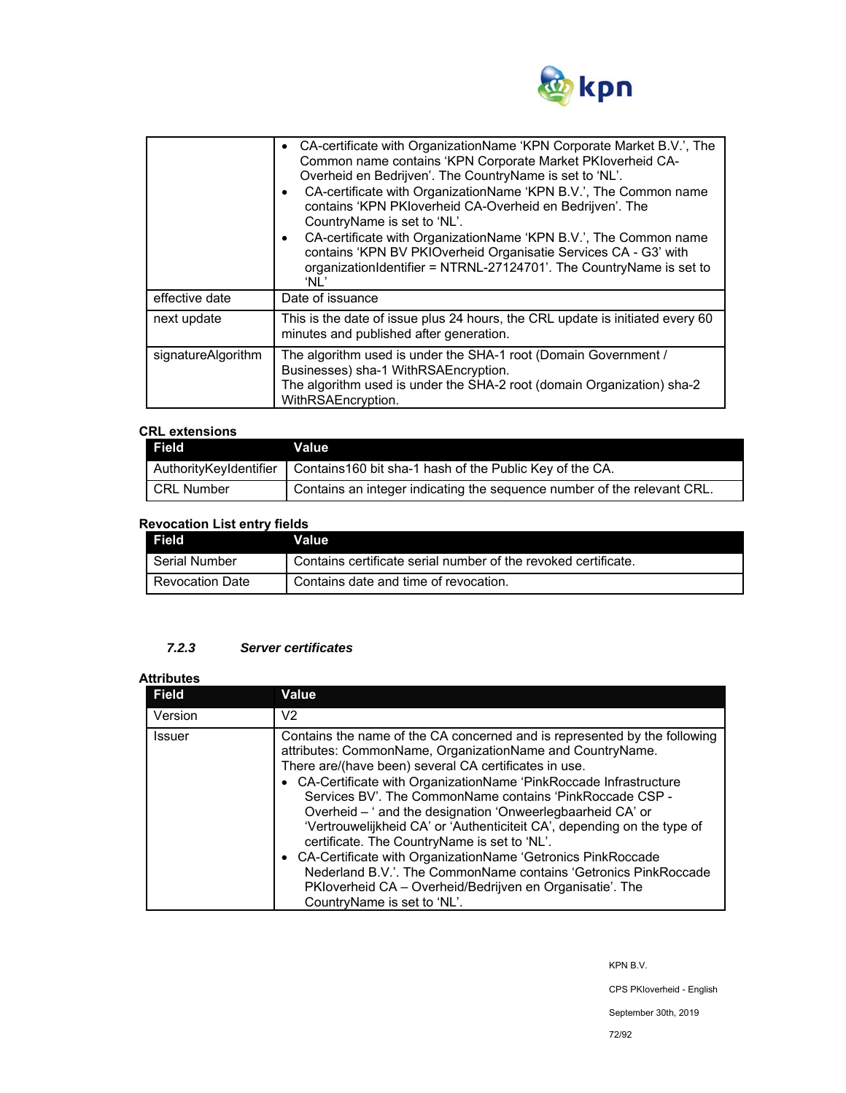

|                    | CA-certificate with OrganizationName 'KPN Corporate Market B.V.', The<br>Common name contains 'KPN Corporate Market PKIoverheid CA-<br>Overheid en Bedrijven'. The CountryName is set to 'NL'.<br>CA-certificate with OrganizationName 'KPN B.V.', The Common name<br>$\bullet$<br>contains 'KPN PKIoverheid CA-Overheid en Bedrijven'. The<br>CountryName is set to 'NL'.<br>CA-certificate with OrganizationName 'KPN B.V.', The Common name<br>$\bullet$<br>contains 'KPN BV PKIOverheid Organisatie Services CA - G3' with<br>organizationIdentifier = NTRNL-27124701'. The CountryName is set to<br>'NL' |
|--------------------|---------------------------------------------------------------------------------------------------------------------------------------------------------------------------------------------------------------------------------------------------------------------------------------------------------------------------------------------------------------------------------------------------------------------------------------------------------------------------------------------------------------------------------------------------------------------------------------------------------------|
| effective date     | Date of issuance                                                                                                                                                                                                                                                                                                                                                                                                                                                                                                                                                                                              |
| next update        | This is the date of issue plus 24 hours, the CRL update is initiated every 60<br>minutes and published after generation.                                                                                                                                                                                                                                                                                                                                                                                                                                                                                      |
| signatureAlgorithm | The algorithm used is under the SHA-1 root (Domain Government /<br>Businesses) sha-1 WithRSAEncryption.<br>The algorithm used is under the SHA-2 root (domain Organization) sha-2<br>WithRSAEncryption.                                                                                                                                                                                                                                                                                                                                                                                                       |

## **CRL extensions**

| Field                  | Value                                                                   |
|------------------------|-------------------------------------------------------------------------|
| AuthorityKeyIdentifier | Contains 160 bit sha-1 hash of the Public Key of the CA.                |
| <b>CRL Number</b>      | Contains an integer indicating the sequence number of the relevant CRL. |

# **Revocation List entry fields**

| Field                  | Value                                                          |
|------------------------|----------------------------------------------------------------|
| Serial Number          | Contains certificate serial number of the revoked certificate. |
| <b>Revocation Date</b> | Contains date and time of revocation.                          |

## *7.2.3 Server certificates*

### **Attributes**

| <b>Field</b> | Value                                                                                                                                                                                                                                                                                                                                                                                                                                                                                                                                                                                                                                                                                                                                                     |
|--------------|-----------------------------------------------------------------------------------------------------------------------------------------------------------------------------------------------------------------------------------------------------------------------------------------------------------------------------------------------------------------------------------------------------------------------------------------------------------------------------------------------------------------------------------------------------------------------------------------------------------------------------------------------------------------------------------------------------------------------------------------------------------|
| Version      | V <sub>2</sub>                                                                                                                                                                                                                                                                                                                                                                                                                                                                                                                                                                                                                                                                                                                                            |
| Issuer       | Contains the name of the CA concerned and is represented by the following<br>attributes: CommonName, OrganizationName and CountryName.<br>There are/(have been) several CA certificates in use.<br>• CA-Certificate with OrganizationName 'PinkRoccade Infrastructure<br>Services BV'. The CommonName contains 'PinkRoccade CSP -<br>Overheid - ' and the designation 'Onweerlegbaarheid CA' or<br>'Vertrouwelijkheid CA' or 'Authenticiteit CA', depending on the type of<br>certificate. The CountryName is set to 'NL'.<br>• CA-Certificate with OrganizationName 'Getronics PinkRoccade<br>Nederland B.V.'. The CommonName contains 'Getronics PinkRoccade<br>PKIoverheid CA – Overheid/Bedrijven en Organisatie'. The<br>CountryName is set to 'NL'. |

KPN B.V.

CPS PKIoverheid - English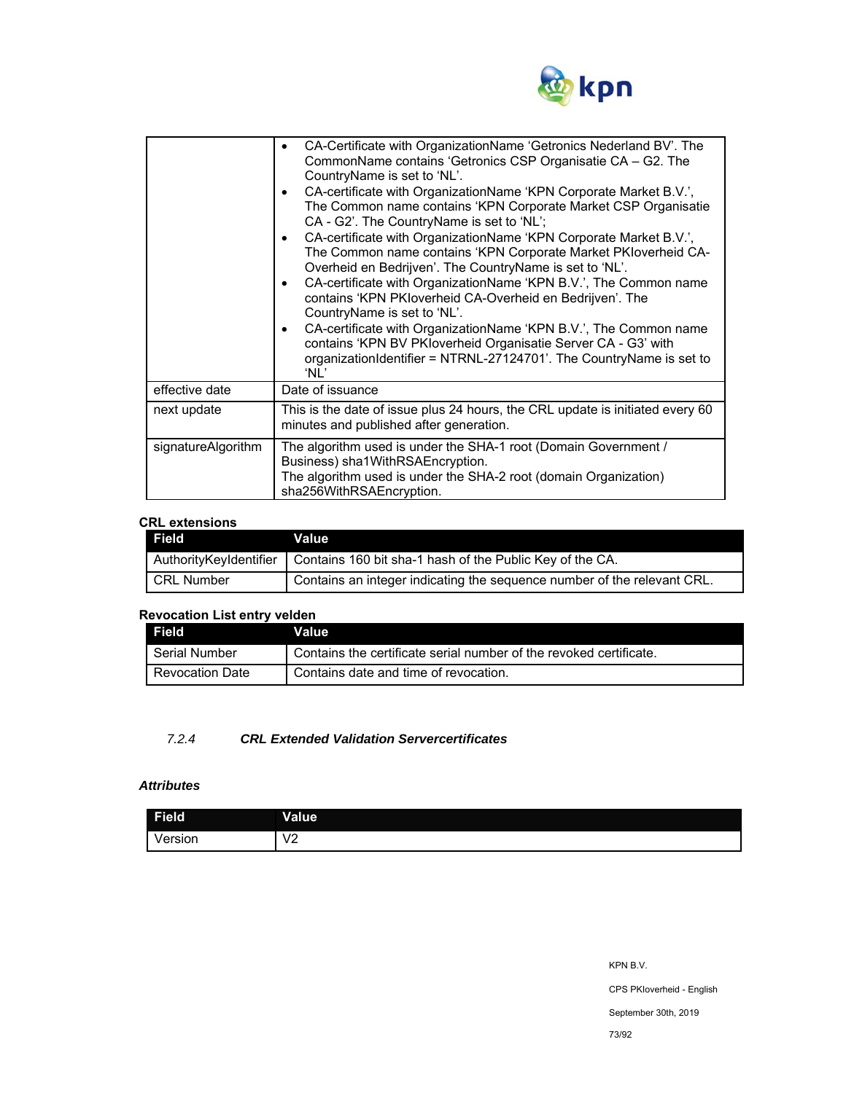

|                    | CA-Certificate with OrganizationName 'Getronics Nederland BV'. The<br>CommonName contains 'Getronics CSP Organisatie CA - G2. The<br>CountryName is set to 'NL'.<br>CA-certificate with OrganizationName 'KPN Corporate Market B.V.',<br>The Common name contains 'KPN Corporate Market CSP Organisatie<br>CA - G2'. The CountryName is set to 'NL';<br>CA-certificate with OrganizationName 'KPN Corporate Market B.V.',<br>The Common name contains 'KPN Corporate Market PKIoverheid CA-<br>Overheid en Bedrijven'. The CountryName is set to 'NL'.<br>CA-certificate with OrganizationName 'KPN B.V.', The Common name<br>contains 'KPN PKIoverheid CA-Overheid en Bedrijven'. The<br>CountryName is set to 'NL'.<br>CA-certificate with OrganizationName 'KPN B.V.', The Common name<br>contains 'KPN BV PKloverheid Organisatie Server CA - G3' with<br>organizationIdentifier = NTRNL-27124701'. The CountryName is set to<br>'NL' |  |  |  |
|--------------------|-------------------------------------------------------------------------------------------------------------------------------------------------------------------------------------------------------------------------------------------------------------------------------------------------------------------------------------------------------------------------------------------------------------------------------------------------------------------------------------------------------------------------------------------------------------------------------------------------------------------------------------------------------------------------------------------------------------------------------------------------------------------------------------------------------------------------------------------------------------------------------------------------------------------------------------------|--|--|--|
| effective date     | Date of issuance                                                                                                                                                                                                                                                                                                                                                                                                                                                                                                                                                                                                                                                                                                                                                                                                                                                                                                                          |  |  |  |
| next update        | This is the date of issue plus 24 hours, the CRL update is initiated every 60<br>minutes and published after generation.                                                                                                                                                                                                                                                                                                                                                                                                                                                                                                                                                                                                                                                                                                                                                                                                                  |  |  |  |
| signatureAlgorithm | The algorithm used is under the SHA-1 root (Domain Government /<br>Business) sha1WithRSAEncryption.<br>The algorithm used is under the SHA-2 root (domain Organization)<br>sha256WithRSAEncryption.                                                                                                                                                                                                                                                                                                                                                                                                                                                                                                                                                                                                                                                                                                                                       |  |  |  |

## **CRL extensions**

| Field <b>I</b>         | Value                                                                   |
|------------------------|-------------------------------------------------------------------------|
| AuthorityKeyIdentifier | Contains 160 bit sha-1 hash of the Public Key of the CA.                |
| CRL Number             | Contains an integer indicating the sequence number of the relevant CRL. |

# **Revocation List entry velden**

| Field                  | Value                                                              |
|------------------------|--------------------------------------------------------------------|
| Serial Number          | Contains the certificate serial number of the revoked certificate. |
| <b>Revocation Date</b> | Contains date and time of revocation.                              |

# *7.2.4 CRL Extended Validation Servercertificates*

# *Attributes*

| <b>Field</b> | <b>Value</b>             |
|--------------|--------------------------|
| /ersion      | $\sqrt{2}$<br>$\epsilon$ |

KPN B.V. CPS PKIoverheid - English September 30th, 2019 73/92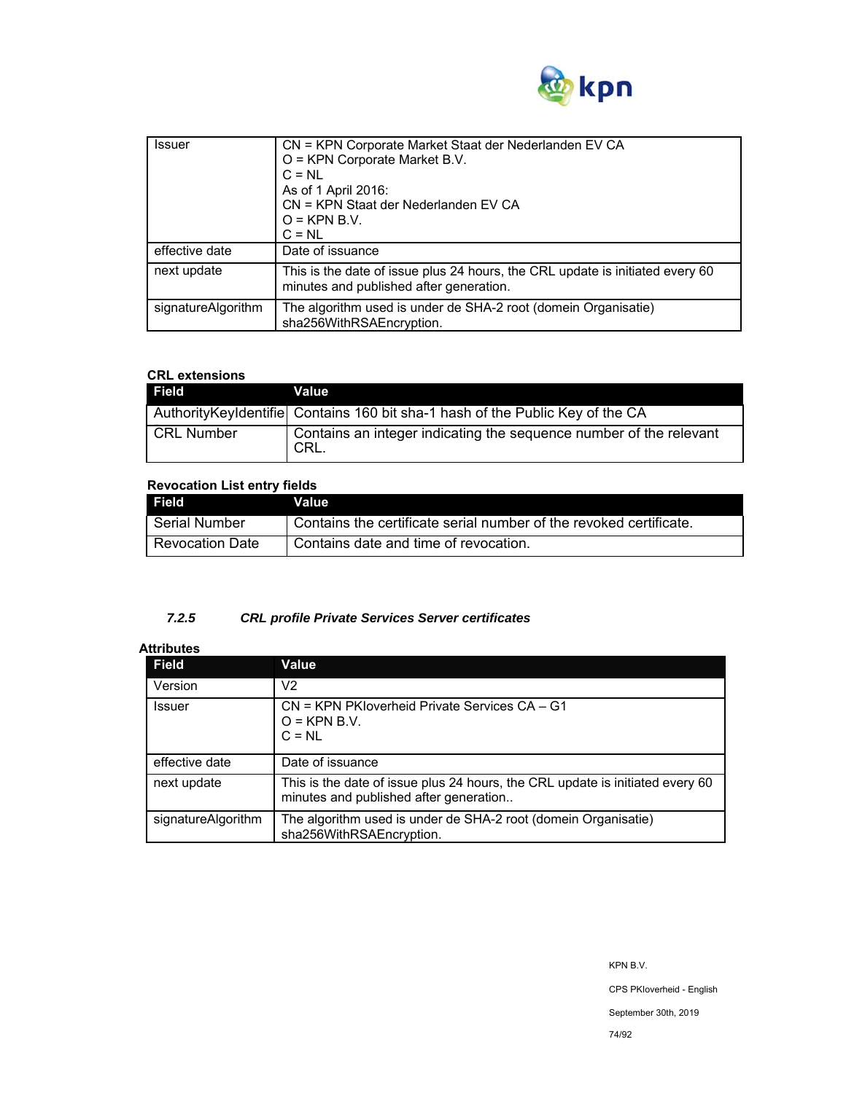

| <b>Issuer</b>      | CN = KPN Corporate Market Staat der Nederlanden EV CA<br>O = KPN Corporate Market B.V.<br>$C = NL$<br>As of 1 April 2016:<br>CN = KPN Staat der Nederlanden EV CA<br>$O =$ KPN B.V.<br>$C = NL$ |
|--------------------|-------------------------------------------------------------------------------------------------------------------------------------------------------------------------------------------------|
| effective date     | Date of issuance                                                                                                                                                                                |
| next update        | This is the date of issue plus 24 hours, the CRL update is initiated every 60<br>minutes and published after generation.                                                                        |
| signatureAlgorithm | The algorithm used is under de SHA-2 root (domein Organisatie)<br>sha256WithRSAEncryption.                                                                                                      |

# **CRL extensions**

| Field             | Value                                                                           |
|-------------------|---------------------------------------------------------------------------------|
|                   | Authority Keyldentifiel Contains 160 bit sha-1 hash of the Public Key of the CA |
| <b>CRL Number</b> | Contains an integer indicating the sequence number of the relevant<br>CRL.      |

# **Revocation List entry fields**

| l Field                  | Value                                                              |
|--------------------------|--------------------------------------------------------------------|
| l Serial Number          | Contains the certificate serial number of the revoked certificate. |
| <b>I Revocation Date</b> | l Contains date and time of revocation.                            |

# *7.2.5 CRL profile Private Services Server certificates*

# **Attributes**

| <b>Field</b>       | Value                                                                                                                   |  |  |  |
|--------------------|-------------------------------------------------------------------------------------------------------------------------|--|--|--|
| Version            | V2                                                                                                                      |  |  |  |
| <b>Issuer</b>      | CN = KPN PKIoverheid Private Services CA - G1<br>$O =$ KPN B.V.<br>$C = NI$                                             |  |  |  |
| effective date     | Date of issuance                                                                                                        |  |  |  |
| next update        | This is the date of issue plus 24 hours, the CRL update is initiated every 60<br>minutes and published after generation |  |  |  |
| signatureAlgorithm | The algorithm used is under de SHA-2 root (domein Organisatie)<br>sha256WithRSAEncryption.                              |  |  |  |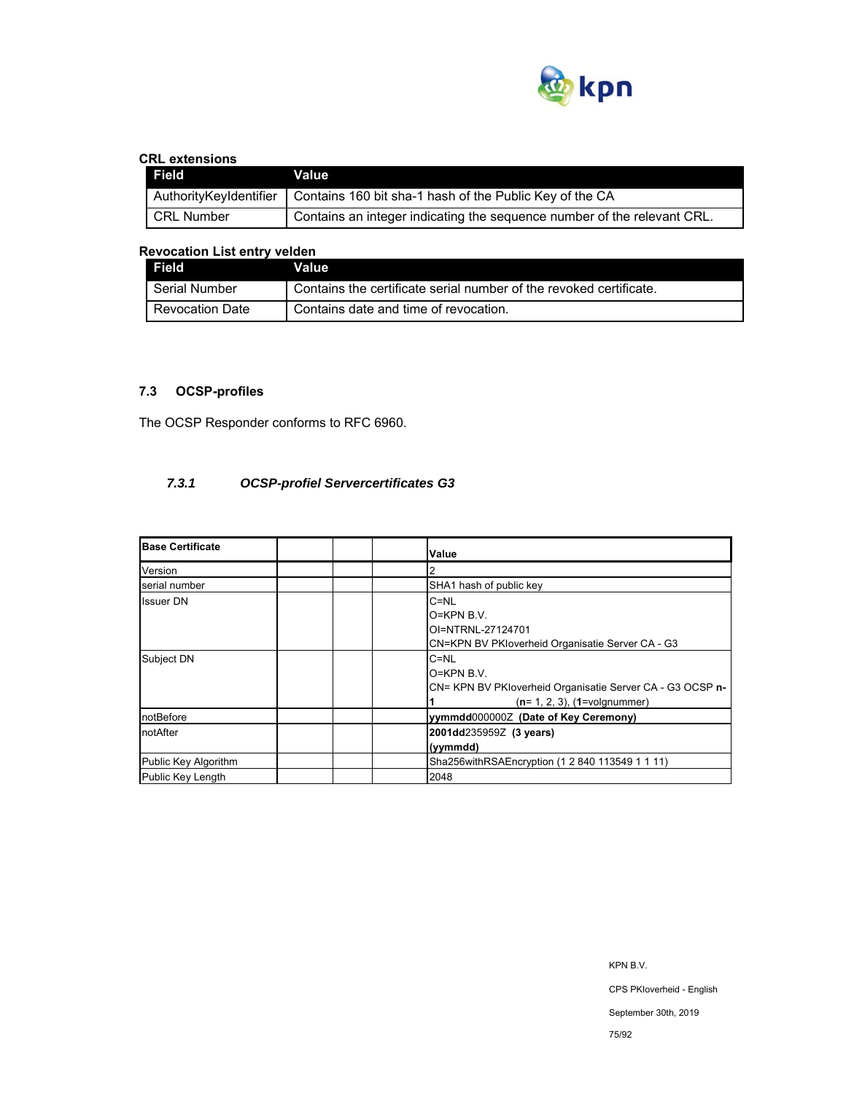

# **CRL extensions**

| Field                  | Value                                                                   |
|------------------------|-------------------------------------------------------------------------|
| AuthorityKeyIdentifier | Contains 160 bit sha-1 hash of the Public Key of the CA                 |
| CRL Number             | Contains an integer indicating the sequence number of the relevant CRL. |

# **Revocation List entry velden**

| Field                  | Value                                                              |
|------------------------|--------------------------------------------------------------------|
| Serial Number          | Contains the certificate serial number of the revoked certificate. |
| <b>Revocation Date</b> | Contains date and time of revocation.                              |

# **7.3 OCSP-profiles**

The OCSP Responder conforms to RFC 6960.

# *7.3.1 OCSP-profiel Servercertificates G3*

| <b>Base Certificate</b> | Value                                                                                                                      |
|-------------------------|----------------------------------------------------------------------------------------------------------------------------|
| Version                 |                                                                                                                            |
| serial number           | SHA1 hash of public key                                                                                                    |
| <b>Issuer DN</b>        | $C = NL$<br>$O=KPN B.V.$<br>OI=NTRNL-27124701<br>CN=KPN BV PKloverheid Organisatie Server CA - G3                          |
| Subject DN              | $C = NL$<br>$O=KPN B.V.$<br>CN= KPN BV PKloverheid Organisatie Server CA - G3 OCSP n-<br>$(n=1, 2, 3)$ , $(1=$ volgnummer) |
| notBefore               | yymmdd0000002 (Date of Key Ceremony)                                                                                       |
| notAfter                | 2001dd235959Z (3 years)<br>(vymmdd)                                                                                        |
| Public Key Algorithm    | Sha256withRSAEncryption (1 2 840 113549 1 1 11)                                                                            |
| Public Key Length       | 2048                                                                                                                       |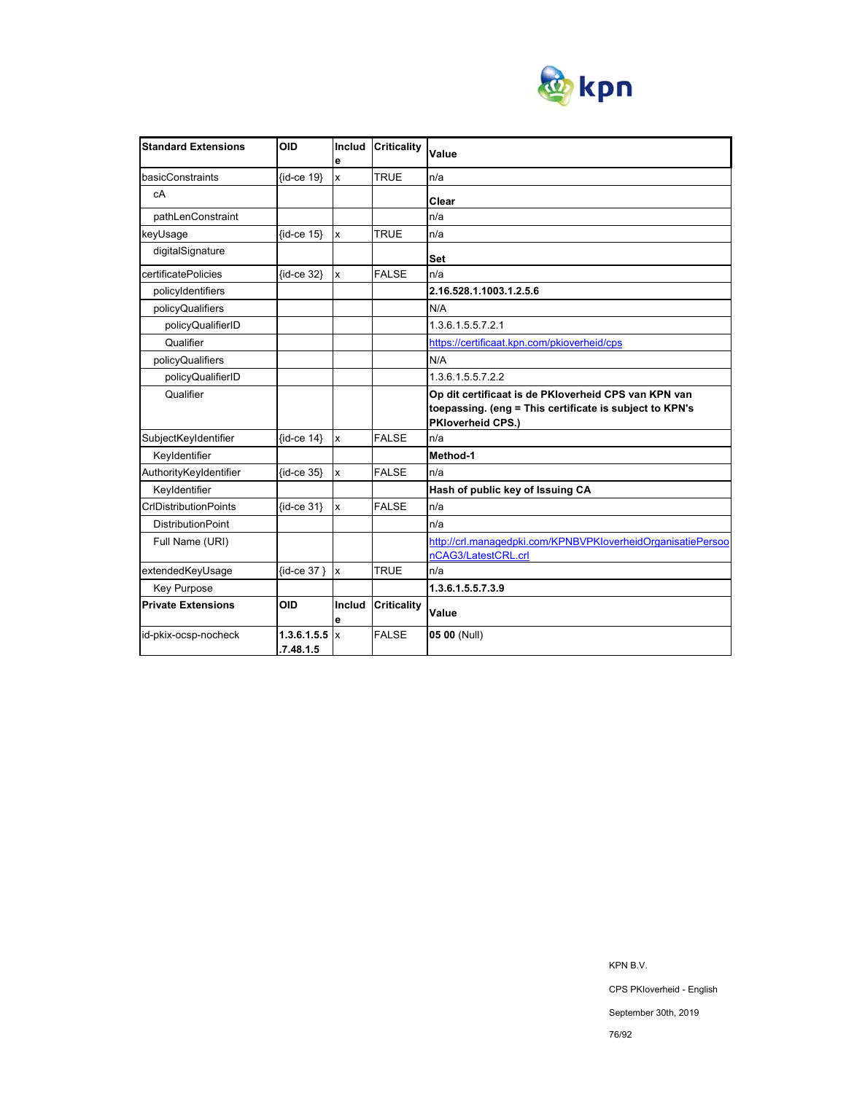

| <b>Standard Extensions</b>   | <b>OID</b>               | Includ<br>e             | <b>Criticality</b> | Value                                                                                                                                       |
|------------------------------|--------------------------|-------------------------|--------------------|---------------------------------------------------------------------------------------------------------------------------------------------|
| basicConstraints             | {id-ce 19}               | $\overline{\mathsf{x}}$ | <b>TRUE</b>        | n/a                                                                                                                                         |
| cA                           |                          |                         |                    | Clear                                                                                                                                       |
| pathLenConstraint            |                          |                         |                    | n/a                                                                                                                                         |
| keyUsage                     | $\{id-ce 15\}$           | Ιx                      | TRUE               | n/a                                                                                                                                         |
| digitalSignature             |                          |                         |                    | Set                                                                                                                                         |
| certificatePolicies          | {id-ce 32}               | $\mathbf{x}$            | <b>FALSE</b>       | n/a                                                                                                                                         |
| policyIdentifiers            |                          |                         |                    | 2.16.528.1.1003.1.2.5.6                                                                                                                     |
| policyQualifiers             |                          |                         |                    | N/A                                                                                                                                         |
| policyQualifierID            |                          |                         |                    | 1.3.6.1.5.5.7.2.1                                                                                                                           |
| Qualifier                    |                          |                         |                    | https://certificaat.kpn.com/pkioverheid/cps                                                                                                 |
| policyQualifiers             |                          |                         |                    | N/A                                                                                                                                         |
| policyQualifierID            |                          |                         |                    | 1.3.6.1.5.5.7.2.2                                                                                                                           |
| Qualifier                    |                          |                         |                    | Op dit certificaat is de PKIoverheid CPS van KPN van<br>toepassing. (eng = This certificate is subject to KPN's<br><b>PKloverheid CPS.)</b> |
| SubjectKeyIdentifier         | $\{id-ce 14\}$           | $\mathbf{x}$            | <b>FALSE</b>       | n/a                                                                                                                                         |
| Keyldentifier                |                          |                         |                    | Method-1                                                                                                                                    |
| AuthorityKeyIdentifier       | $\{id-ce 35\}$           | $\mathbf{x}$            | <b>FALSE</b>       | n/a                                                                                                                                         |
| Keyldentifier                |                          |                         |                    | Hash of public key of Issuing CA                                                                                                            |
| <b>CrIDistributionPoints</b> | $\{id$ -ce 31}           | $\mathbf{x}$            | <b>FALSE</b>       | n/a                                                                                                                                         |
| <b>DistributionPoint</b>     |                          |                         |                    | n/a                                                                                                                                         |
| Full Name (URI)              |                          |                         |                    | http://crl.managedpki.com/KPNBVPKloverheidOrganisatiePersoo                                                                                 |
|                              |                          |                         |                    | nCAG3/LatestCRL.crl                                                                                                                         |
| extendedKeyUsage             | $\{id-ce 37\}$ x         |                         | <b>TRUE</b>        | n/a                                                                                                                                         |
| <b>Key Purpose</b>           |                          |                         |                    | 1.3.6.1.5.5.7.3.9                                                                                                                           |
| <b>Private Extensions</b>    | <b>OID</b>               | Includ<br>е             | <b>Criticality</b> | Value                                                                                                                                       |
| id-pkix-ocsp-nocheck         | 1.3.6.1.5.5<br>.7.48.1.5 | $\mathsf{I}$            | <b>FALSE</b>       | 05 00 (Null)                                                                                                                                |

KPN B.V. CPS PKIoverheid - English September 30th, 2019

76/92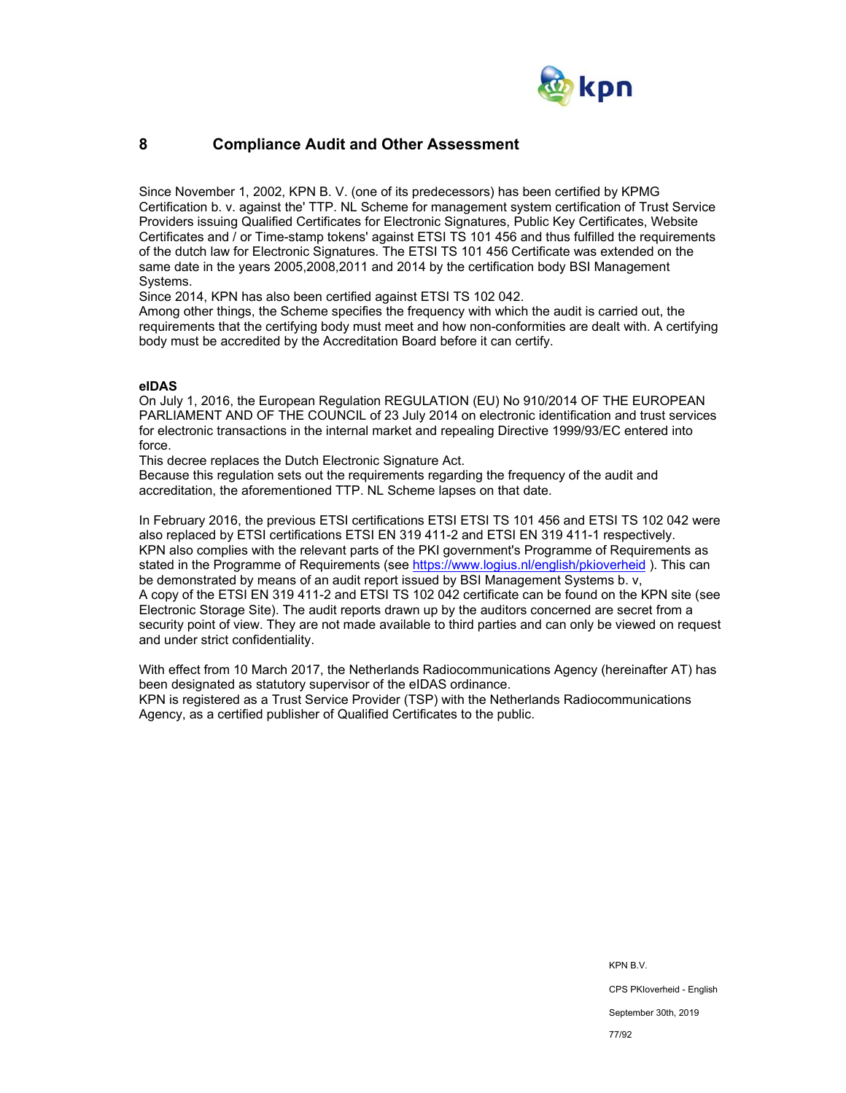

# **8 Compliance Audit and Other Assessment**

Since November 1, 2002, KPN B. V. (one of its predecessors) has been certified by KPMG Certification b. v. against the' TTP. NL Scheme for management system certification of Trust Service Providers issuing Qualified Certificates for Electronic Signatures, Public Key Certificates, Website Certificates and / or Time-stamp tokens' against ETSI TS 101 456 and thus fulfilled the requirements of the dutch law for Electronic Signatures. The ETSI TS 101 456 Certificate was extended on the same date in the years 2005,2008,2011 and 2014 by the certification body BSI Management Systems.

Since 2014, KPN has also been certified against ETSI TS 102 042.

Among other things, the Scheme specifies the frequency with which the audit is carried out, the requirements that the certifying body must meet and how non-conformities are dealt with. A certifying body must be accredited by the Accreditation Board before it can certify.

## **eIDAS**

On July 1, 2016, the European Regulation REGULATION (EU) No 910/2014 OF THE EUROPEAN PARLIAMENT AND OF THE COUNCIL of 23 July 2014 on electronic identification and trust services for electronic transactions in the internal market and repealing Directive 1999/93/EC entered into force.

This decree replaces the Dutch Electronic Signature Act.

Because this regulation sets out the requirements regarding the frequency of the audit and accreditation, the aforementioned TTP. NL Scheme lapses on that date.

In February 2016, the previous ETSI certifications ETSI ETSI TS 101 456 and ETSI TS 102 042 were also replaced by ETSI certifications ETSI EN 319 411-2 and ETSI EN 319 411-1 respectively. KPN also complies with the relevant parts of the PKI government's Programme of Requirements as stated in the Programme of Requirements (see https://www.logius.nl/english/pkioverheid ). This can be demonstrated by means of an audit report issued by BSI Management Systems b. v, A copy of the ETSI EN 319 411-2 and ETSI TS 102 042 certificate can be found on the KPN site (see Electronic Storage Site). The audit reports drawn up by the auditors concerned are secret from a security point of view. They are not made available to third parties and can only be viewed on request and under strict confidentiality.

With effect from 10 March 2017, the Netherlands Radiocommunications Agency (hereinafter AT) has been designated as statutory supervisor of the eIDAS ordinance. KPN is registered as a Trust Service Provider (TSP) with the Netherlands Radiocommunications Agency, as a certified publisher of Qualified Certificates to the public.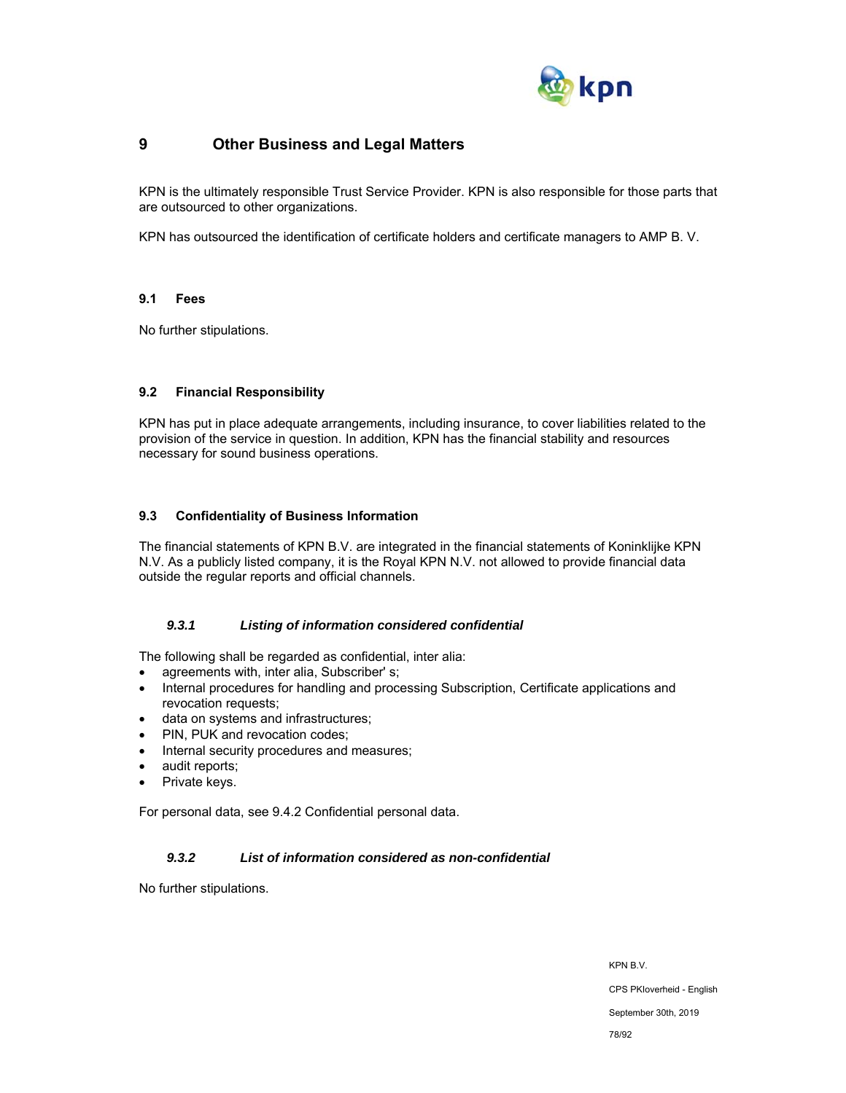

# **9 Other Business and Legal Matters**

KPN is the ultimately responsible Trust Service Provider. KPN is also responsible for those parts that are outsourced to other organizations.

KPN has outsourced the identification of certificate holders and certificate managers to AMP B. V.

#### **9.1 Fees**

No further stipulations.

## **9.2 Financial Responsibility**

KPN has put in place adequate arrangements, including insurance, to cover liabilities related to the provision of the service in question. In addition, KPN has the financial stability and resources necessary for sound business operations.

# **9.3 Confidentiality of Business Information**

The financial statements of KPN B.V. are integrated in the financial statements of Koninklijke KPN N.V. As a publicly listed company, it is the Royal KPN N.V. not allowed to provide financial data outside the regular reports and official channels.

# *9.3.1 Listing of information considered confidential*

The following shall be regarded as confidential, inter alia:

- agreements with, inter alia, Subscriber' s;
- Internal procedures for handling and processing Subscription, Certificate applications and revocation requests;
- data on systems and infrastructures;
- PIN, PUK and revocation codes;
- Internal security procedures and measures;
- audit reports;
- Private keys.

For personal data, see 9.4.2 Confidential personal data.

# *9.3.2 List of information considered as non-confidential*

No further stipulations.

KPN B.V.

CPS PKIoverheid - English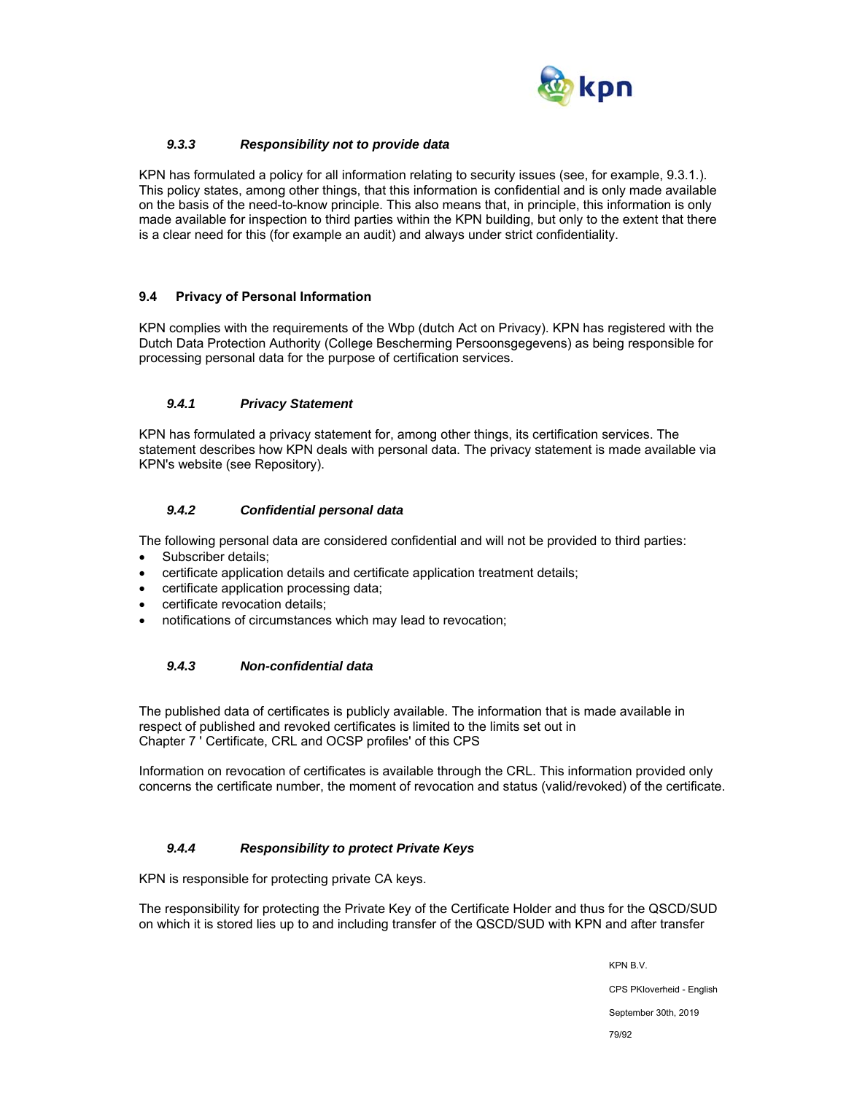

# *9.3.3 Responsibility not to provide data*

KPN has formulated a policy for all information relating to security issues (see, for example, 9.3.1.). This policy states, among other things, that this information is confidential and is only made available on the basis of the need-to-know principle. This also means that, in principle, this information is only made available for inspection to third parties within the KPN building, but only to the extent that there is a clear need for this (for example an audit) and always under strict confidentiality.

## **9.4 Privacy of Personal Information**

KPN complies with the requirements of the Wbp (dutch Act on Privacy). KPN has registered with the Dutch Data Protection Authority (College Bescherming Persoonsgegevens) as being responsible for processing personal data for the purpose of certification services.

## *9.4.1 Privacy Statement*

KPN has formulated a privacy statement for, among other things, its certification services. The statement describes how KPN deals with personal data. The privacy statement is made available via KPN's website (see Repository).

## *9.4.2 Confidential personal data*

The following personal data are considered confidential and will not be provided to third parties:

- Subscriber details;
- certificate application details and certificate application treatment details;
- certificate application processing data;
- certificate revocation details;
- notifications of circumstances which may lead to revocation;

#### *9.4.3 Non-confidential data*

The published data of certificates is publicly available. The information that is made available in respect of published and revoked certificates is limited to the limits set out in Chapter 7 ' Certificate, CRL and OCSP profiles' of this CPS

Information on revocation of certificates is available through the CRL. This information provided only concerns the certificate number, the moment of revocation and status (valid/revoked) of the certificate.

#### *9.4.4 Responsibility to protect Private Keys*

KPN is responsible for protecting private CA keys.

The responsibility for protecting the Private Key of the Certificate Holder and thus for the QSCD/SUD on which it is stored lies up to and including transfer of the QSCD/SUD with KPN and after transfer

KPN B.V.

CPS PKIoverheid - English

September 30th, 2019

79/92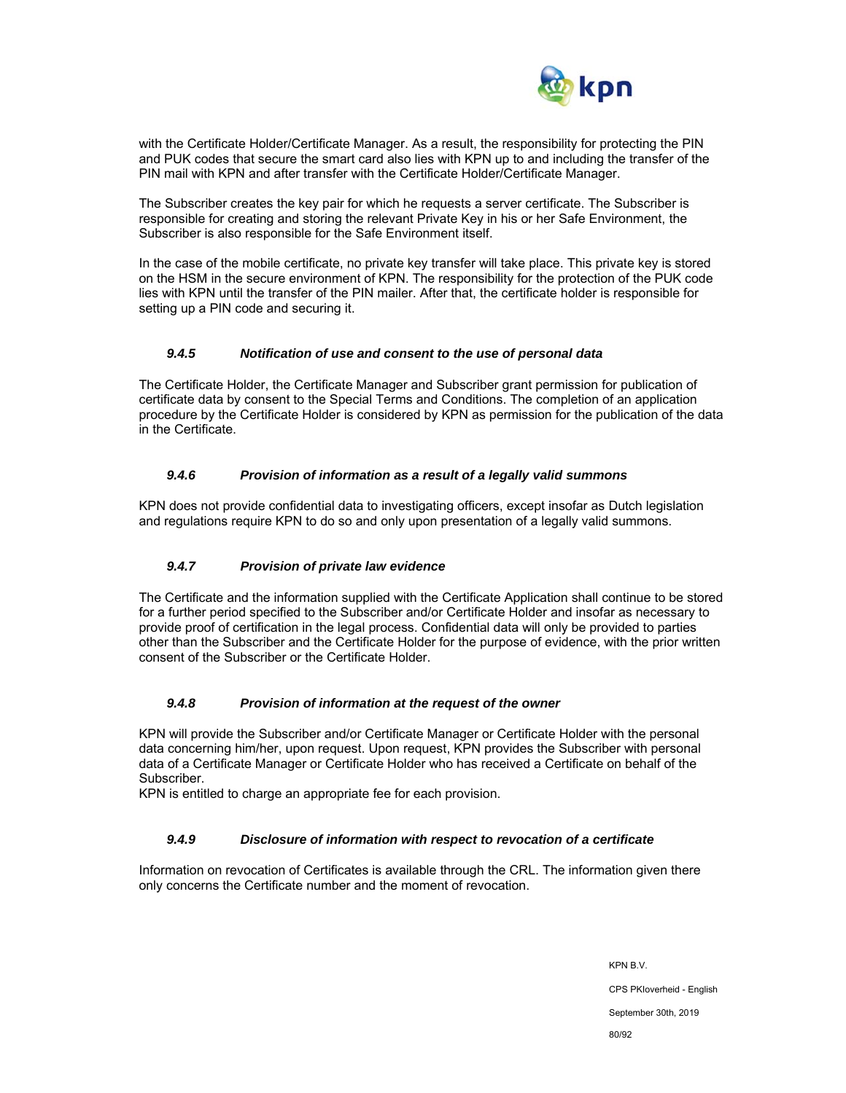

with the Certificate Holder/Certificate Manager. As a result, the responsibility for protecting the PIN and PUK codes that secure the smart card also lies with KPN up to and including the transfer of the PIN mail with KPN and after transfer with the Certificate Holder/Certificate Manager.

The Subscriber creates the key pair for which he requests a server certificate. The Subscriber is responsible for creating and storing the relevant Private Key in his or her Safe Environment, the Subscriber is also responsible for the Safe Environment itself.

In the case of the mobile certificate, no private key transfer will take place. This private key is stored on the HSM in the secure environment of KPN. The responsibility for the protection of the PUK code lies with KPN until the transfer of the PIN mailer. After that, the certificate holder is responsible for setting up a PIN code and securing it.

# *9.4.5 Notification of use and consent to the use of personal data*

The Certificate Holder, the Certificate Manager and Subscriber grant permission for publication of certificate data by consent to the Special Terms and Conditions. The completion of an application procedure by the Certificate Holder is considered by KPN as permission for the publication of the data in the Certificate.

## *9.4.6 Provision of information as a result of a legally valid summons*

KPN does not provide confidential data to investigating officers, except insofar as Dutch legislation and regulations require KPN to do so and only upon presentation of a legally valid summons.

# *9.4.7 Provision of private law evidence*

The Certificate and the information supplied with the Certificate Application shall continue to be stored for a further period specified to the Subscriber and/or Certificate Holder and insofar as necessary to provide proof of certification in the legal process. Confidential data will only be provided to parties other than the Subscriber and the Certificate Holder for the purpose of evidence, with the prior written consent of the Subscriber or the Certificate Holder.

#### *9.4.8 Provision of information at the request of the owner*

KPN will provide the Subscriber and/or Certificate Manager or Certificate Holder with the personal data concerning him/her, upon request. Upon request, KPN provides the Subscriber with personal data of a Certificate Manager or Certificate Holder who has received a Certificate on behalf of the Subscriber.

KPN is entitled to charge an appropriate fee for each provision.

#### *9.4.9 Disclosure of information with respect to revocation of a certificate*

Information on revocation of Certificates is available through the CRL. The information given there only concerns the Certificate number and the moment of revocation.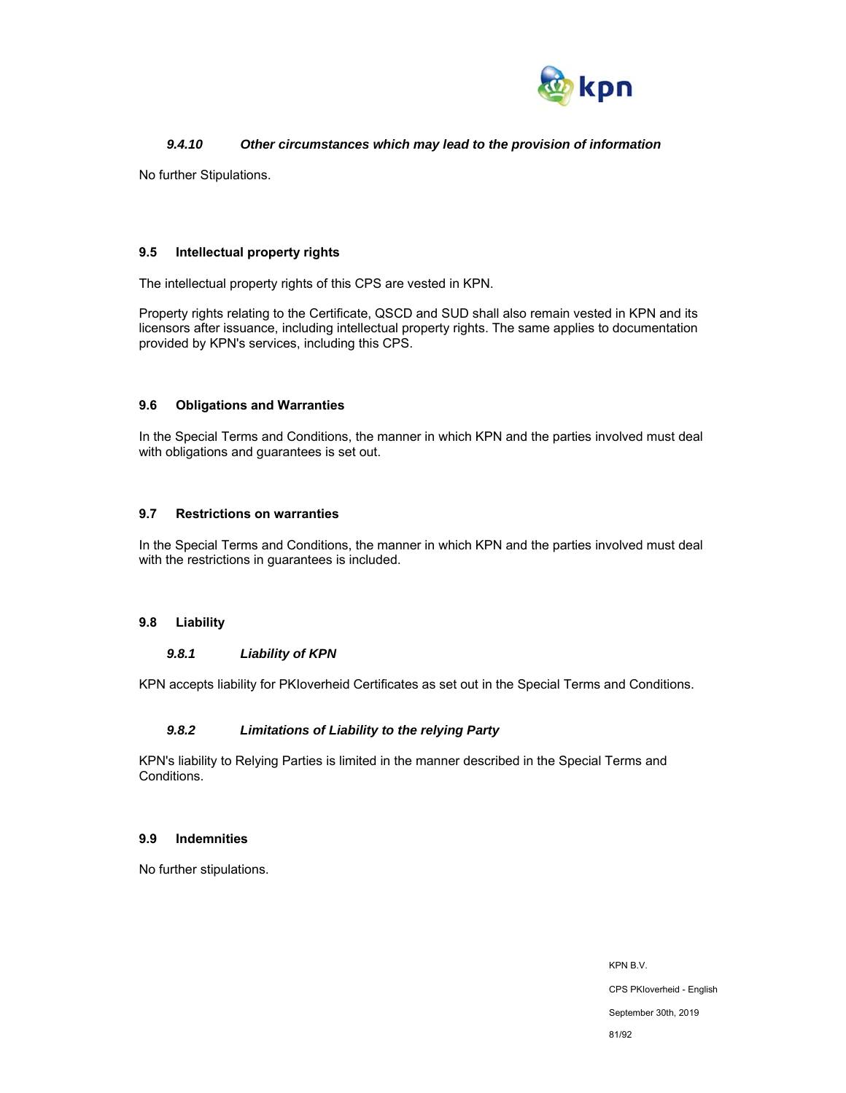

# *9.4.10 Other circumstances which may lead to the provision of information*

No further Stipulations.

### **9.5 Intellectual property rights**

The intellectual property rights of this CPS are vested in KPN.

Property rights relating to the Certificate, QSCD and SUD shall also remain vested in KPN and its licensors after issuance, including intellectual property rights. The same applies to documentation provided by KPN's services, including this CPS.

## **9.6 Obligations and Warranties**

In the Special Terms and Conditions, the manner in which KPN and the parties involved must deal with obligations and guarantees is set out.

## **9.7 Restrictions on warranties**

In the Special Terms and Conditions, the manner in which KPN and the parties involved must deal with the restrictions in guarantees is included.

#### **9.8 Liability**

## *9.8.1 Liability of KPN*

KPN accepts liability for PKIoverheid Certificates as set out in the Special Terms and Conditions.

#### *9.8.2 Limitations of Liability to the relying Party*

KPN's liability to Relying Parties is limited in the manner described in the Special Terms and Conditions.

### **9.9 Indemnities**

No further stipulations.

KPN B.V. CPS PKIoverheid - English September 30th, 2019 81/92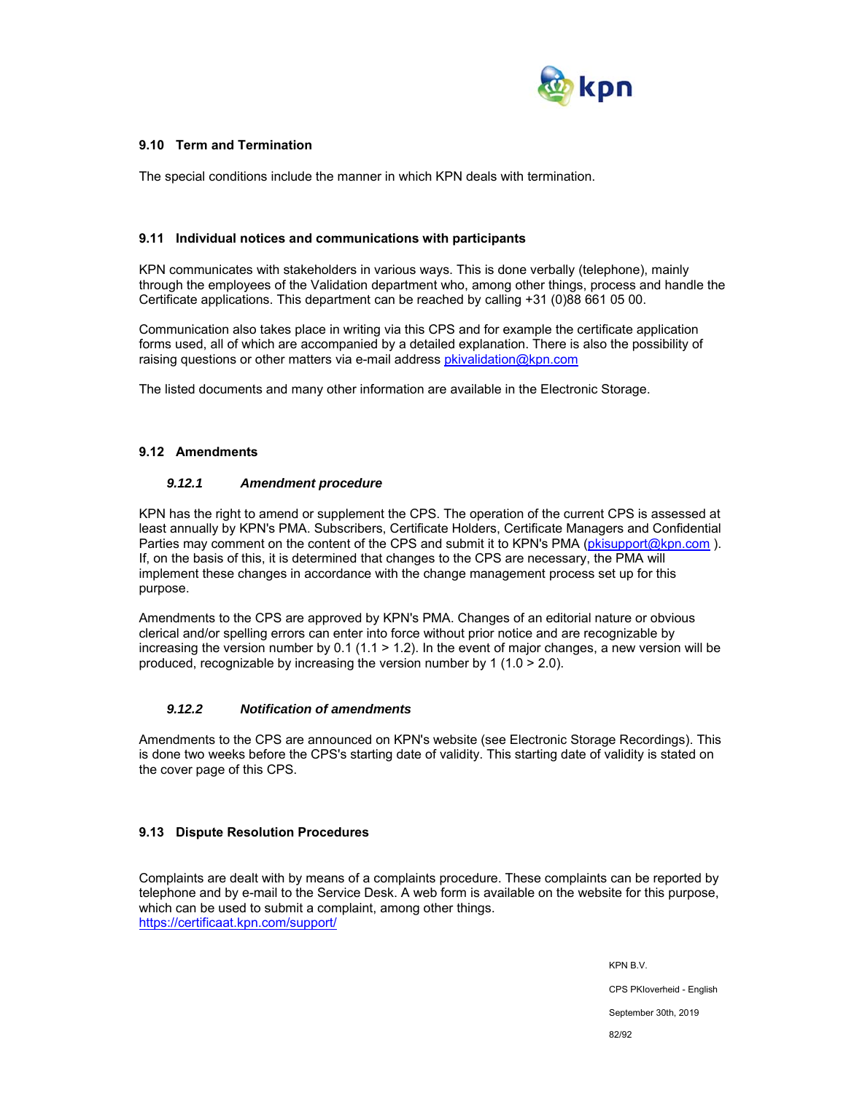

## **9.10 Term and Termination**

The special conditions include the manner in which KPN deals with termination.

#### **9.11 Individual notices and communications with participants**

KPN communicates with stakeholders in various ways. This is done verbally (telephone), mainly through the employees of the Validation department who, among other things, process and handle the Certificate applications. This department can be reached by calling +31 (0)88 661 05 00.

Communication also takes place in writing via this CPS and for example the certificate application forms used, all of which are accompanied by a detailed explanation. There is also the possibility of raising questions or other matters via e-mail address pkivalidation@kpn.com

The listed documents and many other information are available in the Electronic Storage.

#### **9.12 Amendments**

#### *9.12.1 Amendment procedure*

KPN has the right to amend or supplement the CPS. The operation of the current CPS is assessed at least annually by KPN's PMA. Subscribers, Certificate Holders, Certificate Managers and Confidential Parties may comment on the content of the CPS and submit it to KPN's PMA (pkisupport@kpn.com). If, on the basis of this, it is determined that changes to the CPS are necessary, the PMA will implement these changes in accordance with the change management process set up for this purpose.

Amendments to the CPS are approved by KPN's PMA. Changes of an editorial nature or obvious clerical and/or spelling errors can enter into force without prior notice and are recognizable by increasing the version number by 0.1 (1.1 > 1.2). In the event of major changes, a new version will be produced, recognizable by increasing the version number by 1 (1.0 > 2.0).

#### *9.12.2 Notification of amendments*

Amendments to the CPS are announced on KPN's website (see Electronic Storage Recordings). This is done two weeks before the CPS's starting date of validity. This starting date of validity is stated on the cover page of this CPS.

#### **9.13 Dispute Resolution Procedures**

Complaints are dealt with by means of a complaints procedure. These complaints can be reported by telephone and by e-mail to the Service Desk. A web form is available on the website for this purpose, which can be used to submit a complaint, among other things. https://certificaat.kpn.com/support/

> KPN B.V. CPS PKIoverheid - English September 30th, 2019 82/92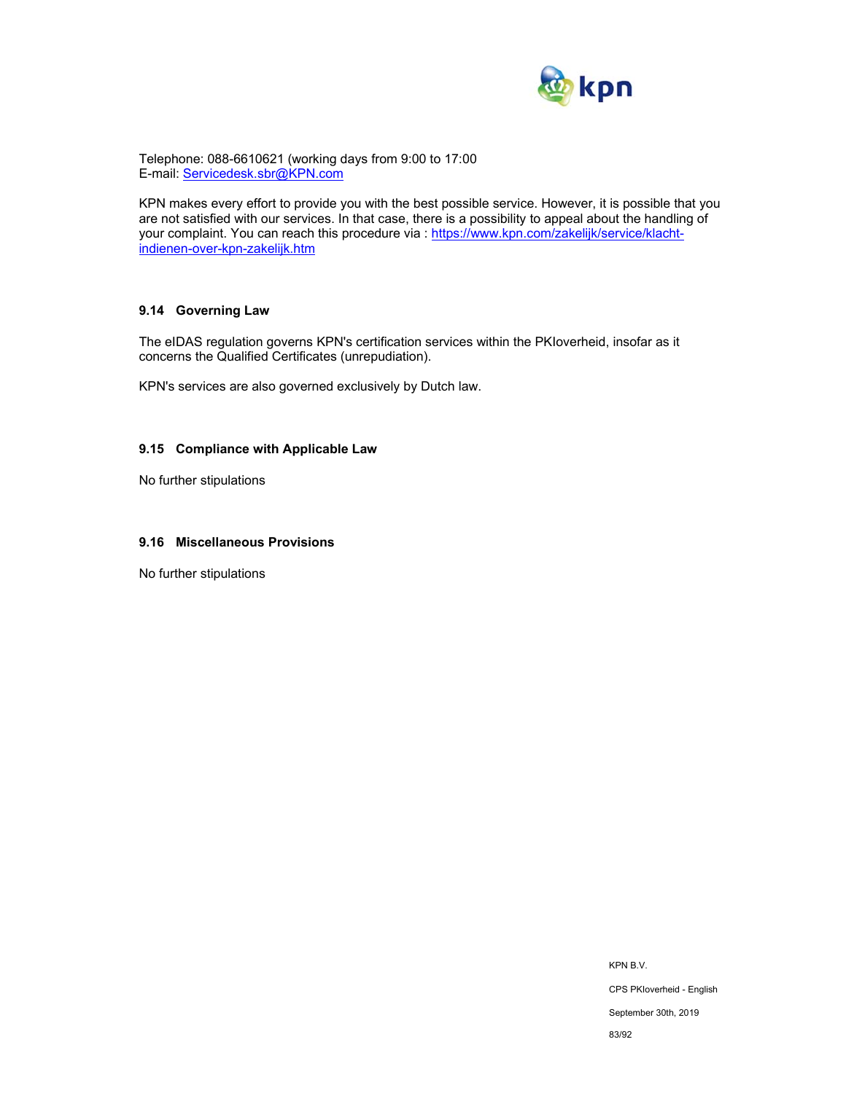

Telephone: 088-6610621 (working days from 9:00 to 17:00 E-mail: Servicedesk.sbr@KPN.com

KPN makes every effort to provide you with the best possible service. However, it is possible that you are not satisfied with our services. In that case, there is a possibility to appeal about the handling of your complaint. You can reach this procedure via : https://www.kpn.com/zakelijk/service/klachtindienen-over-kpn-zakelijk.htm

# **9.14 Governing Law**

The eIDAS regulation governs KPN's certification services within the PKIoverheid, insofar as it concerns the Qualified Certificates (unrepudiation).

KPN's services are also governed exclusively by Dutch law.

# **9.15 Compliance with Applicable Law**

No further stipulations

## **9.16 Miscellaneous Provisions**

No further stipulations

KPN B.V. CPS PKIoverheid - English September 30th, 2019 83/92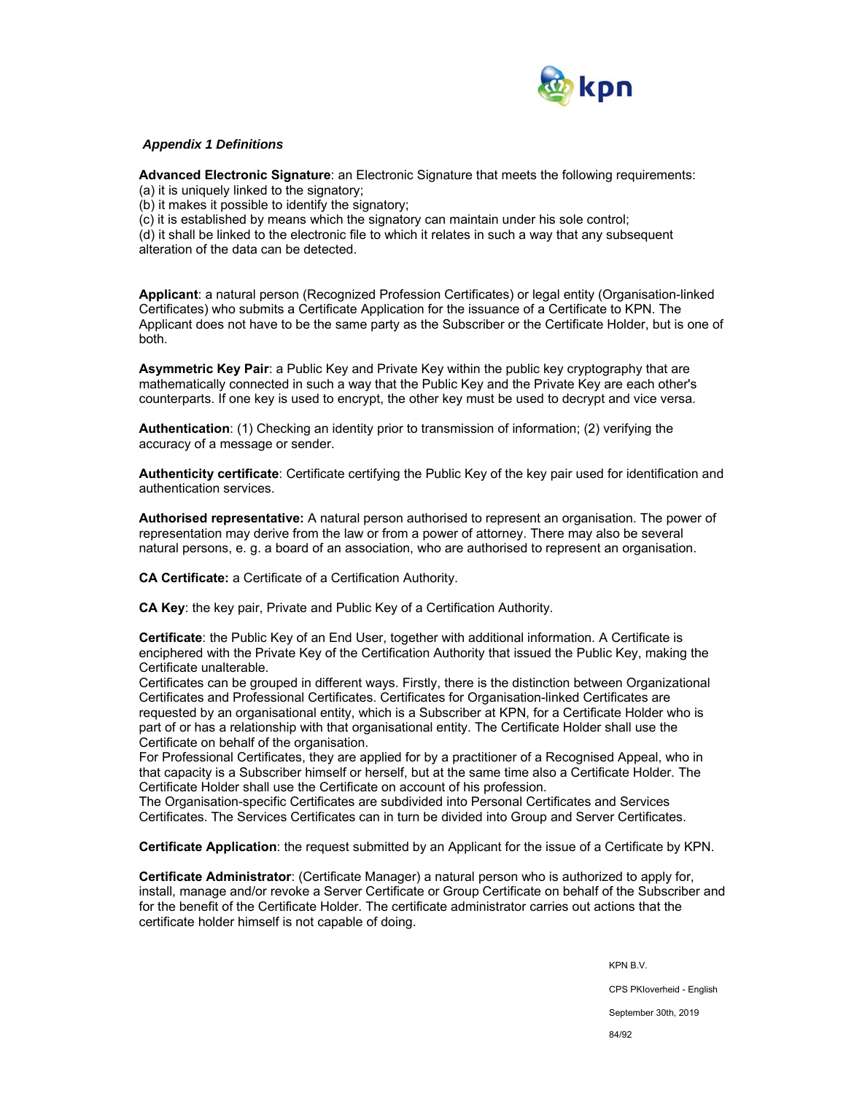

## *Appendix 1 Definitions*

**Advanced Electronic Signature**: an Electronic Signature that meets the following requirements: (a) it is uniquely linked to the signatory;

(b) it makes it possible to identify the signatory;

(c) it is established by means which the signatory can maintain under his sole control;

(d) it shall be linked to the electronic file to which it relates in such a way that any subsequent alteration of the data can be detected.

**Applicant**: a natural person (Recognized Profession Certificates) or legal entity (Organisation-linked Certificates) who submits a Certificate Application for the issuance of a Certificate to KPN. The Applicant does not have to be the same party as the Subscriber or the Certificate Holder, but is one of both.

**Asymmetric Key Pair**: a Public Key and Private Key within the public key cryptography that are mathematically connected in such a way that the Public Key and the Private Key are each other's counterparts. If one key is used to encrypt, the other key must be used to decrypt and vice versa.

**Authentication**: (1) Checking an identity prior to transmission of information; (2) verifying the accuracy of a message or sender.

**Authenticity certificate**: Certificate certifying the Public Key of the key pair used for identification and authentication services.

**Authorised representative:** A natural person authorised to represent an organisation. The power of representation may derive from the law or from a power of attorney. There may also be several natural persons, e. g. a board of an association, who are authorised to represent an organisation.

**CA Certificate:** a Certificate of a Certification Authority.

**CA Key**: the key pair, Private and Public Key of a Certification Authority.

**Certificate**: the Public Key of an End User, together with additional information. A Certificate is enciphered with the Private Key of the Certification Authority that issued the Public Key, making the Certificate unalterable.

Certificates can be grouped in different ways. Firstly, there is the distinction between Organizational Certificates and Professional Certificates. Certificates for Organisation-linked Certificates are requested by an organisational entity, which is a Subscriber at KPN, for a Certificate Holder who is part of or has a relationship with that organisational entity. The Certificate Holder shall use the Certificate on behalf of the organisation.

For Professional Certificates, they are applied for by a practitioner of a Recognised Appeal, who in that capacity is a Subscriber himself or herself, but at the same time also a Certificate Holder. The Certificate Holder shall use the Certificate on account of his profession.

The Organisation-specific Certificates are subdivided into Personal Certificates and Services Certificates. The Services Certificates can in turn be divided into Group and Server Certificates.

**Certificate Application**: the request submitted by an Applicant for the issue of a Certificate by KPN.

**Certificate Administrator**: (Certificate Manager) a natural person who is authorized to apply for, install, manage and/or revoke a Server Certificate or Group Certificate on behalf of the Subscriber and for the benefit of the Certificate Holder. The certificate administrator carries out actions that the certificate holder himself is not capable of doing.

KPN B.V.

CPS PKIoverheid - English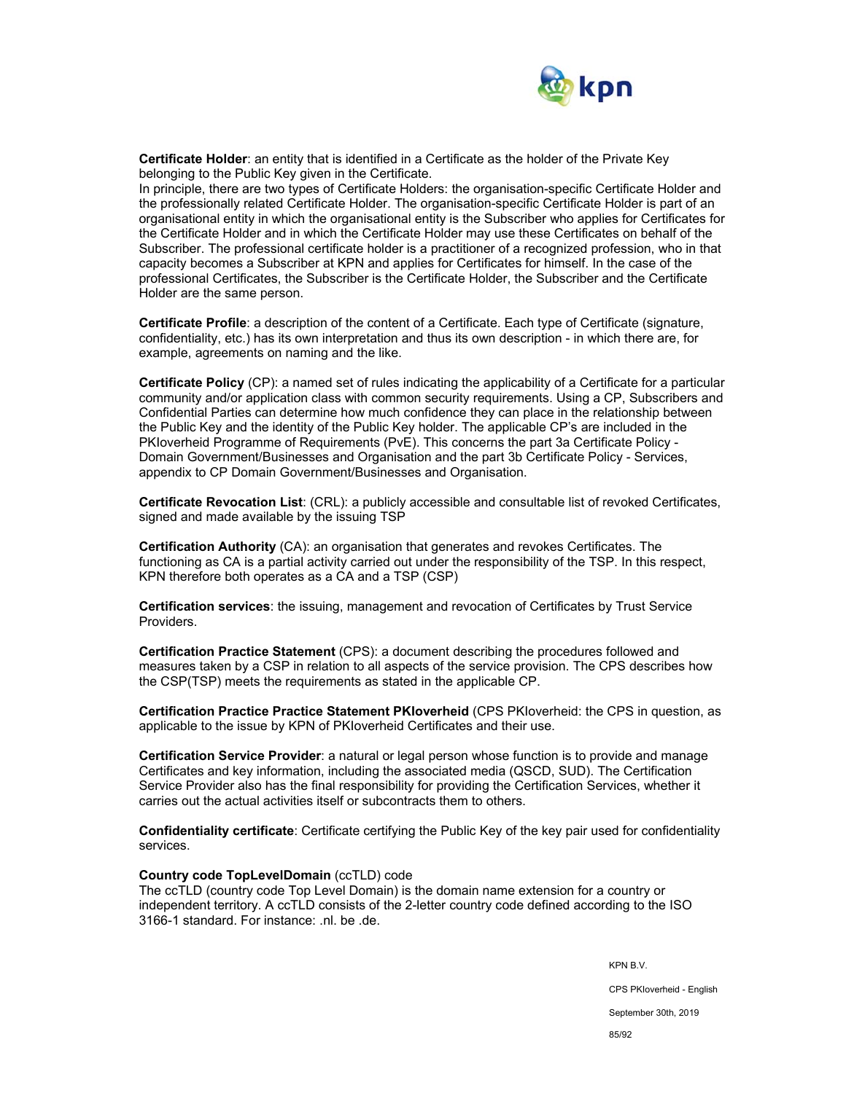

**Certificate Holder**: an entity that is identified in a Certificate as the holder of the Private Key belonging to the Public Key given in the Certificate.

In principle, there are two types of Certificate Holders: the organisation-specific Certificate Holder and the professionally related Certificate Holder. The organisation-specific Certificate Holder is part of an organisational entity in which the organisational entity is the Subscriber who applies for Certificates for the Certificate Holder and in which the Certificate Holder may use these Certificates on behalf of the Subscriber. The professional certificate holder is a practitioner of a recognized profession, who in that capacity becomes a Subscriber at KPN and applies for Certificates for himself. In the case of the professional Certificates, the Subscriber is the Certificate Holder, the Subscriber and the Certificate Holder are the same person.

**Certificate Profile**: a description of the content of a Certificate. Each type of Certificate (signature, confidentiality, etc.) has its own interpretation and thus its own description - in which there are, for example, agreements on naming and the like.

**Certificate Policy** (CP): a named set of rules indicating the applicability of a Certificate for a particular community and/or application class with common security requirements. Using a CP, Subscribers and Confidential Parties can determine how much confidence they can place in the relationship between the Public Key and the identity of the Public Key holder. The applicable CP's are included in the PKIoverheid Programme of Requirements (PvE). This concerns the part 3a Certificate Policy - Domain Government/Businesses and Organisation and the part 3b Certificate Policy - Services, appendix to CP Domain Government/Businesses and Organisation.

**Certificate Revocation List**: (CRL): a publicly accessible and consultable list of revoked Certificates, signed and made available by the issuing TSP

**Certification Authority** (CA): an organisation that generates and revokes Certificates. The functioning as CA is a partial activity carried out under the responsibility of the TSP. In this respect, KPN therefore both operates as a CA and a TSP (CSP)

**Certification services**: the issuing, management and revocation of Certificates by Trust Service Providers.

**Certification Practice Statement** (CPS): a document describing the procedures followed and measures taken by a CSP in relation to all aspects of the service provision. The CPS describes how the CSP(TSP) meets the requirements as stated in the applicable CP.

**Certification Practice Practice Statement PKIoverheid** (CPS PKIoverheid: the CPS in question, as applicable to the issue by KPN of PKIoverheid Certificates and their use.

**Certification Service Provider**: a natural or legal person whose function is to provide and manage Certificates and key information, including the associated media (QSCD, SUD). The Certification Service Provider also has the final responsibility for providing the Certification Services, whether it carries out the actual activities itself or subcontracts them to others.

**Confidentiality certificate**: Certificate certifying the Public Key of the key pair used for confidentiality services.

#### **Country code TopLevelDomain** (ccTLD) code

The ccTLD (country code Top Level Domain) is the domain name extension for a country or independent territory. A ccTLD consists of the 2-letter country code defined according to the ISO 3166-1 standard. For instance: .nl. be .de.

KPN B.V.

CPS PKIoverheid - English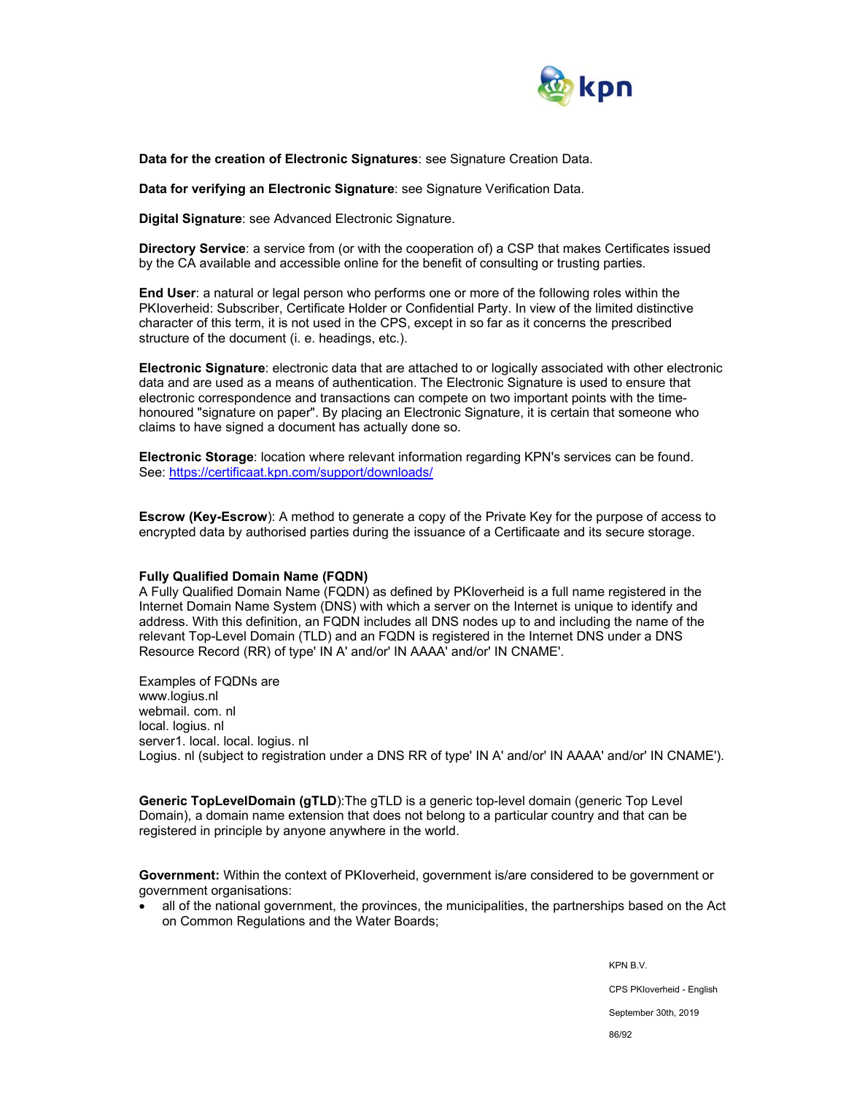

**Data for the creation of Electronic Signatures**: see Signature Creation Data.

**Data for verifying an Electronic Signature**: see Signature Verification Data.

**Digital Signature**: see Advanced Electronic Signature.

**Directory Service**: a service from (or with the cooperation of) a CSP that makes Certificates issued by the CA available and accessible online for the benefit of consulting or trusting parties.

**End User**: a natural or legal person who performs one or more of the following roles within the PKIoverheid: Subscriber, Certificate Holder or Confidential Party. In view of the limited distinctive character of this term, it is not used in the CPS, except in so far as it concerns the prescribed structure of the document (i. e. headings, etc.).

**Electronic Signature**: electronic data that are attached to or logically associated with other electronic data and are used as a means of authentication. The Electronic Signature is used to ensure that electronic correspondence and transactions can compete on two important points with the timehonoured "signature on paper". By placing an Electronic Signature, it is certain that someone who claims to have signed a document has actually done so.

**Electronic Storage**: location where relevant information regarding KPN's services can be found. See: https://certificaat.kpn.com/support/downloads/

**Escrow (Key-Escrow**): A method to generate a copy of the Private Key for the purpose of access to encrypted data by authorised parties during the issuance of a Certificaate and its secure storage.

#### **Fully Qualified Domain Name (FQDN)**

A Fully Qualified Domain Name (FQDN) as defined by PKIoverheid is a full name registered in the Internet Domain Name System (DNS) with which a server on the Internet is unique to identify and address. With this definition, an FQDN includes all DNS nodes up to and including the name of the relevant Top-Level Domain (TLD) and an FQDN is registered in the Internet DNS under a DNS Resource Record (RR) of type' IN A' and/or' IN AAAA' and/or' IN CNAME'.

Examples of FQDNs are www.logius.nl webmail. com. nl local. logius. nl server1. local. local. logius. nl Logius. nl (subject to registration under a DNS RR of type' IN A' and/or' IN AAAA' and/or' IN CNAME').

**Generic TopLevelDomain (gTLD**):The gTLD is a generic top-level domain (generic Top Level Domain), a domain name extension that does not belong to a particular country and that can be registered in principle by anyone anywhere in the world.

**Government:** Within the context of PKIoverheid, government is/are considered to be government or government organisations:

• all of the national government, the provinces, the municipalities, the partnerships based on the Act on Common Regulations and the Water Boards;

KPN B.V.

CPS PKIoverheid - English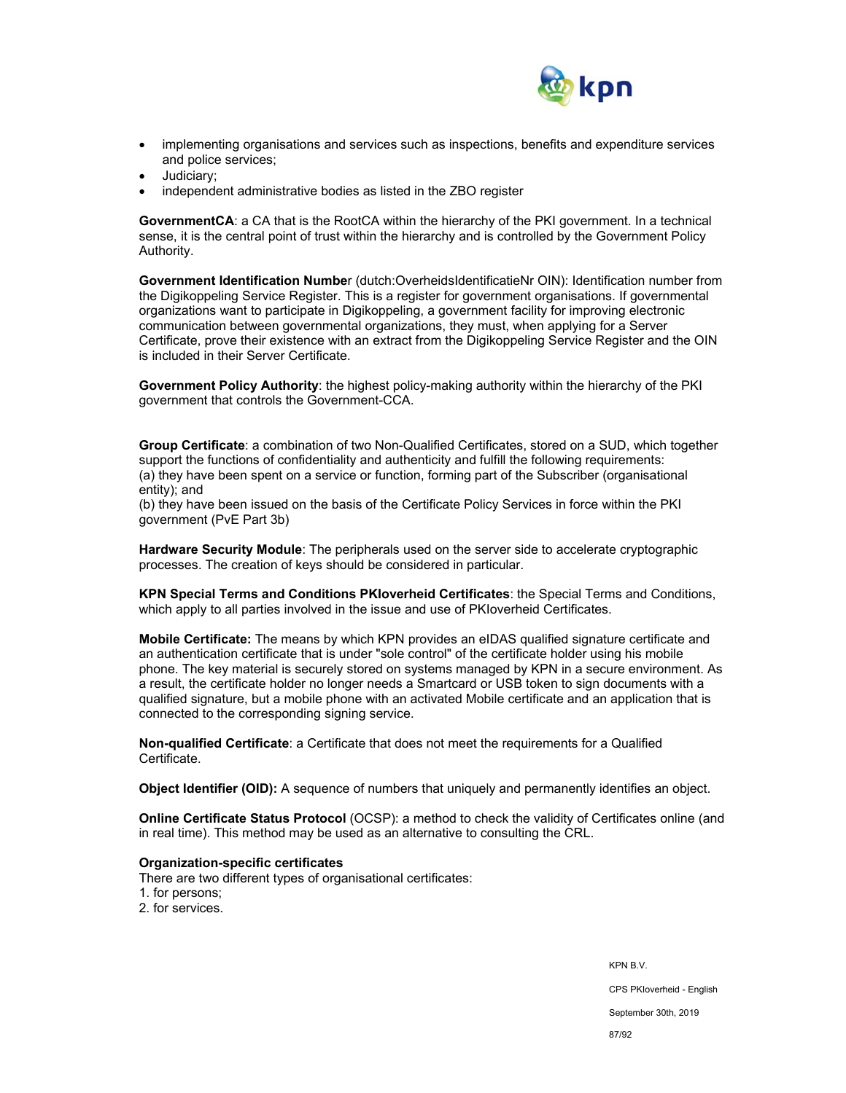

- implementing organisations and services such as inspections, benefits and expenditure services and police services;
- Judiciary;
- independent administrative bodies as listed in the ZBO register

**GovernmentCA**: a CA that is the RootCA within the hierarchy of the PKI government. In a technical sense, it is the central point of trust within the hierarchy and is controlled by the Government Policy Authority.

**Government Identification Numbe**r (dutch:OverheidsIdentificatieNr OIN): Identification number from the Digikoppeling Service Register. This is a register for government organisations. If governmental organizations want to participate in Digikoppeling, a government facility for improving electronic communication between governmental organizations, they must, when applying for a Server Certificate, prove their existence with an extract from the Digikoppeling Service Register and the OIN is included in their Server Certificate.

**Government Policy Authority**: the highest policy-making authority within the hierarchy of the PKI government that controls the Government-CCA.

**Group Certificate**: a combination of two Non-Qualified Certificates, stored on a SUD, which together support the functions of confidentiality and authenticity and fulfill the following requirements: (a) they have been spent on a service or function, forming part of the Subscriber (organisational entity); and

(b) they have been issued on the basis of the Certificate Policy Services in force within the PKI government (PvE Part 3b)

**Hardware Security Module**: The peripherals used on the server side to accelerate cryptographic processes. The creation of keys should be considered in particular.

**KPN Special Terms and Conditions PKIoverheid Certificates**: the Special Terms and Conditions, which apply to all parties involved in the issue and use of PKIoverheid Certificates.

**Mobile Certificate:** The means by which KPN provides an eIDAS qualified signature certificate and an authentication certificate that is under "sole control" of the certificate holder using his mobile phone. The key material is securely stored on systems managed by KPN in a secure environment. As a result, the certificate holder no longer needs a Smartcard or USB token to sign documents with a qualified signature, but a mobile phone with an activated Mobile certificate and an application that is connected to the corresponding signing service.

**Non-qualified Certificate**: a Certificate that does not meet the requirements for a Qualified Certificate.

**Object Identifier (OID):** A sequence of numbers that uniquely and permanently identifies an object.

**Online Certificate Status Protocol** (OCSP): a method to check the validity of Certificates online (and in real time). This method may be used as an alternative to consulting the CRL.

#### **Organization-specific certificates**

There are two different types of organisational certificates:

- 1. for persons;
- 2. for services.

KPN B.V. CPS PKIoverheid - English September 30th, 2019 87/92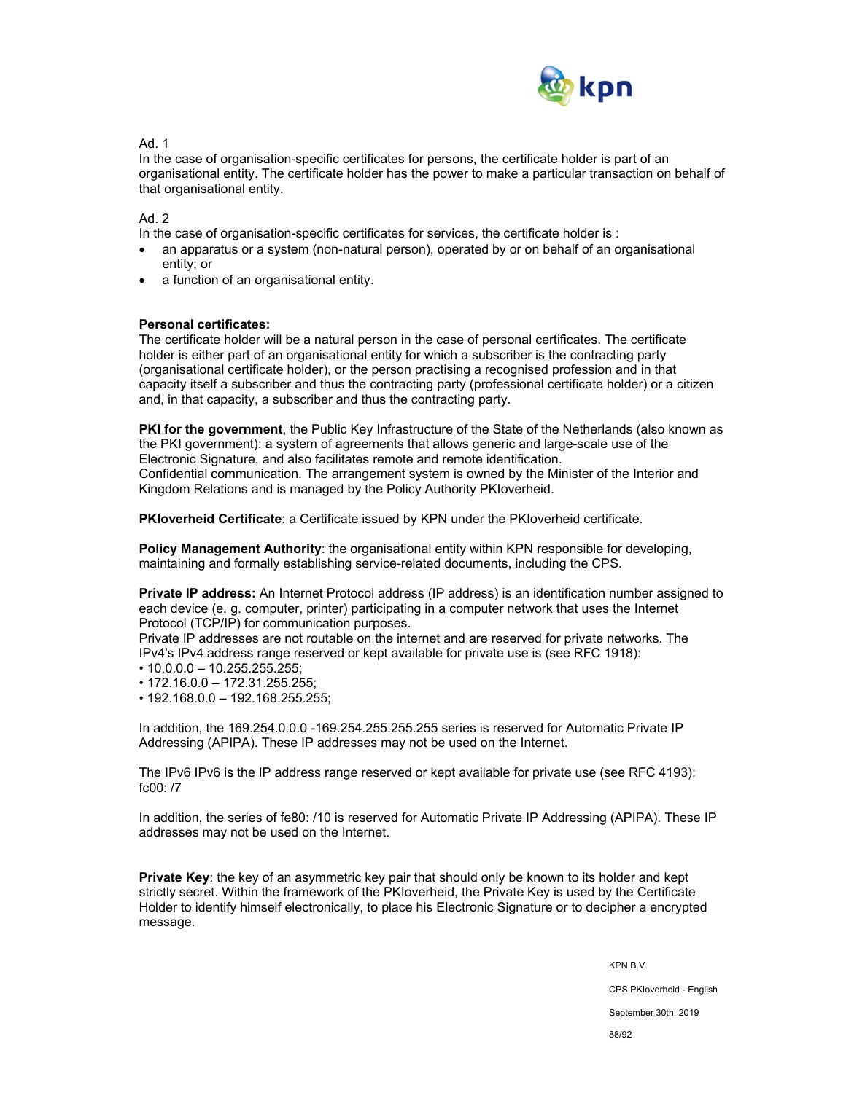

Ad. 1

In the case of organisation-specific certificates for persons, the certificate holder is part of an organisational entity. The certificate holder has the power to make a particular transaction on behalf of that organisational entity.

Ad. 2

In the case of organisation-specific certificates for services, the certificate holder is :

- an apparatus or a system (non-natural person), operated by or on behalf of an organisational entity; or
- a function of an organisational entity.

## **Personal certificates:**

The certificate holder will be a natural person in the case of personal certificates. The certificate holder is either part of an organisational entity for which a subscriber is the contracting party (organisational certificate holder), or the person practising a recognised profession and in that capacity itself a subscriber and thus the contracting party (professional certificate holder) or a citizen and, in that capacity, a subscriber and thus the contracting party.

**PKI for the government**, the Public Key Infrastructure of the State of the Netherlands (also known as the PKI government): a system of agreements that allows generic and large-scale use of the Electronic Signature, and also facilitates remote and remote identification. Confidential communication. The arrangement system is owned by the Minister of the Interior and Kingdom Relations and is managed by the Policy Authority PKIoverheid.

**PKIoverheid Certificate**: a Certificate issued by KPN under the PKIoverheid certificate.

**Policy Management Authority**: the organisational entity within KPN responsible for developing, maintaining and formally establishing service-related documents, including the CPS.

**Private IP address:** An Internet Protocol address (IP address) is an identification number assigned to each device (e. g. computer, printer) participating in a computer network that uses the Internet Protocol (TCP/IP) for communication purposes.

Private IP addresses are not routable on the internet and are reserved for private networks. The IPv4's IPv4 address range reserved or kept available for private use is (see RFC 1918):

- $\cdot$  10.0.0.0 10.255.255.255;
- 172.16.0.0 172.31.255.255;
- 192.168.0.0 192.168.255.255;

In addition, the 169.254.0.0.0 -169.254.255.255.255 series is reserved for Automatic Private IP Addressing (APIPA). These IP addresses may not be used on the Internet.

The IPv6 IPv6 is the IP address range reserved or kept available for private use (see RFC 4193): fc00: /7

In addition, the series of fe80: /10 is reserved for Automatic Private IP Addressing (APIPA). These IP addresses may not be used on the Internet.

**Private Key**: the key of an asymmetric key pair that should only be known to its holder and kept strictly secret. Within the framework of the PKIoverheid, the Private Key is used by the Certificate Holder to identify himself electronically, to place his Electronic Signature or to decipher a encrypted message.

KPN B.V.

CPS PKIoverheid - English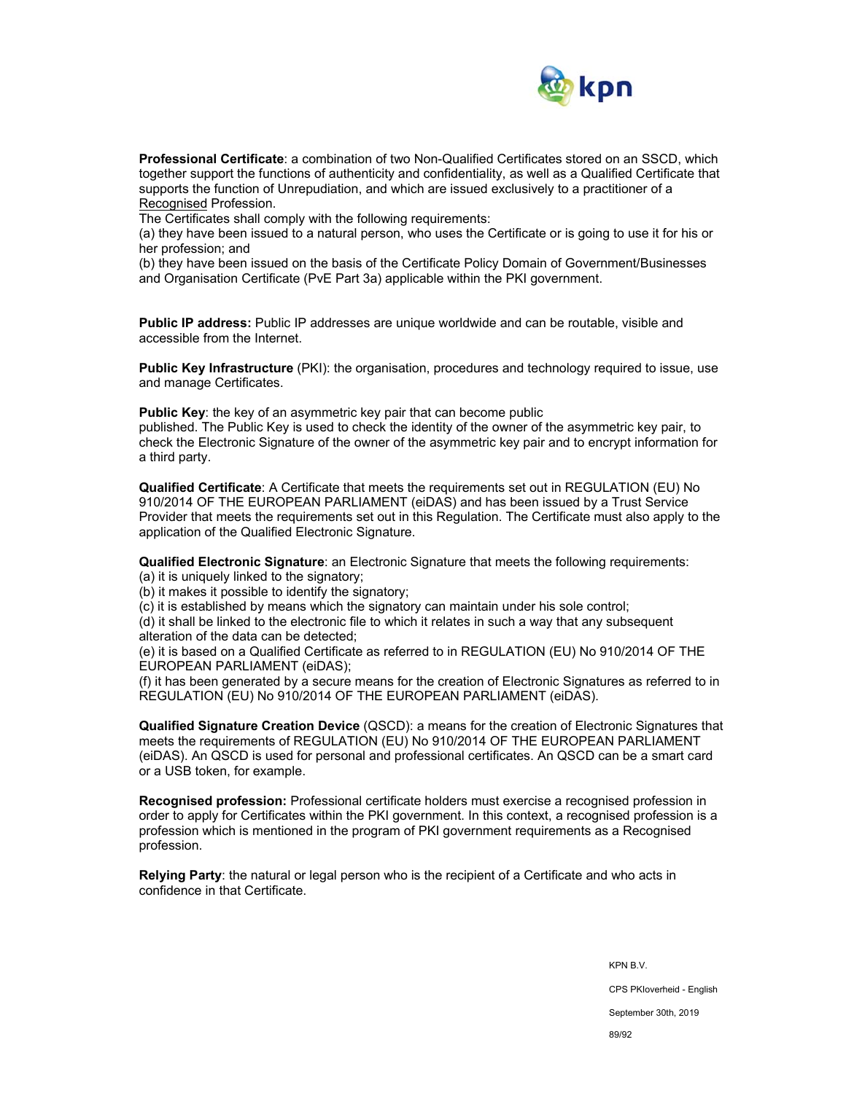

**Professional Certificate**: a combination of two Non-Qualified Certificates stored on an SSCD, which together support the functions of authenticity and confidentiality, as well as a Qualified Certificate that supports the function of Unrepudiation, and which are issued exclusively to a practitioner of a Recognised Profession.

The Certificates shall comply with the following requirements:

(a) they have been issued to a natural person, who uses the Certificate or is going to use it for his or her profession; and

(b) they have been issued on the basis of the Certificate Policy Domain of Government/Businesses and Organisation Certificate (PvE Part 3a) applicable within the PKI government.

**Public IP address:** Public IP addresses are unique worldwide and can be routable, visible and accessible from the Internet.

**Public Key Infrastructure** (PKI): the organisation, procedures and technology required to issue, use and manage Certificates.

**Public Key:** the key of an asymmetric key pair that can become public published. The Public Key is used to check the identity of the owner of the asymmetric key pair, to check the Electronic Signature of the owner of the asymmetric key pair and to encrypt information for a third party.

**Qualified Certificate**: A Certificate that meets the requirements set out in REGULATION (EU) No 910/2014 OF THE EUROPEAN PARLIAMENT (eiDAS) and has been issued by a Trust Service Provider that meets the requirements set out in this Regulation. The Certificate must also apply to the application of the Qualified Electronic Signature.

**Qualified Electronic Signature**: an Electronic Signature that meets the following requirements:

(a) it is uniquely linked to the signatory;

(b) it makes it possible to identify the signatory;

(c) it is established by means which the signatory can maintain under his sole control;

(d) it shall be linked to the electronic file to which it relates in such a way that any subsequent alteration of the data can be detected;

(e) it is based on a Qualified Certificate as referred to in REGULATION (EU) No 910/2014 OF THE EUROPEAN PARLIAMENT (eiDAS);

(f) it has been generated by a secure means for the creation of Electronic Signatures as referred to in REGULATION (EU) No 910/2014 OF THE EUROPEAN PARLIAMENT (eiDAS).

**Qualified Signature Creation Device** (QSCD): a means for the creation of Electronic Signatures that meets the requirements of REGULATION (EU) No 910/2014 OF THE EUROPEAN PARLIAMENT (eiDAS). An QSCD is used for personal and professional certificates. An QSCD can be a smart card or a USB token, for example.

**Recognised profession:** Professional certificate holders must exercise a recognised profession in order to apply for Certificates within the PKI government. In this context, a recognised profession is a profession which is mentioned in the program of PKI government requirements as a Recognised profession.

**Relying Party**: the natural or legal person who is the recipient of a Certificate and who acts in confidence in that Certificate.

> KPN B.V. CPS PKIoverheid - English September 30th, 2019 89/92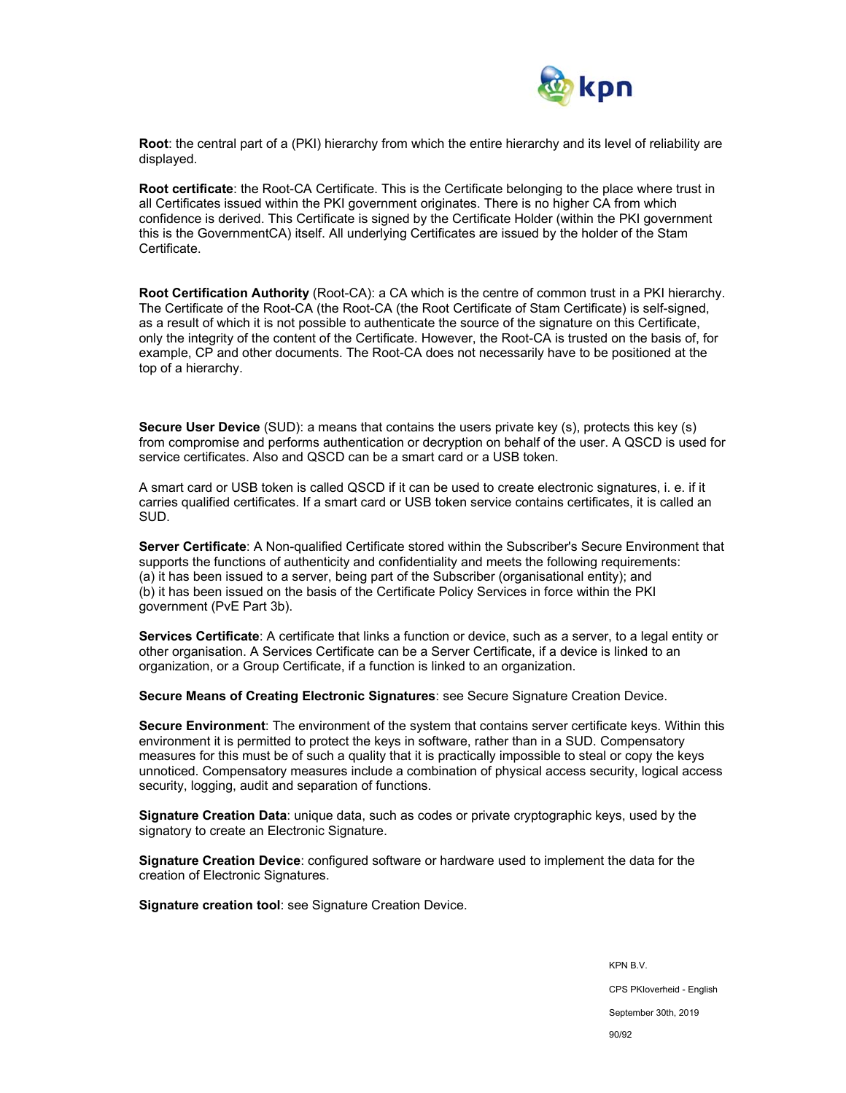

**Root**: the central part of a (PKI) hierarchy from which the entire hierarchy and its level of reliability are displayed.

**Root certificate**: the Root-CA Certificate. This is the Certificate belonging to the place where trust in all Certificates issued within the PKI government originates. There is no higher CA from which confidence is derived. This Certificate is signed by the Certificate Holder (within the PKI government this is the GovernmentCA) itself. All underlying Certificates are issued by the holder of the Stam Certificate.

**Root Certification Authority** (Root-CA): a CA which is the centre of common trust in a PKI hierarchy. The Certificate of the Root-CA (the Root-CA (the Root Certificate of Stam Certificate) is self-signed, as a result of which it is not possible to authenticate the source of the signature on this Certificate, only the integrity of the content of the Certificate. However, the Root-CA is trusted on the basis of, for example, CP and other documents. The Root-CA does not necessarily have to be positioned at the top of a hierarchy.

**Secure User Device** (SUD): a means that contains the users private key (s), protects this key (s) from compromise and performs authentication or decryption on behalf of the user. A QSCD is used for service certificates. Also and QSCD can be a smart card or a USB token.

A smart card or USB token is called QSCD if it can be used to create electronic signatures, i. e. if it carries qualified certificates. If a smart card or USB token service contains certificates, it is called an SUD.

**Server Certificate**: A Non-qualified Certificate stored within the Subscriber's Secure Environment that supports the functions of authenticity and confidentiality and meets the following requirements: (a) it has been issued to a server, being part of the Subscriber (organisational entity); and (b) it has been issued on the basis of the Certificate Policy Services in force within the PKI government (PvE Part 3b).

**Services Certificate**: A certificate that links a function or device, such as a server, to a legal entity or other organisation. A Services Certificate can be a Server Certificate, if a device is linked to an organization, or a Group Certificate, if a function is linked to an organization.

**Secure Means of Creating Electronic Signatures**: see Secure Signature Creation Device.

**Secure Environment**: The environment of the system that contains server certificate keys. Within this environment it is permitted to protect the keys in software, rather than in a SUD. Compensatory measures for this must be of such a quality that it is practically impossible to steal or copy the keys unnoticed. Compensatory measures include a combination of physical access security, logical access security, logging, audit and separation of functions.

**Signature Creation Data**: unique data, such as codes or private cryptographic keys, used by the signatory to create an Electronic Signature.

**Signature Creation Device**: configured software or hardware used to implement the data for the creation of Electronic Signatures.

**Signature creation tool**: see Signature Creation Device.

KPN B.V. CPS PKIoverheid - English September 30th, 2019 90/92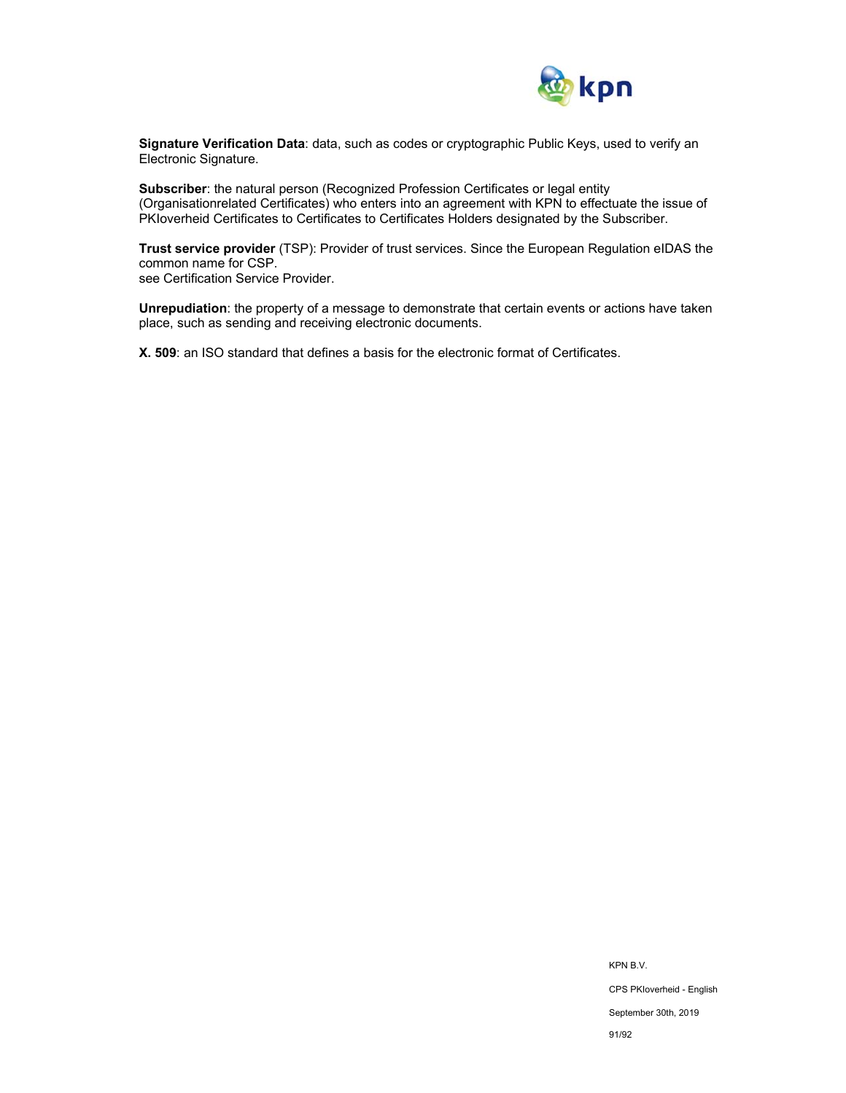

**Signature Verification Data**: data, such as codes or cryptographic Public Keys, used to verify an Electronic Signature.

**Subscriber**: the natural person (Recognized Profession Certificates or legal entity (Organisationrelated Certificates) who enters into an agreement with KPN to effectuate the issue of PKIoverheid Certificates to Certificates to Certificates Holders designated by the Subscriber.

**Trust service provider** (TSP): Provider of trust services. Since the European Regulation eIDAS the common name for CSP.

see Certification Service Provider.

**Unrepudiation**: the property of a message to demonstrate that certain events or actions have taken place, such as sending and receiving electronic documents.

**X. 509**: an ISO standard that defines a basis for the electronic format of Certificates.

KPN B.V. CPS PKIoverheid - English September 30th, 2019 91/92